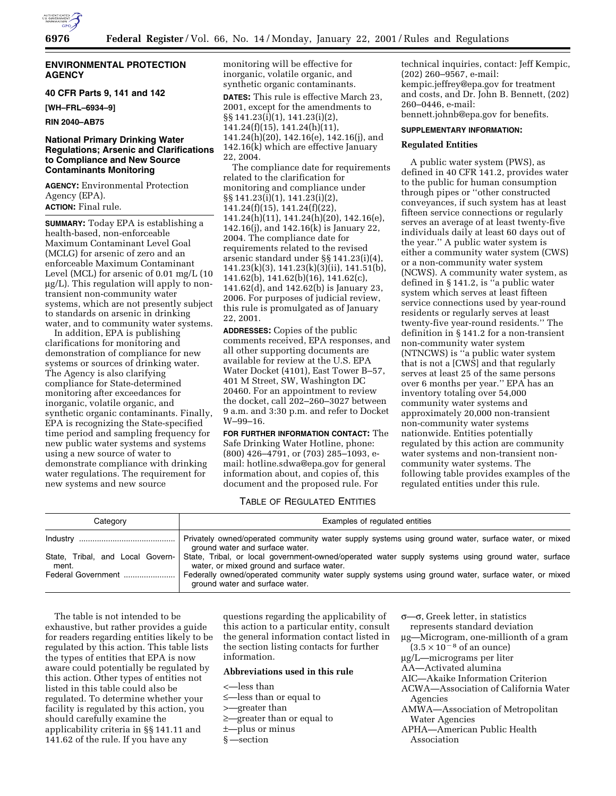

## **ENVIRONMENTAL PROTECTION AGENCY**

**40 CFR Parts 9, 141 and 142**

**[WH–FRL–6934–9]**

**RIN 2040–AB75**

### **National Primary Drinking Water Regulations; Arsenic and Clarifications to Compliance and New Source Contaminants Monitoring**

**AGENCY:** Environmental Protection Agency (EPA). **ACTION:** Final rule.

**SUMMARY:** Today EPA is establishing a health-based, non-enforceable Maximum Contaminant Level Goal (MCLG) for arsenic of zero and an enforceable Maximum Contaminant Level (MCL) for arsenic of 0.01 mg/L (10 µg/L). This regulation will apply to nontransient non-community water systems, which are not presently subject to standards on arsenic in drinking water, and to community water systems.

In addition, EPA is publishing clarifications for monitoring and demonstration of compliance for new systems or sources of drinking water. The Agency is also clarifying compliance for State-determined monitoring after exceedances for inorganic, volatile organic, and synthetic organic contaminants. Finally, EPA is recognizing the State-specified time period and sampling frequency for new public water systems and systems using a new source of water to demonstrate compliance with drinking water regulations. The requirement for new systems and new source

monitoring will be effective for inorganic, volatile organic, and synthetic organic contaminants.

**DATES:** This rule is effective March 23, 2001, except for the amendments to §§ 141.23(i)(1), 141.23(i)(2), 141.24(f)(15), 141.24(h)(11), 141.24(h)(20), 142.16(e), 142.16(j), and 142.16(k) which are effective January 22, 2004.

The compliance date for requirements related to the clarification for monitoring and compliance under §§ 141.23(i)(1), 141.23(i)(2), 141.24(f)(15), 141.24(f)(22), 141.24(h)(11), 141.24(h)(20), 142.16(e), 142.16(j), and 142.16(k) is January 22, 2004. The compliance date for requirements related to the revised arsenic standard under §§ 141.23(i)(4), 141.23(k)(3), 141.23(k)(3)(ii), 141.51(b), 141.62(b), 141.62(b)(16), 141.62(c), 141.62(d), and 142.62(b) is January 23, 2006. For purposes of judicial review, this rule is promulgated as of January 22, 2001.

**ADDRESSES:** Copies of the public comments received, EPA responses, and all other supporting documents are available for review at the U.S. EPA Water Docket (4101), East Tower B–57, 401 M Street, SW, Washington DC 20460. For an appointment to review the docket, call 202–260–3027 between 9 a.m. and 3:30 p.m. and refer to Docket W–99–16.

**FOR FURTHER INFORMATION CONTACT:** The Safe Drinking Water Hotline, phone: (800) 426–4791, or (703) 285–1093, email: hotline.sdwa@epa.gov for general information about, and copies of, this document and the proposed rule. For

technical inquiries, contact: Jeff Kempic, (202) 260–9567, e-mail: kempic.jeffrey@epa.gov for treatment and costs, and Dr. John B. Bennett, (202) 260–0446, e-mail: bennett.johnb@epa.gov for benefits.

**SUPPLEMENTARY INFORMATION:**

## **Regulated Entities**

A public water system (PWS), as defined in 40 CFR 141.2, provides water to the public for human consumption through pipes or ''other constructed conveyances, if such system has at least fifteen service connections or regularly serves an average of at least twenty-five individuals daily at least 60 days out of the year.'' A public water system is either a community water system (CWS) or a non-community water system (NCWS). A community water system, as defined in § 141.2, is ''a public water system which serves at least fifteen service connections used by year-round residents or regularly serves at least twenty-five year-round residents.'' The definition in § 141.2 for a non-transient non-community water system (NTNCWS) is ''a public water system that is not a [CWS] and that regularly serves at least 25 of the same persons over 6 months per year.'' EPA has an inventory totaling over 54,000 community water systems and approximately 20,000 non-transient non-community water systems nationwide. Entities potentially regulated by this action are community water systems and non-transient noncommunity water systems. The following table provides examples of the regulated entities under this rule.

TABLE OF REGULATED ENTITIES

| Category                                  | Examples of regulated entities                                                                                                                  |
|-------------------------------------------|-------------------------------------------------------------------------------------------------------------------------------------------------|
|                                           | Privately owned/operated community water supply systems using ground water, surface water, or mixed<br>ground water and surface water.          |
| State. Tribal. and Local Govern-<br>ment. | State, Tribal, or local government-owned/operated water supply systems using ground water, surface<br>water, or mixed ground and surface water. |
| Federal Government                        | Federally owned/operated community water supply systems using ground water, surface water, or mixed<br>ground water and surface water.          |

The table is not intended to be exhaustive, but rather provides a guide for readers regarding entities likely to be regulated by this action. This table lists the types of entities that EPA is now aware could potentially be regulated by this action. Other types of entities not listed in this table could also be regulated. To determine whether your facility is regulated by this action, you should carefully examine the applicability criteria in §§ 141.11 and 141.62 of the rule. If you have any

questions regarding the applicability of this action to a particular entity, consult the general information contact listed in the section listing contacts for further information.

## **Abbreviations used in this rule**

- <—less than
- ≤—less than or equal to
- >—greater than
- ≥—greater than or equal to
- ±—plus or minus
- § —section

σ—σ, Greek letter, in statistics represents standard deviation

µg—Microgram, one-millionth of a gram  $(3.5 \times 10^{-8} \text{ of an ounce})$ 

µg/L—micrograms per liter

- AA—Activated alumina
- AIC—Akaike Information Criterion
- ACWA—Association of California Water Agencies
- AMWA—Association of Metropolitan Water Agencies
- APHA—American Public Health Association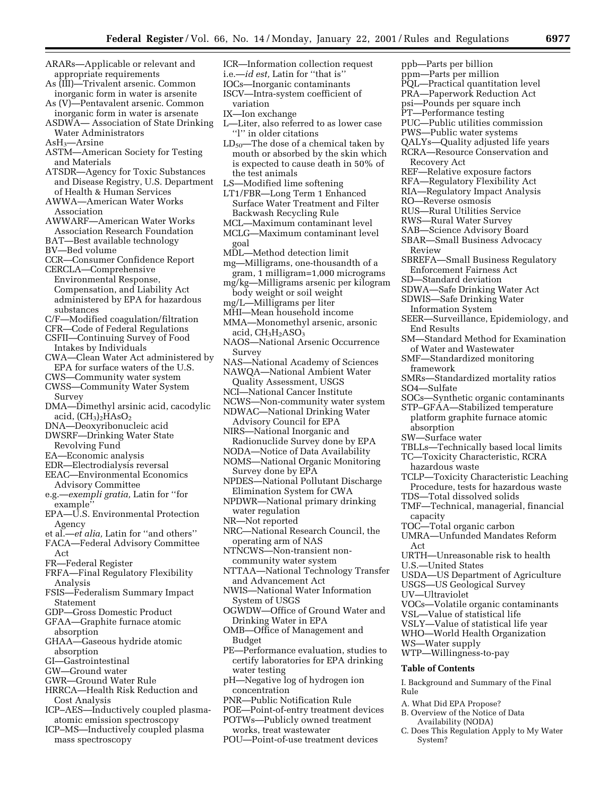- ARARs—Applicable or relevant and appropriate requirements
- As (III)—Trivalent arsenic. Common inorganic form in water is arsenite
- As (V)—Pentavalent arsenic. Common inorganic form in water is arsenate
- ASDWA— Association of State Drinking Water Administrators
- AsH3—Arsine
- ASTM—American Society for Testing and Materials
- ATSDR—Agency for Toxic Substances and Disease Registry, U.S. Department of Health & Human Services
- AWWA—American Water Works Association
- AWWARF—American Water Works Association Research Foundation
- BAT—Best available technology
- BV—Bed volume
- CCR—Consumer Confidence Report
- CERCLA—Comprehensive Environmental Response, Compensation, and Liability Act administered by EPA for hazardous substances
- C/F—Modified coagulation/filtration
- CFR—Code of Federal Regulations
- CSFII—Continuing Survey of Food Intakes by Individuals
- CWA—Clean Water Act administered by EPA for surface waters of the U.S.
- CWS—Community water system CWSS—Community Water System
- Survey
- DMA—Dimethyl arsinic acid, cacodylic acid,  $(CH_3)$ <sub>2</sub>HAsO<sub>2</sub>
- DNA—Deoxyribonucleic acid
- DWSRF—Drinking Water State Revolving Fund
- EA—Economic analysis
- EDR—Electrodialysis reversal
- EEAC—Environmental Economics Advisory Committee
- e.g.—*exempli gratia,* Latin for ''for example''
- EPA—U.S. Environmental Protection Agency
- et al.—*et alia,* Latin for ''and others''
- FACA—Federal Advisory Committee Act
- FR—Federal Register
- FRFA—Final Regulatory Flexibility Analysis
- FSIS—Federalism Summary Impact Statement
- GDP—Gross Domestic Product
- GFAA—Graphite furnace atomic absorption
- GHAA—Gaseous hydride atomic absorption
- GI—Gastrointestinal
- GW—Ground water
- GWR—Ground Water Rule
- HRRCA—Health Risk Reduction and Cost Analysis
- ICP–AES—Inductively coupled plasmaatomic emission spectroscopy
- ICP–MS—Inductively coupled plasma mass spectroscopy
- ICR—Information collection request
- i.e.—*id est,* Latin for ''that is''
- IOCs—Inorganic contaminants
- ISCV—Intra-system coefficient of variation
- IX—Ion exchange
- L—Liter, also referred to as lower case ''l'' in older citations
- $LD_{50}$ —The dose of a chemical taken by mouth or absorbed by the skin which is expected to cause death in 50% of the test animals
- LS—Modified lime softening
- LT1/FBR—Long Term 1 Enhanced Surface Water Treatment and Filter Backwash Recycling Rule
- MCL—Maximum contaminant level MCLG—Maximum contaminant level goal
- MDL—Method detection limit
- mg—Milligrams, one-thousandth of a gram, 1 milligram=1,000 micrograms
- mg/kg—Milligrams arsenic per kilogram body weight or soil weight
- mg/L—Milligrams per liter
- MHI—Mean household income
- MMA—Monomethyl arsenic, arsonic acid,  $CH<sub>3</sub>H<sub>2</sub>ASO<sub>3</sub>$
- NAOS—National Arsenic Occurrence Survey
- NAS—National Academy of Sciences NAWQA—National Ambient Water
- Quality Assessment, USGS
- NCI—National Cancer Institute
- NCWS—Non-community water system NDWAC—National Drinking Water
- Advisory Council for EPA
- NIRS—National Inorganic and
- Radionuclide Survey done by EPA
- NODA—Notice of Data Availability NOMS—National Organic Monitoring
- Survey done by EPA
- NPDES—National Pollutant Discharge Elimination System for CWA
- NPDWR—National primary drinking water regulation
- NR—Not reported
- NRC—National Research Council, the operating arm of NAS
- NTNCWS—Non-transient noncommunity water system
- NTTAA—National Technology Transfer and Advancement Act
- NWIS—National Water Information System of USGS
- OGWDW—Office of Ground Water and Drinking Water in EPA
- OMB—Office of Management and Budget
- PE—Performance evaluation, studies to certify laboratories for EPA drinking water testing
- pH—Negative log of hydrogen ion concentration
- PNR—Public Notification Rule
- POE—Point-of-entry treatment devices
- POTWs—Publicly owned treatment works, treat wastewater
- POU—Point-of-use treatment devices
- ppb—Parts per billion ppm—Parts per million
- PQL—Practical quantitation level
- PRA—Paperwork Reduction Act
- psi—Pounds per square inch
- PT—Performance testing
- PUC—Public utilities commission
- PWS—Public water systems
- QALYs—Quality adjusted life years RCRA—Resource Conservation and
- Recovery Act
- REF—Relative exposure factors
- RFA—Regulatory Flexibility Act RIA—Regulatory Impact Analysis
- RO—Reverse osmosis
- 
- RUS—Rural Utilities Service RWS—Rural Water Survey
- SAB—Science Advisory Board

SD—Standard deviation

End Results

framework

SO4—Sulfate

absorption SW—Surface water

capacity

Act

hazardous waste

U.S.—United States

UV—Ultraviolet

WS—Water supply WTP—Willingness-to-pay

**Table of Contents**

System?

A. What Did EPA Propose? B. Overview of the Notice of Data Availability (NODA)

Rule

TDS—Total dissolved solids

TOC—Total organic carbon

USGS—US Geological Survey

VSL—Value of statistical life VSLY—Value of statistical life year WHO—World Health Organization

SBAR—Small Business Advocacy Review

SDWA—Safe Drinking Water Act SDWIS—Safe Drinking Water Information System

of Water and Wastewater SMF—Standardized monitoring

SBREFA—Small Business Regulatory Enforcement Fairness Act

SEER—Surveillance, Epidemiology, and

SM—Standard Method for Examination

SMRs—Standardized mortality ratios

SOCs—Synthetic organic contaminants STP–GFAA—Stabilized temperature platform graphite furnace atomic

TBLLs—Technically based local limits TC—Toxicity Characteristic, RCRA

TCLP—Toxicity Characteristic Leaching Procedure, tests for hazardous waste

TMF—Technical, managerial, financial

UMRA—Unfunded Mandates Reform

URTH—Unreasonable risk to health

USDA—US Department of Agriculture

VOCs—Volatile organic contaminants

I. Background and Summary of the Final

C. Does This Regulation Apply to My Water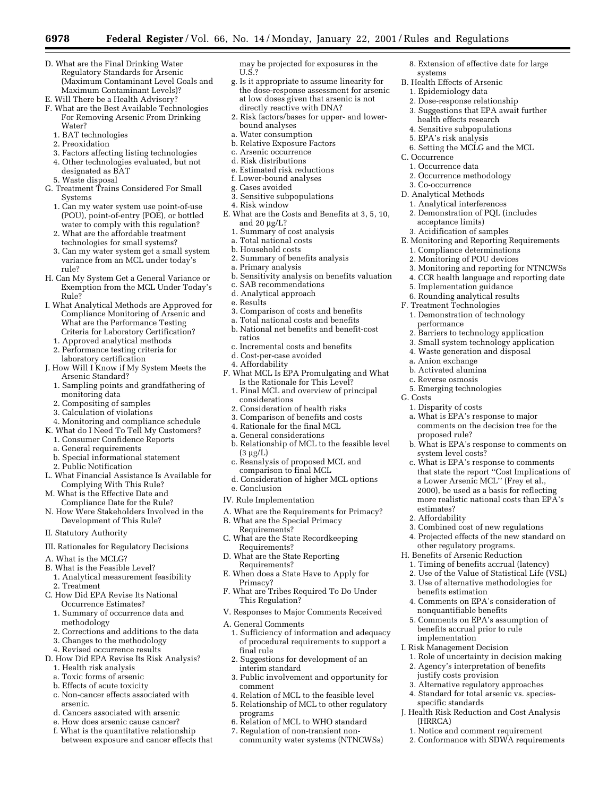- D. What are the Final Drinking Water Regulatory Standards for Arsenic (Maximum Contaminant Level Goals and Maximum Contaminant Levels)?
- E. Will There be a Health Advisory?
- F. What are the Best Available Technologies For Removing Arsenic From Drinking Water?
	- 1. BAT technologies
	- 2. Preoxidation
	- 3. Factors affecting listing technologies
	- 4. Other technologies evaluated, but not designated as BAT
	- 5. Waste disposal
- G. Treatment Trains Considered For Small Systems
	- 1. Can my water system use point-of-use (POU), point-of-entry (POE), or bottled water to comply with this regulation?
	- 2. What are the affordable treatment technologies for small systems?
	- 3. Can my water system get a small system variance from an MCL under today's rule?
- H. Can My System Get a General Variance or Exemption from the MCL Under Today's Rule?
- I. What Analytical Methods are Approved for Compliance Monitoring of Arsenic and What are the Performance Testing Criteria for Laboratory Certification?
	- 1. Approved analytical methods
	- 2. Performance testing criteria for
	- laboratory certification
- J. How Will I Know if My System Meets the Arsenic Standard?
	- 1. Sampling points and grandfathering of monitoring data
	- 2. Compositing of samples
	- 3. Calculation of violations
- 4. Monitoring and compliance schedule
- K. What do I Need To Tell My Customers?
- 1. Consumer Confidence Reports
- a. General requirements
- b. Special informational statement
- 2. Public Notification
- L. What Financial Assistance Is Available for Complying With This Rule?
- M. What is the Effective Date and Compliance Date for the Rule?
- N. How Were Stakeholders Involved in the Development of This Rule?
- II. Statutory Authority
- III. Rationales for Regulatory Decisions
- A. What is the MCLG?
- B. What is the Feasible Level?
- 1. Analytical measurement feasibility 2. Treatment
- C. How Did EPA Revise Its National Occurrence Estimates?
	- 1. Summary of occurrence data and methodology
- 2. Corrections and additions to the data
- 3. Changes to the methodology
- 4. Revised occurrence results
- D. How Did EPA Revise Its Risk Analysis?
	- 1. Health risk analysis
	- a. Toxic forms of arsenic
	- b. Effects of acute toxicity
	- c. Non-cancer effects associated with arsenic.
	- d. Cancers associated with arsenic
	- e. How does arsenic cause cancer?
	- f. What is the quantitative relationship
	- between exposure and cancer effects that

may be projected for exposures in the U.S.?

8. Extension of effective date for large

systems

C. Occurrence 1. Occurrence data 2. Occurrence methodology

3. Co-occurrence D. Analytical Methods 1. Analytical interferences 2. Demonstration of PQL (includes

acceptance limits) 3. Acidification of samples

5. Implementation guidance 6. Rounding analytical results F. Treatment Technologies 1. Demonstration of technology

performance

a. Anion exchange b. Activated alumina c. Reverse osmosis 5. Emerging technologies

1. Disparity of costs

proposed rule?

estimates? 2. Affordability

system level costs?

G. Costs

B. Health Effects of Arsenic 1. Epidemiology data 2. Dose-response relationship 3. Suggestions that EPA await further

health effects research 4. Sensitive subpopulations 5. EPA's risk analysis

6. Setting the MCLG and the MCL

E. Monitoring and Reporting Requirements 1. Compliance determinations 2. Monitoring of POU devices

2. Barriers to technology application 3. Small system technology application 4. Waste generation and disposal

a. What is EPA's response to major comments on the decision tree for the

b. What is EPA's response to comments on

c. What is EPA's response to comments that state the report ''Cost Implications of a Lower Arsenic MCL'' (Frey et al., 2000), be used as a basis for reflecting more realistic national costs than EPA's

3. Combined cost of new regulations 4. Projected effects of the new standard on

1. Timing of benefits accrual (latency) 2. Use of the Value of Statistical Life (VSL) 3. Use of alternative methodologies for

4. Comments on EPA's consideration of

1. Role of uncertainty in decision making 2. Agency's interpretation of benefits

J. Health Risk Reduction and Cost Analysis

1. Notice and comment requirement 2. Conformance with SDWA requirements

other regulatory programs. H. Benefits of Arsenic Reduction

benefits estimation

implementation I. Risk Management Decision

nonquantifiable benefits 5. Comments on EPA's assumption of benefits accrual prior to rule

justify costs provision 3. Alternative regulatory approaches 4. Standard for total arsenic vs. species-

specific standards

(HRRCA)

3. Monitoring and reporting for NTNCWSs 4. CCR health language and reporting date

- g. Is it appropriate to assume linearity for the dose-response assessment for arsenic at low doses given that arsenic is not directly reactive with DNA?
- 2. Risk factors/bases for upper- and lowerbound analyses
- a. Water consumption
- b. Relative Exposure Factors
- c. Arsenic occurrence
- d. Risk distributions
- e. Estimated risk reductions
- f. Lower-bound analyses
- g. Cases avoided
- 3. Sensitive subpopulations
- 4. Risk window
- E. What are the Costs and Benefits at 3, 5, 10, and  $20 \mu g/L$ ?
	- 1. Summary of cost analysis
	- a. Total national costs
	- b. Household costs
	- 2. Summary of benefits analysis
	- a. Primary analysis
	- b. Sensitivity analysis on benefits valuation
	- c. SAB recommendations
	- d. Analytical approach
	- e. Results
	- 3. Comparison of costs and benefits
	- a. Total national costs and benefits
	- b. National net benefits and benefit-cost
- ratios
- c. Incremental costs and benefits
- d. Cost-per-case avoided
- 4. Affordability
- F. What MCL Is EPA Promulgating and What Is the Rationale for This Level?
	- 1. Final MCL and overview of principal considerations
	- 2. Consideration of health risks
	- 3. Comparison of benefits and costs
	- 4. Rationale for the final MCL
	- a. General considerations
	- b. Relationship of MCL to the feasible level  $(3 \mu g/L)$
	- c. Reanalysis of proposed MCL and comparison to final MCL
- d. Consideration of higher MCL options
- e. Conclusion
- IV. Rule Implementation
- A. What are the Requirements for Primacy?
- B. What are the Special Primacy
- Requirements?
- C. What are the State Recordkeeping Requirements?
- D. What are the State Reporting Requirements?
- E. When does a State Have to Apply for Primacy?
- F. What are Tribes Required To Do Under This Regulation?
- V. Responses to Major Comments Received
- A. General Comments

interim standard

comment

programs

1. Sufficiency of information and adequacy of procedural requirements to support a final rule 2. Suggestions for development of an

3. Public involvement and opportunity for

4. Relation of MCL to the feasible level 5. Relationship of MCL to other regulatory

6. Relation of MCL to WHO standard 7. Regulation of non-transient noncommunity water systems (NTNCWSs)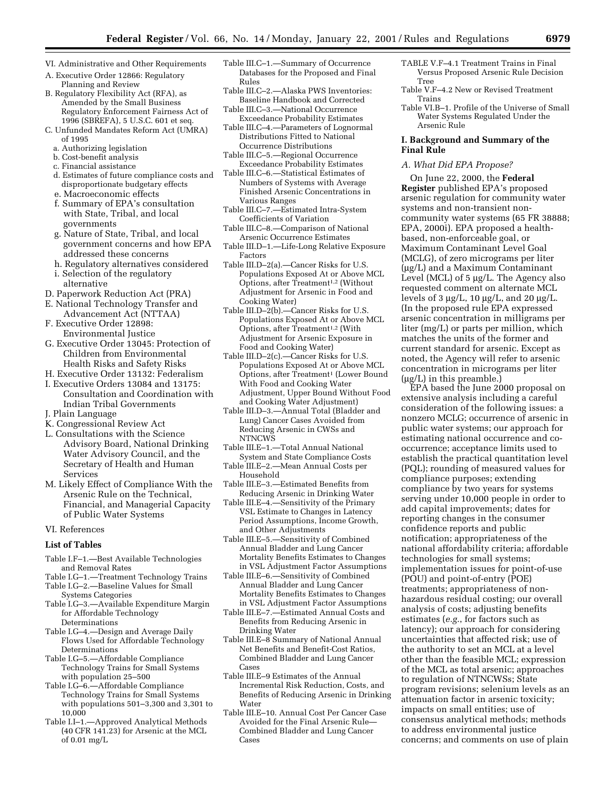- VI. Administrative and Other Requirements
- A. Executive Order 12866: Regulatory
- Planning and Review B. Regulatory Flexibility Act (RFA), as Amended by the Small Business Regulatory Enforcement Fairness Act of 1996 (SBREFA), 5 U.S.C. 601 et seq.
- C. Unfunded Mandates Reform Act (UMRA) of 1995
	- a. Authorizing legislation
	- b. Cost-benefit analysis
	- c. Financial assistance
	- d. Estimates of future compliance costs and disproportionate budgetary effects e. Macroeconomic effects
	- f. Summary of EPA's consultation with State, Tribal, and local
	- governments g. Nature of State, Tribal, and local
	- government concerns and how EPA addressed these concerns
	- h. Regulatory alternatives considered i. Selection of the regulatory
- alternative
- D. Paperwork Reduction Act (PRA)
- E. National Technology Transfer and Advancement Act (NTTAA)
- F. Executive Order 12898: Environmental Justice G. Executive Order 13045: Protection of
- Children from Environmental Health Risks and Safety Risks
- H. Executive Order 13132: Federalism
- I. Executive Orders 13084 and 13175: Consultation and Coordination with Indian Tribal Governments
- J. Plain Language
- K. Congressional Review Act
- L. Consultations with the Science Advisory Board, National Drinking Water Advisory Council, and the Secretary of Health and Human Services
- M. Likely Effect of Compliance With the Arsenic Rule on the Technical, Financial, and Managerial Capacity of Public Water Systems

#### VI. References

#### **List of Tables**

- Table I.F–1.—Best Available Technologies and Removal Rates
- Table I.G–1.—Treatment Technology Trains Table I.G–2.—Baseline Values for Small Systems Categories
- Table I.G–3.—Available Expenditure Margin for Affordable Technology Determinations
- Table I.G–4.—Design and Average Daily Flows Used for Affordable Technology Determinations
- Table I.G–5.—Affordable Compliance Technology Trains for Small Systems with population 25–500
- Table I.G–6.—Affordable Compliance Technology Trains for Small Systems with populations 501–3,300 and 3,301 to 10,000
- Table I.I–1.—Approved Analytical Methods (40 CFR 141.23) for Arsenic at the MCL of 0.01 mg/L
- Table III.C–1.—Summary of Occurrence Databases for the Proposed and Final Rules
- Table III.C–2.—Alaska PWS Inventories: Baseline Handbook and Corrected Table III.C–3.—National Occurrence
- Exceedance Probability Estimates Table III.C–4.—Parameters of Lognormal
- Distributions Fitted to National Occurrence Distributions
- Table III.C–5.—Regional Occurrence Exceedance Probability Estimates
- Table III.C–6.—Statistical Estimates of Numbers of Systems with Average Finished Arsenic Concentrations in Various Ranges
- Table III.C–7.—Estimated Intra-System Coefficients of Variation
- Table III.C–8.—Comparison of National Arsenic Occurrence Estimates
- Table III.D–1.—Life-Long Relative Exposure Factors
- Table III.D–2(a).—Cancer Risks for U.S. Populations Exposed At or Above MCL Options, after Treatment1,2 (Without Adjustment for Arsenic in Food and Cooking Water)
- Table III.D–2(b).—Cancer Risks for U.S. Populations Exposed At or Above MCL Options, after Treatment<sup>1,2</sup> (With Adjustment for Arsenic Exposure in Food and Cooking Water)
- Table III.D–2(c).—Cancer Risks for U.S. Populations Exposed At or Above MCL Options, after Treatment1 (Lower Bound With Food and Cooking Water Adjustment, Upper Bound Without Food and Cooking Water Adjustment)
- Table III.D–3.—Annual Total (Bladder and Lung) Cancer Cases Avoided from Reducing Arsenic in CWSs and **NTNCWS**
- Table III.E–1.—Total Annual National System and State Compliance Costs
- Table III.E–2.—Mean Annual Costs per Household
- Table III.E–3.—Estimated Benefits from Reducing Arsenic in Drinking Water
- Table III.E–4.—Sensitivity of the Primary VSL Estimate to Changes in Latency Period Assumptions, Income Growth, and Other Adjustments
- Table III.E–5.—Sensitivity of Combined Annual Bladder and Lung Cancer Mortality Benefits Estimates to Changes in VSL Adjustment Factor Assumptions
- Table III.E–6.—Sensitivity of Combined Annual Bladder and Lung Cancer Mortality Benefits Estimates to Changes in VSL Adjustment Factor Assumptions
- Table III.E–7.—Estimated Annual Costs and Benefits from Reducing Arsenic in Drinking Water
- Table III.E–8 Summary of National Annual Net Benefits and Benefit-Cost Ratios, Combined Bladder and Lung Cancer Cases
- Table III.E–9 Estimates of the Annual Incremental Risk Reduction, Costs, and Benefits of Reducing Arsenic in Drinking Water
- Table III.E–10. Annual Cost Per Cancer Case Avoided for the Final Arsenic Rule— Combined Bladder and Lung Cancer Cases
- TABLE V.F–4.1 Treatment Trains in Final Versus Proposed Arsenic Rule Decision Tree
- Table V.F–4.2 New or Revised Treatment Trains
- Table VI.B–1. Profile of the Universe of Small Water Systems Regulated Under the Arsenic Rule

#### **I. Background and Summary of the Final Rule**

## *A. What Did EPA Propose?*

On June 22, 2000, the **Federal Register** published EPA's proposed arsenic regulation for community water systems and non-transient noncommunity water systems (65 FR 38888; EPA, 2000i). EPA proposed a healthbased, non-enforceable goal, or Maximum Contaminant Level Goal (MCLG), of zero micrograms per liter (µg/L) and a Maximum Contaminant Level (MCL) of 5 µg/L. The Agency also requested comment on alternate MCL levels of 3  $\mu$ g/L, 10  $\mu$ g/L, and 20  $\mu$ g/L. (In the proposed rule EPA expressed arsenic concentration in milligrams per liter (mg/L) or parts per million, which matches the units of the former and current standard for arsenic. Except as noted, the Agency will refer to arsenic concentration in micrograms per liter (µg/L) in this preamble.)

EPA based the June 2000 proposal on extensive analysis including a careful consideration of the following issues: a nonzero MCLG; occurrence of arsenic in public water systems; our approach for estimating national occurrence and cooccurrence; acceptance limits used to establish the practical quantitation level (PQL); rounding of measured values for compliance purposes; extending compliance by two years for systems serving under 10,000 people in order to add capital improvements; dates for reporting changes in the consumer confidence reports and public notification; appropriateness of the national affordability criteria; affordable technologies for small systems; implementation issues for point-of-use (POU) and point-of-entry (POE) treatments; appropriateness of nonhazardous residual costing; our overall analysis of costs; adjusting benefits estimates (*e.g.*, for factors such as latency); our approach for considering uncertainties that affected risk; use of the authority to set an MCL at a level other than the feasible MCL; expression of the MCL as total arsenic; approaches to regulation of NTNCWSs; State program revisions; selenium levels as an attenuation factor in arsenic toxicity; impacts on small entities; use of consensus analytical methods; methods to address environmental justice concerns; and comments on use of plain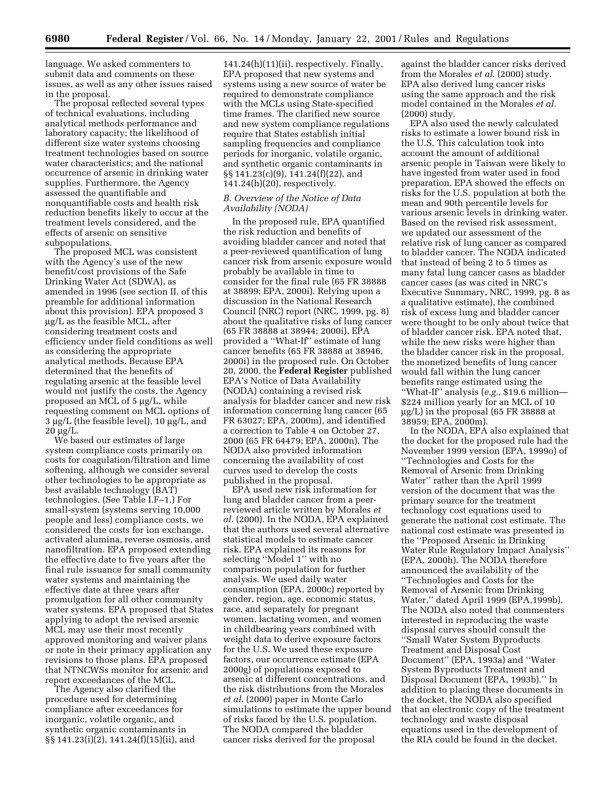language. We asked commenters to submit data and comments on these issues, as well as any other issues raised in the proposal.

The proposal reflected several types of technical evaluations, including analytical methods performance and laboratory capacity; the likelihood of different size water systems choosing treatment technologies based on source water characteristics; and the national occurrence of arsenic in drinking water supplies. Furthermore, the Agency assessed the quantifiable and nonquantifiable costs and health risk reduction benefits likely to occur at the treatment levels considered, and the effects of arsenic on sensitive subpopulations.

The proposed MCL was consistent with the Agency's use of the new benefit/cost provisions of the Safe Drinking Water Act (SDWA), as amended in 1996 (see section II. of this preamble for additional information about this provision). EPA proposed 3 µg/L as the feasible MCL, after considering treatment costs and efficiency under field conditions as well as considering the appropriate analytical methods. Because EPA determined that the benefits of regulating arsenic at the feasible level would not justify the costs, the Agency proposed an MCL of 5 µg/L, while requesting comment on MCL options of 3 µg/L (the feasible level), 10 µg/L, and  $20 \mu g/L$ .

We based our estimates of large system compliance costs primarily on costs for coagulation/filtration and lime softening, although we consider several other technologies to be appropriate as best available technology (BAT) technologies. (See Table I.F–1.) For small-system (systems serving 10,000 people and less) compliance costs, we considered the costs for ion exchange, activated alumina, reverse osmosis, and nanofiltration. EPA proposed extending the effective date to five years after the final rule issuance for small community water systems and maintaining the effective date at three years after promulgation for all other community water systems. EPA proposed that States applying to adopt the revised arsenic MCL may use their most recently approved monitoring and waiver plans or note in their primacy application any revisions to those plans. EPA proposed that NTNCWSs monitor for arsenic and report exceedances of the MCL.

The Agency also clarified the procedure used for determining compliance after exceedances for inorganic, volatile organic, and synthetic organic contaminants in §§ 141.23(i)(2), 141.24(f)(15)(ii), and

141.24(h)(11)(ii), respectively. Finally, EPA proposed that new systems and systems using a new source of water be required to demonstrate compliance with the MCLs using State-specified time frames. The clarified new source and new system compliance regulations require that States establish initial sampling frequencies and compliance periods for inorganic, volatile organic, and synthetic organic contaminants in §§ 141.23(c)(9), 141.24(f)(22), and 141.24(h)(20), respectively.

### *B. Overview of the Notice of Data Availability (NODA)*

In the proposed rule, EPA quantified the risk reduction and benefits of avoiding bladder cancer and noted that a peer-reviewed quantification of lung cancer risk from arsenic exposure would probably be available in time to consider for the final rule (65 FR 38888 at 38899; EPA, 2000i). Relying upon a discussion in the National Research Council (NRC) report (NRC, 1999, pg. 8) about the qualitative risks of lung cancer (65 FR 38888 at 38944; 2000i), EPA provided a ''What-If'' estimate of lung cancer benefits (65 FR 38888 at 38946, 2000i) in the proposed rule. On October 20, 2000, the **Federal Register** published EPA's Notice of Data Availability (NODA) containing a revised risk analysis for bladder cancer and new risk information concerning lung cancer (65 FR 63027; EPA, 2000m), and identified a correction to Table 4 on October 27, 2000 (65 FR 64479; EPA, 2000n). The NODA also provided information concerning the availability of cost curves used to develop the costs published in the proposal.

EPA used new risk information for lung and bladder cancer from a peerreviewed article written by Morales *et al.* (2000). In the NODA, EPA explained that the authors used several alternative statistical models to estimate cancer risk. EPA explained its reasons for selecting ''Model 1'' with no comparison population for further analysis. We used daily water consumption (EPA, 2000c) reported by gender, region, age, economic status, race, and separately for pregnant women, lactating women, and women in childbearing years combined with weight data to derive exposure factors for the U.S. We used these exposure factors, our occurrence estimate (EPA 2000g) of populations exposed to arsenic at different concentrations, and the risk distributions from the Morales *et al.* (2000) paper in Monte Carlo simulations to estimate the upper bound of risks faced by the U.S. population. The NODA compared the bladder cancer risks derived for the proposal

against the bladder cancer risks derived from the Morales *et al.* (2000) study. EPA also derived lung cancer risks using the same approach and the risk model contained in the Morales *et al.* (2000) study.

EPA also used the newly calculated risks to estimate a lower bound risk in the U.S. This calculation took into account the amount of additional arsenic people in Taiwan were likely to have ingested from water used in food preparation. EPA showed the effects on risks for the U.S. population at both the mean and 90th percentile levels for various arsenic levels in drinking water. Based on the revised risk assessment, we updated our assessment of the relative risk of lung cancer as compared to bladder cancer. The NODA indicated that instead of being 2 to 5 times as many fatal lung cancer cases as bladder cancer cases (as was cited in NRC's Executive Summary, NRC, 1999, pg. 8 as a qualitative estimate), the combined risk of excess lung and bladder cancer were thought to be only about twice that of bladder cancer risk. EPA noted that, while the new risks were higher than the bladder cancer risk in the proposal, the monetized benefits of lung cancer would fall within the lung cancer benefits range estimated using the ''What-If'' analysis (*e.g.*, \$19.6 million— \$224 million yearly for an MCL of 10 µg/L) in the proposal (65 FR 38888 at 38959; EPA, 2000m).

In the NODA, EPA also explained that the docket for the proposed rule had the November 1999 version (EPA, 1999o) of ''Technologies and Costs for the Removal of Arsenic from Drinking Water'' rather than the April 1999 version of the document that was the primary source for the treatment technology cost equations used to generate the national cost estimate. The national cost estimate was presented in the ''Proposed Arsenic in Drinking Water Rule Regulatory Impact Analysis'' (EPA, 2000h). The NODA therefore announced the availability of the ''Technologies and Costs for the Removal of Arsenic from Drinking Water,'' dated April 1999 (EPA,1999b). The NODA also noted that commenters interested in reproducing the waste disposal curves should consult the ''Small Water System Byproducts Treatment and Disposal Cost Document'' (EPA, 1993a) and ''Water System Byproducts Treatment and Disposal Document (EPA, 1993b).'' In addition to placing these documents in the docket, the NODA also specified that an electronic copy of the treatment technology and waste disposal equations used in the development of the RIA could be found in the docket.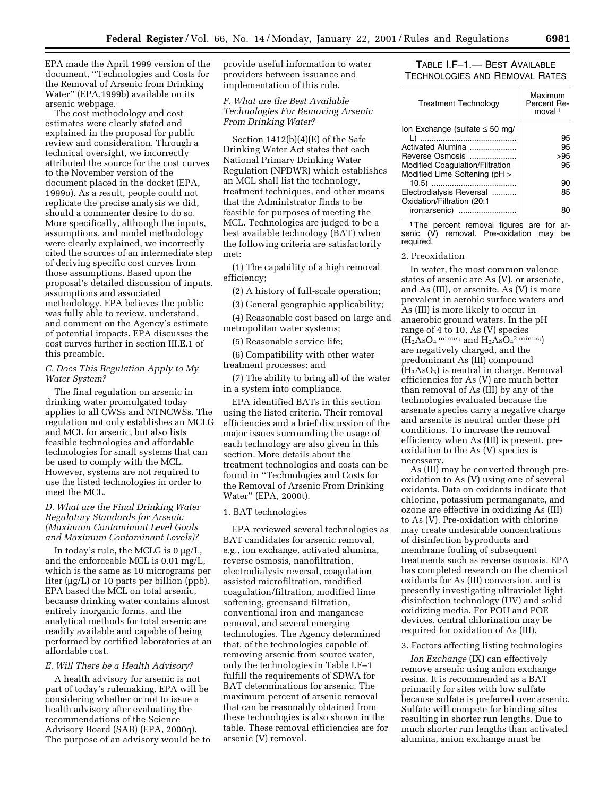EPA made the April 1999 version of the document, ''Technologies and Costs for the Removal of Arsenic from Drinking Water'' (EPA,1999b) available on its arsenic webpage.

The cost methodology and cost estimates were clearly stated and explained in the proposal for public review and consideration. Through a technical oversight, we incorrectly attributed the source for the cost curves to the November version of the document placed in the docket (EPA, 1999o). As a result, people could not replicate the precise analysis we did, should a commenter desire to do so. More specifically, although the inputs, assumptions, and model methodology were clearly explained, we incorrectly cited the sources of an intermediate step of deriving specific cost curves from those assumptions. Based upon the proposal's detailed discussion of inputs, assumptions and associated methodology, EPA believes the public was fully able to review, understand, and comment on the Agency's estimate of potential impacts. EPA discusses the cost curves further in section III.E.1 of this preamble.

### *C. Does This Regulation Apply to My Water System?*

The final regulation on arsenic in drinking water promulgated today applies to all CWSs and NTNCWSs. The regulation not only establishes an MCLG and MCL for arsenic, but also lists feasible technologies and affordable technologies for small systems that can be used to comply with the MCL. However, systems are not required to use the listed technologies in order to meet the MCL.

## *D. What are the Final Drinking Water Regulatory Standards for Arsenic (Maximum Contaminant Level Goals and Maximum Contaminant Levels)?*

In today's rule, the MCLG is  $0 \mu g/L$ , and the enforceable MCL is 0.01 mg/L, which is the same as 10 micrograms per liter (µg/L) or 10 parts per billion (ppb). EPA based the MCL on total arsenic, because drinking water contains almost entirely inorganic forms, and the analytical methods for total arsenic are readily available and capable of being performed by certified laboratories at an affordable cost.

#### *E. Will There be a Health Advisory?*

A health advisory for arsenic is not part of today's rulemaking. EPA will be considering whether or not to issue a health advisory after evaluating the recommendations of the Science Advisory Board (SAB) (EPA, 2000q). The purpose of an advisory would be to provide useful information to water providers between issuance and implementation of this rule.

## *F. What are the Best Available Technologies For Removing Arsenic From Drinking Water?*

Section 1412(b)(4)(E) of the Safe Drinking Water Act states that each National Primary Drinking Water Regulation (NPDWR) which establishes an MCL shall list the technology, treatment techniques, and other means that the Administrator finds to be feasible for purposes of meeting the MCL. Technologies are judged to be a best available technology (BAT) when the following criteria are satisfactorily met:

(1) The capability of a high removal efficiency;

(2) A history of full-scale operation; (3) General geographic applicability;

(4) Reasonable cost based on large and metropolitan water systems;

(5) Reasonable service life;

(6) Compatibility with other water treatment processes; and

(7) The ability to bring all of the water in a system into compliance.

EPA identified BATs in this section using the listed criteria. Their removal efficiencies and a brief discussion of the major issues surrounding the usage of each technology are also given in this section. More details about the treatment technologies and costs can be found in ''Technologies and Costs for the Removal of Arsenic From Drinking Water'' (EPA, 2000t).

#### 1. BAT technologies

EPA reviewed several technologies as BAT candidates for arsenic removal, e.g., ion exchange, activated alumina, reverse osmosis, nanofiltration, electrodialysis reversal, coagulation assisted microfiltration, modified coagulation/filtration, modified lime softening, greensand filtration, conventional iron and manganese removal, and several emerging technologies. The Agency determined that, of the technologies capable of removing arsenic from source water, only the technologies in Table I.F–1 fulfill the requirements of SDWA for BAT determinations for arsenic. The maximum percent of arsenic removal that can be reasonably obtained from these technologies is also shown in the table. These removal efficiencies are for arsenic (V) removal.

## TABLE I.F–1.— BEST AVAILABLE TECHNOLOGIES AND REMOVAL RATES

| <b>Treatment Technology</b>                                                                                                                                                                                                       | Maximum<br>Percent Re-<br>moval <sup>1</sup> |
|-----------------------------------------------------------------------------------------------------------------------------------------------------------------------------------------------------------------------------------|----------------------------------------------|
| Ion Exchange (sulfate $\leq 50$ mg/<br>Activated Alumina<br>Reverse Osmosis<br><b>Modified Coagulation/Filtration</b><br>Modified Lime Softening (pH ><br>Electrodialysis Reversal<br>Oxidation/Filtration (20:1<br>iron:arsenic) | 95<br>95<br>>95<br>95<br>90<br>85            |

1The percent removal figures are for arsenic (V) removal. Pre-oxidation may be required.

#### 2. Preoxidation

In water, the most common valence states of arsenic are As (V), or arsenate, and As (III), or arsenite. As (V) is more prevalent in aerobic surface waters and As (III) is more likely to occur in anaerobic ground waters. In the pH range of 4 to 10, As (V) species  $(H_2AsO_4 \text{ minus; and } H_2AsO_4^2 \text{ minus;})$ are negatively charged, and the predominant As (III) compound  $(H<sub>3</sub>AsO<sub>3</sub>)$  is neutral in charge. Removal efficiencies for As (V) are much better than removal of As (III) by any of the technologies evaluated because the arsenate species carry a negative charge and arsenite is neutral under these pH conditions. To increase the removal efficiency when As (III) is present, preoxidation to the As (V) species is necessary.

As (III) may be converted through preoxidation to As (V) using one of several oxidants. Data on oxidants indicate that chlorine, potassium permanganate, and ozone are effective in oxidizing As (III) to As (V). Pre-oxidation with chlorine may create undesirable concentrations of disinfection byproducts and membrane fouling of subsequent treatments such as reverse osmosis. EPA has completed research on the chemical oxidants for As (III) conversion, and is presently investigating ultraviolet light disinfection technology (UV) and solid oxidizing media. For POU and POE devices, central chlorination may be required for oxidation of As (III).

## 3. Factors affecting listing technologies

*Ion Exchange* (IX) can effectively remove arsenic using anion exchange resins. It is recommended as a BAT primarily for sites with low sulfate because sulfate is preferred over arsenic. Sulfate will compete for binding sites resulting in shorter run lengths. Due to much shorter run lengths than activated alumina, anion exchange must be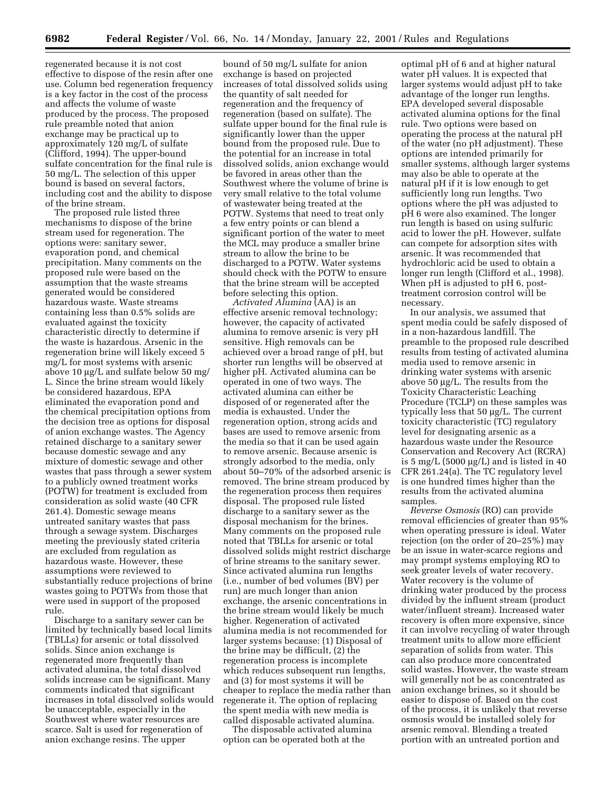regenerated because it is not cost effective to dispose of the resin after one use. Column bed regeneration frequency is a key factor in the cost of the process and affects the volume of waste produced by the process. The proposed rule preamble noted that anion exchange may be practical up to approximately 120 mg/L of sulfate (Clifford, 1994). The upper-bound sulfate concentration for the final rule is 50 mg/L. The selection of this upper bound is based on several factors, including cost and the ability to dispose of the brine stream.

The proposed rule listed three mechanisms to dispose of the brine stream used for regeneration. The options were: sanitary sewer, evaporation pond, and chemical precipitation. Many comments on the proposed rule were based on the assumption that the waste streams generated would be considered hazardous waste. Waste streams containing less than 0.5% solids are evaluated against the toxicity characteristic directly to determine if the waste is hazardous. Arsenic in the regeneration brine will likely exceed 5 mg/L for most systems with arsenic above 10 µg/L and sulfate below 50 mg/ L. Since the brine stream would likely be considered hazardous, EPA eliminated the evaporation pond and the chemical precipitation options from the decision tree as options for disposal of anion exchange wastes. The Agency retained discharge to a sanitary sewer because domestic sewage and any mixture of domestic sewage and other wastes that pass through a sewer system to a publicly owned treatment works (POTW) for treatment is excluded from consideration as solid waste (40 CFR 261.4). Domestic sewage means untreated sanitary wastes that pass through a sewage system. Discharges meeting the previously stated criteria are excluded from regulation as hazardous waste. However, these assumptions were reviewed to substantially reduce projections of brine wastes going to POTWs from those that were used in support of the proposed rule.

Discharge to a sanitary sewer can be limited by technically based local limits (TBLLs) for arsenic or total dissolved solids. Since anion exchange is regenerated more frequently than activated alumina, the total dissolved solids increase can be significant. Many comments indicated that significant increases in total dissolved solids would be unacceptable, especially in the Southwest where water resources are scarce. Salt is used for regeneration of anion exchange resins. The upper

bound of 50 mg/L sulfate for anion exchange is based on projected increases of total dissolved solids using the quantity of salt needed for regeneration and the frequency of regeneration (based on sulfate). The sulfate upper bound for the final rule is significantly lower than the upper bound from the proposed rule. Due to the potential for an increase in total dissolved solids, anion exchange would be favored in areas other than the Southwest where the volume of brine is very small relative to the total volume of wastewater being treated at the POTW. Systems that need to treat only a few entry points or can blend a significant portion of the water to meet the MCL may produce a smaller brine stream to allow the brine to be discharged to a POTW. Water systems should check with the POTW to ensure that the brine stream will be accepted before selecting this option.

*Activated Alumina* (AA) is an effective arsenic removal technology; however, the capacity of activated alumina to remove arsenic is very pH sensitive. High removals can be achieved over a broad range of pH, but shorter run lengths will be observed at higher pH. Activated alumina can be operated in one of two ways. The activated alumina can either be disposed of or regenerated after the media is exhausted. Under the regeneration option, strong acids and bases are used to remove arsenic from the media so that it can be used again to remove arsenic. Because arsenic is strongly adsorbed to the media, only about 50–70% of the adsorbed arsenic is removed. The brine stream produced by the regeneration process then requires disposal. The proposed rule listed discharge to a sanitary sewer as the disposal mechanism for the brines. Many comments on the proposed rule noted that TBLLs for arsenic or total dissolved solids might restrict discharge of brine streams to the sanitary sewer. Since activated alumina run lengths (i.e., number of bed volumes (BV) per run) are much longer than anion exchange, the arsenic concentrations in the brine stream would likely be much higher. Regeneration of activated alumina media is not recommended for larger systems because: (1) Disposal of the brine may be difficult, (2) the regeneration process is incomplete which reduces subsequent run lengths, and (3) for most systems it will be cheaper to replace the media rather than regenerate it. The option of replacing the spent media with new media is called disposable activated alumina.

The disposable activated alumina option can be operated both at the

optimal pH of 6 and at higher natural water pH values. It is expected that larger systems would adjust pH to take advantage of the longer run lengths. EPA developed several disposable activated alumina options for the final rule. Two options were based on operating the process at the natural pH of the water (no pH adjustment). These options are intended primarily for smaller systems, although larger systems may also be able to operate at the natural pH if it is low enough to get sufficiently long run lengths. Two options where the pH was adjusted to pH 6 were also examined. The longer run length is based on using sulfuric acid to lower the pH. However, sulfate can compete for adsorption sites with arsenic. It was recommended that hydrochloric acid be used to obtain a longer run length (Clifford et al., 1998). When pH is adjusted to pH 6, posttreatment corrosion control will be necessary.

In our analysis, we assumed that spent media could be safely disposed of in a non-hazardous landfill. The preamble to the proposed rule described results from testing of activated alumina media used to remove arsenic in drinking water systems with arsenic above 50 µg/L. The results from the Toxicity Characteristic Leaching Procedure (TCLP) on these samples was typically less that 50 µg/L. The current toxicity characteristic (TC) regulatory level for designating arsenic as a hazardous waste under the Resource Conservation and Recovery Act (RCRA) is  $5 \text{ mg/L}$  (5000  $\mu$ g/L) and is listed in 40 CFR 261.24(a). The TC regulatory level is one hundred times higher than the results from the activated alumina samples.

*Reverse Osmosis* (RO) can provide removal efficiencies of greater than 95% when operating pressure is ideal. Water rejection (on the order of 20–25%) may be an issue in water-scarce regions and may prompt systems employing RO to seek greater levels of water recovery. Water recovery is the volume of drinking water produced by the process divided by the influent stream (product water/influent stream). Increased water recovery is often more expensive, since it can involve recycling of water through treatment units to allow more efficient separation of solids from water. This can also produce more concentrated solid wastes. However, the waste stream will generally not be as concentrated as anion exchange brines, so it should be easier to dispose of. Based on the cost of the process, it is unlikely that reverse osmosis would be installed solely for arsenic removal. Blending a treated portion with an untreated portion and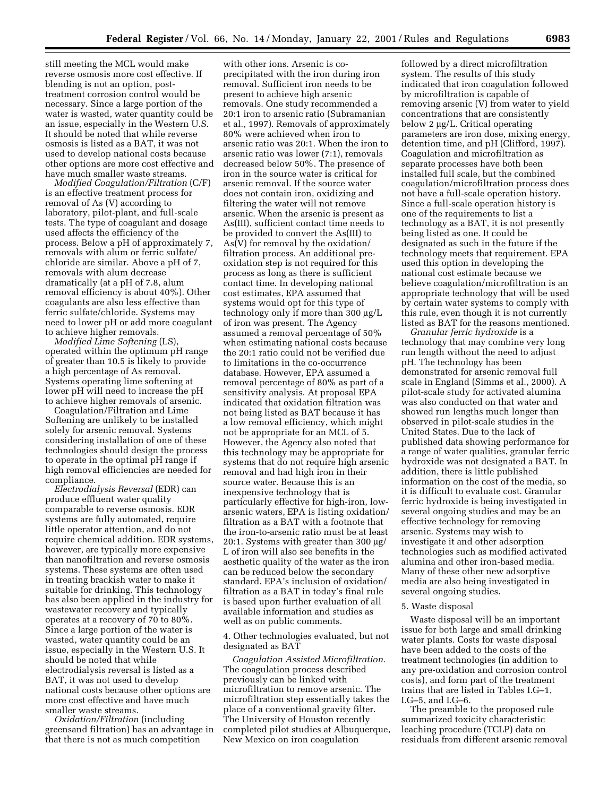still meeting the MCL would make reverse osmosis more cost effective. If blending is not an option, posttreatment corrosion control would be necessary. Since a large portion of the water is wasted, water quantity could be an issue, especially in the Western U.S. It should be noted that while reverse osmosis is listed as a BAT, it was not used to develop national costs because other options are more cost effective and have much smaller waste streams.

*Modified Coagulation/Filtration* (C/F) is an effective treatment process for removal of As (V) according to laboratory, pilot-plant, and full-scale tests. The type of coagulant and dosage used affects the efficiency of the process. Below a pH of approximately 7, removals with alum or ferric sulfate/ chloride are similar. Above a pH of 7, removals with alum decrease dramatically (at a pH of 7.8, alum removal efficiency is about 40%). Other coagulants are also less effective than ferric sulfate/chloride. Systems may need to lower pH or add more coagulant to achieve higher removals.

*Modified Lime Softening* (LS), operated within the optimum pH range of greater than 10.5 is likely to provide a high percentage of As removal. Systems operating lime softening at lower pH will need to increase the pH to achieve higher removals of arsenic.

Coagulation/Filtration and Lime Softening are unlikely to be installed solely for arsenic removal. Systems considering installation of one of these technologies should design the process to operate in the optimal pH range if high removal efficiencies are needed for compliance.

*Electrodialysis Reversal* (EDR) can produce effluent water quality comparable to reverse osmosis. EDR systems are fully automated, require little operator attention, and do not require chemical addition. EDR systems, however, are typically more expensive than nanofiltration and reverse osmosis systems. These systems are often used in treating brackish water to make it suitable for drinking. This technology has also been applied in the industry for wastewater recovery and typically operates at a recovery of 70 to 80%. Since a large portion of the water is wasted, water quantity could be an issue, especially in the Western U.S. It should be noted that while electrodialysis reversal is listed as a BAT, it was not used to develop national costs because other options are more cost effective and have much smaller waste streams.

*Oxidation/Filtration* (including greensand filtration) has an advantage in that there is not as much competition

with other ions. Arsenic is coprecipitated with the iron during iron removal. Sufficient iron needs to be present to achieve high arsenic removals. One study recommended a 20:1 iron to arsenic ratio (Subramanian et al., 1997). Removals of approximately 80% were achieved when iron to arsenic ratio was 20:1. When the iron to arsenic ratio was lower (7:1), removals decreased below 50%. The presence of iron in the source water is critical for arsenic removal. If the source water does not contain iron, oxidizing and filtering the water will not remove arsenic. When the arsenic is present as As(III), sufficient contact time needs to be provided to convert the As(III) to As(V) for removal by the oxidation/ filtration process. An additional preoxidation step is not required for this process as long as there is sufficient contact time. In developing national cost estimates, EPA assumed that systems would opt for this type of technology only if more than 300 µg/L of iron was present. The Agency assumed a removal percentage of 50% when estimating national costs because the 20:1 ratio could not be verified due to limitations in the co-occurrence database. However, EPA assumed a removal percentage of 80% as part of a sensitivity analysis. At proposal EPA indicated that oxidation filtration was not being listed as BAT because it has a low removal efficiency, which might not be appropriate for an MCL of 5. However, the Agency also noted that this technology may be appropriate for systems that do not require high arsenic removal and had high iron in their source water. Because this is an inexpensive technology that is particularly effective for high-iron, lowarsenic waters, EPA is listing oxidation/ filtration as a BAT with a footnote that the iron-to-arsenic ratio must be at least 20:1. Systems with greater than 300 µg/ L of iron will also see benefits in the aesthetic quality of the water as the iron can be reduced below the secondary standard. EPA's inclusion of oxidation/ filtration as a BAT in today's final rule is based upon further evaluation of all available information and studies as well as on public comments.

4. Other technologies evaluated, but not designated as BAT

*Coagulation Assisted Microfiltration.* The coagulation process described previously can be linked with microfiltration to remove arsenic. The microfiltration step essentially takes the place of a conventional gravity filter. The University of Houston recently completed pilot studies at Albuquerque, New Mexico on iron coagulation

followed by a direct microfiltration system. The results of this study indicated that iron coagulation followed by microfiltration is capable of removing arsenic (V) from water to yield concentrations that are consistently below 2 µg/L. Critical operating parameters are iron dose, mixing energy, detention time, and pH (Clifford, 1997). Coagulation and microfiltration as separate processes have both been installed full scale, but the combined coagulation/microfiltration process does not have a full-scale operation history. Since a full-scale operation history is one of the requirements to list a technology as a BAT, it is not presently being listed as one. It could be designated as such in the future if the technology meets that requirement. EPA used this option in developing the national cost estimate because we believe coagulation/microfiltration is an appropriate technology that will be used by certain water systems to comply with this rule, even though it is not currently listed as BAT for the reasons mentioned.

*Granular ferric hydroxide* is a technology that may combine very long run length without the need to adjust pH. The technology has been demonstrated for arsenic removal full scale in England (Simms et al., 2000). A pilot-scale study for activated alumina was also conducted on that water and showed run lengths much longer than observed in pilot-scale studies in the United States. Due to the lack of published data showing performance for a range of water qualities, granular ferric hydroxide was not designated a BAT. In addition, there is little published information on the cost of the media, so it is difficult to evaluate cost. Granular ferric hydroxide is being investigated in several ongoing studies and may be an effective technology for removing arsenic. Systems may wish to investigate it and other adsorption technologies such as modified activated alumina and other iron-based media. Many of these other new adsorptive media are also being investigated in several ongoing studies.

#### 5. Waste disposal

Waste disposal will be an important issue for both large and small drinking water plants. Costs for waste disposal have been added to the costs of the treatment technologies (in addition to any pre-oxidation and corrosion control costs), and form part of the treatment trains that are listed in Tables I.G–1, I.G–5, and I.G–6.

The preamble to the proposed rule summarized toxicity characteristic leaching procedure (TCLP) data on residuals from different arsenic removal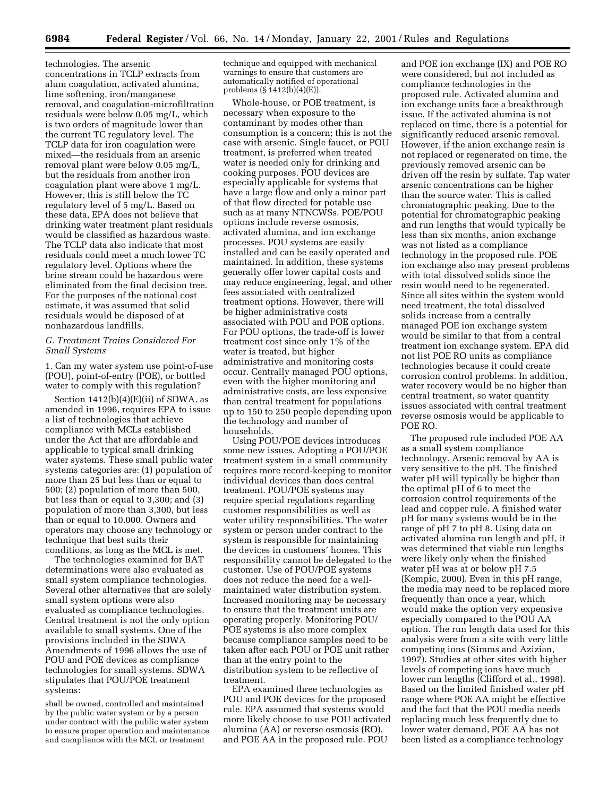technologies. The arsenic concentrations in TCLP extracts from alum coagulation, activated alumina, lime softening, iron/manganese removal, and coagulation-microfiltration residuals were below 0.05 mg/L, which is two orders of magnitude lower than the current TC regulatory level. The TCLP data for iron coagulation were mixed—the residuals from an arsenic removal plant were below 0.05 mg/L, but the residuals from another iron coagulation plant were above 1 mg/L. However, this is still below the TC regulatory level of 5 mg/L. Based on these data, EPA does not believe that drinking water treatment plant residuals would be classified as hazardous waste. The TCLP data also indicate that most residuals could meet a much lower TC regulatory level. Options where the brine stream could be hazardous were eliminated from the final decision tree. For the purposes of the national cost estimate, it was assumed that solid residuals would be disposed of at nonhazardous landfills.

#### *G. Treatment Trains Considered For Small Systems*

1. Can my water system use point-of-use (POU), point-of-entry (POE), or bottled water to comply with this regulation?

Section  $1412(b)(4)(E)(ii)$  of SDWA, as amended in 1996, requires EPA to issue a list of technologies that achieve compliance with MCLs established under the Act that are affordable and applicable to typical small drinking water systems. These small public water systems categories are: (1) population of more than 25 but less than or equal to 500; (2) population of more than 500, but less than or equal to 3,300; and (3) population of more than 3,300, but less than or equal to 10,000. Owners and operators may choose any technology or technique that best suits their conditions, as long as the MCL is met.

The technologies examined for BAT determinations were also evaluated as small system compliance technologies. Several other alternatives that are solely small system options were also evaluated as compliance technologies. Central treatment is not the only option available to small systems. One of the provisions included in the SDWA Amendments of 1996 allows the use of POU and POE devices as compliance technologies for small systems. SDWA stipulates that POU/POE treatment systems:

shall be owned, controlled and maintained by the public water system or by a person under contract with the public water system to ensure proper operation and maintenance and compliance with the MCL or treatment

technique and equipped with mechanical warnings to ensure that customers are automatically notified of operational problems (§ 1412(b)(4)(E)).

Whole-house, or POE treatment, is necessary when exposure to the contaminant by modes other than consumption is a concern; this is not the case with arsenic. Single faucet, or POU treatment, is preferred when treated water is needed only for drinking and cooking purposes. POU devices are especially applicable for systems that have a large flow and only a minor part of that flow directed for potable use such as at many NTNCWSs. POE/POU options include reverse osmosis, activated alumina, and ion exchange processes. POU systems are easily installed and can be easily operated and maintained. In addition, these systems generally offer lower capital costs and may reduce engineering, legal, and other fees associated with centralized treatment options. However, there will be higher administrative costs associated with POU and POE options. For POU options, the trade-off is lower treatment cost since only 1% of the water is treated, but higher administrative and monitoring costs occur. Centrally managed POU options, even with the higher monitoring and administrative costs, are less expensive than central treatment for populations up to 150 to 250 people depending upon the technology and number of households.

Using POU/POE devices introduces some new issues. Adopting a POU/POE treatment system in a small community requires more record-keeping to monitor individual devices than does central treatment. POU/POE systems may require special regulations regarding customer responsibilities as well as water utility responsibilities. The water system or person under contract to the system is responsible for maintaining the devices in customers' homes. This responsibility cannot be delegated to the customer. Use of POU/POE systems does not reduce the need for a wellmaintained water distribution system. Increased monitoring may be necessary to ensure that the treatment units are operating properly. Monitoring POU/ POE systems is also more complex because compliance samples need to be taken after each POU or POE unit rather than at the entry point to the distribution system to be reflective of treatment.

EPA examined three technologies as POU and POE devices for the proposed rule. EPA assumed that systems would more likely choose to use POU activated alumina (AA) or reverse osmosis (RO), and POE AA in the proposed rule. POU

and POE ion exchange (IX) and POE RO were considered, but not included as compliance technologies in the proposed rule. Activated alumina and ion exchange units face a breakthrough issue. If the activated alumina is not replaced on time, there is a potential for significantly reduced arsenic removal. However, if the anion exchange resin is not replaced or regenerated on time, the previously removed arsenic can be driven off the resin by sulfate. Tap water arsenic concentrations can be higher than the source water. This is called chromatographic peaking. Due to the potential for chromatographic peaking and run lengths that would typically be less than six months, anion exchange was not listed as a compliance technology in the proposed rule. POE ion exchange also may present problems with total dissolved solids since the resin would need to be regenerated. Since all sites within the system would need treatment, the total dissolved solids increase from a centrally managed POE ion exchange system would be similar to that from a central treatment ion exchange system. EPA did not list POE RO units as compliance technologies because it could create corrosion control problems. In addition, water recovery would be no higher than central treatment, so water quantity issues associated with central treatment reverse osmosis would be applicable to POE RO.

The proposed rule included POE AA as a small system compliance technology. Arsenic removal by AA is very sensitive to the pH. The finished water pH will typically be higher than the optimal pH of 6 to meet the corrosion control requirements of the lead and copper rule. A finished water pH for many systems would be in the range of pH 7 to pH 8. Using data on activated alumina run length and pH, it was determined that viable run lengths were likely only when the finished water pH was at or below pH 7.5 (Kempic, 2000). Even in this pH range, the media may need to be replaced more frequently than once a year, which would make the option very expensive especially compared to the POU AA option. The run length data used for this analysis were from a site with very little competing ions (Simms and Azizian, 1997). Studies at other sites with higher levels of competing ions have much lower run lengths (Clifford et al., 1998). Based on the limited finished water pH range where POE AA might be effective and the fact that the POU media needs replacing much less frequently due to lower water demand, POE AA has not been listed as a compliance technology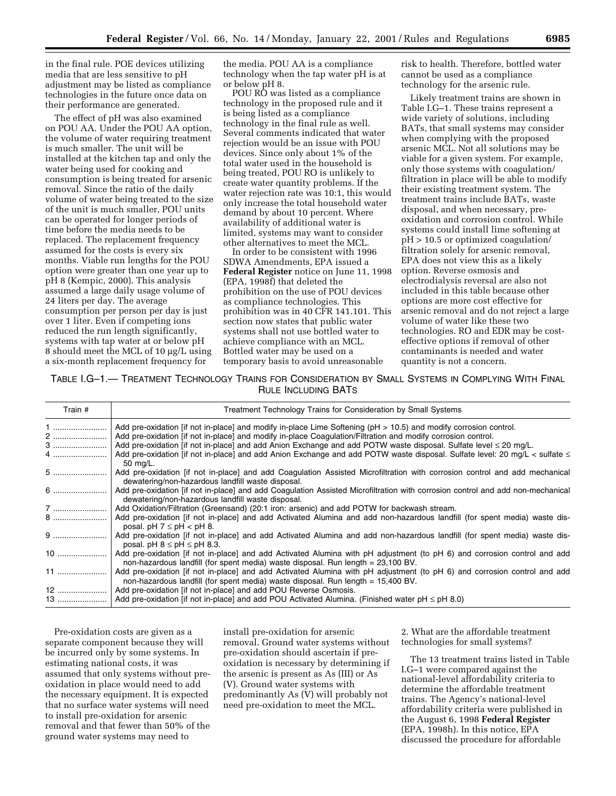in the final rule. POE devices utilizing media that are less sensitive to pH adjustment may be listed as compliance technologies in the future once data on their performance are generated.

The effect of pH was also examined on POU AA. Under the POU AA option, the volume of water requiring treatment is much smaller. The unit will be installed at the kitchen tap and only the water being used for cooking and consumption is being treated for arsenic removal. Since the ratio of the daily volume of water being treated to the size of the unit is much smaller, POU units can be operated for longer periods of time before the media needs to be replaced. The replacement frequency assumed for the costs is every six months. Viable run lengths for the POU option were greater than one year up to pH 8 (Kempic, 2000). This analysis assumed a large daily usage volume of 24 liters per day. The average consumption per person per day is just over 1 liter. Even if competing ions reduced the run length significantly, systems with tap water at or below pH 8 should meet the MCL of 10 µg/L using a six-month replacement frequency for

the media. POU AA is a compliance technology when the tap water pH is at or below pH 8.

POU RO was listed as a compliance technology in the proposed rule and it is being listed as a compliance technology in the final rule as well. Several comments indicated that water rejection would be an issue with POU devices. Since only about 1% of the total water used in the household is being treated, POU RO is unlikely to create water quantity problems. If the water rejection rate was 10:1, this would only increase the total household water demand by about 10 percent. Where availability of additional water is limited, systems may want to consider other alternatives to meet the MCL.

In order to be consistent with 1996 SDWA Amendments, EPA issued a **Federal Register** notice on June 11, 1998 (EPA, 1998f) that deleted the prohibition on the use of POU devices as compliance technologies. This prohibition was in 40 CFR 141.101. This section now states that public water systems shall not use bottled water to achieve compliance with an MCL. Bottled water may be used on a temporary basis to avoid unreasonable

risk to health. Therefore, bottled water cannot be used as a compliance technology for the arsenic rule.

Likely treatment trains are shown in Table I.G–1. These trains represent a wide variety of solutions, including BATs, that small systems may consider when complying with the proposed arsenic MCL. Not all solutions may be viable for a given system. For example, only those systems with coagulation/ filtration in place will be able to modify their existing treatment system. The treatment trains include BATs, waste disposal, and when necessary, preoxidation and corrosion control. While systems could install lime softening at pH > 10.5 or optimized coagulation/ filtration solely for arsenic removal, EPA does not view this as a likely option. Reverse osmosis and electrodialysis reversal are also not included in this table because other options are more cost effective for arsenic removal and do not reject a large volume of water like these two technologies. RO and EDR may be costeffective options if removal of other contaminants is needed and water quantity is not a concern.

TABLE I.G–1.— TREATMENT TECHNOLOGY TRAINS FOR CONSIDERATION BY SMALL SYSTEMS IN COMPLYING WITH FINAL RULE INCLUDING BATS

| Train # | Treatment Technology Trains for Consideration by Small Systems                                                                                                                                                 |
|---------|----------------------------------------------------------------------------------------------------------------------------------------------------------------------------------------------------------------|
| 1       | Add pre-oxidation [if not in-place] and modify in-place Lime Softening ( $pH > 10.5$ ) and modify corrosion control.                                                                                           |
| 2       | Add pre-oxidation [if not in-place] and modify in-place Coagulation/Filtration and modify corrosion control.                                                                                                   |
| 3       | Add pre-oxidation [if not in-place] and add Anion Exchange and add POTW waste disposal. Sulfate level ≤ 20 mg/L.                                                                                               |
| 4       | Add pre-oxidation [if not in-place] and add Anion Exchange and add POTW waste disposal. Sulfate level: 20 mg/L < sulfate $\leq$<br>50 mg/L.                                                                    |
| 5       | Add pre-oxidation [if not in-place] and add Coagulation Assisted Microfiltration with corrosion control and add mechanical<br>dewatering/non-hazardous landfill waste disposal.                                |
| 6       | Add pre-oxidation [if not in-place] and add Coagulation Assisted Microfiltration with corrosion control and add non-mechanical<br>dewatering/non-hazardous landfill waste disposal.                            |
| 7       | Add Oxidation/Filtration (Greensand) (20:1 iron: arsenic) and add POTW for backwash stream.                                                                                                                    |
| 8       | Add pre-oxidation [if not in-place] and add Activated Alumina and add non-hazardous landfill (for spent media) waste dis-<br>posal. $pH 7 \leq pH < pH 8$ .                                                    |
| 9       | Add pre-oxidation [if not in-place] and add Activated Alumina and add non-hazardous landfill (for spent media) waste dis-<br>posal. pH $8 \leq pH \leq pH 8.3$ .                                               |
| 10      | Add pre-oxidation [if not in-place] and add Activated Alumina with pH adjustment (to pH 6) and corrosion control and add<br>non-hazardous landfill (for spent media) waste disposal. Run length $= 23,100$ BV. |
| 11      | Add pre-oxidation [if not in-place] and add Activated Alumina with pH adjustment (to pH 6) and corrosion control and add<br>non-hazardous landfill (for spent media) waste disposal. Run length = 15,400 BV.   |
| $12$    | Add pre-oxidation [if not in-place] and add POU Reverse Osmosis.                                                                                                                                               |
|         | 13    Add pre-oxidation [if not in-place] and add POU Activated Alumina. (Finished water pH ≤ pH 8.0)                                                                                                          |

Pre-oxidation costs are given as a separate component because they will be incurred only by some systems. In estimating national costs, it was assumed that only systems without preoxidation in place would need to add the necessary equipment. It is expected that no surface water systems will need to install pre-oxidation for arsenic removal and that fewer than 50% of the ground water systems may need to

install pre-oxidation for arsenic removal. Ground water systems without pre-oxidation should ascertain if preoxidation is necessary by determining if the arsenic is present as As (III) or As (V). Ground water systems with predominantly As (V) will probably not need pre-oxidation to meet the MCL.

2. What are the affordable treatment technologies for small systems?

The 13 treatment trains listed in Table I.G–1 were compared against the national-level affordability criteria to determine the affordable treatment trains. The Agency's national-level affordability criteria were published in the August 6, 1998 **Federal Register** (EPA, 1998h). In this notice, EPA discussed the procedure for affordable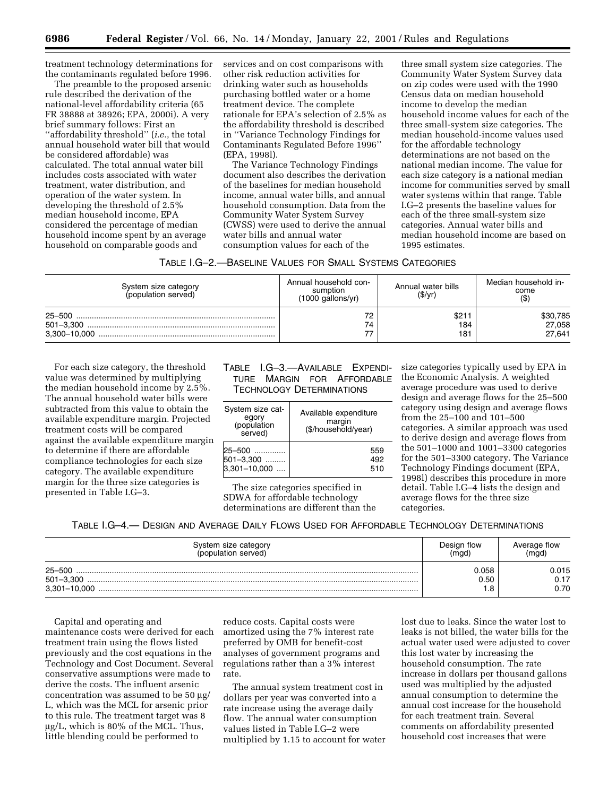treatment technology determinations for the contaminants regulated before 1996.

The preamble to the proposed arsenic rule described the derivation of the national-level affordability criteria (65 FR 38888 at 38926; EPA, 2000i). A very brief summary follows: First an ''affordability threshold'' (*i.e.*, the total annual household water bill that would be considered affordable) was calculated. The total annual water bill includes costs associated with water treatment, water distribution, and operation of the water system. In developing the threshold of 2.5% median household income, EPA considered the percentage of median household income spent by an average household on comparable goods and

services and on cost comparisons with other risk reduction activities for drinking water such as households purchasing bottled water or a home treatment device. The complete rationale for EPA's selection of 2.5% as the affordability threshold is described in ''Variance Technology Findings for Contaminants Regulated Before 1996'' (EPA, 1998l).

The Variance Technology Findings document also describes the derivation of the baselines for median household income, annual water bills, and annual household consumption. Data from the Community Water System Survey (CWSS) were used to derive the annual water bills and annual water consumption values for each of the

three small system size categories. The Community Water System Survey data on zip codes were used with the 1990 Census data on median household income to develop the median household income values for each of the three small-system size categories. The median household-income values used for the affordable technology determinations are not based on the national median income. The value for each size category is a national median income for communities served by small water systems within that range. Table I.G–2 presents the baseline values for each of the three small-system size categories. Annual water bills and median household income are based on 1995 estimates.

| System size category<br>(population served) | Annual household con-<br>sumption<br>$(1000 \text{ gallons/yr})$ | Annual water bills<br>(\$/yr) | Median household in-<br>come<br>(\$) |  |
|---------------------------------------------|------------------------------------------------------------------|-------------------------------|--------------------------------------|--|
| 25–500                                      | 72<br>74                                                         | \$21<br>184<br>181            | \$30,785<br>27,058<br>27,641         |  |

For each size category, the threshold value was determined by multiplying the median household income by 2.5%. The annual household water bills were subtracted from this value to obtain the available expenditure margin. Projected treatment costs will be compared against the available expenditure margin to determine if there are affordable compliance technologies for each size category. The available expenditure margin for the three size categories is presented in Table I.G–3.

## TABLE I.G–3.—AVAILABLE EXPENDI-TURE MARGIN FOR AFFORDABLE TECHNOLOGY DETERMINATIONS

| System size cat-       | Available expenditure |  |  |
|------------------------|-----------------------|--|--|
| egory                  | margin                |  |  |
| (population<br>served) | (\$/household/year)   |  |  |
| 25-500                 | 559                   |  |  |
| $ 501 - 3,300$         | 492                   |  |  |
| $3,301 - 10,000$       | 510                   |  |  |

The size categories specified in SDWA for affordable technology determinations are different than the

size categories typically used by EPA in the Economic Analysis. A weighted average procedure was used to derive design and average flows for the 25–500 category using design and average flows from the 25–100 and 101–500 categories. A similar approach was used to derive design and average flows from the 501–1000 and 1001–3300 categories for the 501–3300 category. The Variance Technology Findings document (EPA, 1998l) describes this procedure in more detail. Table I.G–4 lists the design and average flows for the three size categories.

## TABLE I.G–4.— DESIGN AND AVERAGE DAILY FLOWS USED FOR AFFORDABLE TECHNOLOGY DETERMINATIONS

| System size category<br>(population served) | Design flow<br>(mgd) | Average flow<br>$(m\breve{g}d)$ |
|---------------------------------------------|----------------------|---------------------------------|
| $25 - 500$                                  | 0.058                | 0.015                           |
| 501-3.300                                   | 0.50<br>.8           | 0.17<br>0.70                    |

Capital and operating and maintenance costs were derived for each treatment train using the flows listed previously and the cost equations in the Technology and Cost Document. Several conservative assumptions were made to derive the costs. The influent arsenic concentration was assumed to be 50 µg/ L, which was the MCL for arsenic prior to this rule. The treatment target was 8 µg/L, which is 80% of the MCL. Thus, little blending could be performed to

reduce costs. Capital costs were amortized using the 7% interest rate preferred by OMB for benefit-cost analyses of government programs and regulations rather than a 3% interest rate.

The annual system treatment cost in dollars per year was converted into a rate increase using the average daily flow. The annual water consumption values listed in Table I.G–2 were multiplied by 1.15 to account for water lost due to leaks. Since the water lost to leaks is not billed, the water bills for the actual water used were adjusted to cover this lost water by increasing the household consumption. The rate increase in dollars per thousand gallons used was multiplied by the adjusted annual consumption to determine the annual cost increase for the household for each treatment train. Several comments on affordability presented household cost increases that were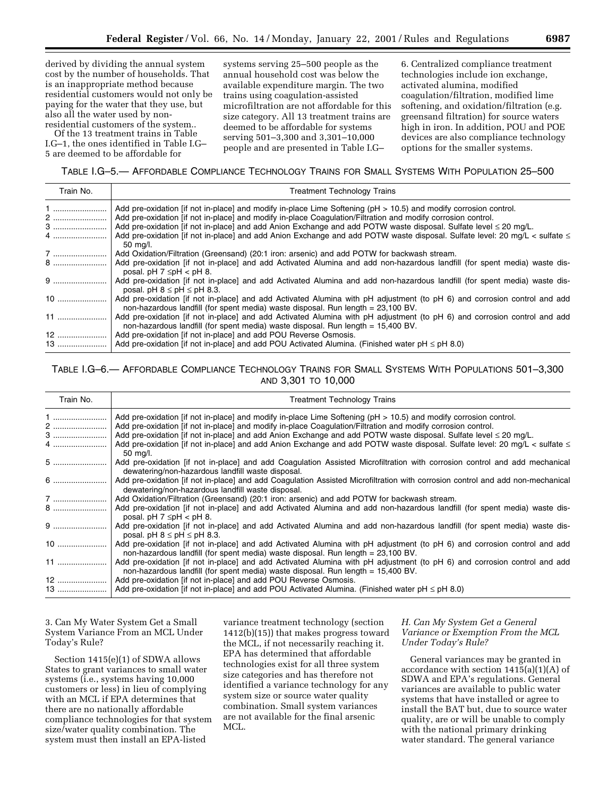derived by dividing the annual system cost by the number of households. That is an inappropriate method because residential customers would not only be paying for the water that they use, but also all the water used by nonresidential customers of the system..

Of the 13 treatment trains in Table I.G–1, the ones identified in Table I.G– 5 are deemed to be affordable for

systems serving 25–500 people as the annual household cost was below the available expenditure margin. The two trains using coagulation-assisted microfiltration are not affordable for this size category. All 13 treatment trains are deemed to be affordable for systems serving 501–3,300 and 3,301–10,000 people and are presented in Table I.G–

6. Centralized compliance treatment technologies include ion exchange, activated alumina, modified coagulation/filtration, modified lime softening, and oxidation/filtration (e.g. greensand filtration) for source waters high in iron. In addition, POU and POE devices are also compliance technology options for the smaller systems.

### TABLE I.G–5.— AFFORDABLE COMPLIANCE TECHNOLOGY TRAINS FOR SMALL SYSTEMS WITH POPULATION 25–500

| Train No. | <b>Treatment Technology Trains</b>                                                                                                                                                                             |
|-----------|----------------------------------------------------------------------------------------------------------------------------------------------------------------------------------------------------------------|
| 1         | Add pre-oxidation [if not in-place] and modify in-place Lime Softening ( $pH > 10.5$ ) and modify corrosion control.                                                                                           |
| 2         | Add pre-oxidation [if not in-place] and modify in-place Coagulation/Filtration and modify corrosion control.                                                                                                   |
| 3         | Add pre-oxidation [if not in-place] and add Anion Exchange and add POTW waste disposal. Sulfate level $\leq$ 20 mg/L.                                                                                          |
| 4         | Add pre-oxidation [if not in-place] and add Anion Exchange and add POTW waste disposal. Sulfate level: 20 mg/L < sulfate $\leq$<br>50 ma/l.                                                                    |
| 7         | Add Oxidation/Filtration (Greensand) (20:1 iron: arsenic) and add POTW for backwash stream.                                                                                                                    |
| 8         | Add pre-oxidation [if not in-place] and add Activated Alumina and add non-hazardous landfill (for spent media) waste dis-<br>posal. $pH 7 \leq pH < pH 8$ .                                                    |
| 9         | Add pre-oxidation [if not in-place] and add Activated Alumina and add non-hazardous landfill (for spent media) waste dis-<br>posal. pH $8 \leq pH \leq pH 8.3$ .                                               |
| $10$      | Add pre-oxidation [if not in-place] and add Activated Alumina with pH adjustment (to pH 6) and corrosion control and add<br>non-hazardous landfill (for spent media) waste disposal. Run length $= 23,100$ BV. |
| 11        | Add pre-oxidation [if not in-place] and add Activated Alumina with pH adjustment (to pH 6) and corrosion control and add<br>non-hazardous landfill (for spent media) waste disposal. Run length $= 15,400$ BV. |
| $12$      | Add pre-oxidation [if not in-place] and add POU Reverse Osmosis.                                                                                                                                               |
| 13        | Add pre-oxidation [if not in-place] and add POU Activated Alumina. (Finished water $pH \leq pH 8.0$ )                                                                                                          |
|           |                                                                                                                                                                                                                |

## TABLE I.G–6.— AFFORDABLE COMPLIANCE TECHNOLOGY TRAINS FOR SMALL SYSTEMS WITH POPULATIONS 501–3,300 AND 3,301 TO 10,000

| Train No. | <b>Treatment Technology Trains</b>                                                                                                                                                                             |
|-----------|----------------------------------------------------------------------------------------------------------------------------------------------------------------------------------------------------------------|
|           | Add pre-oxidation [if not in-place] and modify in-place Lime Softening ( $pH > 10.5$ ) and modify corrosion control.                                                                                           |
| 2         | Add pre-oxidation [if not in-place] and modify in-place Coagulation/Filtration and modify corrosion control.                                                                                                   |
| 3         | Add pre-oxidation [if not in-place] and add Anion Exchange and add POTW waste disposal. Sulfate level $\leq$ 20 mg/L.                                                                                          |
|           | Add pre-oxidation [if not in-place] and add Anion Exchange and add POTW waste disposal. Sulfate level: 20 mg/L < sulfate $\leq$<br>50 mg/l.                                                                    |
| 5         | Add pre-oxidation [if not in-place] and add Coagulation Assisted Microfiltration with corrosion control and add mechanical<br>dewatering/non-hazardous landfill waste disposal.                                |
| 6         | Add pre-oxidation [if not in-place] and add Coagulation Assisted Microfiltration with corrosion control and add non-mechanical<br>dewatering/non-hazardous landfill waste disposal.                            |
| 7         | Add Oxidation/Filtration (Greensand) (20:1 iron: arsenic) and add POTW for backwash stream.                                                                                                                    |
| 8         | Add pre-oxidation [if not in-place] and add Activated Alumina and add non-hazardous landfill (for spent media) waste dis-<br>posal. pH $7 \leq pH < pH$ 8.                                                     |
| 9         | Add pre-oxidation [if not in-place] and add Activated Alumina and add non-hazardous landfill (for spent media) waste dis-<br>posal. pH $8 \le$ pH $\le$ pH 8.3.                                                |
| 10        | Add pre-oxidation [if not in-place] and add Activated Alumina with pH adjustment (to pH 6) and corrosion control and add<br>non-hazardous landfill (for spent media) waste disposal. Run length $= 23,100$ BV. |
| 11        | Add pre-oxidation [if not in-place] and add Activated Alumina with pH adjustment (to pH 6) and corrosion control and add<br>non-hazardous landfill (for spent media) waste disposal. Run length $= 15,400$ BV. |
| 12        | Add pre-oxidation [if not in-place] and add POU Reverse Osmosis.                                                                                                                                               |
| 13 !      | Add pre-oxidation [if not in-place] and add POU Activated Alumina. (Finished water $pH \leq pH 8.0$ )                                                                                                          |

### 3. Can My Water System Get a Small System Variance From an MCL Under Today's Rule?

Section 1415(e)(1) of SDWA allows States to grant variances to small water systems (i.e., systems having 10,000 customers or less) in lieu of complying with an MCL if EPA determines that there are no nationally affordable compliance technologies for that system size/water quality combination. The system must then install an EPA-listed

variance treatment technology (section 1412(b)(15)) that makes progress toward the MCL, if not necessarily reaching it. EPA has determined that affordable technologies exist for all three system size categories and has therefore not identified a variance technology for any system size or source water quality combination. Small system variances are not available for the final arsenic MCL.

### *H. Can My System Get a General Variance or Exemption From the MCL Under Today's Rule?*

General variances may be granted in accordance with section 1415(a)(1)(A) of SDWA and EPA's regulations. General variances are available to public water systems that have installed or agree to install the BAT but, due to source water quality, are or will be unable to comply with the national primary drinking water standard. The general variance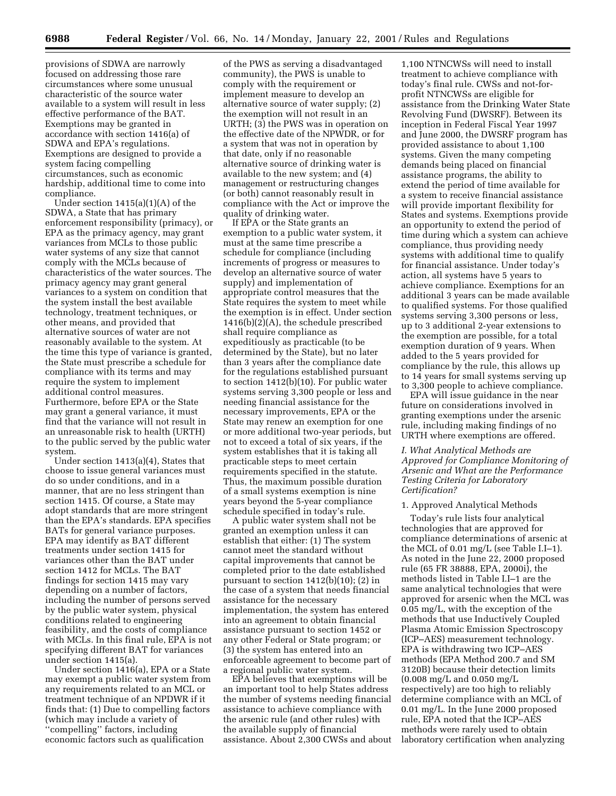provisions of SDWA are narrowly focused on addressing those rare circumstances where some unusual characteristic of the source water available to a system will result in less effective performance of the BAT. Exemptions may be granted in accordance with section 1416(a) of SDWA and EPA's regulations. Exemptions are designed to provide a system facing compelling circumstances, such as economic hardship, additional time to come into compliance.

Under section 1415(a)(1)(A) of the SDWA, a State that has primary enforcement responsibility (primacy), or EPA as the primacy agency, may grant variances from MCLs to those public water systems of any size that cannot comply with the MCLs because of characteristics of the water sources. The primacy agency may grant general variances to a system on condition that the system install the best available technology, treatment techniques, or other means, and provided that alternative sources of water are not reasonably available to the system. At the time this type of variance is granted, the State must prescribe a schedule for compliance with its terms and may require the system to implement additional control measures. Furthermore, before EPA or the State may grant a general variance, it must find that the variance will not result in an unreasonable risk to health (URTH) to the public served by the public water system.

Under section 1413(a)(4), States that choose to issue general variances must do so under conditions, and in a manner, that are no less stringent than section 1415. Of course, a State may adopt standards that are more stringent than the EPA's standards. EPA specifies BATs for general variance purposes. EPA may identify as BAT different treatments under section 1415 for variances other than the BAT under section 1412 for MCLs. The BAT findings for section 1415 may vary depending on a number of factors, including the number of persons served by the public water system, physical conditions related to engineering feasibility, and the costs of compliance with MCLs. In this final rule, EPA is not specifying different BAT for variances under section 1415(a).

Under section 1416(a), EPA or a State may exempt a public water system from any requirements related to an MCL or treatment technique of an NPDWR if it finds that: (1) Due to compelling factors (which may include a variety of ''compelling'' factors, including economic factors such as qualification

of the PWS as serving a disadvantaged community), the PWS is unable to comply with the requirement or implement measure to develop an alternative source of water supply; (2) the exemption will not result in an URTH; (3) the PWS was in operation on the effective date of the NPWDR, or for a system that was not in operation by that date, only if no reasonable alternative source of drinking water is available to the new system; and (4) management or restructuring changes (or both) cannot reasonably result in compliance with the Act or improve the quality of drinking water.

If EPA or the State grants an exemption to a public water system, it must at the same time prescribe a schedule for compliance (including increments of progress or measures to develop an alternative source of water supply) and implementation of appropriate control measures that the State requires the system to meet while the exemption is in effect. Under section 1416(b)(2)(A), the schedule prescribed shall require compliance as expeditiously as practicable (to be determined by the State), but no later than 3 years after the compliance date for the regulations established pursuant to section 1412(b)(10). For public water systems serving 3,300 people or less and needing financial assistance for the necessary improvements, EPA or the State may renew an exemption for one or more additional two-year periods, but not to exceed a total of six years, if the system establishes that it is taking all practicable steps to meet certain requirements specified in the statute. Thus, the maximum possible duration of a small systems exemption is nine years beyond the 5-year compliance schedule specified in today's rule.

A public water system shall not be granted an exemption unless it can establish that either: (1) The system cannot meet the standard without capital improvements that cannot be completed prior to the date established pursuant to section 1412(b)(10); (2) in the case of a system that needs financial assistance for the necessary implementation, the system has entered into an agreement to obtain financial assistance pursuant to section 1452 or any other Federal or State program; or (3) the system has entered into an enforceable agreement to become part of a regional public water system.

EPA believes that exemptions will be an important tool to help States address the number of systems needing financial assistance to achieve compliance with the arsenic rule (and other rules) with the available supply of financial assistance. About 2,300 CWSs and about

1,100 NTNCWSs will need to install treatment to achieve compliance with today's final rule. CWSs and not-forprofit NTNCWSs are eligible for assistance from the Drinking Water State Revolving Fund (DWSRF). Between its inception in Federal Fiscal Year 1997 and June 2000, the DWSRF program has provided assistance to about 1,100 systems. Given the many competing demands being placed on financial assistance programs, the ability to extend the period of time available for a system to receive financial assistance will provide important flexibility for States and systems. Exemptions provide an opportunity to extend the period of time during which a system can achieve compliance, thus providing needy systems with additional time to qualify for financial assistance. Under today's action, all systems have 5 years to achieve compliance. Exemptions for an additional 3 years can be made available to qualified systems. For those qualified systems serving 3,300 persons or less, up to 3 additional 2-year extensions to the exemption are possible, for a total exemption duration of 9 years. When added to the 5 years provided for compliance by the rule, this allows up to 14 years for small systems serving up to 3,300 people to achieve compliance.

EPA will issue guidance in the near future on considerations involved in granting exemptions under the arsenic rule, including making findings of no URTH where exemptions are offered.

*I. What Analytical Methods are Approved for Compliance Monitoring of Arsenic and What are the Performance Testing Criteria for Laboratory Certification?*

#### 1. Approved Analytical Methods

Today's rule lists four analytical technologies that are approved for compliance determinations of arsenic at the MCL of 0.01 mg/L (see Table I.I–1). As noted in the June 22, 2000 proposed rule (65 FR 38888, EPA, 2000i), the methods listed in Table I.I–1 are the same analytical technologies that were approved for arsenic when the MCL was 0.05 mg/L, with the exception of the methods that use Inductively Coupled Plasma Atomic Emission Spectroscopy (ICP–AES) measurement technology. EPA is withdrawing two ICP–AES methods (EPA Method 200.7 and SM 3120B) because their detection limits (0.008 mg/L and 0.050 mg/L respectively) are too high to reliably determine compliance with an MCL of 0.01 mg/L. In the June 2000 proposed rule, EPA noted that the ICP–AES methods were rarely used to obtain laboratory certification when analyzing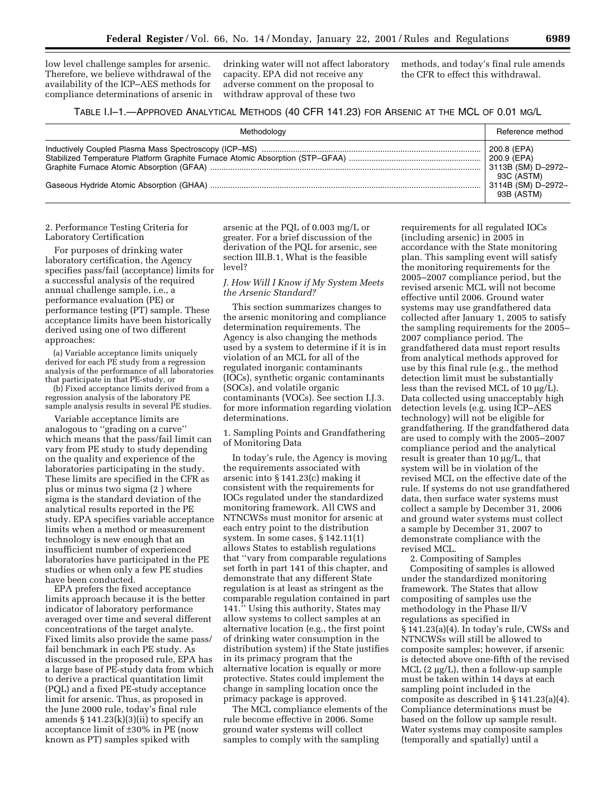low level challenge samples for arsenic. Therefore, we believe withdrawal of the availability of the ICP–AES methods for compliance determinations of arsenic in

drinking water will not affect laboratory capacity. EPA did not receive any adverse comment on the proposal to withdraw approval of these two

methods, and today's final rule amends the CFR to effect this withdrawal.

TABLE I.I–1.—APPROVED ANALYTICAL METHODS (40 CFR 141.23) FOR ARSENIC AT THE MCL OF 0.01 MG/L

| Methodoloav | Reference method                                                                    |  |
|-------------|-------------------------------------------------------------------------------------|--|
|             | 200.8 (EPA)<br>3113B (SM) D-2972-<br>93C (ASTM)<br>3114B (SM) D-2972-<br>93B (ASTM) |  |

2. Performance Testing Criteria for Laboratory Certification

For purposes of drinking water laboratory certification, the Agency specifies pass/fail (acceptance) limits for a successful analysis of the required annual challenge sample, i.e., a performance evaluation (PE) or performance testing (PT) sample. These acceptance limits have been historically derived using one of two different approaches:

(a) Variable acceptance limits uniquely derived for each PE study from a regression analysis of the performance of all laboratories that participate in that PE-study, or

(b) Fixed acceptance limits derived from a regression analysis of the laboratory PE sample analysis results in several PE studies.

Variable acceptance limits are analogous to ''grading on a curve'' which means that the pass/fail limit can vary from PE study to study depending on the quality and experience of the laboratories participating in the study. These limits are specified in the CFR as plus or minus two sigma (2 ) where sigma is the standard deviation of the analytical results reported in the PE study. EPA specifies variable acceptance limits when a method or measurement technology is new enough that an insufficient number of experienced laboratories have participated in the PE studies or when only a few PE studies have been conducted.

EPA prefers the fixed acceptance limits approach because it is the better indicator of laboratory performance averaged over time and several different concentrations of the target analyte. Fixed limits also provide the same pass/ fail benchmark in each PE study. As discussed in the proposed rule, EPA has a large base of PE-study data from which to derive a practical quantitation limit (PQL) and a fixed PE-study acceptance limit for arsenic. Thus, as proposed in the June 2000 rule, today's final rule amends  $\S 141.23(k)(3)(ii)$  to specify an acceptance limit of ±30% in PE (now known as PT) samples spiked with

arsenic at the PQL of 0.003 mg/L or greater. For a brief discussion of the derivation of the PQL for arsenic, see section III.B.1, What is the feasible level?

### *J. How Will I Know if My System Meets the Arsenic Standard?*

This section summarizes changes to the arsenic monitoring and compliance determination requirements. The Agency is also changing the methods used by a system to determine if it is in violation of an MCL for all of the regulated inorganic contaminants (IOCs), synthetic organic contaminants (SOCs), and volatile organic contaminants (VOCs). See section I.J.3. for more information regarding violation determinations.

1. Sampling Points and Grandfathering of Monitoring Data

In today's rule, the Agency is moving the requirements associated with arsenic into § 141.23(c) making it consistent with the requirements for IOCs regulated under the standardized monitoring framework. All CWS and NTNCWSs must monitor for arsenic at each entry point to the distribution system. In some cases, § 142.11(1) allows States to establish regulations that ''vary from comparable regulations set forth in part 141 of this chapter, and demonstrate that any different State regulation is at least as stringent as the comparable regulation contained in part 141." Using this authority, States may allow systems to collect samples at an alternative location (e.g., the first point of drinking water consumption in the distribution system) if the State justifies in its primacy program that the alternative location is equally or more protective. States could implement the change in sampling location once the primacy package is approved.

The MCL compliance elements of the rule become effective in 2006. Some ground water systems will collect samples to comply with the sampling

requirements for all regulated IOCs (including arsenic) in 2005 in accordance with the State monitoring plan. This sampling event will satisfy the monitoring requirements for the 2005–2007 compliance period, but the revised arsenic MCL will not become effective until 2006. Ground water systems may use grandfathered data collected after January 1, 2005 to satisfy the sampling requirements for the 2005– 2007 compliance period. The grandfathered data must report results from analytical methods approved for use by this final rule (e.g., the method detection limit must be substantially less than the revised MCL of 10 µg/L). Data collected using unacceptably high detection levels (e.g. using ICP–AES technology) will not be eligible for grandfathering. If the grandfathered data are used to comply with the 2005–2007 compliance period and the analytical result is greater than 10 µg/L, that system will be in violation of the revised MCL on the effective date of the rule. If systems do not use grandfathered data, then surface water systems must collect a sample by December 31, 2006 and ground water systems must collect a sample by December 31, 2007 to demonstrate compliance with the revised MCL.

2. Compositing of Samples Compositing of samples is allowed under the standardized monitoring framework. The States that allow compositing of samples use the methodology in the Phase II/V regulations as specified in § 141.23(a)(4). In today's rule, CWSs and NTNCWSs will still be allowed to composite samples; however, if arsenic is detected above one-fifth of the revised MCL  $(2 \mu g/L)$ , then a follow-up sample must be taken within 14 days at each sampling point included in the composite as described in § 141.23(a)(4). Compliance determinations must be based on the follow up sample result. Water systems may composite samples (temporally and spatially) until a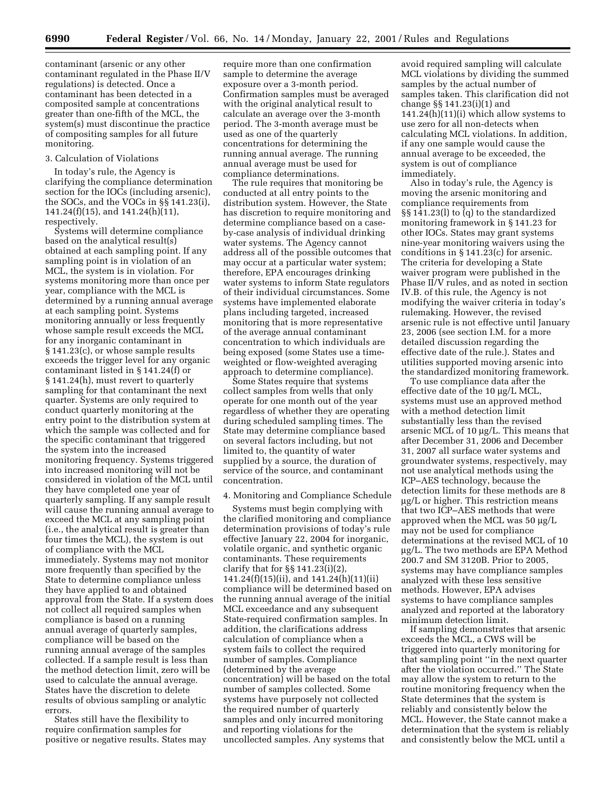contaminant (arsenic or any other contaminant regulated in the Phase II/V regulations) is detected. Once a contaminant has been detected in a composited sample at concentrations greater than one-fifth of the MCL, the system(s) must discontinue the practice of compositing samples for all future monitoring.

### 3. Calculation of Violations

In today's rule, the Agency is clarifying the compliance determination section for the IOCs (including arsenic), the SOCs, and the VOCs in §§ 141.23(i), 141.24(f)(15), and 141.24(h)(11), respectively.

Systems will determine compliance based on the analytical result(s) obtained at each sampling point. If any sampling point is in violation of an MCL, the system is in violation. For systems monitoring more than once per year, compliance with the MCL is determined by a running annual average at each sampling point. Systems monitoring annually or less frequently whose sample result exceeds the MCL for any inorganic contaminant in § 141.23(c), or whose sample results exceeds the trigger level for any organic contaminant listed in § 141.24(f) or § 141.24(h), must revert to quarterly sampling for that contaminant the next quarter. Systems are only required to conduct quarterly monitoring at the entry point to the distribution system at which the sample was collected and for the specific contaminant that triggered the system into the increased monitoring frequency. Systems triggered into increased monitoring will not be considered in violation of the MCL until they have completed one year of quarterly sampling. If any sample result will cause the running annual average to exceed the MCL at any sampling point (i.e., the analytical result is greater than four times the MCL), the system is out of compliance with the MCL immediately. Systems may not monitor more frequently than specified by the State to determine compliance unless they have applied to and obtained approval from the State. If a system does not collect all required samples when compliance is based on a running annual average of quarterly samples, compliance will be based on the running annual average of the samples collected. If a sample result is less than the method detection limit, zero will be used to calculate the annual average. States have the discretion to delete results of obvious sampling or analytic errors.

States still have the flexibility to require confirmation samples for positive or negative results. States may require more than one confirmation sample to determine the average exposure over a 3-month period. Confirmation samples must be averaged with the original analytical result to calculate an average over the 3-month period. The 3-month average must be used as one of the quarterly concentrations for determining the running annual average. The running annual average must be used for compliance determinations.

The rule requires that monitoring be conducted at all entry points to the distribution system. However, the State has discretion to require monitoring and determine compliance based on a caseby-case analysis of individual drinking water systems. The Agency cannot address all of the possible outcomes that may occur at a particular water system; therefore, EPA encourages drinking water systems to inform State regulators of their individual circumstances. Some systems have implemented elaborate plans including targeted, increased monitoring that is more representative of the average annual contaminant concentration to which individuals are being exposed (some States use a timeweighted or flow-weighted averaging approach to determine compliance).

Some States require that systems collect samples from wells that only operate for one month out of the year regardless of whether they are operating during scheduled sampling times. The State may determine compliance based on several factors including, but not limited to, the quantity of water supplied by a source, the duration of service of the source, and contaminant concentration.

#### 4. Monitoring and Compliance Schedule

Systems must begin complying with the clarified monitoring and compliance determination provisions of today's rule effective January 22, 2004 for inorganic, volatile organic, and synthetic organic contaminants. These requirements clarify that for §§ 141.23(i)(2), 141.24(f)(15)(ii), and 141.24(h)(11)(ii) compliance will be determined based on the running annual average of the initial MCL exceedance and any subsequent State-required confirmation samples. In addition, the clarifications address calculation of compliance when a system fails to collect the required number of samples. Compliance (determined by the average concentration) will be based on the total number of samples collected. Some systems have purposely not collected the required number of quarterly samples and only incurred monitoring and reporting violations for the uncollected samples. Any systems that

avoid required sampling will calculate MCL violations by dividing the summed samples by the actual number of samples taken. This clarification did not change §§ 141.23(i)(1) and 141.24(h)(11)(i) which allow systems to use zero for all non-detects when calculating MCL violations. In addition, if any one sample would cause the annual average to be exceeded, the system is out of compliance immediately.

Also in today's rule, the Agency is moving the arsenic monitoring and compliance requirements from §§ 141.23(l) to (q) to the standardized monitoring framework in § 141.23 for other IOCs. States may grant systems nine-year monitoring waivers using the conditions in § 141.23(c) for arsenic. The criteria for developing a State waiver program were published in the Phase II/V rules, and as noted in section IV.B. of this rule, the Agency is not modifying the waiver criteria in today's rulemaking. However, the revised arsenic rule is not effective until January 23, 2006 (see section I.M. for a more detailed discussion regarding the effective date of the rule.). States and utilities supported moving arsenic into the standardized monitoring framework.

To use compliance data after the effective date of the 10 µg/L MCL, systems must use an approved method with a method detection limit substantially less than the revised arsenic MCL of 10 µg/L. This means that after December 31, 2006 and December 31, 2007 all surface water systems and groundwater systems, respectively, may not use analytical methods using the ICP–AES technology, because the detection limits for these methods are 8 µg/L or higher. This restriction means that two ICP–AES methods that were approved when the MCL was 50 µg/L may not be used for compliance determinations at the revised MCL of 10 µg/L. The two methods are EPA Method 200.7 and SM 3120B. Prior to 2005, systems may have compliance samples analyzed with these less sensitive methods. However, EPA advises systems to have compliance samples analyzed and reported at the laboratory minimum detection limit.

If sampling demonstrates that arsenic exceeds the MCL, a CWS will be triggered into quarterly monitoring for that sampling point ''in the next quarter after the violation occurred.'' The State may allow the system to return to the routine monitoring frequency when the State determines that the system is reliably and consistently below the MCL. However, the State cannot make a determination that the system is reliably and consistently below the MCL until a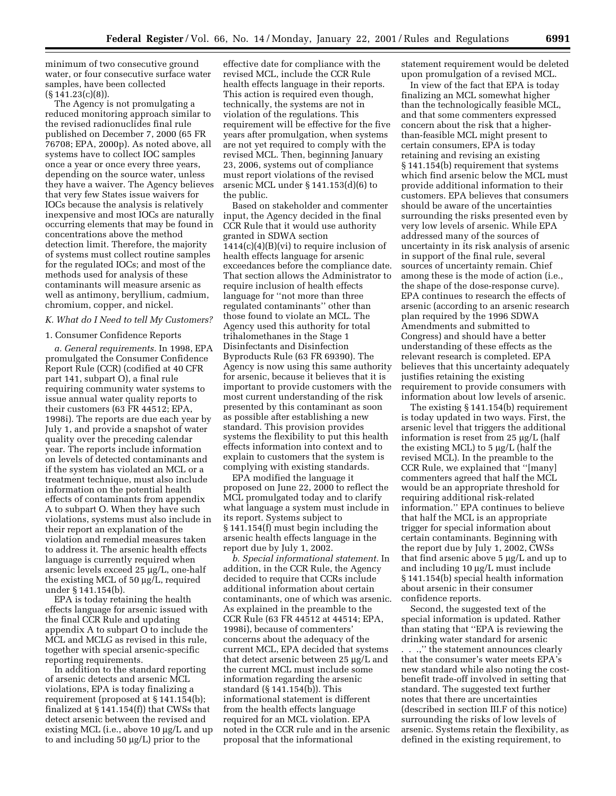minimum of two consecutive ground water, or four consecutive surface water samples, have been collected  $(\S 141.23(c)(8))$ .

The Agency is not promulgating a reduced monitoring approach similar to the revised radionuclides final rule published on December 7, 2000 (65 FR 76708; EPA, 2000p). As noted above, all systems have to collect IOC samples once a year or once every three years, depending on the source water, unless they have a waiver. The Agency believes that very few States issue waivers for IOCs because the analysis is relatively inexpensive and most IOCs are naturally occurring elements that may be found in concentrations above the method detection limit. Therefore, the majority of systems must collect routine samples for the regulated IOCs; and most of the methods used for analysis of these contaminants will measure arsenic as well as antimony, beryllium, cadmium, chromium, copper, and nickel.

#### *K. What do I Need to tell My Customers?*

#### 1. Consumer Confidence Reports

*a. General requirements.* In 1998, EPA promulgated the Consumer Confidence Report Rule (CCR) (codified at 40 CFR part 141, subpart O), a final rule requiring community water systems to issue annual water quality reports to their customers (63 FR 44512; EPA, 1998i). The reports are due each year by July 1, and provide a snapshot of water quality over the preceding calendar year. The reports include information on levels of detected contaminants and if the system has violated an MCL or a treatment technique, must also include information on the potential health effects of contaminants from appendix A to subpart O. When they have such violations, systems must also include in their report an explanation of the violation and remedial measures taken to address it. The arsenic health effects language is currently required when arsenic levels exceed 25 µg/L, one-half the existing MCL of 50 µg/L, required under § 141.154(b).

EPA is today retaining the health effects language for arsenic issued with the final CCR Rule and updating appendix A to subpart O to include the MCL and MCLG as revised in this rule, together with special arsenic-specific reporting requirements.

In addition to the standard reporting of arsenic detects and arsenic MCL violations, EPA is today finalizing a requirement (proposed at § 141.154(b); finalized at § 141.154(f)) that CWSs that detect arsenic between the revised and existing MCL (i.e., above 10 µg/L and up to and including 50 µg/L) prior to the

effective date for compliance with the revised MCL, include the CCR Rule health effects language in their reports. This action is required even though, technically, the systems are not in violation of the regulations. This requirement will be effective for the five years after promulgation, when systems are not yet required to comply with the revised MCL. Then, beginning January 23, 2006, systems out of compliance must report violations of the revised arsenic MCL under § 141.153(d)(6) to the public.

Based on stakeholder and commenter input, the Agency decided in the final CCR Rule that it would use authority granted in SDWA section  $1414(c)(4)(B)(vi)$  to require inclusion of health effects language for arsenic exceedances before the compliance date. That section allows the Administrator to require inclusion of health effects language for ''not more than three regulated contaminants'' other than those found to violate an MCL. The Agency used this authority for total trihalomethanes in the Stage 1 Disinfectants and Disinfection Byproducts Rule (63 FR 69390). The Agency is now using this same authority for arsenic, because it believes that it is important to provide customers with the most current understanding of the risk presented by this contaminant as soon as possible after establishing a new standard. This provision provides systems the flexibility to put this health effects information into context and to explain to customers that the system is complying with existing standards.

EPA modified the language it proposed on June 22, 2000 to reflect the MCL promulgated today and to clarify what language a system must include in its report. Systems subject to § 141.154(f) must begin including the arsenic health effects language in the report due by July 1, 2002.

*b. Special informational statement.* In addition, in the CCR Rule, the Agency decided to require that CCRs include additional information about certain contaminants, one of which was arsenic. As explained in the preamble to the CCR Rule (63 FR 44512 at 44514; EPA, 1998i), because of commenters' concerns about the adequacy of the current MCL, EPA decided that systems that detect arsenic between 25 µg/L and the current MCL must include some information regarding the arsenic standard (§ 141.154(b)). This informational statement is different from the health effects language required for an MCL violation. EPA noted in the CCR rule and in the arsenic proposal that the informational

statement requirement would be deleted upon promulgation of a revised MCL.

In view of the fact that EPA is today finalizing an MCL somewhat higher than the technologically feasible MCL, and that some commenters expressed concern about the risk that a higherthan-feasible MCL might present to certain consumers, EPA is today retaining and revising an existing § 141.154(b) requirement that systems which find arsenic below the MCL must provide additional information to their customers. EPA believes that consumers should be aware of the uncertainties surrounding the risks presented even by very low levels of arsenic. While EPA addressed many of the sources of uncertainty in its risk analysis of arsenic in support of the final rule, several sources of uncertainty remain. Chief among these is the mode of action (i.e., the shape of the dose-response curve). EPA continues to research the effects of arsenic (according to an arsenic research plan required by the 1996 SDWA Amendments and submitted to Congress) and should have a better understanding of these effects as the relevant research is completed. EPA believes that this uncertainty adequately justifies retaining the existing requirement to provide consumers with information about low levels of arsenic.

The existing § 141.154(b) requirement is today updated in two ways. First, the arsenic level that triggers the additional information is reset from 25 µg/L (half the existing MCL) to 5 µg/L (half the revised MCL). In the preamble to the CCR Rule, we explained that ''[many] commenters agreed that half the MCL would be an appropriate threshold for requiring additional risk-related information.'' EPA continues to believe that half the MCL is an appropriate trigger for special information about certain contaminants. Beginning with the report due by July 1, 2002, CWSs that find arsenic above 5 µg/L and up to and including 10 µg/L must include § 141.154(b) special health information about arsenic in their consumer confidence reports.

Second, the suggested text of the special information is updated. Rather than stating that ''EPA is reviewing the drinking water standard for arsenic . . .,'' the statement announces clearly

that the consumer's water meets EPA's new standard while also noting the costbenefit trade-off involved in setting that standard. The suggested text further notes that there are uncertainties (described in section III.F of this notice) surrounding the risks of low levels of arsenic. Systems retain the flexibility, as defined in the existing requirement, to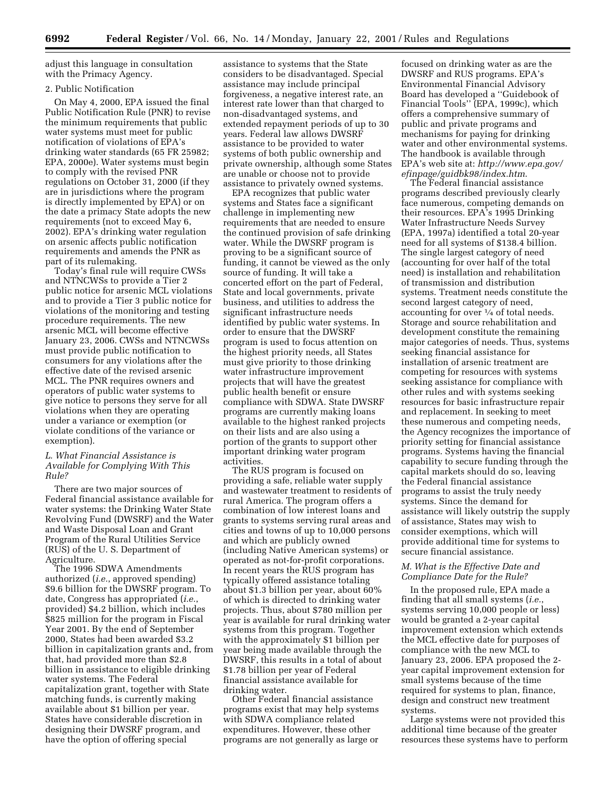adjust this language in consultation with the Primacy Agency.

#### 2. Public Notification

On May 4, 2000, EPA issued the final Public Notification Rule (PNR) to revise the minimum requirements that public water systems must meet for public notification of violations of EPA's drinking water standards (65 FR 25982; EPA, 2000e). Water systems must begin to comply with the revised PNR regulations on October 31, 2000 (if they are in jurisdictions where the program is directly implemented by EPA) or on the date a primacy State adopts the new requirements (not to exceed May 6, 2002). EPA's drinking water regulation on arsenic affects public notification requirements and amends the PNR as part of its rulemaking.

Today's final rule will require CWSs and NTNCWSs to provide a Tier 2 public notice for arsenic MCL violations and to provide a Tier 3 public notice for violations of the monitoring and testing procedure requirements. The new arsenic MCL will become effective January 23, 2006. CWSs and NTNCWSs must provide public notification to consumers for any violations after the effective date of the revised arsenic MCL. The PNR requires owners and operators of public water systems to give notice to persons they serve for all violations when they are operating under a variance or exemption (or violate conditions of the variance or exemption).

#### *L. What Financial Assistance is Available for Complying With This Rule?*

There are two major sources of Federal financial assistance available for water systems: the Drinking Water State Revolving Fund (DWSRF) and the Water and Waste Disposal Loan and Grant Program of the Rural Utilities Service (RUS) of the U. S. Department of Agriculture.

The 1996 SDWA Amendments authorized (*i.e.*, approved spending) \$9.6 billion for the DWSRF program. To date, Congress has appropriated (*i.e.*, provided) \$4.2 billion, which includes \$825 million for the program in Fiscal Year 2001. By the end of September 2000, States had been awarded \$3.2 billion in capitalization grants and, from that, had provided more than \$2.8 billion in assistance to eligible drinking water systems. The Federal capitalization grant, together with State matching funds, is currently making available about \$1 billion per year. States have considerable discretion in designing their DWSRF program, and have the option of offering special

assistance to systems that the State considers to be disadvantaged. Special assistance may include principal forgiveness, a negative interest rate, an interest rate lower than that charged to non-disadvantaged systems, and extended repayment periods of up to 30 years. Federal law allows DWSRF assistance to be provided to water systems of both public ownership and private ownership, although some States are unable or choose not to provide assistance to privately owned systems.

EPA recognizes that public water systems and States face a significant challenge in implementing new requirements that are needed to ensure the continued provision of safe drinking water. While the DWSRF program is proving to be a significant source of funding, it cannot be viewed as the only source of funding. It will take a concerted effort on the part of Federal, State and local governments, private business, and utilities to address the significant infrastructure needs identified by public water systems. In order to ensure that the DWSRF program is used to focus attention on the highest priority needs, all States must give priority to those drinking water infrastructure improvement projects that will have the greatest public health benefit or ensure compliance with SDWA. State DWSRF programs are currently making loans available to the highest ranked projects on their lists and are also using a portion of the grants to support other important drinking water program activities.

The RUS program is focused on providing a safe, reliable water supply and wastewater treatment to residents of rural America. The program offers a combination of low interest loans and grants to systems serving rural areas and cities and towns of up to 10,000 persons and which are publicly owned (including Native American systems) or operated as not-for-profit corporations. In recent years the RUS program has typically offered assistance totaling about \$1.3 billion per year, about 60% of which is directed to drinking water projects. Thus, about \$780 million per year is available for rural drinking water systems from this program. Together with the approximately \$1 billion per year being made available through the DWSRF, this results in a total of about \$1.78 billion per year of Federal financial assistance available for drinking water.

Other Federal financial assistance programs exist that may help systems with SDWA compliance related expenditures. However, these other programs are not generally as large or

focused on drinking water as are the DWSRF and RUS programs. EPA's Environmental Financial Advisory Board has developed a ''Guidebook of Financial Tools'' (EPA, 1999c), which offers a comprehensive summary of public and private programs and mechanisms for paying for drinking water and other environmental systems. The handbook is available through EPA's web site at: *http://www.epa.gov/ efinpage/guidbk98/index.htm*.

The Federal financial assistance programs described previously clearly face numerous, competing demands on their resources. EPA's 1995 Drinking Water Infrastructure Needs Survey (EPA, 1997a) identified a total 20-year need for all systems of \$138.4 billion. The single largest category of need (accounting for over half of the total need) is installation and rehabilitation of transmission and distribution systems. Treatment needs constitute the second largest category of need, accounting for over  $\frac{1}{4}$  of total needs. Storage and source rehabilitation and development constitute the remaining major categories of needs. Thus, systems seeking financial assistance for installation of arsenic treatment are competing for resources with systems seeking assistance for compliance with other rules and with systems seeking resources for basic infrastructure repair and replacement. In seeking to meet these numerous and competing needs, the Agency recognizes the importance of priority setting for financial assistance programs. Systems having the financial capability to secure funding through the capital markets should do so, leaving the Federal financial assistance programs to assist the truly needy systems. Since the demand for assistance will likely outstrip the supply of assistance, States may wish to consider exemptions, which will provide additional time for systems to secure financial assistance.

## *M. What is the Effective Date and Compliance Date for the Rule?*

In the proposed rule, EPA made a finding that all small systems (*i.e.*, systems serving 10,000 people or less) would be granted a 2-year capital improvement extension which extends the MCL effective date for purposes of compliance with the new MCL to January 23, 2006. EPA proposed the 2 year capital improvement extension for small systems because of the time required for systems to plan, finance, design and construct new treatment systems.

Large systems were not provided this additional time because of the greater resources these systems have to perform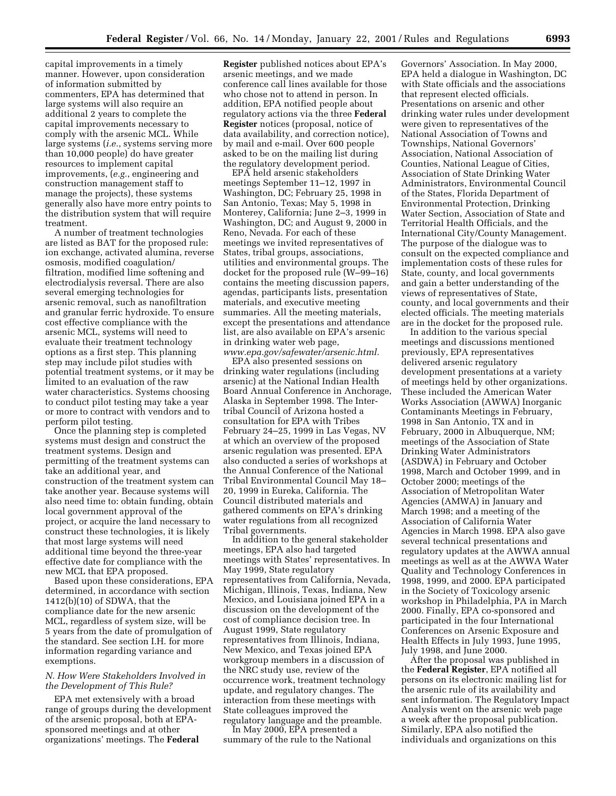capital improvements in a timely manner. However, upon consideration of information submitted by commenters, EPA has determined that large systems will also require an additional 2 years to complete the capital improvements necessary to comply with the arsenic MCL. While large systems (*i.e.*, systems serving more than 10,000 people) do have greater resources to implement capital improvements, (*e.g.*, engineering and construction management staff to manage the projects), these systems generally also have more entry points to the distribution system that will require treatment.

A number of treatment technologies are listed as BAT for the proposed rule: ion exchange, activated alumina, reverse osmosis, modified coagulation/ filtration, modified lime softening and electrodialysis reversal. There are also several emerging technologies for arsenic removal, such as nanofiltration and granular ferric hydroxide. To ensure cost effective compliance with the arsenic MCL, systems will need to evaluate their treatment technology options as a first step. This planning step may include pilot studies with potential treatment systems, or it may be limited to an evaluation of the raw water characteristics. Systems choosing to conduct pilot testing may take a year or more to contract with vendors and to perform pilot testing.

Once the planning step is completed systems must design and construct the treatment systems. Design and permitting of the treatment systems can take an additional year, and construction of the treatment system can take another year. Because systems will also need time to: obtain funding, obtain local government approval of the project, or acquire the land necessary to construct these technologies, it is likely that most large systems will need additional time beyond the three-year effective date for compliance with the new MCL that EPA proposed.

Based upon these considerations, EPA determined, in accordance with section 1412(b)(10) of SDWA, that the compliance date for the new arsenic MCL, regardless of system size, will be 5 years from the date of promulgation of the standard. See section I.H. for more information regarding variance and exemptions.

### *N. How Were Stakeholders Involved in the Development of This Rule?*

EPA met extensively with a broad range of groups during the development of the arsenic proposal, both at EPAsponsored meetings and at other organizations' meetings. The **Federal**

**Register** published notices about EPA's arsenic meetings, and we made conference call lines available for those who chose not to attend in person. In addition, EPA notified people about regulatory actions via the three **Federal Register** notices (proposal, notice of data availability, and correction notice), by mail and e-mail. Over 600 people asked to be on the mailing list during the regulatory development period.

EPA held arsenic stakeholders meetings September 11–12, 1997 in Washington, DC; February 25, 1998 in San Antonio, Texas; May 5, 1998 in Monterey, California; June 2–3, 1999 in Washington, DC; and August 9, 2000 in Reno, Nevada. For each of these meetings we invited representatives of States, tribal groups, associations, utilities and environmental groups. The docket for the proposed rule (W–99–16) contains the meeting discussion papers, agendas, participants lists, presentation materials, and executive meeting summaries. All the meeting materials, except the presentations and attendance list, are also available on EPA's arsenic in drinking water web page, *www.epa.gov/safewater/arsenic.html.*

EPA also presented sessions on drinking water regulations (including arsenic) at the National Indian Health Board Annual Conference in Anchorage, Alaska in September 1998. The Intertribal Council of Arizona hosted a consultation for EPA with Tribes February 24–25, 1999 in Las Vegas, NV at which an overview of the proposed arsenic regulation was presented. EPA also conducted a series of workshops at the Annual Conference of the National Tribal Environmental Council May 18– 20, 1999 in Eureka, California. The Council distributed materials and gathered comments on EPA's drinking water regulations from all recognized Tribal governments.

In addition to the general stakeholder meetings, EPA also had targeted meetings with States' representatives. In May 1999, State regulatory representatives from California, Nevada, Michigan, Illinois, Texas, Indiana, New Mexico, and Louisiana joined EPA in a discussion on the development of the cost of compliance decision tree. In August 1999, State regulatory representatives from Illinois, Indiana, New Mexico, and Texas joined EPA workgroup members in a discussion of the NRC study use, review of the occurrence work, treatment technology update, and regulatory changes. The interaction from these meetings with State colleagues improved the regulatory language and the preamble.

In May 2000, EPA presented a summary of the rule to the National Governors' Association. In May 2000, EPA held a dialogue in Washington, DC with State officials and the associations that represent elected officials. Presentations on arsenic and other drinking water rules under development were given to representatives of the National Association of Towns and Townships, National Governors' Association, National Association of Counties, National League of Cities, Association of State Drinking Water Administrators, Environmental Council of the States, Florida Department of Environmental Protection, Drinking Water Section, Association of State and Territorial Health Officials, and the International City/County Management. The purpose of the dialogue was to consult on the expected compliance and implementation costs of these rules for State, county, and local governments and gain a better understanding of the views of representatives of State, county, and local governments and their elected officials. The meeting materials are in the docket for the proposed rule.

In addition to the various special meetings and discussions mentioned previously, EPA representatives delivered arsenic regulatory development presentations at a variety of meetings held by other organizations. These included the American Water Works Association (AWWA) Inorganic Contaminants Meetings in February, 1998 in San Antonio, TX and in February, 2000 in Albuquerque, NM; meetings of the Association of State Drinking Water Administrators (ASDWA) in February and October 1998, March and October 1999, and in October 2000; meetings of the Association of Metropolitan Water Agencies (AMWA) in January and March 1998; and a meeting of the Association of California Water Agencies in March 1998. EPA also gave several technical presentations and regulatory updates at the AWWA annual meetings as well as at the AWWA Water Quality and Technology Conferences in 1998, 1999, and 2000. EPA participated in the Society of Toxicology arsenic workshop in Philadelphia, PA in March 2000. Finally, EPA co-sponsored and participated in the four International Conferences on Arsenic Exposure and Health Effects in July 1993, June 1995, July 1998, and June 2000.

After the proposal was published in the **Federal Register**, EPA notified all persons on its electronic mailing list for the arsenic rule of its availability and sent information. The Regulatory Impact Analysis went on the arsenic web page a week after the proposal publication. Similarly, EPA also notified the individuals and organizations on this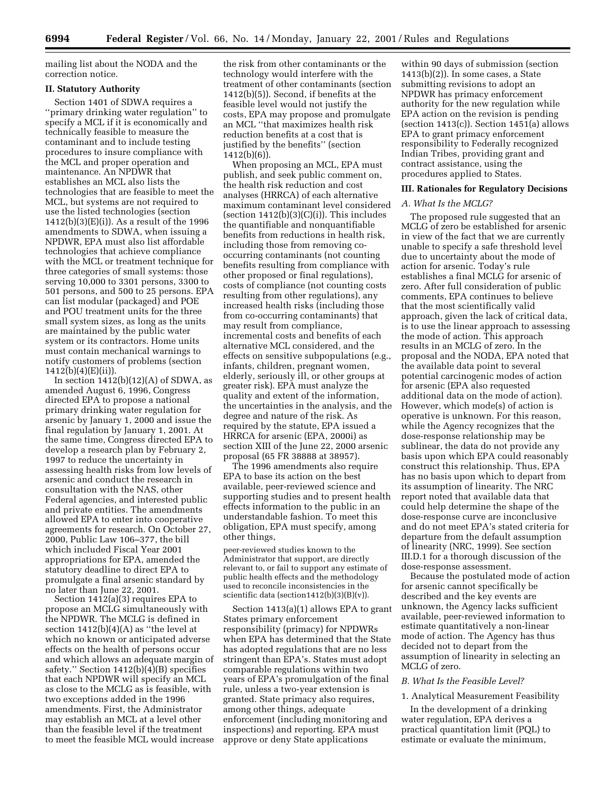mailing list about the NODA and the correction notice.

#### **II. Statutory Authority**

Section 1401 of SDWA requires a ''primary drinking water regulation'' to specify a MCL if it is economically and technically feasible to measure the contaminant and to include testing procedures to insure compliance with the MCL and proper operation and maintenance. An NPDWR that establishes an MCL also lists the technologies that are feasible to meet the MCL, but systems are not required to use the listed technologies (section 1412(b)(3)(E)(i)). As a result of the 1996 amendments to SDWA, when issuing a NPDWR, EPA must also list affordable technologies that achieve compliance with the MCL or treatment technique for three categories of small systems: those serving 10,000 to 3301 persons, 3300 to 501 persons, and 500 to 25 persons. EPA can list modular (packaged) and POE and POU treatment units for the three small system sizes, as long as the units are maintained by the public water system or its contractors. Home units must contain mechanical warnings to notify customers of problems (section 1412(b)(4)(E)(ii)).

In section  $1412(b)(12)(A)$  of SDWA, as amended August 6, 1996, Congress directed EPA to propose a national primary drinking water regulation for arsenic by January 1, 2000 and issue the final regulation by January 1, 2001. At the same time, Congress directed EPA to develop a research plan by February 2, 1997 to reduce the uncertainty in assessing health risks from low levels of arsenic and conduct the research in consultation with the NAS, other Federal agencies, and interested public and private entities. The amendments allowed EPA to enter into cooperative agreements for research. On October 27, 2000, Public Law 106–377, the bill which included Fiscal Year 2001 appropriations for EPA, amended the statutory deadline to direct EPA to promulgate a final arsenic standard by no later than June 22, 2001.

Section 1412(a)(3) requires EPA to propose an MCLG simultaneously with the NPDWR. The MCLG is defined in section 1412(b)(4)(A) as ''the level at which no known or anticipated adverse effects on the health of persons occur and which allows an adequate margin of safety." Section 1412(b)(4)(B) specifies that each NPDWR will specify an MCL as close to the MCLG as is feasible, with two exceptions added in the 1996 amendments. First, the Administrator may establish an MCL at a level other than the feasible level if the treatment to meet the feasible MCL would increase the risk from other contaminants or the technology would interfere with the treatment of other contaminants (section 1412(b)(5)). Second, if benefits at the feasible level would not justify the costs, EPA may propose and promulgate an MCL ''that maximizes health risk reduction benefits at a cost that is justified by the benefits'' (section 1412(b)(6)).

When proposing an MCL, EPA must publish, and seek public comment on, the health risk reduction and cost analyses (HRRCA) of each alternative maximum contaminant level considered (section  $1412(b)(3)(C)(i)$ ). This includes the quantifiable and nonquantifiable benefits from reductions in health risk, including those from removing cooccurring contaminants (not counting benefits resulting from compliance with other proposed or final regulations), costs of compliance (not counting costs resulting from other regulations), any increased health risks (including those from co-occurring contaminants) that may result from compliance, incremental costs and benefits of each alternative MCL considered, and the effects on sensitive subpopulations (e.g., infants, children, pregnant women, elderly, seriously ill, or other groups at greater risk). EPA must analyze the quality and extent of the information, the uncertainties in the analysis, and the degree and nature of the risk. As required by the statute, EPA issued a HRRCA for arsenic (EPA, 2000i) as section XIII of the June 22, 2000 arsenic proposal (65 FR 38888 at 38957).

The 1996 amendments also require EPA to base its action on the best available, peer-reviewed science and supporting studies and to present health effects information to the public in an understandable fashion. To meet this obligation, EPA must specify, among other things,

peer-reviewed studies known to the Administrator that support, are directly relevant to, or fail to support any estimate of public health effects and the methodology used to reconcile inconsistencies in the scientific data (section1412(b)(3)(B)(v)).

Section 1413(a)(1) allows EPA to grant States primary enforcement responsibility (primacy) for NPDWRs when EPA has determined that the State has adopted regulations that are no less stringent than EPA's. States must adopt comparable regulations within two years of EPA's promulgation of the final rule, unless a two-year extension is granted. State primacy also requires, among other things, adequate enforcement (including monitoring and inspections) and reporting. EPA must approve or deny State applications

within 90 days of submission (section 1413(b)(2)). In some cases, a State submitting revisions to adopt an NPDWR has primacy enforcement authority for the new regulation while EPA action on the revision is pending (section 1413(c)). Section 1451(a) allows EPA to grant primacy enforcement responsibility to Federally recognized Indian Tribes, providing grant and contract assistance, using the procedures applied to States.

#### **III. Rationales for Regulatory Decisions**

#### *A. What Is the MCLG?*

The proposed rule suggested that an MCLG of zero be established for arsenic in view of the fact that we are currently unable to specify a safe threshold level due to uncertainty about the mode of action for arsenic. Today's rule establishes a final MCLG for arsenic of zero. After full consideration of public comments, EPA continues to believe that the most scientifically valid approach, given the lack of critical data, is to use the linear approach to assessing the mode of action. This approach results in an MCLG of zero. In the proposal and the NODA, EPA noted that the available data point to several potential carcinogenic modes of action for arsenic (EPA also requested additional data on the mode of action). However, which mode(s) of action is operative is unknown. For this reason, while the Agency recognizes that the dose-response relationship may be sublinear, the data do not provide any basis upon which EPA could reasonably construct this relationship. Thus, EPA has no basis upon which to depart from its assumption of linearity. The NRC report noted that available data that could help determine the shape of the dose-response curve are inconclusive and do not meet EPA's stated criteria for departure from the default assumption of linearity (NRC, 1999). See section III.D.1 for a thorough discussion of the dose-response assessment.

Because the postulated mode of action for arsenic cannot specifically be described and the key events are unknown, the Agency lacks sufficient available, peer-reviewed information to estimate quantitatively a non-linear mode of action. The Agency has thus decided not to depart from the assumption of linearity in selecting an MCLG of zero.

#### *B. What Is the Feasible Level?*

#### 1. Analytical Measurement Feasibility

In the development of a drinking water regulation, EPA derives a practical quantitation limit (PQL) to estimate or evaluate the minimum,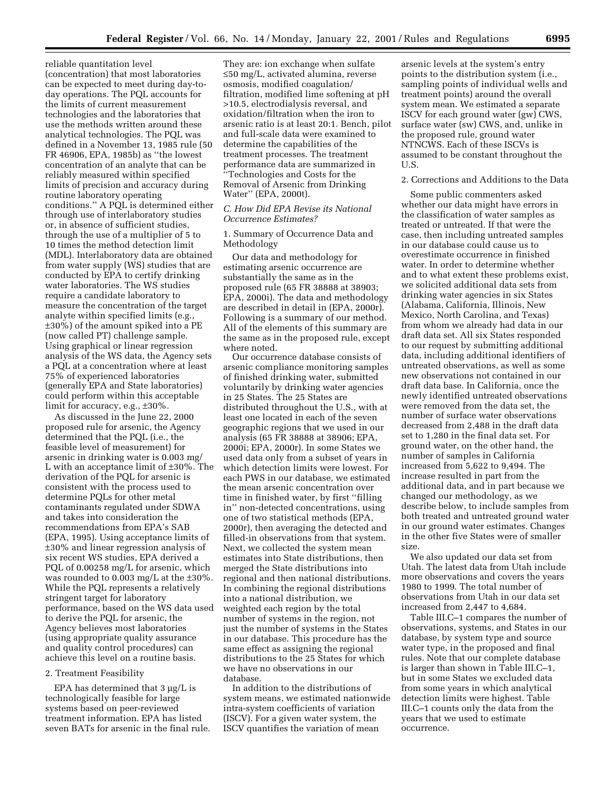reliable quantitation level (concentration) that most laboratories can be expected to meet during day-today operations. The PQL accounts for the limits of current measurement technologies and the laboratories that use the methods written around these analytical technologies. The PQL was defined in a November 13, 1985 rule (50 FR 46906, EPA, 1985b) as ''the lowest concentration of an analyte that can be reliably measured within specified limits of precision and accuracy during routine laboratory operating conditions.'' A PQL is determined either through use of interlaboratory studies or, in absence of sufficient studies, through the use of a multiplier of 5 to 10 times the method detection limit (MDL). Interlaboratory data are obtained from water supply (WS) studies that are conducted by EPA to certify drinking water laboratories. The WS studies require a candidate laboratory to measure the concentration of the target analyte within specified limits (e.g., ±30%) of the amount spiked into a PE (now called PT) challenge sample. Using graphical or linear regression analysis of the WS data, the Agency sets a PQL at a concentration where at least 75% of experienced laboratories (generally EPA and State laboratories) could perform within this acceptable limit for accuracy, e.g., ±30%.

As discussed in the June 22, 2000 proposed rule for arsenic, the Agency determined that the PQL (i.e., the feasible level of measurement) for arsenic in drinking water is 0.003 mg/ L with an acceptance limit of ±30%. The derivation of the PQL for arsenic is consistent with the process used to determine PQLs for other metal contaminants regulated under SDWA and takes into consideration the recommendations from EPA's SAB (EPA, 1995). Using acceptance limits of ±30% and linear regression analysis of six recent WS studies, EPA derived a PQL of 0.00258 mg/L for arsenic, which was rounded to 0.003 mg/L at the  $\pm 30\%$ . While the PQL represents a relatively stringent target for laboratory performance, based on the WS data used to derive the PQL for arsenic, the Agency believes most laboratories (using appropriate quality assurance and quality control procedures) can achieve this level on a routine basis.

#### 2. Treatment Feasibility

EPA has determined that  $3 \mu g/L$  is technologically feasible for large systems based on peer-reviewed treatment information. EPA has listed seven BATs for arsenic in the final rule. They are: ion exchange when sulfate ≤50 mg/L, activated alumina, reverse osmosis, modified coagulation/ filtration, modified lime softening at pH >10.5, electrodialysis reversal, and oxidation/filtration when the iron to arsenic ratio is at least 20:1. Bench, pilot and full-scale data were examined to determine the capabilities of the treatment processes. The treatment performance data are summarized in ''Technologies and Costs for the Removal of Arsenic from Drinking Water'' (EPA, 2000t).

## *C. How Did EPA Revise its National Occurrence Estimates?*

1. Summary of Occurrence Data and Methodology

Our data and methodology for estimating arsenic occurrence are substantially the same as in the proposed rule (65 FR 38888 at 38903; EPA, 2000i). The data and methodology are described in detail in (EPA, 2000r). Following is a summary of our method. All of the elements of this summary are the same as in the proposed rule, except where noted.

Our occurrence database consists of arsenic compliance monitoring samples of finished drinking water, submitted voluntarily by drinking water agencies in 25 States. The 25 States are distributed throughout the U.S., with at least one located in each of the seven geographic regions that we used in our analysis (65 FR 38888 at 38906; EPA, 2000i; EPA, 2000r). In some States we used data only from a subset of years in which detection limits were lowest. For each PWS in our database, we estimated the mean arsenic concentration over time in finished water, by first ''filling in'' non-detected concentrations, using one of two statistical methods (EPA, 2000r), then averaging the detected and filled-in observations from that system. Next, we collected the system mean estimates into State distributions, then merged the State distributions into regional and then national distributions. In combining the regional distributions into a national distribution, we weighted each region by the total number of systems in the region, not just the number of systems in the States in our database. This procedure has the same effect as assigning the regional distributions to the 25 States for which we have no observations in our database.

In addition to the distributions of system means, we estimated nationwide intra-system coefficients of variation (ISCV). For a given water system, the ISCV quantifies the variation of mean

arsenic levels at the system's entry points to the distribution system (i.e., sampling points of individual wells and treatment points) around the overall system mean. We estimated a separate ISCV for each ground water (gw) CWS, surface water (sw) CWS, and, unlike in the proposed rule, ground water NTNCWS. Each of these ISCVs is assumed to be constant throughout the U.S.

#### 2. Corrections and Additions to the Data

Some public commenters asked whether our data might have errors in the classification of water samples as treated or untreated. If that were the case, then including untreated samples in our database could cause us to overestimate occurrence in finished water. In order to determine whether and to what extent these problems exist, we solicited additional data sets from drinking water agencies in six States (Alabama, California, Illinois, New Mexico, North Carolina, and Texas) from whom we already had data in our draft data set. All six States responded to our request by submitting additional data, including additional identifiers of untreated observations, as well as some new observations not contained in our draft data base. In California, once the newly identified untreated observations were removed from the data set, the number of surface water observations decreased from 2,488 in the draft data set to 1,280 in the final data set. For ground water, on the other hand, the number of samples in California increased from 5,622 to 9,494. The increase resulted in part from the additional data, and in part because we changed our methodology, as we describe below, to include samples from both treated and untreated ground water in our ground water estimates. Changes in the other five States were of smaller size.

We also updated our data set from Utah. The latest data from Utah include more observations and covers the years 1980 to 1999. The total number of observations from Utah in our data set increased from 2,447 to 4,684.

Table III.C–1 compares the number of observations, systems, and States in our database, by system type and source water type, in the proposed and final rules. Note that our complete database is larger than shown in Table III.C–1, but in some States we excluded data from some years in which analytical detection limits were highest. Table III.C–1 counts only the data from the years that we used to estimate occurrence.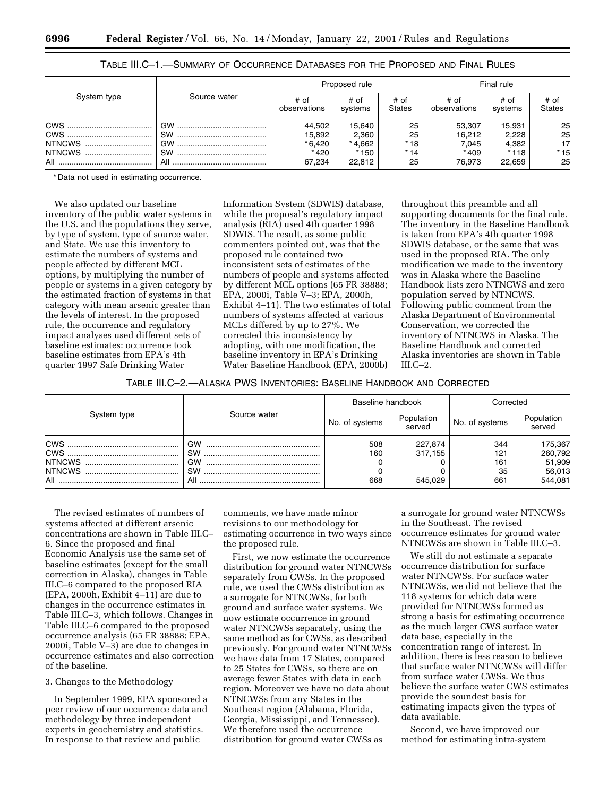|                  | Source water                              | Proposed rule                                   |                                                |                                  | Final rule                                    |                                              |                               |
|------------------|-------------------------------------------|-------------------------------------------------|------------------------------------------------|----------------------------------|-----------------------------------------------|----------------------------------------------|-------------------------------|
| System type      |                                           | # of<br>observations                            | # <sub>of</sub><br>systems                     | # of<br><b>States</b>            | # of<br>observations                          | # of<br>systems                              | # of<br><b>States</b>         |
| NTNCWS<br>NTNCWS | GW<br><b>SW</b><br>GW<br><b>SW</b><br>All | 44,502<br>15,892<br>* 6,420<br>$*420$<br>67,234 | 15,640<br>2,360<br>* 4,662<br>$*150$<br>22.812 | 25<br>25<br>$*18$<br>$*14$<br>25 | 53,307<br>16.212<br>7,045<br>$*409$<br>76.973 | 15,931<br>2,228<br>4,382<br>$*118$<br>22,659 | 25<br>25<br>17<br>$*15$<br>25 |

TABLE III.C–1.—SUMMARY OF OCCURRENCE DATABASES FOR THE PROPOSED AND FINAL RULES

\* Data not used in estimating occurrence.

We also updated our baseline inventory of the public water systems in the U.S. and the populations they serve, by type of system, type of source water, and State. We use this inventory to estimate the numbers of systems and people affected by different MCL options, by multiplying the number of people or systems in a given category by the estimated fraction of systems in that category with mean arsenic greater than the levels of interest. In the proposed rule, the occurrence and regulatory impact analyses used different sets of baseline estimates: occurrence took baseline estimates from EPA's 4th quarter 1997 Safe Drinking Water

Information System (SDWIS) database, while the proposal's regulatory impact analysis (RIA) used 4th quarter 1998 SDWIS. The result, as some public commenters pointed out, was that the proposed rule contained two inconsistent sets of estimates of the numbers of people and systems affected by different MCL options (65 FR 38888; EPA, 2000i, Table V–3; EPA, 2000h, Exhibit 4–11). The two estimates of total numbers of systems affected at various MCLs differed by up to 27%. We corrected this inconsistency by adopting, with one modification, the baseline inventory in EPA's Drinking Water Baseline Handbook (EPA, 2000b)

throughout this preamble and all supporting documents for the final rule. The inventory in the Baseline Handbook is taken from EPA's 4th quarter 1998 SDWIS database, or the same that was used in the proposed RIA. The only modification we made to the inventory was in Alaska where the Baseline Handbook lists zero NTNCWS and zero population served by NTNCWS. Following public comment from the Alaska Department of Environmental Conservation, we corrected the inventory of NTNCWS in Alaska. The Baseline Handbook and corrected Alaska inventories are shown in Table III.C–2.

| TABLE III.C-2.—ALASKA PWS INVENTORIES: BASELINE HANDBOOK AND CORRECTED |  |
|------------------------------------------------------------------------|--|
|------------------------------------------------------------------------|--|

|                             |           | Baseline handbook |                      | Corrected      |                      |  |
|-----------------------------|-----------|-------------------|----------------------|----------------|----------------------|--|
| System type<br>Source water |           | No. of systems    | Population<br>served | No. of systems | Population<br>served |  |
| $CWS$                       | GW        | 508               | 227,874              | 344            | 175,367              |  |
|                             | <b>SW</b> | 160               | 317.155              | 121            | 260,792              |  |
|                             | GW        |                   |                      | 161            | 51,909               |  |
|                             | <b>SW</b> |                   |                      | 35             | 56,013               |  |
| All.                        |           | 668               | 545.029              | 661            | 544,081              |  |

The revised estimates of numbers of systems affected at different arsenic concentrations are shown in Table III.C– 6. Since the proposed and final Economic Analysis use the same set of baseline estimates (except for the small correction in Alaska), changes in Table III.C–6 compared to the proposed RIA (EPA, 2000h, Exhibit 4–11) are due to changes in the occurrence estimates in Table III.C–3, which follows. Changes in Table III.C–6 compared to the proposed occurrence analysis (65 FR 38888; EPA, 2000i, Table V–3) are due to changes in occurrence estimates and also correction of the baseline.

#### 3. Changes to the Methodology

In September 1999, EPA sponsored a peer review of our occurrence data and methodology by three independent experts in geochemistry and statistics. In response to that review and public

comments, we have made minor revisions to our methodology for estimating occurrence in two ways since the proposed rule.

First, we now estimate the occurrence distribution for ground water NTNCWSs separately from CWSs. In the proposed rule, we used the CWSs distribution as a surrogate for NTNCWSs, for both ground and surface water systems. We now estimate occurrence in ground water NTNCWSs separately, using the same method as for CWSs, as described previously. For ground water NTNCWSs we have data from 17 States, compared to 25 States for CWSs, so there are on average fewer States with data in each region. Moreover we have no data about NTNCWSs from any States in the Southeast region (Alabama, Florida, Georgia, Mississippi, and Tennessee). We therefore used the occurrence distribution for ground water CWSs as

a surrogate for ground water NTNCWSs in the Southeast. The revised occurrence estimates for ground water NTNCWSs are shown in Table III.C–3.

We still do not estimate a separate occurrence distribution for surface water NTNCWSs. For surface water NTNCWSs, we did not believe that the 118 systems for which data were provided for NTNCWSs formed as strong a basis for estimating occurrence as the much larger CWS surface water data base, especially in the concentration range of interest. In addition, there is less reason to believe that surface water NTNCWSs will differ from surface water CWSs. We thus believe the surface water CWS estimates provide the soundest basis for estimating impacts given the types of data available.

Second, we have improved our method for estimating intra-system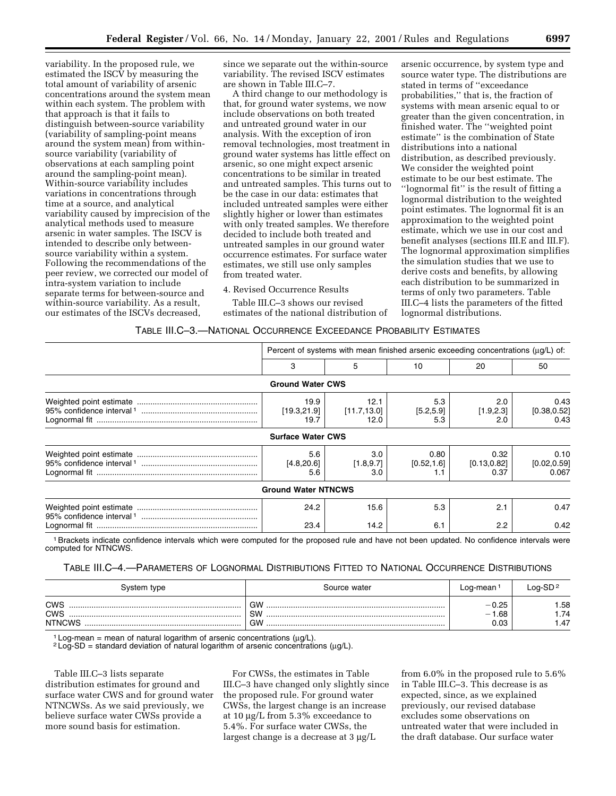variability. In the proposed rule, we estimated the ISCV by measuring the total amount of variability of arsenic concentrations around the system mean within each system. The problem with that approach is that it fails to distinguish between-source variability (variability of sampling-point means around the system mean) from withinsource variability (variability of observations at each sampling point around the sampling-point mean). Within-source variability includes variations in concentrations through time at a source, and analytical variability caused by imprecision of the analytical methods used to measure arsenic in water samples. The ISCV is intended to describe only betweensource variability within a system. Following the recommendations of the peer review, we corrected our model of intra-system variation to include separate terms for between-source and within-source variability. As a result, our estimates of the ISCVs decreased,

since we separate out the within-source variability. The revised ISCV estimates are shown in Table III.C–7.

A third change to our methodology is that, for ground water systems, we now include observations on both treated and untreated ground water in our analysis. With the exception of iron removal technologies, most treatment in ground water systems has little effect on arsenic, so one might expect arsenic concentrations to be similar in treated and untreated samples. This turns out to be the case in our data: estimates that included untreated samples were either slightly higher or lower than estimates with only treated samples. We therefore decided to include both treated and untreated samples in our ground water occurrence estimates. For surface water estimates, we still use only samples from treated water.

#### 4. Revised Occurrence Results

Table III.C–3 shows our revised estimates of the national distribution of arsenic occurrence, by system type and source water type. The distributions are stated in terms of ''exceedance probabilities,'' that is, the fraction of systems with mean arsenic equal to or greater than the given concentration, in finished water. The ''weighted point estimate'' is the combination of State distributions into a national distribution, as described previously. We consider the weighted point estimate to be our best estimate. The ''lognormal fit'' is the result of fitting a lognormal distribution to the weighted point estimates. The lognormal fit is an approximation to the weighted point estimate, which we use in our cost and benefit analyses (sections III.E and III.F). The lognormal approximation simplifies the simulation studies that we use to derive costs and benefits, by allowing each distribution to be summarized in terms of only two parameters. Table III.C–4 lists the parameters of the fitted lognormal distributions.

## TABLE III.C–3.—NATIONAL OCCURRENCE EXCEEDANCE PROBABILITY ESTIMATES

| Percent of systems with mean finished arsenic exceeding concentrations ( $\mu$ g/L) of: |                              |                          |                              |                               |
|-----------------------------------------------------------------------------------------|------------------------------|--------------------------|------------------------------|-------------------------------|
| 3                                                                                       | 5                            | 10                       | 20                           | 50                            |
| <b>Ground Water CWS</b>                                                                 |                              |                          |                              |                               |
| 19.9<br>[19.3, 21.9]<br>19.7                                                            | 12.1<br>[11.7, 13.0]<br>12.0 | 5.3<br>[5.2, 5.9]<br>5.3 | 2.0<br>[1.9, 2.3]<br>2.0     | 0.43<br>[0.38, 0.52]<br>0.43  |
| <b>Surface Water CWS</b>                                                                |                              |                          |                              |                               |
| 5.6<br>[4.8, 20.6]<br>5.6                                                               | 3.0<br>[1.8, 9.7]<br>3.0     | 0.80<br>[0.52, 1.6]      | 0.32<br>[0.13, 0.82]<br>0.37 | 0.10<br>[0.02, 0.59]<br>0.067 |
| <b>Ground Water NTNCWS</b>                                                              |                              |                          |                              |                               |
| 24.2<br>23.4                                                                            | 15.6<br>14.2                 | 5.3<br>6.1               | 2.1<br>2.2                   | 0.47<br>0.42                  |

1Brackets indicate confidence intervals which were computed for the proposed rule and have not been updated. No confidence intervals were computed for NTNCWS.

### TABLE III.C–4.—PARAMETERS OF LOGNORMAL DISTRIBUTIONS FITTED TO NATIONAL OCCURRENCE DISTRIBUTIONS

| System type                 | Source water   | Log-mean'                  | $L$ og-SD <sup>2</sup> |
|-----------------------------|----------------|----------------------------|------------------------|
| CWS<br>CWS<br><b>NTNCWS</b> | GW<br>SW<br>G٧ | 0.25<br>.68<br>$-$<br>0.03 | .58<br>.74<br>.47      |

<sup>1</sup> Log-mean = mean of natural logarithm of arsenic concentrations (µg/L). <sup>2</sup> Log-SD = standard deviation of natural logarithm of arsenic concentrations (µg/L).

Table III.C–3 lists separate distribution estimates for ground and surface water CWS and for ground water NTNCWSs. As we said previously, we believe surface water CWSs provide a more sound basis for estimation.

For CWSs, the estimates in Table III.C–3 have changed only slightly since the proposed rule. For ground water CWSs, the largest change is an increase at 10 µg/L from 5.3% exceedance to 5.4%. For surface water CWSs, the largest change is a decrease at 3 µg/L

from 6.0% in the proposed rule to 5.6% in Table III.C–3. This decrease is as expected, since, as we explained previously, our revised database excludes some observations on untreated water that were included in the draft database. Our surface water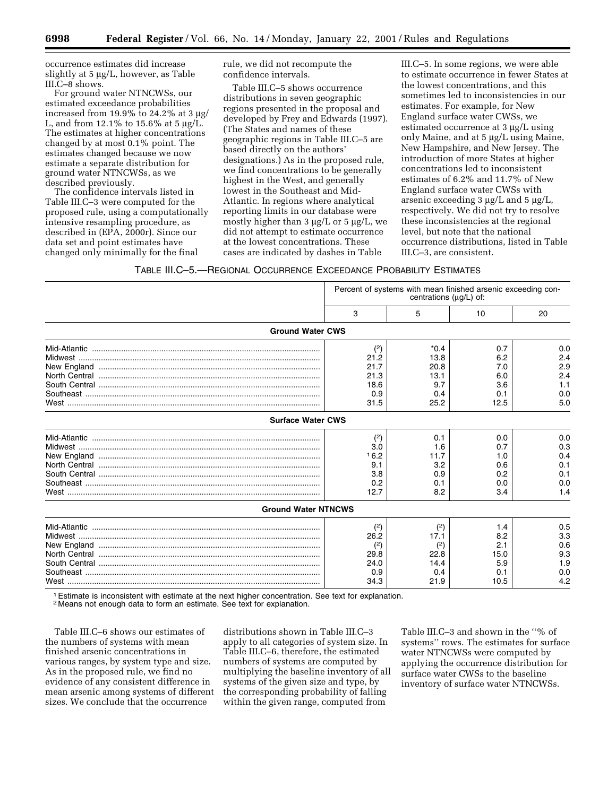occurrence estimates did increase slightly at 5 µg/L, however, as Table III.C–8 shows.

For ground water NTNCWSs, our estimated exceedance probabilities increased from 19.9% to 24.2% at 3  $\mu$ g/ L, and from 12.1% to 15.6% at 5 µg/L. The estimates at higher concentrations changed by at most 0.1% point. The estimates changed because we now estimate a separate distribution for ground water NTNCWSs, as we described previously.

The confidence intervals listed in Table III.C–3 were computed for the proposed rule, using a computationally intensive resampling procedure, as described in (EPA, 2000r). Since our data set and point estimates have changed only minimally for the final

rule, we did not recompute the confidence intervals.

Table III.C–5 shows occurrence distributions in seven geographic regions presented in the proposal and developed by Frey and Edwards (1997). (The States and names of these geographic regions in Table III.C–5 are based directly on the authors' designations.) As in the proposed rule, we find concentrations to be generally highest in the West, and generally lowest in the Southeast and Mid-Atlantic. In regions where analytical reporting limits in our database were mostly higher than 3 µg/L or 5 µg/L, we did not attempt to estimate occurrence at the lowest concentrations. These cases are indicated by dashes in Table

III.C–5. In some regions, we were able to estimate occurrence in fewer States at the lowest concentrations, and this sometimes led to inconsistencies in our estimates. For example, for New England surface water CWSs, we estimated occurrence at 3 µg/L using only Maine, and at 5 µg/L using Maine, New Hampshire, and New Jersey. The introduction of more States at higher concentrations led to inconsistent estimates of 6.2% and 11.7% of New England surface water CWSs with arsenic exceeding 3 µg/L and 5 µg/L, respectively. We did not try to resolve these inconsistencies at the regional level, but note that the national occurrence distributions, listed in Table III.C–3, are consistent.

### TABLE III.C–5.—REGIONAL OCCURRENCE EXCEEDANCE PROBABILITY ESTIMATES

|                                             | Percent of systems with mean finished arsenic exceeding con-<br>centrations $(\mu g/L)$ of: |        |      |     |
|---------------------------------------------|---------------------------------------------------------------------------------------------|--------|------|-----|
|                                             | з                                                                                           | 5      | 10   | 20  |
| <b>Ground Water CWS</b>                     |                                                                                             |        |      |     |
|                                             | (2)                                                                                         | $*0.4$ | 0.7  | 0.0 |
|                                             | 21.2                                                                                        | 13.8   | 6.2  | 2.4 |
|                                             | 21.7                                                                                        | 20.8   | 7.0  | 2.9 |
|                                             | 21.3                                                                                        | 13.1   | 6.0  | 2.4 |
|                                             | 18.6                                                                                        | 9.7    | 3.6  | 1.1 |
|                                             | 0.9                                                                                         | 0.4    | 0.1  | 0.0 |
|                                             | 31.5                                                                                        | 25.2   | 12.5 | 5.0 |
| <b>Surface Water CWS</b>                    |                                                                                             |        |      |     |
|                                             | (2)                                                                                         | 0.1    | 0.0  | 0.0 |
| Midwest …………………………………………………………………………………………… | 3.0                                                                                         | 1.6    | 0.7  | 0.3 |
|                                             | 16.2                                                                                        | 11.7   | 1.0  | 0.4 |
|                                             | 9.1                                                                                         | 3.2    | 0.6  | 0.1 |
|                                             | 3.8                                                                                         | 0.9    | 0.2  | 0.1 |
|                                             | 0.2                                                                                         | 0.1    | 0.0  | 0.0 |
|                                             | 12.7                                                                                        | 8.2    | 3.4  | 1.4 |
| <b>Ground Water NTNCWS</b>                  |                                                                                             |        |      |     |
|                                             | (2)                                                                                         | (2)    | 1.4  | 0.5 |
|                                             | 26.2                                                                                        | 17.1   | 8.2  | 3.3 |
|                                             | (2)                                                                                         | (2)    | 2.1  | 0.6 |
|                                             | 29.8                                                                                        | 22.8   | 15.0 | 9.3 |
|                                             | 24.0                                                                                        | 14.4   | 5.9  | 1.9 |
|                                             | 0.9                                                                                         | 0.4    | 0.1  | 0.0 |
|                                             | 34.3                                                                                        | 21.9   | 10.5 | 4.2 |

1Estimate is inconsistent with estimate at the next higher concentration. See text for explanation.

2 Means not enough data to form an estimate. See text for explanation.

Table III.C–6 shows our estimates of the numbers of systems with mean finished arsenic concentrations in various ranges, by system type and size. As in the proposed rule, we find no evidence of any consistent difference in mean arsenic among systems of different sizes. We conclude that the occurrence

distributions shown in Table III.C–3 apply to all categories of system size. In Table III.C–6, therefore, the estimated numbers of systems are computed by multiplying the baseline inventory of all systems of the given size and type, by the corresponding probability of falling within the given range, computed from

Table III.C–3 and shown in the ''% of systems'' rows. The estimates for surface water NTNCWSs were computed by applying the occurrence distribution for surface water CWSs to the baseline inventory of surface water NTNCWSs.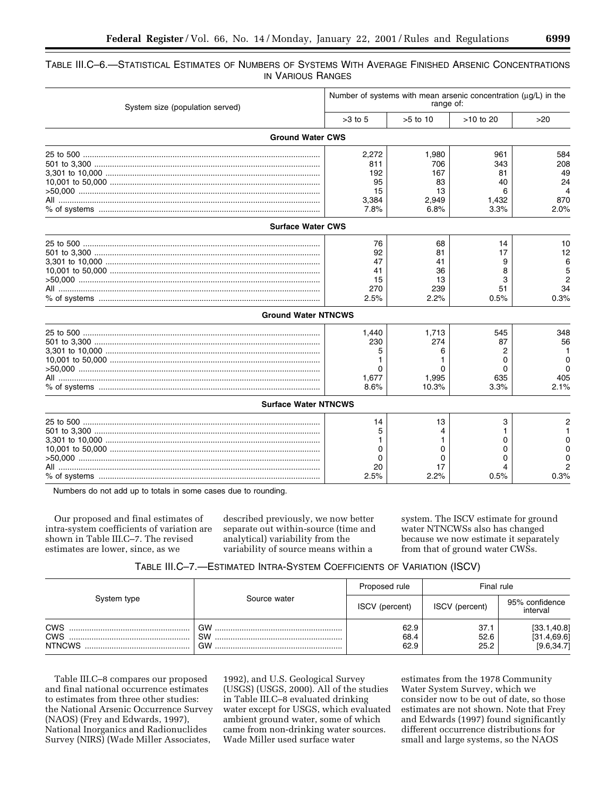## TABLE III.C–6.—STATISTICAL ESTIMATES OF NUMBERS OF SYSTEMS WITH AVERAGE FINISHED ARSENIC CONCENTRATIONS IN VARIOUS RANGES

| System size (population served) | Number of systems with mean arsenic concentration (µg/L) in the<br>range of: |                                                  |                                              |                                                     |
|---------------------------------|------------------------------------------------------------------------------|--------------------------------------------------|----------------------------------------------|-----------------------------------------------------|
|                                 | $>3$ to 5                                                                    | $>5$ to 10                                       | >10 to 20                                    | >20                                                 |
| <b>Ground Water CWS</b>         |                                                                              |                                                  |                                              |                                                     |
|                                 | 2,272<br>811<br>192<br>95<br>15<br>3,384<br>7.8%                             | 1.980<br>706<br>167<br>83<br>13<br>2,949<br>6.8% | 961<br>343<br>81<br>40<br>6<br>1,432<br>3.3% | 584<br>208<br>49<br>24<br>4<br>870<br>2.0%          |
| <b>Surface Water CWS</b>        |                                                                              |                                                  |                                              |                                                     |
|                                 | 76<br>92<br>47<br>41<br>15<br>270<br>2.5%                                    | 68<br>81<br>41<br>36<br>13<br>239<br>2.2%        | 14<br>17<br>9<br>8<br>3<br>51<br>0.5%        | 10<br>12<br>6<br>5<br>34<br>0.3%                    |
| <b>Ground Water NTNCWS</b>      |                                                                              |                                                  |                                              |                                                     |
|                                 | 1,440<br>230<br>5<br>0<br>1,677<br>8.6%                                      | 1,713<br>274<br>6<br>1,995<br>10.3%              | 545<br>87<br>2<br>0<br>0<br>635<br>3.3%      | 348<br>56<br>1<br>0<br>$\Omega$<br>405<br>2.1%      |
| <b>Surface Water NTNCWS</b>     |                                                                              |                                                  |                                              |                                                     |
|                                 | 14<br>5<br>1<br>0<br>0<br>20<br>2.5%                                         | 13<br>4<br>O<br>17<br>2.2%                       | 3<br>0<br>0<br>0<br>0.5%                     | $\overline{2}$<br>0<br>$\Omega$<br>$\Omega$<br>0.3% |

Numbers do not add up to totals in some cases due to rounding.

Our proposed and final estimates of intra-system coefficients of variation are shown in Table III.C–7. The revised estimates are lower, since, as we

described previously, we now better separate out within-source (time and analytical) variability from the variability of source means within a

system. The ISCV estimate for ground water NTNCWSs also has changed because we now estimate it separately from that of ground water CWSs.

## TABLE III.C–7.—ESTIMATED INTRA-SYSTEM COEFFICIENTS OF VARIATION (ISCV)

|                             |                       | Proposed rule        | Final rule           |                                             |  |
|-----------------------------|-----------------------|----------------------|----------------------|---------------------------------------------|--|
| System type                 | Source water          | ISCV (percent)       | ISCV (percent)       | 95% confidence<br>interval                  |  |
| CWS<br>CWS<br><b>NTNCWS</b> | GW<br><b>SW</b><br>GW | 62.9<br>68.4<br>62.9 | 37.1<br>52.6<br>25.2 | [33.1, 40.8]<br>[31.4, 69.6]<br>[9.6, 34.7] |  |

Table III.C–8 compares our proposed and final national occurrence estimates to estimates from three other studies: the National Arsenic Occurrence Survey (NAOS) (Frey and Edwards, 1997), National Inorganics and Radionuclides Survey (NIRS) (Wade Miller Associates,

1992), and U.S. Geological Survey (USGS) (USGS, 2000). All of the studies in Table III.C–8 evaluated drinking water except for USGS, which evaluated ambient ground water, some of which came from non-drinking water sources. Wade Miller used surface water

estimates from the 1978 Community Water System Survey, which we consider now to be out of date, so those estimates are not shown. Note that Frey and Edwards (1997) found significantly different occurrence distributions for small and large systems, so the NAOS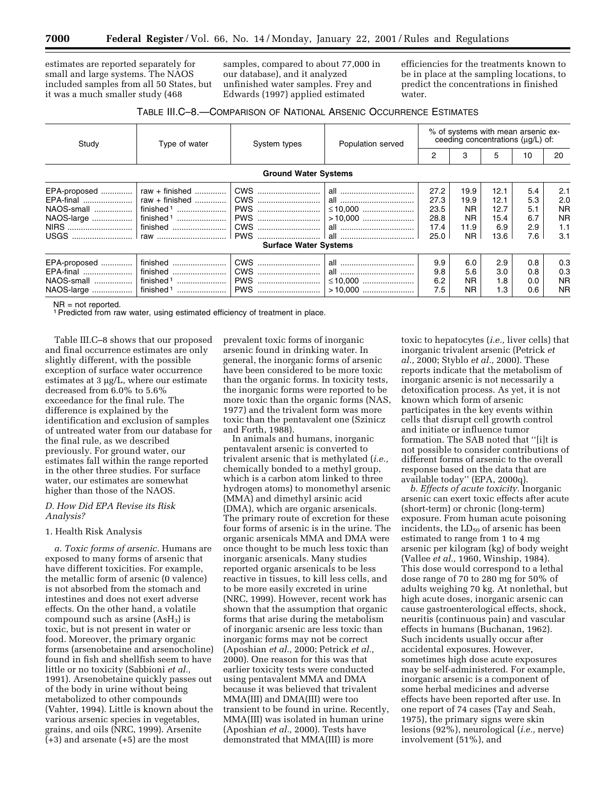estimates are reported separately for small and large systems. The NAOS included samples from all 50 States, but it was a much smaller study (468

samples, compared to about 77,000 in our database), and it analyzed unfinished water samples. Frey and Edwards (1997) applied estimated

efficiencies for the treatments known to be in place at the sampling locations, to predict the concentrations in finished water.

| TABLE III.C-8.-COMPARISON OF NATIONAL ARSENIC OCCURRENCE ESTIMATES |  |
|--------------------------------------------------------------------|--|
|--------------------------------------------------------------------|--|

| Study                                                         | Type of water                                      | System types                                      | Population served | % of systems with mean arsenic ex-<br>ceeding concentrations (ug/L) of: |                                           |                                             |                                        |                                                    |
|---------------------------------------------------------------|----------------------------------------------------|---------------------------------------------------|-------------------|-------------------------------------------------------------------------|-------------------------------------------|---------------------------------------------|----------------------------------------|----------------------------------------------------|
|                                                               |                                                    |                                                   |                   | 2                                                                       | 3                                         | 5                                           | 10                                     | 20                                                 |
|                                                               |                                                    | <b>Ground Water Systems</b>                       |                   |                                                                         |                                           |                                             |                                        |                                                    |
| EPA-proposed<br>EPA-final<br>NAOS-small<br>NAOS-large<br>NIRS | raw + finished $\ldots$<br>raw + finished $\ldots$ | CWS<br>CWS<br>PWS<br><b>Surface Water Systems</b> | . ≤10.000         | 27.2<br>27.3<br>23.5<br>28.8<br>17.4<br>25.0                            | 19.9<br>19.9<br>NR.<br>NR.<br>11.9<br>NR. | 12.1<br>12.1<br>12.7<br>15.4<br>6.9<br>13.6 | 5.4<br>5.3<br>5.1<br>6.7<br>2.9<br>7.6 | 2.1<br>2.0<br><b>NR</b><br><b>NR</b><br>1.1<br>3.1 |
| EPA-proposed<br><b>EPA-final</b><br>NAOS-small<br>NAOS-large  | finished<br>finished<br>$finished1$                | CWS<br>CWS<br>PWS                                 |                   | 9.9<br>9.8<br>6.2<br>7.5                                                | 6.0<br>5.6<br>NR.<br><b>NR</b>            | 2.9<br>3.0<br>1.8<br>1.3                    | 0.8<br>0.8<br>0.0<br>0.6               | 0.3<br>0.3<br><b>NR</b><br><b>NR</b>               |

 $NR = not reported$ .

<sup>1</sup> Predicted from raw water, using estimated efficiency of treatment in place.

Table III.C–8 shows that our proposed and final occurrence estimates are only slightly different, with the possible exception of surface water occurrence estimates at 3 µg/L, where our estimate decreased from 6.0% to 5.6% exceedance for the final rule. The difference is explained by the identification and exclusion of samples of untreated water from our database for the final rule, as we described previously. For ground water, our estimates fall within the range reported in the other three studies. For surface water, our estimates are somewhat higher than those of the NAOS.

#### *D. How Did EPA Revise its Risk Analysis?*

#### 1. Health Risk Analysis

*a. Toxic forms of arsenic.* Humans are exposed to many forms of arsenic that have different toxicities. For example, the metallic form of arsenic (0 valence) is not absorbed from the stomach and intestines and does not exert adverse effects. On the other hand, a volatile compound such as arsine (AsH3) is toxic, but is not present in water or food. Moreover, the primary organic forms (arsenobetaine and arsenocholine) found in fish and shellfish seem to have little or no toxicity (Sabbioni *et al.,* 1991). Arsenobetaine quickly passes out of the body in urine without being metabolized to other compounds (Vahter, 1994). Little is known about the various arsenic species in vegetables, grains, and oils (NRC, 1999). Arsenite (+3) and arsenate (+5) are the most

prevalent toxic forms of inorganic arsenic found in drinking water. In general, the inorganic forms of arsenic have been considered to be more toxic than the organic forms. In toxicity tests, the inorganic forms were reported to be more toxic than the organic forms (NAS, 1977) and the trivalent form was more toxic than the pentavalent one (Szinicz and Forth, 1988).

In animals and humans, inorganic pentavalent arsenic is converted to trivalent arsenic that is methylated (*i.e.,* chemically bonded to a methyl group, which is a carbon atom linked to three hydrogen atoms) to monomethyl arsenic (MMA) and dimethyl arsinic acid (DMA), which are organic arsenicals. The primary route of excretion for these four forms of arsenic is in the urine. The organic arsenicals MMA and DMA were once thought to be much less toxic than inorganic arsenicals. Many studies reported organic arsenicals to be less reactive in tissues, to kill less cells, and to be more easily excreted in urine (NRC, 1999). However, recent work has shown that the assumption that organic forms that arise during the metabolism of inorganic arsenic are less toxic than inorganic forms may not be correct (Aposhian *et al.,* 2000; Petrick *et al.,* 2000). One reason for this was that earlier toxicity tests were conducted using pentavalent MMA and DMA because it was believed that trivalent MMA(III) and DMA(III) were too transient to be found in urine. Recently, MMA(III) was isolated in human urine (Aposhian *et al.,* 2000). Tests have demonstrated that MMA(III) is more

toxic to hepatocytes (*i.e.,* liver cells) that inorganic trivalent arsenic (Petrick *et al.,* 2000; Styblo *et al.,* 2000). These reports indicate that the metabolism of inorganic arsenic is not necessarily a detoxification process. As yet, it is not known which form of arsenic participates in the key events within cells that disrupt cell growth control and initiate or influence tumor formation. The SAB noted that ''[i]t is not possible to consider contributions of different forms of arsenic to the overall response based on the data that are available today'' (EPA, 2000q).

*b. Effects of acute toxicity.* Inorganic arsenic can exert toxic effects after acute (short-term) or chronic (long-term) exposure. From human acute poisoning incidents, the LD<sub>50</sub> of arsenic has been estimated to range from 1 to 4 mg arsenic per kilogram (kg) of body weight (Vallee *et al.,* 1960, Winship, 1984). This dose would correspond to a lethal dose range of 70 to 280 mg for 50% of adults weighing 70 kg. At nonlethal, but high acute doses, inorganic arsenic can cause gastroenterological effects, shock, neuritis (continuous pain) and vascular effects in humans (Buchanan, 1962). Such incidents usually occur after accidental exposures. However, sometimes high dose acute exposures may be self-administered. For example, inorganic arsenic is a component of some herbal medicines and adverse effects have been reported after use. In one report of 74 cases (Tay and Seah, 1975), the primary signs were skin lesions (92%), neurological (*i.e.,* nerve) involvement (51%), and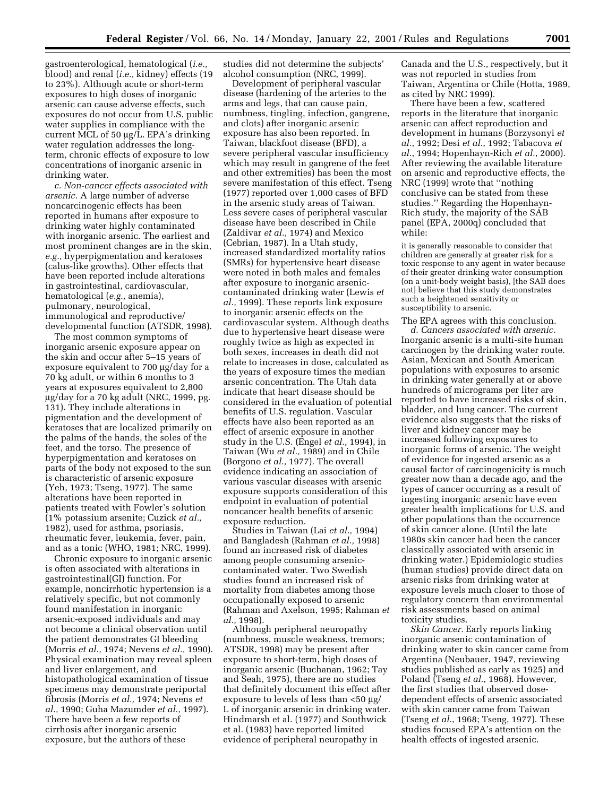gastroenterological, hematological (*i.e.,* blood) and renal (*i.e.,* kidney) effects (19 to 23%). Although acute or short-term exposures to high doses of inorganic arsenic can cause adverse effects, such exposures do not occur from U.S. public water supplies in compliance with the current MCL of 50 µg/L. EPA's drinking water regulation addresses the longterm, chronic effects of exposure to low concentrations of inorganic arsenic in drinking water.

*c. Non-cancer effects associated with arsenic.* A large number of adverse noncarcinogenic effects has been reported in humans after exposure to drinking water highly contaminated with inorganic arsenic. The earliest and most prominent changes are in the skin, *e.g.,* hyperpigmentation and keratoses (calus-like growths). Other effects that have been reported include alterations in gastrointestinal, cardiovascular, hematological (*e.g.,* anemia), pulmonary, neurological, immunological and reproductive/ developmental function (ATSDR, 1998).

The most common symptoms of inorganic arsenic exposure appear on the skin and occur after 5–15 years of exposure equivalent to 700 µg/day for a 70 kg adult, or within 6 months to 3 years at exposures equivalent to 2,800 µg/day for a 70 kg adult (NRC, 1999, pg. 131). They include alterations in pigmentation and the development of keratoses that are localized primarily on the palms of the hands, the soles of the feet, and the torso. The presence of hyperpigmentation and keratoses on parts of the body not exposed to the sun is characteristic of arsenic exposure (Yeh, 1973; Tseng, 1977). The same alterations have been reported in patients treated with Fowler's solution (1% potassium arsenite; Cuzick *et al.,* 1982), used for asthma, psoriasis, rheumatic fever, leukemia, fever, pain, and as a tonic (WHO, 1981; NRC, 1999).

Chronic exposure to inorganic arsenic is often associated with alterations in gastrointestinal(GI) function. For example, noncirrhotic hypertension is a relatively specific, but not commonly found manifestation in inorganic arsenic-exposed individuals and may not become a clinical observation until the patient demonstrates GI bleeding (Morris *et al.,* 1974; Nevens *et al.,* 1990). Physical examination may reveal spleen and liver enlargement, and histopathological examination of tissue specimens may demonstrate periportal fibrosis (Morris *et al.,* 1974; Nevens *et al.,* 1990; Guha Mazumder *et al.,* 1997). There have been a few reports of cirrhosis after inorganic arsenic exposure, but the authors of these

studies did not determine the subjects' alcohol consumption (NRC, 1999).

Development of peripheral vascular disease (hardening of the arteries to the arms and legs, that can cause pain, numbness, tingling, infection, gangrene, and clots) after inorganic arsenic exposure has also been reported. In Taiwan, blackfoot disease (BFD), a severe peripheral vascular insufficiency which may result in gangrene of the feet and other extremities) has been the most severe manifestation of this effect. Tseng (1977) reported over 1,000 cases of BFD in the arsenic study areas of Taiwan. Less severe cases of peripheral vascular disease have been described in Chile (Zaldivar *et al.,* 1974) and Mexico (Cebrian, 1987). In a Utah study, increased standardized mortality ratios (SMRs) for hypertensive heart disease were noted in both males and females after exposure to inorganic arseniccontaminated drinking water (Lewis *et al.,* 1999). These reports link exposure to inorganic arsenic effects on the cardiovascular system. Although deaths due to hypertensive heart disease were roughly twice as high as expected in both sexes, increases in death did not relate to increases in dose, calculated as the years of exposure times the median arsenic concentration. The Utah data indicate that heart disease should be considered in the evaluation of potential benefits of U.S. regulation. Vascular effects have also been reported as an effect of arsenic exposure in another study in the U.S. (Engel *et al.,* 1994), in Taiwan (Wu *et al.,* 1989) and in Chile (Borgono *et al.,* 1977). The overall evidence indicating an association of various vascular diseases with arsenic exposure supports consideration of this endpoint in evaluation of potential noncancer health benefits of arsenic exposure reduction.

Studies in Taiwan (Lai *et al.,* 1994) and Bangladesh (Rahman *et al.,* 1998) found an increased risk of diabetes among people consuming arseniccontaminated water. Two Swedish studies found an increased risk of mortality from diabetes among those occupationally exposed to arsenic (Rahman and Axelson, 1995; Rahman *et al.,* 1998).

Although peripheral neuropathy (numbness, muscle weakness, tremors; ATSDR, 1998) may be present after exposure to short-term, high doses of inorganic arsenic (Buchanan, 1962; Tay and Seah, 1975), there are no studies that definitely document this effect after exposure to levels of less than <50 µg/ L of inorganic arsenic in drinking water. Hindmarsh et al. (1977) and Southwick et al. (1983) have reported limited evidence of peripheral neuropathy in

Canada and the U.S., respectively, but it was not reported in studies from Taiwan, Argentina or Chile (Hotta, 1989, as cited by NRC 1999).

There have been a few, scattered reports in the literature that inorganic arsenic can affect reproduction and development in humans (Borzysonyi *et al.*, 1992; Desi *et al.*, 1992; Tabacova *et al.*, 1994; Hopenhayn-Rich *et al.*, 2000). After reviewing the available literature on arsenic and reproductive effects, the NRC (1999) wrote that ''nothing conclusive can be stated from these studies.'' Regarding the Hopenhayn-Rich study, the majority of the SAB panel (EPA, 2000q) concluded that while:

it is generally reasonable to consider that children are generally at greater risk for a toxic response to any agent in water because of their greater drinking water consumption (on a unit-body weight basis), [the SAB does not] believe that this study demonstrates such a heightened sensitivity or susceptibility to arsenic.

## The EPA agrees with this conclusion.

*d. Cancers associated with arsenic.* Inorganic arsenic is a multi-site human carcinogen by the drinking water route. Asian, Mexican and South American populations with exposures to arsenic in drinking water generally at or above hundreds of micrograms per liter are reported to have increased risks of skin, bladder, and lung cancer. The current evidence also suggests that the risks of liver and kidney cancer may be increased following exposures to inorganic forms of arsenic. The weight of evidence for ingested arsenic as a causal factor of carcinogenicity is much greater now than a decade ago, and the types of cancer occurring as a result of ingesting inorganic arsenic have even greater health implications for U.S. and other populations than the occurrence of skin cancer alone. (Until the late 1980s skin cancer had been the cancer classically associated with arsenic in drinking water.) Epidemiologic studies (human studies) provide direct data on arsenic risks from drinking water at exposure levels much closer to those of regulatory concern than environmental risk assessments based on animal toxicity studies.

*Skin Cancer.* Early reports linking inorganic arsenic contamination of drinking water to skin cancer came from Argentina (Neubauer, 1947, reviewing studies published as early as 1925) and Poland (Tseng *et al.*, 1968). However, the first studies that observed dosedependent effects of arsenic associated with skin cancer came from Taiwan (Tseng *et al.*, 1968; Tseng, 1977). These studies focused EPA's attention on the health effects of ingested arsenic.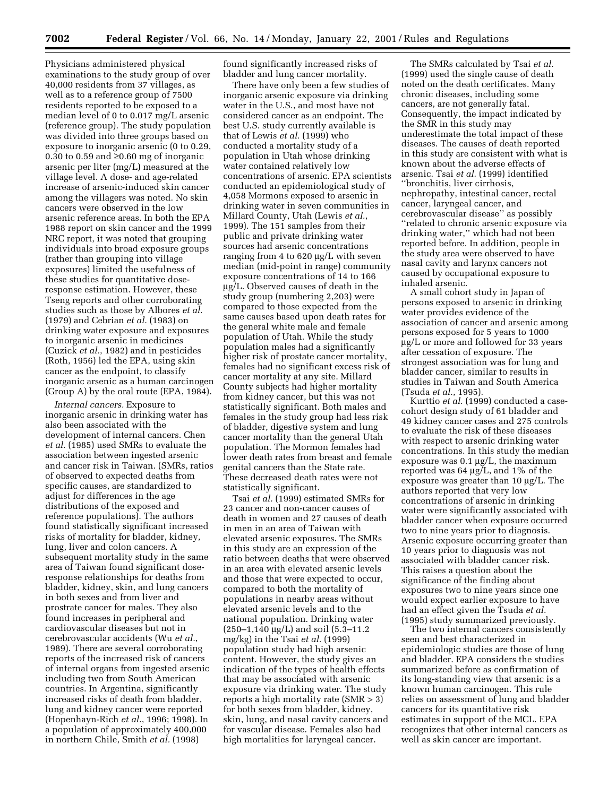Physicians administered physical examinations to the study group of over 40,000 residents from 37 villages, as well as to a reference group of 7500 residents reported to be exposed to a median level of 0 to 0.017 mg/L arsenic (reference group). The study population was divided into three groups based on exposure to inorganic arsenic (0 to 0.29, 0.30 to 0.59 and  $\geq$ 0.60 mg of inorganic arsenic per liter (mg/L) measured at the village level. A dose- and age-related increase of arsenic-induced skin cancer among the villagers was noted. No skin cancers were observed in the low arsenic reference areas. In both the EPA 1988 report on skin cancer and the 1999 NRC report, it was noted that grouping individuals into broad exposure groups (rather than grouping into village exposures) limited the usefulness of these studies for quantitative doseresponse estimation. However, these Tseng reports and other corroborating studies such as those by Albores *et al.* (1979) and Cebrian *et al.* (1983) on drinking water exposure and exposures to inorganic arsenic in medicines (Cuzick *et al.*, 1982) and in pesticides (Roth, 1956) led the EPA, using skin cancer as the endpoint, to classify inorganic arsenic as a human carcinogen (Group A) by the oral route (EPA, 1984).

*Internal cancers.* Exposure to inorganic arsenic in drinking water has also been associated with the development of internal cancers. Chen *et al.* (1985) used SMRs to evaluate the association between ingested arsenic and cancer risk in Taiwan. (SMRs, ratios of observed to expected deaths from specific causes, are standardized to adjust for differences in the age distributions of the exposed and reference populations). The authors found statistically significant increased risks of mortality for bladder, kidney, lung, liver and colon cancers. A subsequent mortality study in the same area of Taiwan found significant doseresponse relationships for deaths from bladder, kidney, skin, and lung cancers in both sexes and from liver and prostrate cancer for males. They also found increases in peripheral and cardiovascular diseases but not in cerebrovascular accidents (Wu *et al.*, 1989). There are several corroborating reports of the increased risk of cancers of internal organs from ingested arsenic including two from South American countries. In Argentina, significantly increased risks of death from bladder, lung and kidney cancer were reported (Hopenhayn-Rich *et al.*, 1996; 1998). In a population of approximately 400,000 in northern Chile, Smith *et al.* (1998)

found significantly increased risks of bladder and lung cancer mortality.

There have only been a few studies of inorganic arsenic exposure via drinking water in the U.S., and most have not considered cancer as an endpoint. The best U.S. study currently available is that of Lewis *et al.* (1999) who conducted a mortality study of a population in Utah whose drinking water contained relatively low concentrations of arsenic. EPA scientists conducted an epidemiological study of 4,058 Mormons exposed to arsenic in drinking water in seven communities in Millard County, Utah (Lewis *et al.*, 1999). The 151 samples from their public and private drinking water sources had arsenic concentrations ranging from 4 to 620 µg/L with seven median (mid-point in range) community exposure concentrations of 14 to 166 µg/L. Observed causes of death in the study group (numbering 2,203) were compared to those expected from the same causes based upon death rates for the general white male and female population of Utah. While the study population males had a significantly higher risk of prostate cancer mortality, females had no significant excess risk of cancer mortality at any site. Millard County subjects had higher mortality from kidney cancer, but this was not statistically significant. Both males and females in the study group had less risk of bladder, digestive system and lung cancer mortality than the general Utah population. The Mormon females had lower death rates from breast and female genital cancers than the State rate. These decreased death rates were not statistically significant.

Tsai *et al.* (1999) estimated SMRs for 23 cancer and non-cancer causes of death in women and 27 causes of death in men in an area of Taiwan with elevated arsenic exposures. The SMRs in this study are an expression of the ratio between deaths that were observed in an area with elevated arsenic levels and those that were expected to occur, compared to both the mortality of populations in nearby areas without elevated arsenic levels and to the national population. Drinking water  $(250-1, 140 \mu g/L)$  and soil  $(5.3-11.2$ mg/kg) in the Tsai *et al.* (1999) population study had high arsenic content. However, the study gives an indication of the types of health effects that may be associated with arsenic exposure via drinking water. The study reports a high mortality rate (SMR > 3) for both sexes from bladder, kidney, skin, lung, and nasal cavity cancers and for vascular disease. Females also had high mortalities for laryngeal cancer.

The SMRs calculated by Tsai *et al.* (1999) used the single cause of death noted on the death certificates. Many chronic diseases, including some cancers, are not generally fatal. Consequently, the impact indicated by the SMR in this study may underestimate the total impact of these diseases. The causes of death reported in this study are consistent with what is known about the adverse effects of arsenic. Tsai *et al.* (1999) identified ''bronchitis, liver cirrhosis, nephropathy, intestinal cancer, rectal cancer, laryngeal cancer, and cerebrovascular disease'' as possibly ''related to chronic arsenic exposure via drinking water,'' which had not been reported before. In addition, people in the study area were observed to have nasal cavity and larynx cancers not caused by occupational exposure to inhaled arsenic.

A small cohort study in Japan of persons exposed to arsenic in drinking water provides evidence of the association of cancer and arsenic among persons exposed for 5 years to 1000 µg/L or more and followed for 33 years after cessation of exposure. The strongest association was for lung and bladder cancer, similar to results in studies in Taiwan and South America (Tsuda *et al.*, 1995).

Kurttio et al. (1999) conducted a casecohort design study of 61 bladder and 49 kidney cancer cases and 275 controls to evaluate the risk of these diseases with respect to arsenic drinking water concentrations. In this study the median exposure was  $0.1 \mu g/L$ , the maximum reported was 64 µg/L, and 1% of the exposure was greater than 10 µg/L. The authors reported that very low concentrations of arsenic in drinking water were significantly associated with bladder cancer when exposure occurred two to nine years prior to diagnosis. Arsenic exposure occurring greater than 10 years prior to diagnosis was not associated with bladder cancer risk. This raises a question about the significance of the finding about exposures two to nine years since one would expect earlier exposure to have had an effect given the Tsuda *et al.* (1995) study summarized previously.

The two internal cancers consistently seen and best characterized in epidemiologic studies are those of lung and bladder. EPA considers the studies summarized before as confirmation of its long-standing view that arsenic is a known human carcinogen. This rule relies on assessment of lung and bladder cancers for its quantitative risk estimates in support of the MCL. EPA recognizes that other internal cancers as well as skin cancer are important.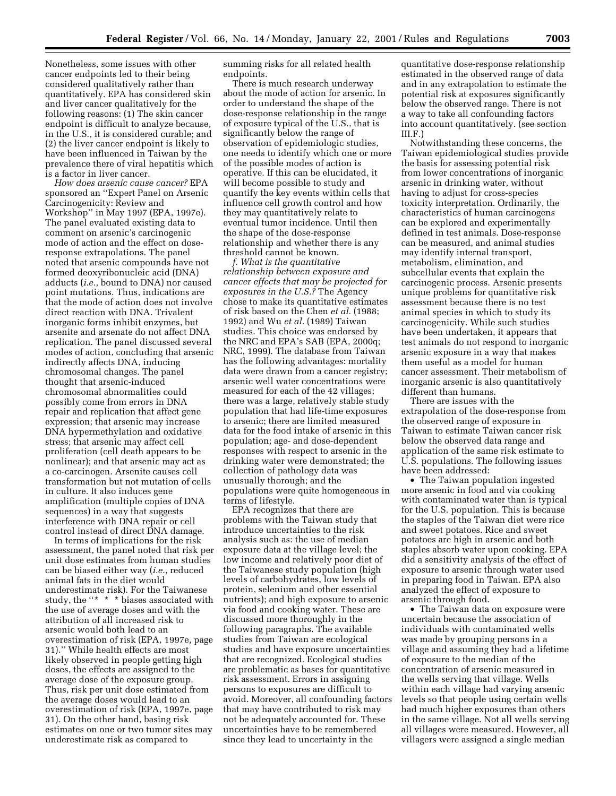Nonetheless, some issues with other cancer endpoints led to their being considered qualitatively rather than quantitatively. EPA has considered skin and liver cancer qualitatively for the following reasons: (1) The skin cancer endpoint is difficult to analyze because, in the U.S., it is considered curable; and (2) the liver cancer endpoint is likely to have been influenced in Taiwan by the prevalence there of viral hepatitis which is a factor in liver cancer.

*How does arsenic cause cancer?* EPA sponsored an ''Expert Panel on Arsenic Carcinogenicity: Review and Workshop'' in May 1997 (EPA, 1997e). The panel evaluated existing data to comment on arsenic's carcinogenic mode of action and the effect on doseresponse extrapolations. The panel noted that arsenic compounds have not formed deoxyribonucleic acid (DNA) adducts (*i.e.*, bound to DNA) nor caused point mutations. Thus, indications are that the mode of action does not involve direct reaction with DNA. Trivalent inorganic forms inhibit enzymes, but arsenite and arsenate do not affect DNA replication. The panel discussed several modes of action, concluding that arsenic indirectly affects DNA, inducing chromosomal changes. The panel thought that arsenic-induced chromosomal abnormalities could possibly come from errors in DNA repair and replication that affect gene expression; that arsenic may increase DNA hypermethylation and oxidative stress; that arsenic may affect cell proliferation (cell death appears to be nonlinear); and that arsenic may act as a co-carcinogen. Arsenite causes cell transformation but not mutation of cells in culture. It also induces gene amplification (multiple copies of DNA sequences) in a way that suggests interference with DNA repair or cell control instead of direct DNA damage.

In terms of implications for the risk assessment, the panel noted that risk per unit dose estimates from human studies can be biased either way (*i.e.*, reduced animal fats in the diet would underestimate risk). For the Taiwanese study, the "\* \* \* biases associated with the use of average doses and with the attribution of all increased risk to arsenic would both lead to an overestimation of risk (EPA, 1997e, page 31).'' While health effects are most likely observed in people getting high doses, the effects are assigned to the average dose of the exposure group. Thus, risk per unit dose estimated from the average doses would lead to an overestimation of risk (EPA, 1997e, page 31). On the other hand, basing risk estimates on one or two tumor sites may underestimate risk as compared to

summing risks for all related health endpoints.

There is much research underway about the mode of action for arsenic. In order to understand the shape of the dose-response relationship in the range of exposure typical of the U.S., that is significantly below the range of observation of epidemiologic studies, one needs to identify which one or more of the possible modes of action is operative. If this can be elucidated, it will become possible to study and quantify the key events within cells that influence cell growth control and how they may quantitatively relate to eventual tumor incidence. Until then the shape of the dose-response relationship and whether there is any threshold cannot be known.

*f. What is the quantitative relationship between exposure and cancer effects that may be projected for exposures in the U.S.?* The Agency chose to make its quantitative estimates of risk based on the Chen *et al.* (1988; 1992) and Wu *et al.* (1989) Taiwan studies. This choice was endorsed by the NRC and EPA's SAB (EPA, 2000q; NRC, 1999). The database from Taiwan has the following advantages: mortality data were drawn from a cancer registry; arsenic well water concentrations were measured for each of the 42 villages; there was a large, relatively stable study population that had life-time exposures to arsenic; there are limited measured data for the food intake of arsenic in this population; age- and dose-dependent responses with respect to arsenic in the drinking water were demonstrated; the collection of pathology data was unusually thorough; and the populations were quite homogeneous in terms of lifestyle.

EPA recognizes that there are problems with the Taiwan study that introduce uncertainties to the risk analysis such as: the use of median exposure data at the village level; the low income and relatively poor diet of the Taiwanese study population (high levels of carbohydrates, low levels of protein, selenium and other essential nutrients); and high exposure to arsenic via food and cooking water. These are discussed more thoroughly in the following paragraphs. The available studies from Taiwan are ecological studies and have exposure uncertainties that are recognized. Ecological studies are problematic as bases for quantitative risk assessment. Errors in assigning persons to exposures are difficult to avoid. Moreover, all confounding factors that may have contributed to risk may not be adequately accounted for. These uncertainties have to be remembered since they lead to uncertainty in the

quantitative dose-response relationship estimated in the observed range of data and in any extrapolation to estimate the potential risk at exposures significantly below the observed range. There is not a way to take all confounding factors into account quantitatively. (see section III.F.)

Notwithstanding these concerns, the Taiwan epidemiological studies provide the basis for assessing potential risk from lower concentrations of inorganic arsenic in drinking water, without having to adjust for cross-species toxicity interpretation. Ordinarily, the characteristics of human carcinogens can be explored and experimentally defined in test animals. Dose-response can be measured, and animal studies may identify internal transport, metabolism, elimination, and subcellular events that explain the carcinogenic process. Arsenic presents unique problems for quantitative risk assessment because there is no test animal species in which to study its carcinogenicity. While such studies have been undertaken, it appears that test animals do not respond to inorganic arsenic exposure in a way that makes them useful as a model for human cancer assessment. Their metabolism of inorganic arsenic is also quantitatively different than humans.

There are issues with the extrapolation of the dose-response from the observed range of exposure in Taiwan to estimate Taiwan cancer risk below the observed data range and application of the same risk estimate to U.S. populations. The following issues have been addressed:

• The Taiwan population ingested more arsenic in food and via cooking with contaminated water than is typical for the U.S. population. This is because the staples of the Taiwan diet were rice and sweet potatoes. Rice and sweet potatoes are high in arsenic and both staples absorb water upon cooking. EPA did a sensitivity analysis of the effect of exposure to arsenic through water used in preparing food in Taiwan. EPA also analyzed the effect of exposure to arsenic through food.

• The Taiwan data on exposure were uncertain because the association of individuals with contaminated wells was made by grouping persons in a village and assuming they had a lifetime of exposure to the median of the concentration of arsenic measured in the wells serving that village. Wells within each village had varying arsenic levels so that people using certain wells had much higher exposures than others in the same village. Not all wells serving all villages were measured. However, all villagers were assigned a single median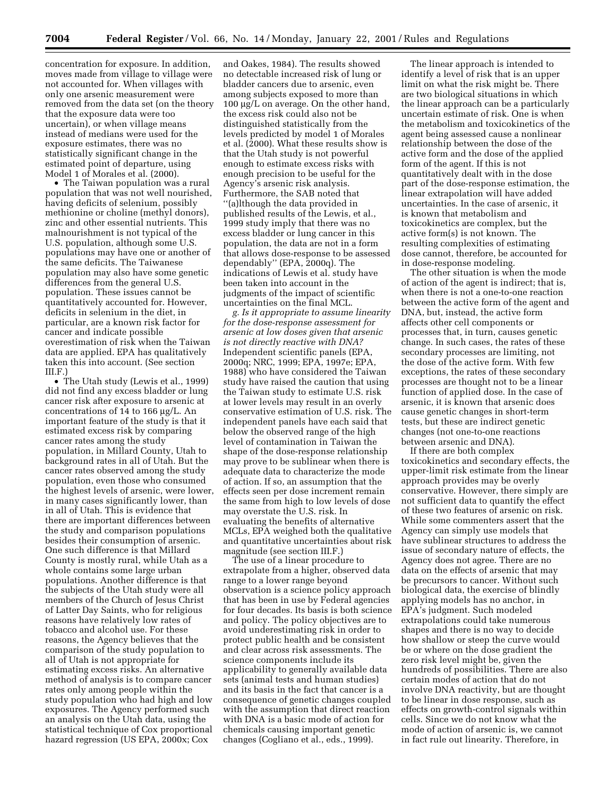concentration for exposure. In addition, moves made from village to village were not accounted for. When villages with only one arsenic measurement were removed from the data set (on the theory that the exposure data were too uncertain), or when village means instead of medians were used for the exposure estimates, there was no statistically significant change in the estimated point of departure, using Model 1 of Morales et al. (2000).

• The Taiwan population was a rural population that was not well nourished, having deficits of selenium, possibly methionine or choline (methyl donors), zinc and other essential nutrients. This malnourishment is not typical of the U.S. population, although some U.S. populations may have one or another of the same deficits. The Taiwanese population may also have some genetic differences from the general U.S. population. These issues cannot be quantitatively accounted for. However, deficits in selenium in the diet, in particular, are a known risk factor for cancer and indicate possible overestimation of risk when the Taiwan data are applied. EPA has qualitatively taken this into account. (See section III.F.)

• The Utah study (Lewis et al., 1999) did not find any excess bladder or lung cancer risk after exposure to arsenic at concentrations of 14 to 166 µg/L. An important feature of the study is that it estimated excess risk by comparing cancer rates among the study population, in Millard County, Utah to background rates in all of Utah. But the cancer rates observed among the study population, even those who consumed the highest levels of arsenic, were lower, in many cases significantly lower, than in all of Utah. This is evidence that there are important differences between the study and comparison populations besides their consumption of arsenic. One such difference is that Millard County is mostly rural, while Utah as a whole contains some large urban populations. Another difference is that the subjects of the Utah study were all members of the Church of Jesus Christ of Latter Day Saints, who for religious reasons have relatively low rates of tobacco and alcohol use. For these reasons, the Agency believes that the comparison of the study population to all of Utah is not appropriate for estimating excess risks. An alternative method of analysis is to compare cancer rates only among people within the study population who had high and low exposures. The Agency performed such an analysis on the Utah data, using the statistical technique of Cox proportional hazard regression (US EPA, 2000x; Cox

and Oakes, 1984). The results showed no detectable increased risk of lung or bladder cancers due to arsenic, even among subjects exposed to more than 100 µg/L on average. On the other hand, the excess risk could also not be distinguished statistically from the levels predicted by model 1 of Morales et al. (2000). What these results show is that the Utah study is not powerful enough to estimate excess risks with enough precision to be useful for the Agency's arsenic risk analysis. Furthermore, the SAB noted that ''(a)lthough the data provided in published results of the Lewis, et al., 1999 study imply that there was no excess bladder or lung cancer in this population, the data are not in a form that allows dose-response to be assessed dependably'' (EPA, 2000q). The indications of Lewis et al. study have been taken into account in the judgments of the impact of scientific uncertainties on the final MCL.

*g. Is it appropriate to assume linearity for the dose-response assessment for arsenic at low doses given that arsenic is not directly reactive with DNA?* Independent scientific panels (EPA, 2000q; NRC, 1999; EPA, 1997e; EPA, 1988) who have considered the Taiwan study have raised the caution that using the Taiwan study to estimate U.S. risk at lower levels may result in an overly conservative estimation of U.S. risk. The independent panels have each said that below the observed range of the high level of contamination in Taiwan the shape of the dose-response relationship may prove to be sublinear when there is adequate data to characterize the mode of action. If so, an assumption that the effects seen per dose increment remain the same from high to low levels of dose may overstate the U.S. risk. In evaluating the benefits of alternative MCLs, EPA weighed both the qualitative and quantitative uncertainties about risk magnitude (see section III.F.)

The use of a linear procedure to extrapolate from a higher, observed data range to a lower range beyond observation is a science policy approach that has been in use by Federal agencies for four decades. Its basis is both science and policy. The policy objectives are to avoid underestimating risk in order to protect public health and be consistent and clear across risk assessments. The science components include its applicability to generally available data sets (animal tests and human studies) and its basis in the fact that cancer is a consequence of genetic changes coupled with the assumption that direct reaction with DNA is a basic mode of action for chemicals causing important genetic changes (Cogliano et al., eds., 1999).

The linear approach is intended to identify a level of risk that is an upper limit on what the risk might be. There are two biological situations in which the linear approach can be a particularly uncertain estimate of risk. One is when the metabolism and toxicokinetics of the agent being assessed cause a nonlinear relationship between the dose of the active form and the dose of the applied form of the agent. If this is not quantitatively dealt with in the dose part of the dose-response estimation, the linear extrapolation will have added uncertainties. In the case of arsenic, it is known that metabolism and toxicokinetics are complex, but the active form(s) is not known. The resulting complexities of estimating dose cannot, therefore, be accounted for in dose-response modeling.

The other situation is when the mode of action of the agent is indirect; that is, when there is not a one-to-one reaction between the active form of the agent and DNA, but, instead, the active form affects other cell components or processes that, in turn, causes genetic change. In such cases, the rates of these secondary processes are limiting, not the dose of the active form. With few exceptions, the rates of these secondary processes are thought not to be a linear function of applied dose. In the case of arsenic, it is known that arsenic does cause genetic changes in short-term tests, but these are indirect genetic changes (not one-to-one reactions between arsenic and DNA).

If there are both complex toxicokinetics and secondary effects, the upper-limit risk estimate from the linear approach provides may be overly conservative. However, there simply are not sufficient data to quantify the effect of these two features of arsenic on risk. While some commenters assert that the Agency can simply use models that have sublinear structures to address the issue of secondary nature of effects, the Agency does not agree. There are no data on the effects of arsenic that may be precursors to cancer. Without such biological data, the exercise of blindly applying models has no anchor, in EPA's judgment. Such modeled extrapolations could take numerous shapes and there is no way to decide how shallow or steep the curve would be or where on the dose gradient the zero risk level might be, given the hundreds of possibilities. There are also certain modes of action that do not involve DNA reactivity, but are thought to be linear in dose response, such as effects on growth-control signals within cells. Since we do not know what the mode of action of arsenic is, we cannot in fact rule out linearity. Therefore, in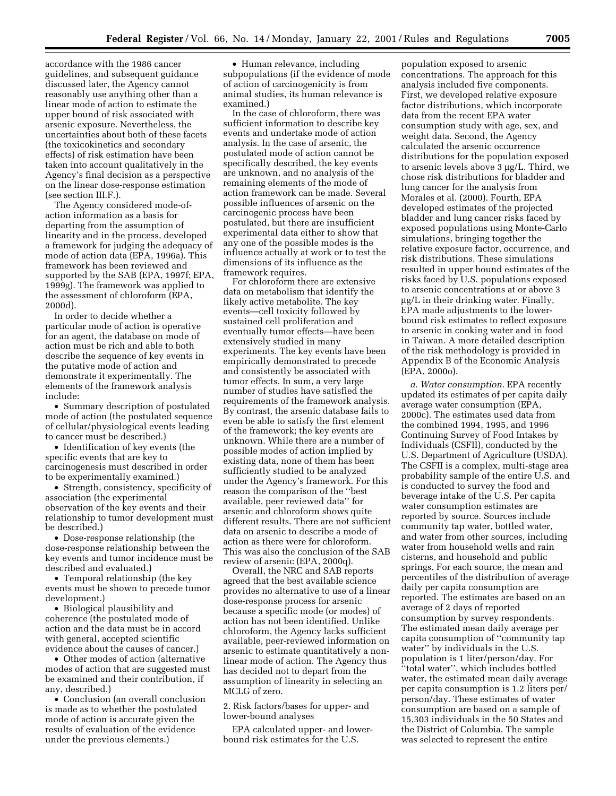accordance with the 1986 cancer guidelines, and subsequent guidance discussed later, the Agency cannot reasonably use anything other than a linear mode of action to estimate the upper bound of risk associated with arsenic exposure. Nevertheless, the uncertainties about both of these facets (the toxicokinetics and secondary effects) of risk estimation have been taken into account qualitatively in the Agency's final decision as a perspective on the linear dose-response estimation (see section III.F.).

The Agency considered mode-ofaction information as a basis for departing from the assumption of linearity and in the process, developed a framework for judging the adequacy of mode of action data (EPA, 1996a). This framework has been reviewed and supported by the SAB (EPA, 1997f; EPA, 1999g). The framework was applied to the assessment of chloroform (EPA, 2000d).

In order to decide whether a particular mode of action is operative for an agent, the database on mode of action must be rich and able to both describe the sequence of key events in the putative mode of action and demonstrate it experimentally. The elements of the framework analysis include:

• Summary description of postulated mode of action (the postulated sequence of cellular/physiological events leading to cancer must be described.)

• Identification of key events (the specific events that are key to carcinogenesis must described in order to be experimentally examined.)

• Strength, consistency, specificity of association (the experimental observation of the key events and their relationship to tumor development must be described.)

• Dose-response relationship (the dose-response relationship between the key events and tumor incidence must be described and evaluated.)

• Temporal relationship (the key events must be shown to precede tumor development.)

• Biological plausibility and coherence (the postulated mode of action and the data must be in accord with general, accepted scientific evidence about the causes of cancer.)

• Other modes of action (alternative modes of action that are suggested must be examined and their contribution, if any, described.)

• Conclusion (an overall conclusion is made as to whether the postulated mode of action is accurate given the results of evaluation of the evidence under the previous elements.)

• Human relevance, including subpopulations (if the evidence of mode of action of carcinogenicity is from animal studies, its human relevance is examined.)

In the case of chloroform, there was sufficient information to describe key events and undertake mode of action analysis. In the case of arsenic, the postulated mode of action cannot be specifically described, the key events are unknown, and no analysis of the remaining elements of the mode of action framework can be made. Several possible influences of arsenic on the carcinogenic process have been postulated, but there are insufficient experimental data either to show that any one of the possible modes is the influence actually at work or to test the dimensions of its influence as the framework requires.

For chloroform there are extensive data on metabolism that identify the likely active metabolite. The key events—cell toxicity followed by sustained cell proliferation and eventually tumor effects—have been extensively studied in many experiments. The key events have been empirically demonstrated to precede and consistently be associated with tumor effects. In sum, a very large number of studies have satisfied the requirements of the framework analysis. By contrast, the arsenic database fails to even be able to satisfy the first element of the framework; the key events are unknown. While there are a number of possible modes of action implied by existing data, none of them has been sufficiently studied to be analyzed under the Agency's framework. For this reason the comparison of the ''best available, peer reviewed data'' for arsenic and chloroform shows quite different results. There are not sufficient data on arsenic to describe a mode of action as there were for chloroform. This was also the conclusion of the SAB review of arsenic (EPA, 2000q).

Overall, the NRC and SAB reports agreed that the best available science provides no alternative to use of a linear dose-response process for arsenic because a specific mode (or modes) of action has not been identified. Unlike chloroform, the Agency lacks sufficient available, peer-reviewed information on arsenic to estimate quantitatively a nonlinear mode of action. The Agency thus has decided not to depart from the assumption of linearity in selecting an MCLG of zero.

2. Risk factors/bases for upper- and lower-bound analyses

EPA calculated upper- and lowerbound risk estimates for the U.S.

population exposed to arsenic concentrations. The approach for this analysis included five components. First, we developed relative exposure factor distributions, which incorporate data from the recent EPA water consumption study with age, sex, and weight data. Second, the Agency calculated the arsenic occurrence distributions for the population exposed to arsenic levels above 3 µg/L. Third, we chose risk distributions for bladder and lung cancer for the analysis from Morales et al. (2000). Fourth, EPA developed estimates of the projected bladder and lung cancer risks faced by exposed populations using Monte-Carlo simulations, bringing together the relative exposure factor, occurrence, and risk distributions. These simulations resulted in upper bound estimates of the risks faced by U.S. populations exposed to arsenic concentrations at or above 3 µg/L in their drinking water. Finally, EPA made adjustments to the lowerbound risk estimates to reflect exposure to arsenic in cooking water and in food in Taiwan. A more detailed description of the risk methodology is provided in Appendix B of the Economic Analysis (EPA, 2000o).

*a. Water consumption.* EPA recently updated its estimates of per capita daily average water consumption (EPA, 2000c). The estimates used data from the combined 1994, 1995, and 1996 Continuing Survey of Food Intakes by Individuals (CSFII), conducted by the U.S. Department of Agriculture (USDA). The CSFII is a complex, multi-stage area probability sample of the entire U.S. and is conducted to survey the food and beverage intake of the U.S. Per capita water consumption estimates are reported by source. Sources include community tap water, bottled water, and water from other sources, including water from household wells and rain cisterns, and household and public springs. For each source, the mean and percentiles of the distribution of average daily per capita consumption are reported. The estimates are based on an average of 2 days of reported consumption by survey respondents. The estimated mean daily average per capita consumption of ''community tap water'' by individuals in the U.S. population is 1 liter/person/day. For ''total water'', which includes bottled water, the estimated mean daily average per capita consumption is 1.2 liters per/ person/day. These estimates of water consumption are based on a sample of 15,303 individuals in the 50 States and the District of Columbia. The sample was selected to represent the entire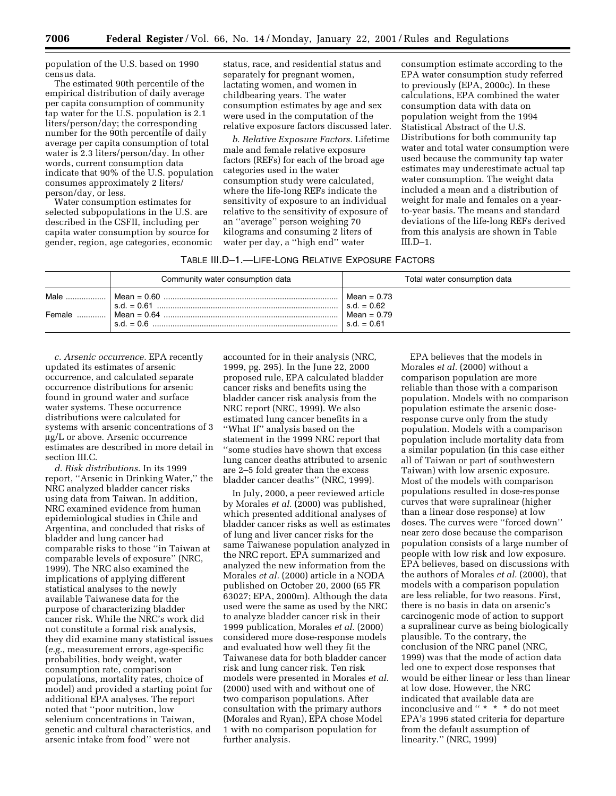population of the U.S. based on 1990 census data.

The estimated 90th percentile of the empirical distribution of daily average per capita consumption of community tap water for the U.S. population is 2.1 liters/person/day; the corresponding number for the 90th percentile of daily average per capita consumption of total water is 2.3 liters/person/day. In other words, current consumption data indicate that 90% of the U.S. population consumes approximately 2 liters/ person/day, or less.

Water consumption estimates for selected subpopulations in the U.S. are described in the CSFII, including per capita water consumption by source for gender, region, age categories, economic status, race, and residential status and separately for pregnant women, lactating women, and women in childbearing years. The water consumption estimates by age and sex were used in the computation of the relative exposure factors discussed later.

*b. Relative Exposure Factors.* Lifetime male and female relative exposure factors (REFs) for each of the broad age categories used in the water consumption study were calculated, where the life-long REFs indicate the sensitivity of exposure to an individual relative to the sensitivity of exposure of an ''average'' person weighing 70 kilograms and consuming 2 liters of water per day, a ''high end'' water

consumption estimate according to the EPA water consumption study referred to previously (EPA, 2000c). In these calculations, EPA combined the water consumption data with data on population weight from the 1994 Statistical Abstract of the U.S. Distributions for both community tap water and total water consumption were used because the community tap water estimates may underestimate actual tap water consumption. The weight data included a mean and a distribution of weight for male and females on a yearto-year basis. The means and standard deviations of the life-long REFs derived from this analysis are shown in Table III.D–1.

|      | Community water consumption data                         | Total water consumption data |
|------|----------------------------------------------------------|------------------------------|
| Male | ………………!Mean = 0.60 …………………………………………………………………!Mean = 0.73 |                              |

*c. Arsenic occurrence.* EPA recently updated its estimates of arsenic occurrence, and calculated separate occurrence distributions for arsenic found in ground water and surface water systems. These occurrence distributions were calculated for systems with arsenic concentrations of 3 µg/L or above. Arsenic occurrence estimates are described in more detail in section III.C.

*d. Risk distributions.* In its 1999 report, ''Arsenic in Drinking Water,'' the NRC analyzed bladder cancer risks using data from Taiwan. In addition, NRC examined evidence from human epidemiological studies in Chile and Argentina, and concluded that risks of bladder and lung cancer had comparable risks to those ''in Taiwan at comparable levels of exposure'' (NRC, 1999). The NRC also examined the implications of applying different statistical analyses to the newly available Taiwanese data for the purpose of characterizing bladder cancer risk. While the NRC's work did not constitute a formal risk analysis, they did examine many statistical issues (*e.g.,* measurement errors, age-specific probabilities, body weight, water consumption rate, comparison populations, mortality rates, choice of model) and provided a starting point for additional EPA analyses. The report noted that ''poor nutrition, low selenium concentrations in Taiwan, genetic and cultural characteristics, and arsenic intake from food'' were not

accounted for in their analysis (NRC, 1999, pg. 295). In the June 22, 2000 proposed rule, EPA calculated bladder cancer risks and benefits using the bladder cancer risk analysis from the NRC report (NRC, 1999). We also estimated lung cancer benefits in a ''What If'' analysis based on the statement in the 1999 NRC report that ''some studies have shown that excess lung cancer deaths attributed to arsenic are 2–5 fold greater than the excess bladder cancer deaths'' (NRC, 1999).

In July, 2000, a peer reviewed article by Morales *et al.* (2000) was published, which presented additional analyses of bladder cancer risks as well as estimates of lung and liver cancer risks for the same Taiwanese population analyzed in the NRC report. EPA summarized and analyzed the new information from the Morales *et al.* (2000) article in a NODA published on October 20, 2000 (65 FR 63027; EPA, 2000m). Although the data used were the same as used by the NRC to analyze bladder cancer risk in their 1999 publication, Morales *et al.* (2000) considered more dose-response models and evaluated how well they fit the Taiwanese data for both bladder cancer risk and lung cancer risk. Ten risk models were presented in Morales *et al.* (2000) used with and without one of two comparison populations. After consultation with the primary authors (Morales and Ryan), EPA chose Model 1 with no comparison population for further analysis.

EPA believes that the models in Morales *et al.* (2000) without a comparison population are more reliable than those with a comparison population. Models with no comparison population estimate the arsenic doseresponse curve only from the study population. Models with a comparison population include mortality data from a similar population (in this case either all of Taiwan or part of southwestern Taiwan) with low arsenic exposure. Most of the models with comparison populations resulted in dose-response curves that were supralinear (higher than a linear dose response) at low doses. The curves were ''forced down'' near zero dose because the comparison population consists of a large number of people with low risk and low exposure. EPA believes, based on discussions with the authors of Morales *et al.* (2000), that models with a comparison population are less reliable, for two reasons. First, there is no basis in data on arsenic's carcinogenic mode of action to support a supralinear curve as being biologically plausible. To the contrary, the conclusion of the NRC panel (NRC, 1999) was that the mode of action data led one to expect dose responses that would be either linear or less than linear at low dose. However, the NRC indicated that available data are inconclusive and '' \* \* \* do not meet EPA's 1996 stated criteria for departure from the default assumption of linearity.'' (NRC, 1999)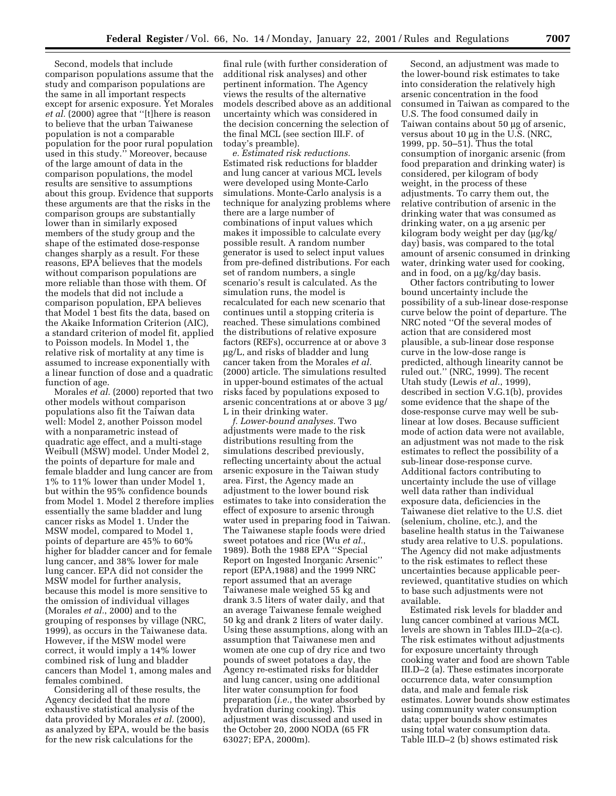Second, models that include comparison populations assume that the study and comparison populations are the same in all important respects except for arsenic exposure. Yet Morales *et al.* (2000) agree that ''[t]here is reason to believe that the urban Taiwanese population is not a comparable population for the poor rural population used in this study.'' Moreover, because of the large amount of data in the comparison populations, the model results are sensitive to assumptions about this group. Evidence that supports these arguments are that the risks in the comparison groups are substantially lower than in similarly exposed members of the study group and the shape of the estimated dose-response changes sharply as a result. For these reasons, EPA believes that the models without comparison populations are more reliable than those with them. Of the models that did not include a comparison population, EPA believes that Model 1 best fits the data, based on the Akaike Information Criterion (AIC), a standard criterion of model fit, applied to Poisson models. In Model 1, the relative risk of mortality at any time is assumed to increase exponentially with a linear function of dose and a quadratic function of age.

Morales *et al.* (2000) reported that two other models without comparison populations also fit the Taiwan data well: Model 2, another Poisson model with a nonparametric instead of quadratic age effect, and a multi-stage Weibull (MSW) model. Under Model 2, the points of departure for male and female bladder and lung cancer are from 1% to 11% lower than under Model 1, but within the 95% confidence bounds from Model 1. Model 2 therefore implies essentially the same bladder and lung cancer risks as Model 1. Under the MSW model, compared to Model 1, points of departure are 45% to 60% higher for bladder cancer and for female lung cancer, and 38% lower for male lung cancer. EPA did not consider the MSW model for further analysis, because this model is more sensitive to the omission of individual villages (Morales *et al.*, 2000) and to the grouping of responses by village (NRC, 1999), as occurs in the Taiwanese data. However, if the MSW model were correct, it would imply a 14% lower combined risk of lung and bladder cancers than Model 1, among males and females combined.

Considering all of these results, the Agency decided that the more exhaustive statistical analysis of the data provided by Morales *et al.* (2000), as analyzed by EPA, would be the basis for the new risk calculations for the

final rule (with further consideration of additional risk analyses) and other pertinent information. The Agency views the results of the alternative models described above as an additional uncertainty which was considered in the decision concerning the selection of the final MCL (see section III.F. of today's preamble).

*e. Estimated risk reductions.* Estimated risk reductions for bladder and lung cancer at various MCL levels were developed using Monte-Carlo simulations. Monte-Carlo analysis is a technique for analyzing problems where there are a large number of combinations of input values which makes it impossible to calculate every possible result. A random number generator is used to select input values from pre-defined distributions. For each set of random numbers, a single scenario's result is calculated. As the simulation runs, the model is recalculated for each new scenario that continues until a stopping criteria is reached. These simulations combined the distributions of relative exposure factors (REFs), occurrence at or above 3 µg/L, and risks of bladder and lung cancer taken from the Morales *et al.* (2000) article. The simulations resulted in upper-bound estimates of the actual risks faced by populations exposed to arsenic concentrations at or above 3 µg/ L in their drinking water.

*f. Lower-bound analyses.* Two adjustments were made to the risk distributions resulting from the simulations described previously, reflecting uncertainty about the actual arsenic exposure in the Taiwan study area. First, the Agency made an adjustment to the lower bound risk estimates to take into consideration the effect of exposure to arsenic through water used in preparing food in Taiwan. The Taiwanese staple foods were dried sweet potatoes and rice (Wu *et al.*, 1989). Both the 1988 EPA ''Special Report on Ingested Inorganic Arsenic'' report (EPA,1988) and the 1999 NRC report assumed that an average Taiwanese male weighed 55 kg and drank 3.5 liters of water daily, and that an average Taiwanese female weighed 50 kg and drank 2 liters of water daily. Using these assumptions, along with an assumption that Taiwanese men and women ate one cup of dry rice and two pounds of sweet potatoes a day, the Agency re-estimated risks for bladder and lung cancer, using one additional liter water consumption for food preparation (*i.e.*, the water absorbed by hydration during cooking). This adjustment was discussed and used in the October 20, 2000 NODA (65 FR 63027; EPA, 2000m).

Second, an adjustment was made to the lower-bound risk estimates to take into consideration the relatively high arsenic concentration in the food consumed in Taiwan as compared to the U.S. The food consumed daily in Taiwan contains about 50 µg of arsenic, versus about 10 µg in the U.S. (NRC, 1999, pp. 50–51). Thus the total consumption of inorganic arsenic (from food preparation and drinking water) is considered, per kilogram of body weight, in the process of these adjustments. To carry them out, the relative contribution of arsenic in the drinking water that was consumed as drinking water, on a µg arsenic per kilogram body weight per day (µg/kg/ day) basis, was compared to the total amount of arsenic consumed in drinking water, drinking water used for cooking, and in food, on a µg/kg/day basis.

Other factors contributing to lower bound uncertainty include the possibility of a sub-linear dose-response curve below the point of departure. The NRC noted ''Of the several modes of action that are considered most plausible, a sub-linear dose response curve in the low-dose range is predicted, although linearity cannot be ruled out.'' (NRC, 1999). The recent Utah study (Lewis *et al.*, 1999), described in section V.G.1(b), provides some evidence that the shape of the dose-response curve may well be sublinear at low doses. Because sufficient mode of action data were not available, an adjustment was not made to the risk estimates to reflect the possibility of a sub-linear dose-response curve. Additional factors contributing to uncertainty include the use of village well data rather than individual exposure data, deficiencies in the Taiwanese diet relative to the U.S. diet (selenium, choline, etc.), and the baseline health status in the Taiwanese study area relative to U.S. populations. The Agency did not make adjustments to the risk estimates to reflect these uncertainties because applicable peerreviewed, quantitative studies on which to base such adjustments were not available.

Estimated risk levels for bladder and lung cancer combined at various MCL levels are shown in Tables III.D–2(a-c). The risk estimates without adjustments for exposure uncertainty through cooking water and food are shown Table III.D–2 (a). These estimates incorporate occurrence data, water consumption data, and male and female risk estimates. Lower bounds show estimates using community water consumption data; upper bounds show estimates using total water consumption data. Table III.D–2 (b) shows estimated risk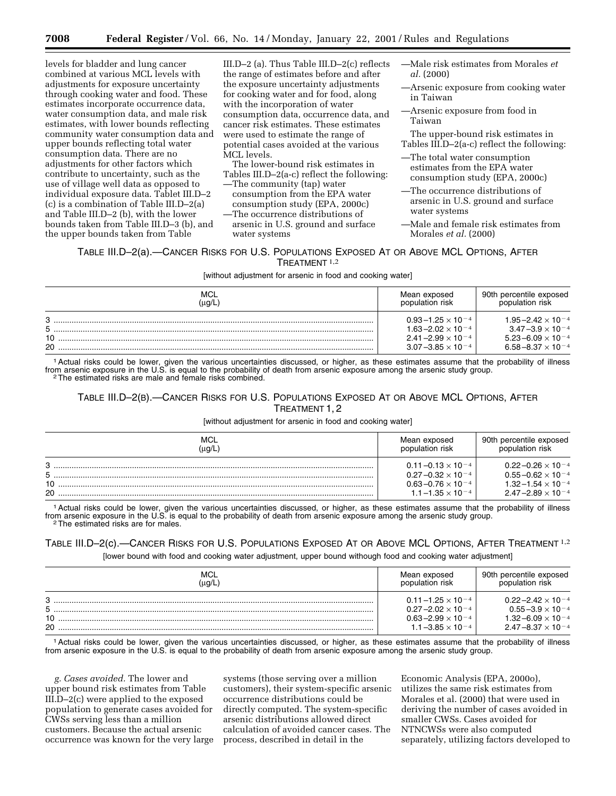levels for bladder and lung cancer combined at various MCL levels with adjustments for exposure uncertainty through cooking water and food. These estimates incorporate occurrence data, water consumption data, and male risk estimates, with lower bounds reflecting community water consumption data and upper bounds reflecting total water consumption data. There are no adjustments for other factors which contribute to uncertainty, such as the use of village well data as opposed to individual exposure data. Tablet III.D–2 (c) is a combination of Table III.D–2(a) and Table III.D–2 (b), with the lower bounds taken from Table III.D–3 (b), and the upper bounds taken from Table

III.D–2 (a). Thus Table III.D–2(c) reflects the range of estimates before and after the exposure uncertainty adjustments for cooking water and for food, along with the incorporation of water consumption data, occurrence data, and cancer risk estimates. These estimates were used to estimate the range of potential cases avoided at the various MCL levels.

The lower-bound risk estimates in Tables III.D–2(a-c) reflect the following:

- —The community (tap) water
- consumption from the EPA water consumption study (EPA, 2000c)
- —The occurrence distributions of arsenic in U.S. ground and surface water systems
- —Male risk estimates from Morales *et al.* (2000)
- —Arsenic exposure from cooking water in Taiwan
- —Arsenic exposure from food in Taiwan

### The upper-bound risk estimates in Tables III.D-2(a-c) reflect the following:

- —The total water consumption estimates from the EPA water consumption study (EPA, 2000c)
- —The occurrence distributions of arsenic in U.S. ground and surface water systems
- —Male and female risk estimates from Morales *et al.* (2000)

### TABLE III.D–2(a).—CANCER RISKS FOR U.S. POPULATIONS EXPOSED AT OR ABOVE MCL OPTIONS, AFTER TREATMENT 1,2

[without adjustment for arsenic in food and cooking water]

| MCL                | Mean exposed                                                                                                                     | 90th percentile exposed                                                                                                     |
|--------------------|----------------------------------------------------------------------------------------------------------------------------------|-----------------------------------------------------------------------------------------------------------------------------|
| (ug/L)             | population risk                                                                                                                  | population risk                                                                                                             |
| ◠<br>5<br>10<br>20 | $0.93$ –1.25 $\times$ 10 $^{-4}$<br>$1.63 - 2.02 \times 10^{-4}$<br>$2.41 - 2.99 \times 10^{-4}$<br>$3.07 - 3.85 \times 10^{-4}$ | $1.95 - 2.42 \times 10^{-4}$<br>$3.47 - 3.9 \times 10^{-4}$<br>$5.23 - 6.09 \times 10^{-4}$<br>$6.58 - 8.37 \times 10^{-4}$ |

1Actual risks could be lower, given the various uncertainties discussed, or higher, as these estimates assume that the probability of illness from arsenic exposure in the U.S. is equal to the probability of death from arsenic exposure among the arsenic study group.<br><sup>2</sup>The estimated risks are male and female risks combined.

## TABLE III.D–2(B).—CANCER RISKS FOR U.S. POPULATIONS EXPOSED AT OR ABOVE MCL OPTIONS, AFTER TREATMENT 1, 2

[without adjustment for arsenic in food and cooking water]

| MCL         | Mean exposed                                                                                                                | 90th percentile exposed                                                                                                      |
|-------------|-----------------------------------------------------------------------------------------------------------------------------|------------------------------------------------------------------------------------------------------------------------------|
| $(\mu q/L)$ | population risk                                                                                                             | population risk                                                                                                              |
| 20          | $0.11 - 0.13 \times 10^{-4}$<br>$0.27 - 0.32 \times 10^{-4}$<br>$0.63 - 0.76 \times 10^{-4}$<br>$1.1 - 1.35 \times 10^{-4}$ | $0.22 - 0.26 \times 10^{-4}$<br>$0.55 - 0.62 \times 10^{-4}$<br>$1.32 - 1.54 \times 10^{-4}$<br>$2.47 - 2.89 \times 10^{-4}$ |

1Actual risks could be lower, given the various uncertainties discussed, or higher, as these estimates assume that the probability of illness from arsenic exposure in the U.S. is equal to the probability of death from arsenic exposure among the arsenic study group.<br><sup>2</sup>The estimated risks are for males.

TABLE III.D–2(c).—CANCER RISKS FOR U.S. POPULATIONS EXPOSED AT OR ABOVE MCL OPTIONS, AFTER TREATMENT 1,2 [lower bound with food and cooking water adjustment, upper bound withough food and cooking water adjustment]

| MCL                | Mean exposed                                                                                                                             | 90th percentile exposed                                                                                                              |
|--------------------|------------------------------------------------------------------------------------------------------------------------------------------|--------------------------------------------------------------------------------------------------------------------------------------|
| (µg/L)             | population risk                                                                                                                          | population risk                                                                                                                      |
| ີ<br>5<br>10<br>20 | $0.11$ –1.25 $\times$ 10 $^{-4}$<br>$0.27 - 2.02 \times 10^{-4}$<br>$0.63 - 2.99 \times 10^{-4}$<br>1.1 - 3.85 $\times$ 10 <sup>-4</sup> | 0.22 – 2.42 $\times$ 10 <sup>-4</sup><br>$0.55 - 3.9 \times 10^{-4}$<br>$1.32 - 6.09 \times 10^{-4}$<br>$2.47 - 8.37 \times 10^{-4}$ |

1Actual risks could be lower, given the various uncertainties discussed, or higher, as these estimates assume that the probability of illness from arsenic exposure in the U.S. is equal to the probability of death from arsenic exposure among the arsenic study group.

*g. Cases avoided.* The lower and upper bound risk estimates from Table III.D–2(c) were applied to the exposed population to generate cases avoided for CWSs serving less than a million customers. Because the actual arsenic occurrence was known for the very large systems (those serving over a million customers), their system-specific arsenic occurrence distributions could be directly computed. The system-specific arsenic distributions allowed direct calculation of avoided cancer cases. The process, described in detail in the

Economic Analysis (EPA, 2000o), utilizes the same risk estimates from Morales et al. (2000) that were used in deriving the number of cases avoided in smaller CWSs. Cases avoided for NTNCWSs were also computed separately, utilizing factors developed to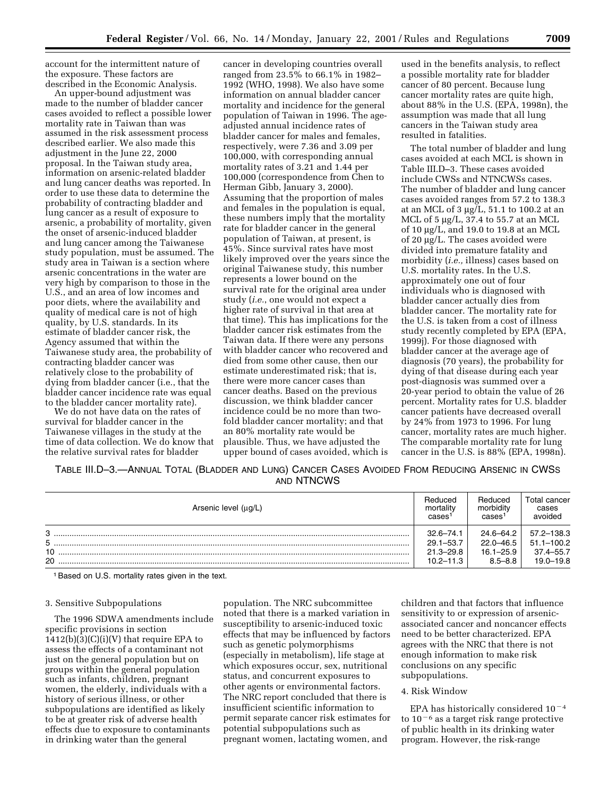account for the intermittent nature of the exposure. These factors are described in the Economic Analysis.

An upper-bound adjustment was made to the number of bladder cancer cases avoided to reflect a possible lower mortality rate in Taiwan than was assumed in the risk assessment process described earlier. We also made this adjustment in the June 22, 2000 proposal. In the Taiwan study area, information on arsenic-related bladder and lung cancer deaths was reported. In order to use these data to determine the probability of contracting bladder and lung cancer as a result of exposure to arsenic, a probability of mortality, given the onset of arsenic-induced bladder and lung cancer among the Taiwanese study population, must be assumed. The study area in Taiwan is a section where arsenic concentrations in the water are very high by comparison to those in the U.S., and an area of low incomes and poor diets, where the availability and quality of medical care is not of high quality, by U.S. standards. In its estimate of bladder cancer risk, the Agency assumed that within the Taiwanese study area, the probability of contracting bladder cancer was relatively close to the probability of dying from bladder cancer (i.e., that the bladder cancer incidence rate was equal to the bladder cancer mortality rate).

We do not have data on the rates of survival for bladder cancer in the Taiwanese villages in the study at the time of data collection. We do know that the relative survival rates for bladder

cancer in developing countries overall ranged from 23.5% to 66.1% in 1982– 1992 (WHO, 1998). We also have some information on annual bladder cancer mortality and incidence for the general population of Taiwan in 1996. The ageadjusted annual incidence rates of bladder cancer for males and females, respectively, were 7.36 and 3.09 per 100,000, with corresponding annual mortality rates of 3.21 and 1.44 per 100,000 (correspondence from Chen to Herman Gibb, January 3, 2000). Assuming that the proportion of males and females in the population is equal, these numbers imply that the mortality rate for bladder cancer in the general population of Taiwan, at present, is 45%. Since survival rates have most likely improved over the years since the original Taiwanese study, this number represents a lower bound on the survival rate for the original area under study (*i.e.*, one would not expect a higher rate of survival in that area at that time). This has implications for the bladder cancer risk estimates from the Taiwan data. If there were any persons with bladder cancer who recovered and died from some other cause, then our estimate underestimated risk; that is, there were more cancer cases than cancer deaths. Based on the previous discussion, we think bladder cancer incidence could be no more than twofold bladder cancer mortality; and that an 80% mortality rate would be plausible. Thus, we have adjusted the upper bound of cases avoided, which is

used in the benefits analysis, to reflect a possible mortality rate for bladder cancer of 80 percent. Because lung cancer mortality rates are quite high, about 88% in the U.S. (EPA, 1998n), the assumption was made that all lung cancers in the Taiwan study area resulted in fatalities.

The total number of bladder and lung cases avoided at each MCL is shown in Table III.D–3. These cases avoided include CWSs and NTNCWSs cases. The number of bladder and lung cancer cases avoided ranges from 57.2 to 138.3 at an MCL of 3 µg/L, 51.1 to 100.2 at an MCL of 5  $\mu$ g/L, 37.4 to 55.7 at an MCL of 10 µg/L, and 19.0 to 19.8 at an MCL of 20 µg/L. The cases avoided were divided into premature fatality and morbidity (*i.e.,* illness) cases based on U.S. mortality rates. In the U.S. approximately one out of four individuals who is diagnosed with bladder cancer actually dies from bladder cancer. The mortality rate for the U.S. is taken from a cost of illness study recently completed by EPA (EPA, 1999j). For those diagnosed with bladder cancer at the average age of diagnosis (70 years), the probability for dying of that disease during each year post-diagnosis was summed over a 20-year period to obtain the value of 26 percent. Mortality rates for U.S. bladder cancer patients have decreased overall by 24% from 1973 to 1996. For lung cancer, mortality rates are much higher. The comparable mortality rate for lung cancer in the U.S. is 88% (EPA, 1998n).

TABLE III.D–3.—ANNUAL TOTAL (BLADDER AND LUNG) CANCER CASES AVOIDED FROM REDUCING ARSENIC IN CWSS AND NTNCWS

| Arsenic level $(\mu g/L)$ | Reduced<br>mortality<br>cases  | Reduced<br>morbidity<br>cases <sup>1</sup> | <b>Total cancer</b><br>cases<br>avoided |
|---------------------------|--------------------------------|--------------------------------------------|-----------------------------------------|
| 3<br>5                    | $32.6 - 74.1$<br>$29.1 - 53.7$ | 24.6–64.2<br>$22.0 - 46.5$                 | 57.2-138.3<br>51.1-100.2                |
| 10 <sup>°</sup><br>20     | $21.3 - 29.8$<br>$10.2 - 11.3$ | 16.1–25.9<br>$8.5 - 8.8$                   | $37.4 - 55.7$<br>$19.0 - 19.8$          |

<sup>1</sup> Based on U.S. mortality rates given in the text.

#### 3. Sensitive Subpopulations

The 1996 SDWA amendments include specific provisions in section  $1412(b)(3)(C)(i)(V)$  that require EPA to assess the effects of a contaminant not just on the general population but on groups within the general population such as infants, children, pregnant women, the elderly, individuals with a history of serious illness, or other subpopulations are identified as likely to be at greater risk of adverse health effects due to exposure to contaminants in drinking water than the general

population. The NRC subcommittee noted that there is a marked variation in susceptibility to arsenic-induced toxic effects that may be influenced by factors such as genetic polymorphisms (especially in metabolism), life stage at which exposures occur, sex, nutritional status, and concurrent exposures to other agents or environmental factors. The NRC report concluded that there is insufficient scientific information to permit separate cancer risk estimates for potential subpopulations such as pregnant women, lactating women, and

children and that factors that influence sensitivity to or expression of arsenicassociated cancer and noncancer effects need to be better characterized. EPA agrees with the NRC that there is not enough information to make risk conclusions on any specific subpopulations.

#### 4. Risk Window

EPA has historically considered  $10^{-4}$ to  $10<sup>-6</sup>$  as a target risk range protective of public health in its drinking water program. However, the risk-range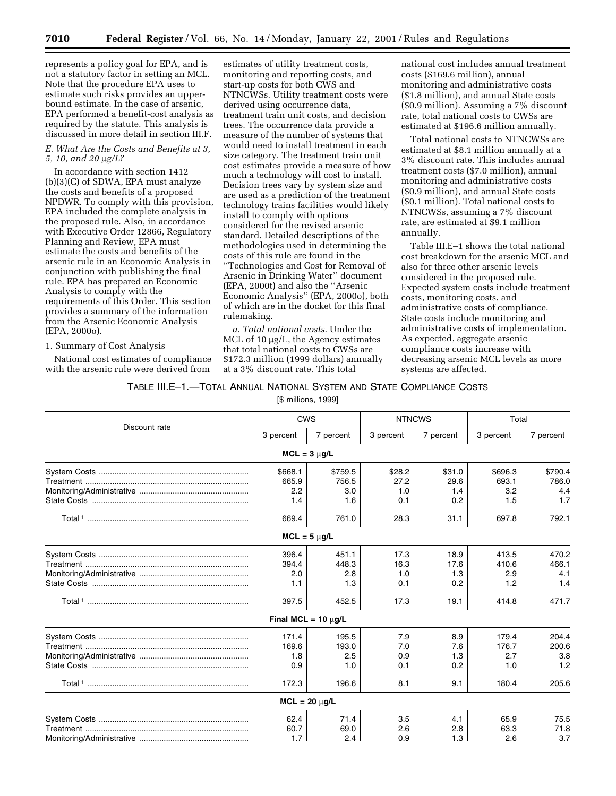represents a policy goal for EPA, and is not a statutory factor in setting an MCL. Note that the procedure EPA uses to estimate such risks provides an upperbound estimate. In the case of arsenic, EPA performed a benefit-cost analysis as required by the statute. This analysis is discussed in more detail in section III.F.

## *E. What Are the Costs and Benefits at 3, 5, 10, and 20* µ*g/L?*

In accordance with section 1412 (b)(3)(C) of SDWA, EPA must analyze the costs and benefits of a proposed NPDWR. To comply with this provision, EPA included the complete analysis in the proposed rule. Also, in accordance with Executive Order 12866, Regulatory Planning and Review, EPA must estimate the costs and benefits of the arsenic rule in an Economic Analysis in conjunction with publishing the final rule. EPA has prepared an Economic Analysis to comply with the requirements of this Order. This section provides a summary of the information from the Arsenic Economic Analysis (EPA, 2000o).

## 1. Summary of Cost Analysis

National cost estimates of compliance with the arsenic rule were derived from

estimates of utility treatment costs, monitoring and reporting costs, and start-up costs for both CWS and NTNCWSs. Utility treatment costs were derived using occurrence data, treatment train unit costs, and decision trees. The occurrence data provide a measure of the number of systems that would need to install treatment in each size category. The treatment train unit cost estimates provide a measure of how much a technology will cost to install. Decision trees vary by system size and are used as a prediction of the treatment technology trains facilities would likely install to comply with options considered for the revised arsenic standard. Detailed descriptions of the methodologies used in determining the costs of this rule are found in the ''Technologies and Cost for Removal of Arsenic in Drinking Water'' document (EPA, 2000t) and also the ''Arsenic Economic Analysis'' (EPA, 2000o), both of which are in the docket for this final rulemaking.

*a. Total national costs*. Under the MCL of 10  $\mu$ g/L, the Agency estimates that total national costs to CWSs are \$172.3 million (1999 dollars) annually at a 3% discount rate. This total

national cost includes annual treatment costs (\$169.6 million), annual monitoring and administrative costs (\$1.8 million), and annual State costs (\$0.9 million). Assuming a 7% discount rate, total national costs to CWSs are estimated at \$196.6 million annually.

Total national costs to NTNCWSs are estimated at \$8.1 million annually at a 3% discount rate. This includes annual treatment costs (\$7.0 million), annual monitoring and administrative costs (\$0.9 million), and annual State costs (\$0.1 million). Total national costs to NTNCWSs, assuming a 7% discount rate, are estimated at \$9.1 million annually.

Table III.E–1 shows the total national cost breakdown for the arsenic MCL and also for three other arsenic levels considered in the proposed rule. Expected system costs include treatment costs, monitoring costs, and administrative costs of compliance. State costs include monitoring and administrative costs of implementation. As expected, aggregate arsenic compliance costs increase with decreasing arsenic MCL levels as more systems are affected.

## TABLE III.E–1.—TOTAL ANNUAL NATIONAL SYSTEM AND STATE COMPLIANCE COSTS

[\$ millions, 1999]

| Discount rate | <b>CWS</b>               |           | <b>NTNCWS</b> |           | Total     |           |
|---------------|--------------------------|-----------|---------------|-----------|-----------|-----------|
|               | 3 percent                | 7 percent | 3 percent     | 7 percent | 3 percent | 7 percent |
|               | $MCL = 3 \mu g/L$        |           |               |           |           |           |
|               | \$668.1                  | \$759.5   | \$28.2        | \$31.0    | \$696.3   | \$790.4   |
|               | 665.9                    | 756.5     | 27.2          | 29.6      | 693.1     | 786.0     |
|               | 2.2                      | 3.0       | 1.0           | 1.4       | 3.2       | 4.4       |
|               | 1.4                      | 1.6       | 0.1           | 0.2       | 1.5       | 1.7       |
|               | 669.4                    | 761.0     | 28.3          | 31.1      | 697.8     | 792.1     |
|               | $MCL = 5 \mu g/L$        |           |               |           |           |           |
|               | 396.4                    | 451.1     | 17.3          | 18.9      | 413.5     | 470.2     |
|               | 394.4                    | 448.3     | 16.3          | 17.6      | 410.6     | 466.1     |
|               | 2.0                      | 2.8       | 1.0           | 1.3       | 2.9       | 4.1       |
|               | 1.1                      | 1.3       | 0.1           | 0.2       | 1.2       | 1.4       |
|               | 397.5                    | 452.5     | 17.3          | 19.1      | 414.8     | 471.7     |
|               | Final MCL = $10 \mu q/L$ |           |               |           |           |           |
|               | 171.4                    | 195.5     | 7.9           | 8.9       | 179.4     | 204.4     |
|               | 169.6                    | 193.0     | 7.0           | 7.6       | 176.7     | 200.6     |
|               | 1.8                      | 2.5       | 0.9           | 1.3       | 2.7       | 3.8       |
|               | 0.9                      | 1.0       | 0.1           | 0.2       | 1.0       | 1.2       |
|               | 172.3                    | 196.6     | 8.1           | 9.1       | 180.4     | 205.6     |
|               | $MCL = 20 \mu g/L$       |           |               |           |           |           |
|               | 62.4                     | 71.4      | 3.5           | 4.1       | 65.9      | 75.5      |
|               | 60.7                     | 69.0      | 2.6           | 2.8       | 63.3      | 71.8      |
|               | 1.7                      | 2.4       | 0.9           | 1.3       | 2.6       | 3.7       |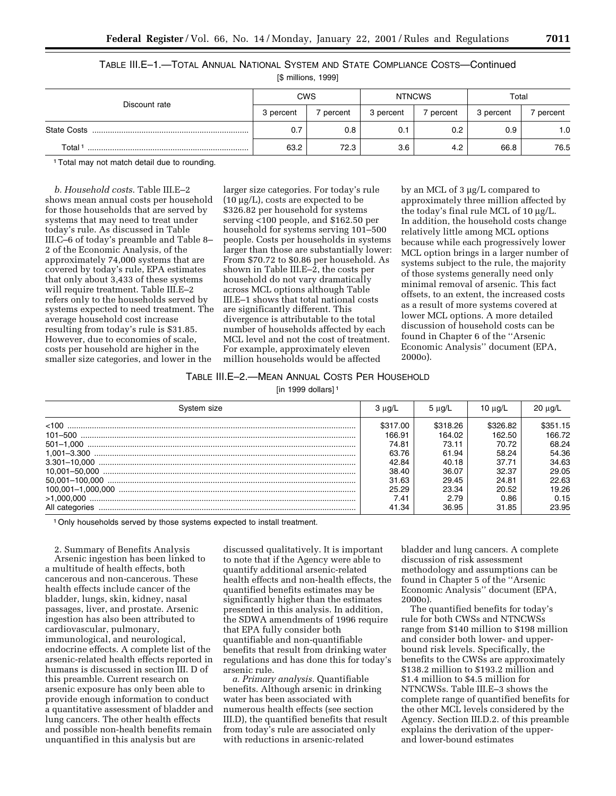# TABLE III.E–1.—TOTAL ANNUAL NATIONAL SYSTEM AND STATE COMPLIANCE COSTS—Continued

[\$ millions, 1999]

| Discount rate      | <b>CWS</b> |         | <b>NTNCWS</b> |           | Total     |         |
|--------------------|------------|---------|---------------|-----------|-----------|---------|
|                    | 3 percent  | percent | 3 percent     | ' percent | 3 percent | percent |
| <b>State Costs</b> | 0.7        | 0.8     | 0.1           | 0.2       | 0.9       | 1.0     |
| Total <sup>1</sup> | 63.2       | 72.3    | 3.6           | 4.2       | 66.8      | 76.5    |

<sup>1</sup> Total may not match detail due to rounding.

*b. Household costs*. Table III.E–2 shows mean annual costs per household for those households that are served by systems that may need to treat under today's rule. As discussed in Table III.C–6 of today's preamble and Table 8– 2 of the Economic Analysis, of the approximately 74,000 systems that are covered by today's rule, EPA estimates that only about 3,433 of these systems will require treatment. Table III.E–2 refers only to the households served by systems expected to need treatment. The average household cost increase resulting from today's rule is \$31.85. However, due to economies of scale, costs per household are higher in the smaller size categories, and lower in the

larger size categories. For today's rule  $(10 \mu g/L)$ , costs are expected to be \$326.82 per household for systems serving <100 people, and \$162.50 per household for systems serving 101–500 people. Costs per households in systems larger than those are substantially lower: From \$70.72 to \$0.86 per household. As shown in Table III.E–2, the costs per household do not vary dramatically across MCL options although Table III.E–1 shows that total national costs are significantly different. This divergence is attributable to the total number of households affected by each MCL level and not the cost of treatment. For example, approximately eleven million households would be affected

by an MCL of 3 µg/L compared to approximately three million affected by the today's final rule MCL of 10 µg/L. In addition, the household costs change relatively little among MCL options because while each progressively lower MCL option brings in a larger number of systems subject to the rule, the majority of those systems generally need only minimal removal of arsenic. This fact offsets, to an extent, the increased costs as a result of more systems covered at lower MCL options. A more detailed discussion of household costs can be found in Chapter 6 of the ''Arsenic Economic Analysis'' document (EPA, 2000o).

#### TABLE III.E–2.—MEAN ANNUAL COSTS PER HOUSEHOLD

[in 1999 dollars] 1

| System size    | 3 µg/L   | $5 \mu q/L$ | 10 $\mu$ g/L | $20 \mu g/L$ |
|----------------|----------|-------------|--------------|--------------|
| <100           | \$317.00 | \$318.26    | \$326.82     | \$351.15     |
|                | 166.91   | 164.02      | 162.50       | 166.72       |
|                | 74.81    | 73.11       | 70.72        | 68.24        |
|                | 63.76    | 61.94       | 58.24        | 54.36        |
|                | 42.84    | 40.18       | 37.71        | 34.63        |
|                | 38.40    | 36.07       | 32.37        | 29.05        |
|                | 31.63    | 29.45       | 24.81        | 22.63        |
|                | 25.29    | 23.34       | 20.52        | 19.26        |
| >1.000.000     | 7.41     | 2.79        | 0.86         | 0.15         |
| All categories | 41.34    | 36.95       | 31.85        | 23.95        |

1Only households served by those systems expected to install treatment.

2. Summary of Benefits Analysis Arsenic ingestion has been linked to a multitude of health effects, both cancerous and non-cancerous. These health effects include cancer of the bladder, lungs, skin, kidney, nasal passages, liver, and prostate. Arsenic ingestion has also been attributed to cardiovascular, pulmonary, immunological, and neurological, endocrine effects. A complete list of the arsenic-related health effects reported in humans is discussed in section III. D of this preamble. Current research on arsenic exposure has only been able to provide enough information to conduct a quantitative assessment of bladder and lung cancers. The other health effects and possible non-health benefits remain unquantified in this analysis but are

discussed qualitatively. It is important to note that if the Agency were able to quantify additional arsenic-related health effects and non-health effects, the quantified benefits estimates may be significantly higher than the estimates presented in this analysis. In addition, the SDWA amendments of 1996 require that EPA fully consider both quantifiable and non-quantifiable benefits that result from drinking water regulations and has done this for today's arsenic rule.

*a. Primary analysis.* Quantifiable benefits. Although arsenic in drinking water has been associated with numerous health effects (see section III.D), the quantified benefits that result from today's rule are associated only with reductions in arsenic-related

bladder and lung cancers. A complete discussion of risk assessment methodology and assumptions can be found in Chapter 5 of the ''Arsenic Economic Analysis'' document (EPA, 2000o).

The quantified benefits for today's rule for both CWSs and NTNCWSs range from \$140 million to \$198 million and consider both lower- and upperbound risk levels. Specifically, the benefits to the CWSs are approximately \$138.2 million to \$193.2 million and \$1.4 million to \$4.5 million for NTNCWSs. Table III.E–3 shows the complete range of quantified benefits for the other MCL levels considered by the Agency. Section III.D.2. of this preamble explains the derivation of the upperand lower-bound estimates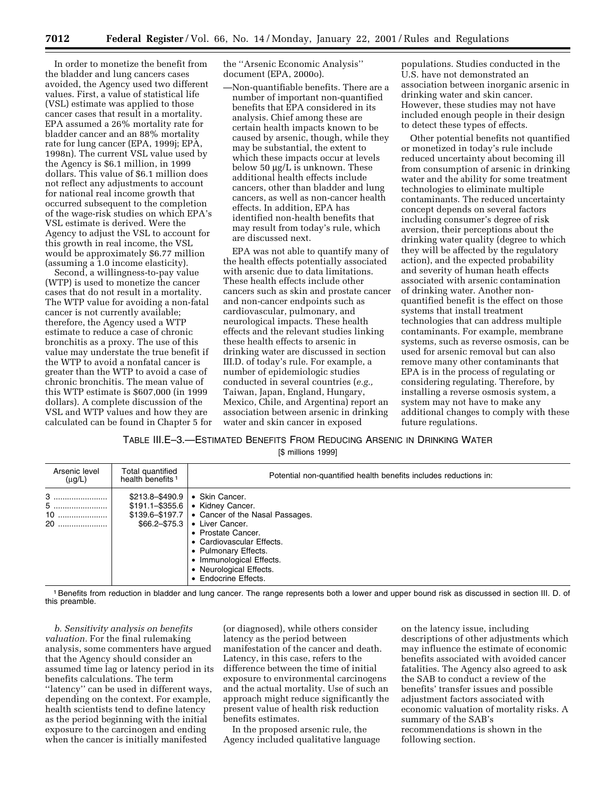In order to monetize the benefit from the bladder and lung cancers cases avoided, the Agency used two different values. First, a value of statistical life (VSL) estimate was applied to those cancer cases that result in a mortality. EPA assumed a 26% mortality rate for bladder cancer and an 88% mortality rate for lung cancer (EPA, 1999j; EPA, 1998n). The current VSL value used by the Agency is \$6.1 million, in 1999 dollars. This value of \$6.1 million does not reflect any adjustments to account for national real income growth that occurred subsequent to the completion of the wage-risk studies on which EPA's VSL estimate is derived. Were the Agency to adjust the VSL to account for this growth in real income, the VSL would be approximately \$6.77 million (assuming a 1.0 income elasticity).

Second, a willingness-to-pay value (WTP) is used to monetize the cancer cases that do not result in a mortality. The WTP value for avoiding a non-fatal cancer is not currently available; therefore, the Agency used a WTP estimate to reduce a case of chronic bronchitis as a proxy. The use of this value may understate the true benefit if the WTP to avoid a nonfatal cancer is greater than the WTP to avoid a case of chronic bronchitis. The mean value of this WTP estimate is \$607,000 (in 1999 dollars). A complete discussion of the VSL and WTP values and how they are calculated can be found in Chapter 5 for the ''Arsenic Economic Analysis'' document (EPA, 2000o).

—Non-quantifiable benefits. There are a number of important non-quantified benefits that EPA considered in its analysis. Chief among these are certain health impacts known to be caused by arsenic, though, while they may be substantial, the extent to which these impacts occur at levels below 50 µg/L is unknown. These additional health effects include cancers, other than bladder and lung cancers, as well as non-cancer health effects. In addition, EPA has identified non-health benefits that may result from today's rule, which are discussed next.

EPA was not able to quantify many of the health effects potentially associated with arsenic due to data limitations. These health effects include other cancers such as skin and prostate cancer and non-cancer endpoints such as cardiovascular, pulmonary, and neurological impacts. These health effects and the relevant studies linking these health effects to arsenic in drinking water are discussed in section III.D. of today's rule. For example, a number of epidemiologic studies conducted in several countries (*e.g.,* Taiwan, Japan, England, Hungary, Mexico, Chile, and Argentina) report an association between arsenic in drinking water and skin cancer in exposed

populations. Studies conducted in the U.S. have not demonstrated an association between inorganic arsenic in drinking water and skin cancer. However, these studies may not have included enough people in their design to detect these types of effects.

Other potential benefits not quantified or monetized in today's rule include reduced uncertainty about becoming ill from consumption of arsenic in drinking water and the ability for some treatment technologies to eliminate multiple contaminants. The reduced uncertainty concept depends on several factors including consumer's degree of risk aversion, their perceptions about the drinking water quality (degree to which they will be affected by the regulatory action), and the expected probability and severity of human heath effects associated with arsenic contamination of drinking water. Another nonquantified benefit is the effect on those systems that install treatment technologies that can address multiple contaminants. For example, membrane systems, such as reverse osmosis, can be used for arsenic removal but can also remove many other contaminants that EPA is in the process of regulating or considering regulating. Therefore, by installing a reverse osmosis system, a system may not have to make any additional changes to comply with these future regulations.

# TABLE III.E–3.—ESTIMATED BENEFITS FROM REDUCING ARSENIC IN DRINKING WATER [\$ millions 1999]

| Arsenic level<br>$(\mu g/L)$ | Total quantified<br>health benefits <sup>1</sup> | Potential non-quantified health benefits includes reductions in:                                                                                                                                                                                                                       |
|------------------------------|--------------------------------------------------|----------------------------------------------------------------------------------------------------------------------------------------------------------------------------------------------------------------------------------------------------------------------------------------|
| $3$<br>5<br>10<br>20         | \$213.8-\$490.9<br>$$66.2 - $75.3$$              | • Skin Cancer.<br>$$191.1 - $355.6$ • Kidney Cancer.<br>\$139.6-\$197.7   • Cancer of the Nasal Passages.<br>• Liver Cancer.<br>• Prostate Cancer.<br>• Cardiovascular Effects.<br>• Pulmonary Effects.<br>• Immunological Effects.<br>• Neurological Effects.<br>• Endocrine Effects. |

1Benefits from reduction in bladder and lung cancer. The range represents both a lower and upper bound risk as discussed in section III. D. of this preamble.

*b. Sensitivity analysis on benefits valuation.* For the final rulemaking analysis, some commenters have argued that the Agency should consider an assumed time lag or latency period in its benefits calculations. The term "latency" can be used in different ways, depending on the context. For example, health scientists tend to define latency as the period beginning with the initial exposure to the carcinogen and ending when the cancer is initially manifested

(or diagnosed), while others consider latency as the period between manifestation of the cancer and death. Latency, in this case, refers to the difference between the time of initial exposure to environmental carcinogens and the actual mortality. Use of such an approach might reduce significantly the present value of health risk reduction benefits estimates.

In the proposed arsenic rule, the Agency included qualitative language

on the latency issue, including descriptions of other adjustments which may influence the estimate of economic benefits associated with avoided cancer fatalities. The Agency also agreed to ask the SAB to conduct a review of the benefits' transfer issues and possible adjustment factors associated with economic valuation of mortality risks. A summary of the SAB's recommendations is shown in the following section.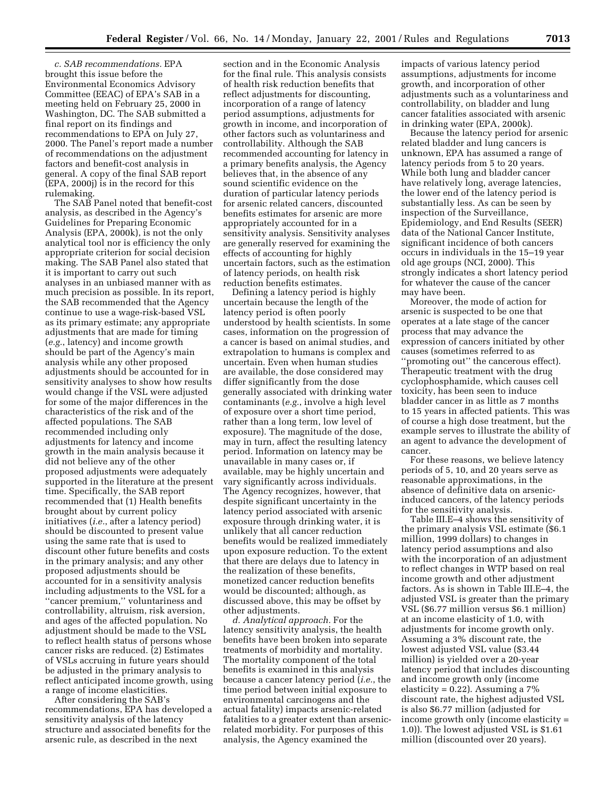*c. SAB recommendations.* EPA brought this issue before the Environmental Economics Advisory Committee (EEAC) of EPA's SAB in a meeting held on February 25, 2000 in Washington, DC. The SAB submitted a final report on its findings and recommendations to EPA on July 27, 2000. The Panel's report made a number of recommendations on the adjustment factors and benefit-cost analysis in general. A copy of the final SAB report (EPA, 2000j) is in the record for this rulemaking.

The SAB Panel noted that benefit-cost analysis, as described in the Agency's Guidelines for Preparing Economic Analysis (EPA, 2000k), is not the only analytical tool nor is efficiency the only appropriate criterion for social decision making. The SAB Panel also stated that it is important to carry out such analyses in an unbiased manner with as much precision as possible. In its report, the SAB recommended that the Agency continue to use a wage-risk-based VSL as its primary estimate; any appropriate adjustments that are made for timing (*e.g.*, latency) and income growth should be part of the Agency's main analysis while any other proposed adjustments should be accounted for in sensitivity analyses to show how results would change if the VSL were adjusted for some of the major differences in the characteristics of the risk and of the affected populations. The SAB recommended including only adjustments for latency and income growth in the main analysis because it did not believe any of the other proposed adjustments were adequately supported in the literature at the present time. Specifically, the SAB report recommended that (1) Health benefits brought about by current policy initiatives (*i.e.*, after a latency period) should be discounted to present value using the same rate that is used to discount other future benefits and costs in the primary analysis; and any other proposed adjustments should be accounted for in a sensitivity analysis including adjustments to the VSL for a ''cancer premium,'' voluntariness and controllability, altruism, risk aversion, and ages of the affected population. No adjustment should be made to the VSL to reflect health status of persons whose cancer risks are reduced. (2) Estimates of VSLs accruing in future years should be adjusted in the primary analysis to reflect anticipated income growth, using a range of income elasticities.

After considering the SAB's recommendations, EPA has developed a sensitivity analysis of the latency structure and associated benefits for the arsenic rule, as described in the next

section and in the Economic Analysis for the final rule. This analysis consists of health risk reduction benefits that reflect adjustments for discounting, incorporation of a range of latency period assumptions, adjustments for growth in income, and incorporation of other factors such as voluntariness and controllability. Although the SAB recommended accounting for latency in a primary benefits analysis, the Agency believes that, in the absence of any sound scientific evidence on the duration of particular latency periods for arsenic related cancers, discounted benefits estimates for arsenic are more appropriately accounted for in a sensitivity analysis. Sensitivity analyses are generally reserved for examining the effects of accounting for highly uncertain factors, such as the estimation of latency periods, on health risk reduction benefits estimates.

Defining a latency period is highly uncertain because the length of the latency period is often poorly understood by health scientists. In some cases, information on the progression of a cancer is based on animal studies, and extrapolation to humans is complex and uncertain. Even when human studies are available, the dose considered may differ significantly from the dose generally associated with drinking water contaminants (*e.g.*, involve a high level of exposure over a short time period, rather than a long term, low level of exposure). The magnitude of the dose, may in turn, affect the resulting latency period. Information on latency may be unavailable in many cases or, if available, may be highly uncertain and vary significantly across individuals. The Agency recognizes, however, that despite significant uncertainty in the latency period associated with arsenic exposure through drinking water, it is unlikely that all cancer reduction benefits would be realized immediately upon exposure reduction. To the extent that there are delays due to latency in the realization of these benefits, monetized cancer reduction benefits would be discounted; although, as discussed above, this may be offset by other adjustments.

*d. Analytical approach.* For the latency sensitivity analysis, the health benefits have been broken into separate treatments of morbidity and mortality. The mortality component of the total benefits is examined in this analysis because a cancer latency period (*i.e.*, the time period between initial exposure to environmental carcinogens and the actual fatality) impacts arsenic-related fatalities to a greater extent than arsenicrelated morbidity. For purposes of this analysis, the Agency examined the

impacts of various latency period assumptions, adjustments for income growth, and incorporation of other adjustments such as a voluntariness and controllability, on bladder and lung cancer fatalities associated with arsenic in drinking water (EPA, 2000k).

Because the latency period for arsenic related bladder and lung cancers is unknown, EPA has assumed a range of latency periods from 5 to 20 years. While both lung and bladder cancer have relatively long, average latencies, the lower end of the latency period is substantially less. As can be seen by inspection of the Surveillance, Epidemiology, and End Results (SEER) data of the National Cancer Institute, significant incidence of both cancers occurs in individuals in the 15–19 year old age groups (NCI, 2000). This strongly indicates a short latency period for whatever the cause of the cancer may have been.

Moreover, the mode of action for arsenic is suspected to be one that operates at a late stage of the cancer process that may advance the expression of cancers initiated by other causes (sometimes referred to as ''promoting out'' the cancerous effect). Therapeutic treatment with the drug cyclophosphamide, which causes cell toxicity, has been seen to induce bladder cancer in as little as 7 months to 15 years in affected patients. This was of course a high dose treatment, but the example serves to illustrate the ability of an agent to advance the development of cancer.

For these reasons, we believe latency periods of 5, 10, and 20 years serve as reasonable approximations, in the absence of definitive data on arsenicinduced cancers, of the latency periods for the sensitivity analysis.

Table III.E–4 shows the sensitivity of the primary analysis VSL estimate (\$6.1 million, 1999 dollars) to changes in latency period assumptions and also with the incorporation of an adjustment to reflect changes in WTP based on real income growth and other adjustment factors. As is shown in Table III.E–4, the adjusted VSL is greater than the primary VSL (\$6.77 million versus \$6.1 million) at an income elasticity of 1.0, with adjustments for income growth only. Assuming a 3% discount rate, the lowest adjusted VSL value (\$3.44 million) is yielded over a 20-year latency period that includes discounting and income growth only (income elasticity =  $0.22$ ). Assuming a  $7\%$ discount rate, the highest adjusted VSL is also \$6.77 million (adjusted for income growth only (income elasticity = 1.0)). The lowest adjusted VSL is \$1.61 million (discounted over 20 years).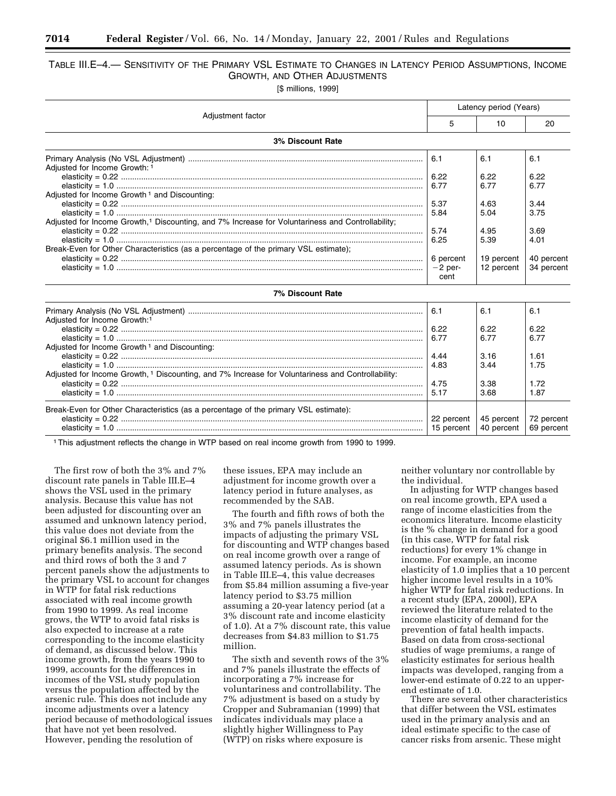# TABLE III.E–4.— SENSITIVITY OF THE PRIMARY VSL ESTIMATE TO CHANGES IN LATENCY PERIOD ASSUMPTIONS, INCOME GROWTH, AND OTHER ADJUSTMENTS

[\$ millions, 1999]

| Adjustment factor                                                                                                                                                                                                                                                                                |                                                     | Latency period (Years)                              |                                                     |  |
|--------------------------------------------------------------------------------------------------------------------------------------------------------------------------------------------------------------------------------------------------------------------------------------------------|-----------------------------------------------------|-----------------------------------------------------|-----------------------------------------------------|--|
|                                                                                                                                                                                                                                                                                                  |                                                     | 10                                                  | 20                                                  |  |
| 3% Discount Rate                                                                                                                                                                                                                                                                                 |                                                     |                                                     |                                                     |  |
| Adjusted for Income Growth: 1<br>Adjusted for Income Growth <sup>1</sup> and Discounting:<br>Adjusted for Income Growth, <sup>1</sup> Discounting, and 7% Increase for Voluntariness and Controllability;<br>Break-Even for Other Characteristics (as a percentage of the primary VSL estimate); | 6.1<br>6.22<br>6.77<br>5.37<br>5.84<br>5.74<br>6.25 | 6.1<br>6.22<br>6.77<br>4.63<br>5.04<br>4.95<br>5.39 | 6.1<br>6.22<br>6.77<br>3.44<br>3.75<br>3.69<br>4.01 |  |
|                                                                                                                                                                                                                                                                                                  | 6 percent<br>$-2$ per-<br>cent                      | 19 percent<br>12 percent                            | 40 percent<br>34 percent                            |  |
| 7% Discount Rate                                                                                                                                                                                                                                                                                 |                                                     |                                                     |                                                     |  |
| Adjusted for Income Growth: <sup>1</sup>                                                                                                                                                                                                                                                         | 6.1<br>6.22<br>6.77                                 | 6.1<br>6.22<br>6.77                                 | 6.1<br>6.22<br>6.77                                 |  |
| Adjusted for Income Growth <sup>1</sup> and Discounting:<br>Adjusted for Income Growth, <sup>1</sup> Discounting, and 7% Increase for Voluntariness and Controllability:                                                                                                                         | 4.44<br>4.83<br>4.75<br>5.17                        | 3.16<br>3.44<br>3.38<br>3.68                        | 1.61<br>1.75<br>1.72<br>1.87                        |  |
| Break-Even for Other Characteristics (as a percentage of the primary VSL estimate):                                                                                                                                                                                                              | 22 percent<br>15 percent                            | 45 percent<br>40 percent                            | 72 percent<br>69 percent                            |  |

1This adjustment reflects the change in WTP based on real income growth from 1990 to 1999.

The first row of both the 3% and 7% discount rate panels in Table III.E–4 shows the VSL used in the primary analysis. Because this value has not been adjusted for discounting over an assumed and unknown latency period, this value does not deviate from the original \$6.1 million used in the primary benefits analysis. The second and third rows of both the 3 and 7 percent panels show the adjustments to the primary VSL to account for changes in WTP for fatal risk reductions associated with real income growth from 1990 to 1999. As real income grows, the WTP to avoid fatal risks is also expected to increase at a rate corresponding to the income elasticity of demand, as discussed below. This income growth, from the years 1990 to 1999, accounts for the differences in incomes of the VSL study population versus the population affected by the arsenic rule. This does not include any income adjustments over a latency period because of methodological issues that have not yet been resolved. However, pending the resolution of

these issues, EPA may include an adjustment for income growth over a latency period in future analyses, as recommended by the SAB.

The fourth and fifth rows of both the 3% and 7% panels illustrates the impacts of adjusting the primary VSL for discounting and WTP changes based on real income growth over a range of assumed latency periods. As is shown in Table III.E–4, this value decreases from \$5.84 million assuming a five-year latency period to \$3.75 million assuming a 20-year latency period (at a 3% discount rate and income elasticity of 1.0). At a 7% discount rate, this value decreases from \$4.83 million to \$1.75 million.

The sixth and seventh rows of the 3% and 7% panels illustrate the effects of incorporating a 7% increase for voluntariness and controllability. The 7% adjustment is based on a study by Cropper and Subramanian (1999) that indicates individuals may place a slightly higher Willingness to Pay (WTP) on risks where exposure is

neither voluntary nor controllable by the individual.

In adjusting for WTP changes based on real income growth, EPA used a range of income elasticities from the economics literature. Income elasticity is the % change in demand for a good (in this case, WTP for fatal risk reductions) for every 1% change in income. For example, an income elasticity of 1.0 implies that a 10 percent higher income level results in a 10% higher WTP for fatal risk reductions. In a recent study (EPA, 2000l), EPA reviewed the literature related to the income elasticity of demand for the prevention of fatal health impacts. Based on data from cross-sectional studies of wage premiums, a range of elasticity estimates for serious health impacts was developed, ranging from a lower-end estimate of 0.22 to an upperend estimate of 1.0.

There are several other characteristics that differ between the VSL estimates used in the primary analysis and an ideal estimate specific to the case of cancer risks from arsenic. These might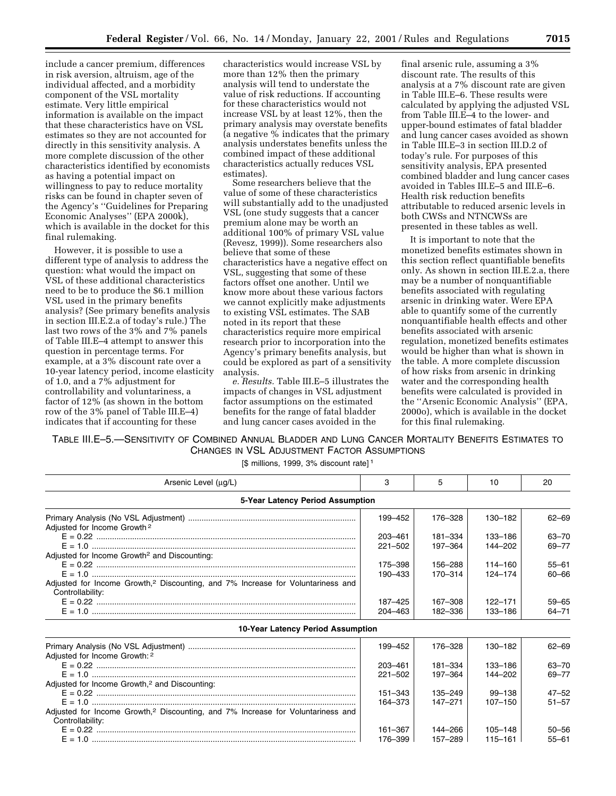include a cancer premium, differences in risk aversion, altruism, age of the individual affected, and a morbidity component of the VSL mortality estimate. Very little empirical information is available on the impact that these characteristics have on VSL estimates so they are not accounted for directly in this sensitivity analysis. A more complete discussion of the other characteristics identified by economists as having a potential impact on willingness to pay to reduce mortality risks can be found in chapter seven of the Agency's ''Guidelines for Preparing Economic Analyses'' (EPA 2000k), which is available in the docket for this final rulemaking.

However, it is possible to use a different type of analysis to address the question: what would the impact on VSL of these additional characteristics need to be to produce the \$6.1 million VSL used in the primary benefits analysis? (See primary benefits analysis in section III.E.2.a of today's rule.) The last two rows of the 3% and 7% panels of Table III.E–4 attempt to answer this question in percentage terms. For example, at a 3% discount rate over a 10-year latency period, income elasticity of 1.0, and a 7% adjustment for controllability and voluntariness, a factor of 12% (as shown in the bottom row of the 3% panel of Table III.E–4) indicates that if accounting for these

characteristics would increase VSL by more than 12% then the primary analysis will tend to understate the value of risk reductions. If accounting for these characteristics would not increase VSL by at least 12%, then the primary analysis may overstate benefits (a negative % indicates that the primary analysis understates benefits unless the combined impact of these additional characteristics actually reduces VSL estimates).

Some researchers believe that the value of some of these characteristics will substantially add to the unadjusted VSL (one study suggests that a cancer premium alone may be worth an additional 100% of primary VSL value (Revesz, 1999)). Some researchers also believe that some of these characteristics have a negative effect on VSL, suggesting that some of these factors offset one another. Until we know more about these various factors we cannot explicitly make adjustments to existing VSL estimates. The SAB noted in its report that these characteristics require more empirical research prior to incorporation into the Agency's primary benefits analysis, but could be explored as part of a sensitivity analysis.

*e. Results.* Table III.E–5 illustrates the impacts of changes in VSL adjustment factor assumptions on the estimated benefits for the range of fatal bladder and lung cancer cases avoided in the

final arsenic rule, assuming a 3% discount rate. The results of this analysis at a 7% discount rate are given in Table III.E–6. These results were calculated by applying the adjusted VSL from Table III.E–4 to the lower- and upper-bound estimates of fatal bladder and lung cancer cases avoided as shown in Table III.E–3 in section III.D.2 of today's rule. For purposes of this sensitivity analysis, EPA presented combined bladder and lung cancer cases avoided in Tables III.E–5 and III.E–6. Health risk reduction benefits attributable to reduced arsenic levels in both CWSs and NTNCWSs are presented in these tables as well.

It is important to note that the monetized benefits estimates shown in this section reflect quantifiable benefits only. As shown in section III.E.2.a, there may be a number of nonquantifiable benefits associated with regulating arsenic in drinking water. Were EPA able to quantify some of the currently nonquantifiable health effects and other benefits associated with arsenic regulation, monetized benefits estimates would be higher than what is shown in the table. A more complete discussion of how risks from arsenic in drinking water and the corresponding health benefits were calculated is provided in the ''Arsenic Economic Analysis'' (EPA, 2000o), which is available in the docket for this final rulemaking.

TABLE III.E–5.—SENSITIVITY OF COMBINED ANNUAL BLADDER AND LUNG CANCER MORTALITY BENEFITS ESTIMATES TO CHANGES IN VSL ADJUSTMENT FACTOR ASSUMPTIONS

[\$ millions, 1999, 3% discount rate] 1

| Arsenic Level (µg/L)                                                                                            |             | 5           | 10          | 20        |
|-----------------------------------------------------------------------------------------------------------------|-------------|-------------|-------------|-----------|
| 5-Year Latency Period Assumption                                                                                |             |             |             |           |
|                                                                                                                 | 199-452     | 176-328     | 130-182     | $62 - 69$ |
| Adjusted for Income Growth <sup>2</sup>                                                                         |             |             |             |           |
|                                                                                                                 | 203-461     | 181-334     | 133-186     | $63 - 70$ |
|                                                                                                                 | $221 - 502$ | 197-364     | 144-202     | 69-77     |
| Adjusted for Income Growth <sup>2</sup> and Discounting:                                                        |             |             |             |           |
|                                                                                                                 | 175-398     | 156-288     | 114-160     | $55 - 61$ |
|                                                                                                                 | 190-433     | 170-314     | 124-174     | $60 - 66$ |
| Adjusted for Income Growth, <sup>2</sup> Discounting, and 7% Increase for Voluntariness and<br>Controllability: |             |             |             |           |
|                                                                                                                 | 187-425     | 167-308     | $122 - 171$ | $59 - 65$ |
|                                                                                                                 | 204-463     | 182-336     | 133-186     | $64 - 71$ |
| 10-Year Latency Period Assumption                                                                               |             |             |             |           |
|                                                                                                                 | 199-452     | 176-328     | 130-182     | $62 - 69$ |
| Adjusted for Income Growth: 2                                                                                   |             |             |             |           |
|                                                                                                                 | 203-461     | 181-334     | 133-186     | $63 - 70$ |
|                                                                                                                 | $221 - 502$ | 197-364     | 144-202     | 69-77     |
| Adjusted for Income Growth, <sup>2</sup> and Discounting:                                                       |             |             |             |           |
|                                                                                                                 | $151 - 343$ | 135-249     | $99 - 138$  | $47 - 52$ |
|                                                                                                                 | 164-373     | $147 - 271$ | $107 - 150$ | $51 - 57$ |
| Adjusted for Income Growth, <sup>2</sup> Discounting, and 7% Increase for Voluntariness and<br>Controllability: |             |             |             |           |
|                                                                                                                 | 161-367     | 144-266     | $105 - 148$ | $50 - 56$ |
|                                                                                                                 | 176-399     | 157-289     | $115 - 161$ | $55 - 61$ |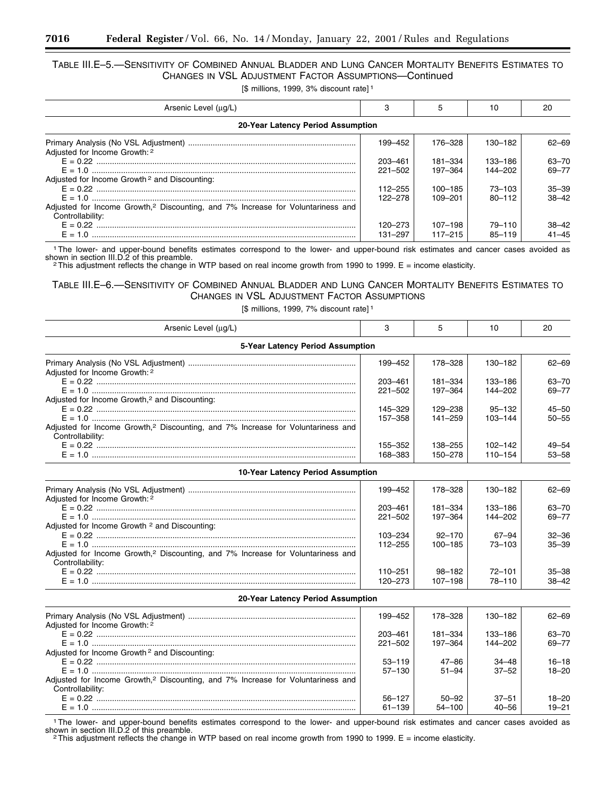# TABLE III.E–5.—SENSITIVITY OF COMBINED ANNUAL BLADDER AND LUNG CANCER MORTALITY BENEFITS ESTIMATES TO CHANGES IN VSL ADJUSTMENT FACTOR ASSUMPTIONS—Continued

[\$ millions, 1999, 3% discount rate] 1

| Arsenic Level (ug/L)                                                                                            | 3           | 5       | 10         | 20        |
|-----------------------------------------------------------------------------------------------------------------|-------------|---------|------------|-----------|
| 20-Year Latency Period Assumption                                                                               |             |         |            |           |
| Adjusted for Income Growth: 2                                                                                   | 199-452     | 176-328 | 130-182    | 62-69     |
|                                                                                                                 | 203-461     | 181-334 | 133-186    | $63 - 70$ |
|                                                                                                                 | $221 - 502$ | 197-364 | 144-202    | 69-77     |
| Adjusted for Income Growth <sup>2</sup> and Discounting:                                                        |             |         |            |           |
|                                                                                                                 | 112-255     | 100-185 | 73-103     | $35 - 39$ |
|                                                                                                                 | 122-278     | 109-201 | $80 - 112$ | $38 - 42$ |
| Adjusted for Income Growth, <sup>2</sup> Discounting, and 7% Increase for Voluntariness and<br>Controllability: |             |         |            |           |
|                                                                                                                 | 120-273     | 107-198 | $79 - 110$ | 38–42     |
|                                                                                                                 | 131-297     | 117-215 | $85 - 119$ | 41–45     |

<sup>1</sup>The lower- and upper-bound benefits estimates correspond to the lower- and upper-bound risk estimates and cancer cases avoided as shown in section III.D.2 of this preamble.

 $2$  This adjustment reflects the change in WTP based on real income growth from 1990 to 1999. E = income elasticity.

# TABLE III.E–6.—SENSITIVITY OF COMBINED ANNUAL BLADDER AND LUNG CANCER MORTALITY BENEFITS ESTIMATES TO CHANGES IN VSL ADJUSTMENT FACTOR ASSUMPTIONS

[\$ millions, 1999, 7% discount rate] 1

| Arsenic Level (µg/L)                                                                                            | 3           | 5           | 10          | 20        |
|-----------------------------------------------------------------------------------------------------------------|-------------|-------------|-------------|-----------|
| 5-Year Latency Period Assumption                                                                                |             |             |             |           |
| Adjusted for Income Growth: 2                                                                                   | 199-452     | 178-328     | 130-182     | $62 - 69$ |
|                                                                                                                 | 203-461     | 181-334     | 133-186     | 63-70     |
|                                                                                                                 | $221 - 502$ | 197-364     | 144-202     | $69 - 77$ |
| Adjusted for Income Growth, <sup>2</sup> and Discounting:                                                       |             |             |             |           |
|                                                                                                                 | 145-329     | 129-238     | $95 - 132$  | $45 - 50$ |
|                                                                                                                 | 157-358     | $141 - 259$ | 103-144     | $50 - 55$ |
| Adjusted for Income Growth, <sup>2</sup> Discounting, and 7% Increase for Voluntariness and<br>Controllability: |             |             |             |           |
|                                                                                                                 | 155-352     | 138-255     | $102 - 142$ | $49 - 54$ |
|                                                                                                                 | 168-383     | 150-278     | $110 - 154$ | $53 - 58$ |
| 10-Year Latency Period Assumption                                                                               |             |             |             |           |
| Adjusted for Income Growth: 2                                                                                   | 199-452     | 178-328     | 130-182     | $62 - 69$ |
|                                                                                                                 | 203-461     | 181-334     | 133-186     | $63 - 70$ |
|                                                                                                                 | $221 - 502$ | 197-364     | 144-202     | 69-77     |
| Adjusted for Income Growth <sup>2</sup> and Discounting:                                                        |             |             |             |           |
|                                                                                                                 | 103-234     | $92 - 170$  | 67-94       | $32 - 36$ |
|                                                                                                                 | $112 - 255$ | 100-185     | 73-103      | $35 - 39$ |
| Adjusted for Income Growth, <sup>2</sup> Discounting, and 7% Increase for Voluntariness and<br>Controllability: |             |             |             |           |
|                                                                                                                 | $110 - 251$ | 98-182      | $72 - 101$  | $35 - 38$ |
|                                                                                                                 | 120-273     | $107 - 198$ | $78 - 110$  | $38 - 42$ |
| 20-Year Latency Period Assumption                                                                               |             |             |             |           |
|                                                                                                                 | 199-452     | 178-328     | 130-182     | $62 - 69$ |
| Adjusted for Income Growth: <sup>2</sup>                                                                        |             |             |             |           |
|                                                                                                                 | 203-461     | 181-334     | 133-186     | 63-70     |
|                                                                                                                 | $221 - 502$ | 197-364     | 144-202     | 69-77     |
| Adjusted for Income Growth <sup>2</sup> and Discounting:                                                        |             |             |             |           |
|                                                                                                                 | $53 - 119$  | $47 - 86$   | $34 - 48$   | $16 - 18$ |
|                                                                                                                 | $57 - 130$  | $51 - 94$   | $37 - 52$   | $18 - 20$ |
| Adjusted for Income Growth, <sup>2</sup> Discounting, and 7% Increase for Voluntariness and<br>Controllability: |             |             |             |           |
|                                                                                                                 | 56-127      | $50 - 92$   | $37 - 51$   | $18 - 20$ |
|                                                                                                                 | $61 - 139$  | $54 - 100$  | $40 - 56$   | $19 - 21$ |

1The lower- and upper-bound benefits estimates correspond to the lower- and upper-bound risk estimates and cancer cases avoided as

shown in section III.D.2 of this preamble.<br><sup>2</sup>This adjustment reflects the change in WTP based on real income growth from 1990 to 1999. E = income elasticity.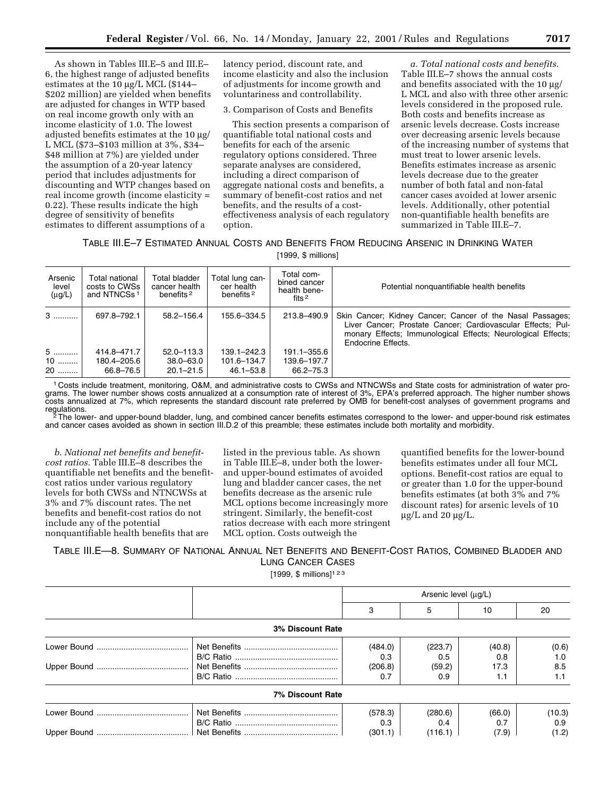As shown in Tables III.E–5 and III.E– 6, the highest range of adjusted benefits estimates at the 10 µg/L MCL (\$144– \$202 million) are yielded when benefits are adjusted for changes in WTP based on real income growth only with an income elasticity of 1.0. The lowest adjusted benefits estimates at the 10 µg/ L MCL (\$73–\$103 million at 3%, \$34– \$48 million at 7%) are yielded under the assumption of a 20-year latency period that includes adjustments for discounting and WTP changes based on real income growth (income elasticity = 0.22). These results indicate the high degree of sensitivity of benefits estimates to different assumptions of a

latency period, discount rate, and income elasticity and also the inclusion of adjustments for income growth and voluntariness and controllability.

3. Comparison of Costs and Benefits

This section presents a comparison of quantifiable total national costs and benefits for each of the arsenic regulatory options considered. Three separate analyses are considered, including a direct comparison of aggregate national costs and benefits, a summary of benefit-cost ratios and net benefits, and the results of a costeffectiveness analysis of each regulatory option.

*a. Total national costs and benefits.* Table III.E–7 shows the annual costs and benefits associated with the 10 µg/ L MCL and also with three other arsenic levels considered in the proposed rule. Both costs and benefits increase as arsenic levels decrease. Costs increase over decreasing arsenic levels because of the increasing number of systems that must treat to lower arsenic levels. Benefits estimates increase as arsenic levels decrease due to the greater number of both fatal and non-fatal cancer cases avoided at lower arsenic levels. Additionally, other potential non-quantifiable health benefits are summarized in Table III.E–7.

## TABLE III.E–7 ESTIMATED ANNUAL COSTS AND BENEFITS FROM REDUCING ARSENIC IN DRINKING WATER

[1999, \$ millions]

| Arsenic<br>level<br>$(\mu g/L)$ | Total national<br>costs to CWSs<br>and NTNCSs <sup>1</sup> | Total bladder<br>cancer health<br>benefits <sup>2</sup> | Total lung can-<br>cer health<br>benefits <sup>2</sup> | Total com-<br>bined cancer<br>health bene-<br>fits <sup>2</sup> | Potential nonquantifiable health benefits                                                                                                                                                                      |
|---------------------------------|------------------------------------------------------------|---------------------------------------------------------|--------------------------------------------------------|-----------------------------------------------------------------|----------------------------------------------------------------------------------------------------------------------------------------------------------------------------------------------------------------|
| $3$                             | 697.8-792.1                                                | 58.2-156.4                                              | 155.6-334.5                                            | 213.8-490.9                                                     | Skin Cancer; Kidney Cancer; Cancer of the Nasal Passages;<br>Liver Cancer; Prostate Cancer; Cardiovascular Effects; Pul-<br>monary Effects; Immunological Effects; Neurological Effects;<br>Endocrine Effects. |
| $5$<br>$10$                     | 414.8–471.7<br>180.4–205.6                                 | 52.0-113.3<br>38.0–63.0                                 | 139.1-242.3<br>101.6-134.7                             | 191.1-355.6<br>139.6–197.7                                      |                                                                                                                                                                                                                |
| 20                              | 66.8-76.5                                                  | $20.1 - 21.5$                                           | $46.1 - 53.8$                                          | 66.2-75.3                                                       |                                                                                                                                                                                                                |

1 Costs include treatment, monitoring, O&M, and administrative costs to CWSs and NTNCWSs and State costs for administration of water programs. The lower number shows costs annualized at a consumption rate of interest of 3%, EPA's preferred approach. The higher number shows costs annualized at 7%, which represents the standard discount rate preferred by OMB for benefit-cost analyses of government programs and regulations. 2The lower- and upper-bound bladder, lung, and combined cancer benefits estimates correspond to the lower- and upper-bound risk estimates

and cancer cases avoided as shown in section III.D.2 of this preamble; these estimates include both mortality and morbidity.

*b. National net benefits and benefitcost ratios.* Table III.E–8 describes the quantifiable net benefits and the benefitcost ratios under various regulatory levels for both CWSs and NTNCWSs at 3% and 7% discount rates. The net benefits and benefit-cost ratios do not include any of the potential nonquantifiable health benefits that are

listed in the previous table. As shown in Table III.E–8, under both the lowerand upper-bound estimates of avoided lung and bladder cancer cases, the net benefits decrease as the arsenic rule MCL options become increasingly more stringent. Similarly, the benefit-cost ratios decrease with each more stringent MCL option. Costs outweigh the

quantified benefits for the lower-bound benefits estimates under all four MCL options. Benefit-cost ratios are equal to or greater than 1.0 for the upper-bound benefits estimates (at both 3% and 7% discount rates) for arsenic levels of 10  $\mu$ g/L and 20  $\mu$ g/L.

TABLE III.E—8. SUMMARY OF NATIONAL ANNUAL NET BENEFITS AND BENEFIT-COST RATIOS, COMBINED BLADDER AND LUNG CANCER CASES

[1999, \$ millions]<sup>123</sup>

|                  | Arsenic level $(\mu g/L)$ |         |        |        |
|------------------|---------------------------|---------|--------|--------|
|                  | з                         | 5       | 10     | 20     |
| 3% Discount Rate |                           |         |        |        |
|                  | (484.0)                   | (223.7) | (40.8) | (0.6)  |
|                  | 0.3                       | 0.5     | 0.8    | 1.0    |
|                  | (206.8)                   | (59.2)  | 17.3   | 8.5    |
|                  | 0.7                       | 0.9     | 1.1    | 1.1    |
| 7% Discount Rate |                           |         |        |        |
|                  | (578.3)                   | (280.6) | (66.0) | (10.3) |
|                  | 0.3                       | 0.4     | 0.7    | 0.9    |
|                  | (301.1)                   | (116.1) | (7.9)  | (1.2)  |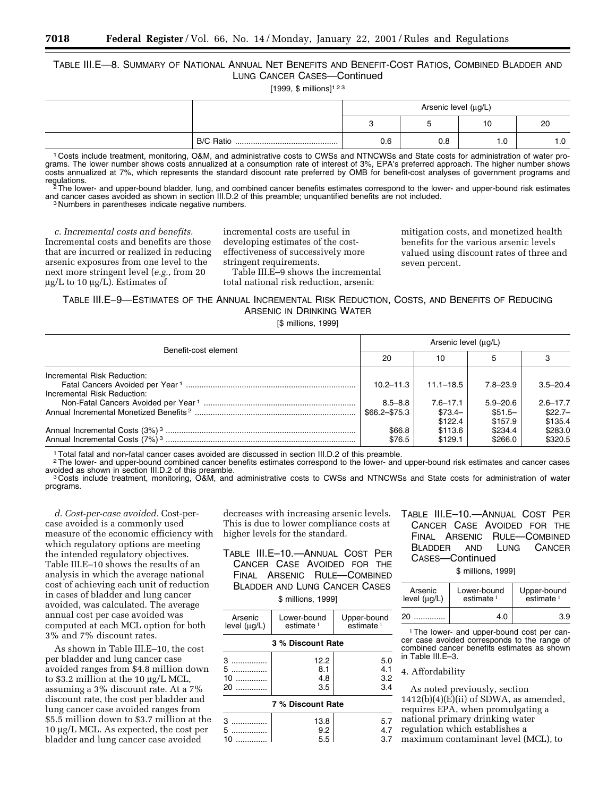# TABLE III.E—8. SUMMARY OF NATIONAL ANNUAL NET BENEFITS AND BENEFIT-COST RATIOS, COMBINED BLADDER AND LUNG CANCER CASES—Continued

[1999, \$ millions]<sup>123</sup>

|  | Arsenic level (µg/L) |     |     |     |
|--|----------------------|-----|-----|-----|
|  |                      |     |     | 20  |
|  | 0.6                  | 0.8 | 1.0 | 1.0 |

1 Costs include treatment, monitoring, O&M, and administrative costs to CWSs and NTNCWSs and State costs for administration of water programs. The lower number shows costs annualized at a consumption rate of interest of 3%, EPA's preferred approach. The higher number shows costs annualized at 7%, which represents the standard discount rate preferred by OMB for benefit-cost analyses of government programs and regulations.<br><sup>2</sup>The lower- and upper-bound bladder, lung, and combined cancer benefits estimates correspond to the lower- and upper-bound risk estimates

and cancer cases avoided as shown in section III.D.2 of this preamble; unquantified benefits are not included.<br><sup>3</sup> Numbers in parentheses indicate negative numbers.

*c. Incremental costs and benefits.* Incremental costs and benefits are those that are incurred or realized in reducing arsenic exposures from one level to the next more stringent level (*e.g.*, from 20 µg/L to 10 µg/L). Estimates of

incremental costs are useful in developing estimates of the costeffectiveness of successively more stringent requirements.

Table III.E–9 shows the incremental total national risk reduction, arsenic

mitigation costs, and monetized health benefits for the various arsenic levels valued using discount rates of three and seven percent.

# TABLE III.E–9—ESTIMATES OF THE ANNUAL INCREMENTAL RISK REDUCTION, COSTS, AND BENEFITS OF REDUCING ARSENIC IN DRINKING WATER

[\$ millions, 1999]

|                             | Arsenic level (ug/L) |               |              |              |
|-----------------------------|----------------------|---------------|--------------|--------------|
| Benefit-cost element        |                      | 10            |              |              |
| Incremental Risk Reduction: |                      |               |              |              |
|                             | $10.2 - 11.3$        | $11.1 - 18.5$ | 7.8–23.9     | $3.5 - 20.4$ |
| Incremental Risk Reduction: |                      |               |              |              |
|                             | $8.5 - 8.8$          | 7.6–17.1      | $5.9 - 20.6$ | $2.6 - 17.7$ |
|                             | \$66.2-\$75.3        | \$73.4—       | $$51.5-$     | $$22.7-$     |
|                             |                      | \$122.4       | \$157.9      | \$135.4      |
|                             | \$66.8               | \$113.6       | \$234.4      | \$283.0      |
|                             | \$76.5               | \$129.1       | \$266.0      | \$320.5      |

1Total fatal and non-fatal cancer cases avoided are discussed in section III.D.2 of this preamble.

<sup>2</sup>The lower- and upper-bound combined cancer benefits estimates correspond to the lower- and upper-bound risk estimates and cancer cases avoided as shown in section III.D.2 of this preamble.

<sup>3</sup> Costs include treatment, monitoring, O&M, and administrative costs to CWSs and NTNCWSs and State costs for administration of water programs.

*d. Cost-per-case avoided.* Cost-percase avoided is a commonly used measure of the economic efficiency with which regulatory options are meeting the intended regulatory objectives. Table III.E–10 shows the results of an analysis in which the average national cost of achieving each unit of reduction in cases of bladder and lung cancer avoided, was calculated. The average annual cost per case avoided was computed at each MCL option for both 3% and 7% discount rates.

As shown in Table III.E–10, the cost per bladder and lung cancer case avoided ranges from \$4.8 million down to \$3.2 million at the 10 µg/L MCL, assuming a 3% discount rate. At a 7% discount rate, the cost per bladder and lung cancer case avoided ranges from \$5.5 million down to \$3.7 million at the 10 µg/L MCL. As expected, the cost per bladder and lung cancer case avoided

decreases with increasing arsenic levels. This is due to lower compliance costs at higher levels for the standard.

TABLE III.E–10.—ANNUAL COST PER CANCER CASE AVOIDED FOR THE FINAL ARSENIC RULE—COMBINED BLADDER AND LUNG CANCER CASES \$ millions, 1999]

| Arsenic<br>level $(\mu g/L)$ | Lower-bound<br>estimate <sup>1</sup> | Upper-bound<br>estimate <sup>1</sup> |
|------------------------------|--------------------------------------|--------------------------------------|
|                              | 3 % Discount Rate                    |                                      |
| 3                            | 12.2                                 | 5.0                                  |
| 5<br>.                       | 8.1                                  | 4.1                                  |
| 10                           | 4.8                                  | 3.2                                  |
| 20                           | 3.5                                  | 3.4                                  |
|                              | 7 % Discount Rate                    |                                      |
| з                            | 13.8                                 | 5.7                                  |
|                              | 9.2                                  | 4.7                                  |
|                              | 5.5                                  |                                      |

TABLE III.E–10.—ANNUAL COST PER CANCER CASE AVOIDED FOR THE FINAL ARSENIC RULE—COMBINED BLADDER AND LUNG CANCER CASES—Continued

\$ millions, 1999]

| Arsenic           | Lower-bound           | Upper-bound           |
|-------------------|-----------------------|-----------------------|
| level $(\mu g/L)$ | estimate <sup>1</sup> | estimate <sup>1</sup> |
| 20                | 4.0                   | 39                    |

<sup>1</sup>The lower- and upper-bound cost per cancer case avoided corresponds to the range of combined cancer benefits estimates as shown in Table III $F=3$ .

### 4. Affordability

As noted previously, section  $1412(b)(4)(E)(ii)$  of SDWA, as amended, requires EPA, when promulgating a national primary drinking water regulation which establishes a

maximum contaminant level (MCL), to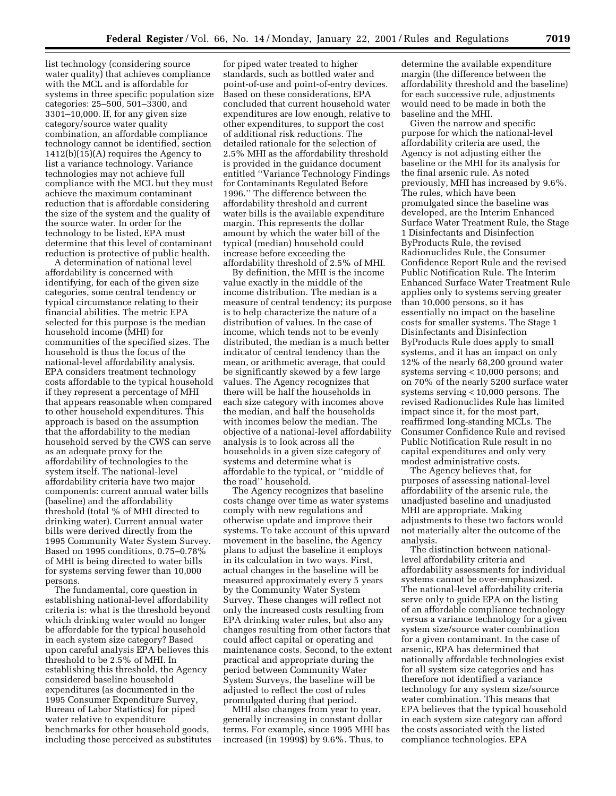list technology (considering source water quality) that achieves compliance with the MCL and is affordable for systems in three specific population size categories: 25–500, 501–3300, and 3301–10,000. If, for any given size category/source water quality combination, an affordable compliance technology cannot be identified, section 1412(b)(15)(A) requires the Agency to list a variance technology. Variance technologies may not achieve full compliance with the MCL but they must achieve the maximum contaminant reduction that is affordable considering the size of the system and the quality of the source water. In order for the technology to be listed, EPA must determine that this level of contaminant reduction is protective of public health.

A determination of national level affordability is concerned with identifying, for each of the given size categories, some central tendency or typical circumstance relating to their financial abilities. The metric EPA selected for this purpose is the median household income (MHI) for communities of the specified sizes. The household is thus the focus of the national-level affordability analysis. EPA considers treatment technology costs affordable to the typical household if they represent a percentage of MHI that appears reasonable when compared to other household expenditures. This approach is based on the assumption that the affordability to the median household served by the CWS can serve as an adequate proxy for the affordability of technologies to the system itself. The national-level affordability criteria have two major components: current annual water bills (baseline) and the affordability threshold (total % of MHI directed to drinking water). Current annual water bills were derived directly from the 1995 Community Water System Survey. Based on 1995 conditions, 0.75–0.78% of MHI is being directed to water bills for systems serving fewer than 10,000 persons.

The fundamental, core question in establishing national-level affordability criteria is: what is the threshold beyond which drinking water would no longer be affordable for the typical household in each system size category? Based upon careful analysis EPA believes this threshold to be 2.5% of MHI. In establishing this threshold, the Agency considered baseline household expenditures (as documented in the 1995 Consumer Expenditure Survey, Bureau of Labor Statistics) for piped water relative to expenditure benchmarks for other household goods, including those perceived as substitutes

for piped water treated to higher standards, such as bottled water and point-of-use and point-of-entry devices. Based on these considerations, EPA concluded that current household water expenditures are low enough, relative to other expenditures, to support the cost of additional risk reductions. The detailed rationale for the selection of 2.5% MHI as the affordability threshold is provided in the guidance document entitled ''Variance Technology Findings for Contaminants Regulated Before 1996.'' The difference between the affordability threshold and current water bills is the available expenditure margin. This represents the dollar amount by which the water bill of the typical (median) household could increase before exceeding the affordability threshold of 2.5% of MHI.

By definition, the MHI is the income value exactly in the middle of the income distribution. The median is a measure of central tendency; its purpose is to help characterize the nature of a distribution of values. In the case of income, which tends not to be evenly distributed, the median is a much better indicator of central tendency than the mean, or arithmetic average, that could be significantly skewed by a few large values. The Agency recognizes that there will be half the households in each size category with incomes above the median, and half the households with incomes below the median. The objective of a national-level affordability analysis is to look across all the households in a given size category of systems and determine what is affordable to the typical, or ''middle of the road'' household.

The Agency recognizes that baseline costs change over time as water systems comply with new regulations and otherwise update and improve their systems. To take account of this upward movement in the baseline, the Agency plans to adjust the baseline it employs in its calculation in two ways. First, actual changes in the baseline will be measured approximately every 5 years by the Community Water System Survey. These changes will reflect not only the increased costs resulting from EPA drinking water rules, but also any changes resulting from other factors that could affect capital or operating and maintenance costs. Second, to the extent practical and appropriate during the period between Community Water System Surveys, the baseline will be adjusted to reflect the cost of rules promulgated during that period.

MHI also changes from year to year, generally increasing in constant dollar terms. For example, since 1995 MHI has increased (in 1999\$) by 9.6%. Thus, to

determine the available expenditure margin (the difference between the affordability threshold and the baseline) for each successive rule, adjustments would need to be made in both the baseline and the MHI.

Given the narrow and specific purpose for which the national-level affordability criteria are used, the Agency is not adjusting either the baseline or the MHI for its analysis for the final arsenic rule. As noted previously, MHI has increased by 9.6%. The rules, which have been promulgated since the baseline was developed, are the Interim Enhanced Surface Water Treatment Rule, the Stage 1 Disinfectants and Disinfection ByProducts Rule, the revised Radionuclides Rule, the Consumer Confidence Report Rule and the revised Public Notification Rule. The Interim Enhanced Surface Water Treatment Rule applies only to systems serving greater than 10,000 persons, so it has essentially no impact on the baseline costs for smaller systems. The Stage 1 Disinfectants and Disinfection ByProducts Rule does apply to small systems, and it has an impact on only 12% of the nearly 68,200 ground water systems serving < 10,000 persons; and on 70% of the nearly 5200 surface water systems serving < 10,000 persons. The revised Radionuclides Rule has limited impact since it, for the most part, reaffirmed long-standing MCLs. The Consumer Confidence Rule and revised Public Notification Rule result in no capital expenditures and only very modest administrative costs.

The Agency believes that, for purposes of assessing national-level affordability of the arsenic rule, the unadjusted baseline and unadjusted MHI are appropriate. Making adjustments to these two factors would not materially alter the outcome of the analysis.

The distinction between nationallevel affordability criteria and affordability assessments for individual systems cannot be over-emphasized. The national-level affordability criteria serve only to guide EPA on the listing of an affordable compliance technology versus a variance technology for a given system size/source water combination for a given contaminant. In the case of arsenic, EPA has determined that nationally affordable technologies exist for all system size categories and has therefore not identified a variance technology for any system size/source water combination. This means that EPA believes that the typical household in each system size category can afford the costs associated with the listed compliance technologies. EPA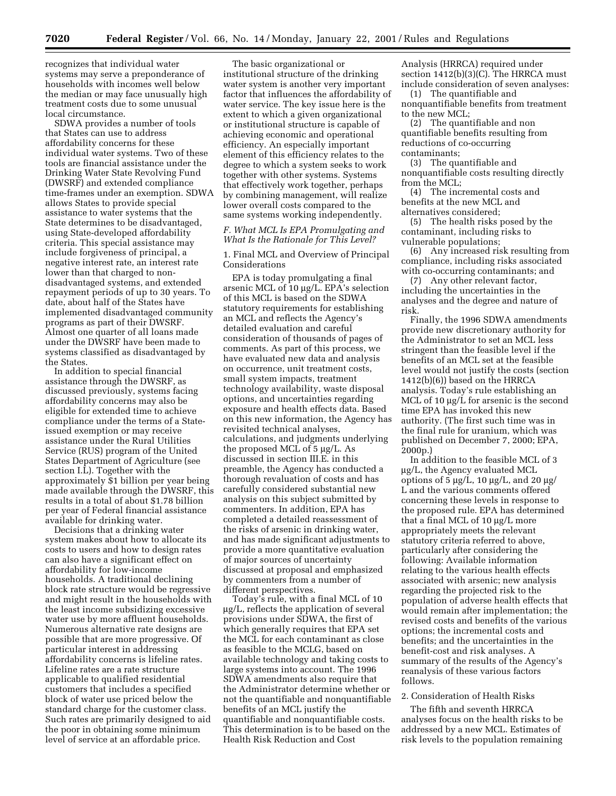recognizes that individual water systems may serve a preponderance of households with incomes well below the median or may face unusually high treatment costs due to some unusual local circumstance.

SDWA provides a number of tools that States can use to address affordability concerns for these individual water systems. Two of these tools are financial assistance under the Drinking Water State Revolving Fund (DWSRF) and extended compliance time-frames under an exemption. SDWA allows States to provide special assistance to water systems that the State determines to be disadvantaged, using State-developed affordability criteria. This special assistance may include forgiveness of principal, a negative interest rate, an interest rate lower than that charged to nondisadvantaged systems, and extended repayment periods of up to 30 years. To date, about half of the States have implemented disadvantaged community programs as part of their DWSRF. Almost one quarter of all loans made under the DWSRF have been made to systems classified as disadvantaged by the States.

In addition to special financial assistance through the DWSRF, as discussed previously, systems facing affordability concerns may also be eligible for extended time to achieve compliance under the terms of a Stateissued exemption or may receive assistance under the Rural Utilities Service (RUS) program of the United States Department of Agriculture (see section I.L). Together with the approximately \$1 billion per year being made available through the DWSRF, this results in a total of about \$1.78 billion per year of Federal financial assistance available for drinking water.

Decisions that a drinking water system makes about how to allocate its costs to users and how to design rates can also have a significant effect on affordability for low-income households. A traditional declining block rate structure would be regressive and might result in the households with the least income subsidizing excessive water use by more affluent households. Numerous alternative rate designs are possible that are more progressive. Of particular interest in addressing affordability concerns is lifeline rates. Lifeline rates are a rate structure applicable to qualified residential customers that includes a specified block of water use priced below the standard charge for the customer class. Such rates are primarily designed to aid the poor in obtaining some minimum level of service at an affordable price.

The basic organizational or institutional structure of the drinking water system is another very important factor that influences the affordability of water service. The key issue here is the extent to which a given organizational or institutional structure is capable of achieving economic and operational efficiency. An especially important element of this efficiency relates to the degree to which a system seeks to work together with other systems. Systems that effectively work together, perhaps by combining management, will realize lower overall costs compared to the same systems working independently.

### *F. What MCL Is EPA Promulgating and What Is the Rationale for This Level?*

1. Final MCL and Overview of Principal Considerations

EPA is today promulgating a final arsenic MCL of 10 µg/L. EPA's selection of this MCL is based on the SDWA statutory requirements for establishing an MCL and reflects the Agency's detailed evaluation and careful consideration of thousands of pages of comments. As part of this process, we have evaluated new data and analysis on occurrence, unit treatment costs, small system impacts, treatment technology availability, waste disposal options, and uncertainties regarding exposure and health effects data. Based on this new information, the Agency has revisited technical analyses, calculations, and judgments underlying the proposed MCL of 5 µg/L. As discussed in section III.E. in this preamble, the Agency has conducted a thorough revaluation of costs and has carefully considered substantial new analysis on this subject submitted by commenters. In addition, EPA has completed a detailed reassessment of the risks of arsenic in drinking water, and has made significant adjustments to provide a more quantitative evaluation of major sources of uncertainty discussed at proposal and emphasized by commenters from a number of different perspectives.

Today's rule, with a final MCL of 10 µg/L, reflects the application of several provisions under SDWA, the first of which generally requires that EPA set the MCL for each contaminant as close as feasible to the MCLG, based on available technology and taking costs to large systems into account. The 1996 SDWA amendments also require that the Administrator determine whether or not the quantifiable and nonquantifiable benefits of an MCL justify the quantifiable and nonquantifiable costs. This determination is to be based on the Health Risk Reduction and Cost

Analysis (HRRCA) required under section 1412(b)(3)(C). The HRRCA must include consideration of seven analyses:

(1) The quantifiable and nonquantifiable benefits from treatment to the new MCL;

(2) The quantifiable and non quantifiable benefits resulting from reductions of co-occurring contaminants;

(3) The quantifiable and nonquantifiable costs resulting directly from the MCL;

(4) The incremental costs and benefits at the new MCL and alternatives considered;

(5) The health risks posed by the contaminant, including risks to vulnerable populations;

(6) Any increased risk resulting from compliance, including risks associated with co-occurring contaminants; and

(7) Any other relevant factor, including the uncertainties in the analyses and the degree and nature of risk.

Finally, the 1996 SDWA amendments provide new discretionary authority for the Administrator to set an MCL less stringent than the feasible level if the benefits of an MCL set at the feasible level would not justify the costs (section 1412(b)(6)) based on the HRRCA analysis. Today's rule establishing an MCL of 10  $\mu$ g/L for arsenic is the second time EPA has invoked this new authority. (The first such time was in the final rule for uranium, which was published on December 7, 2000; EPA, 2000p.)

In addition to the feasible MCL of 3 µg/L, the Agency evaluated MCL options of 5 µg/L, 10 µg/L, and 20 µg/ L and the various comments offered concerning these levels in response to the proposed rule. EPA has determined that a final MCL of 10 µg/L more appropriately meets the relevant statutory criteria referred to above, particularly after considering the following: Available information relating to the various health effects associated with arsenic; new analysis regarding the projected risk to the population of adverse health effects that would remain after implementation; the revised costs and benefits of the various options; the incremental costs and benefits; and the uncertainties in the benefit-cost and risk analyses. A summary of the results of the Agency's reanalysis of these various factors follows.

# 2. Consideration of Health Risks

The fifth and seventh HRRCA analyses focus on the health risks to be addressed by a new MCL. Estimates of risk levels to the population remaining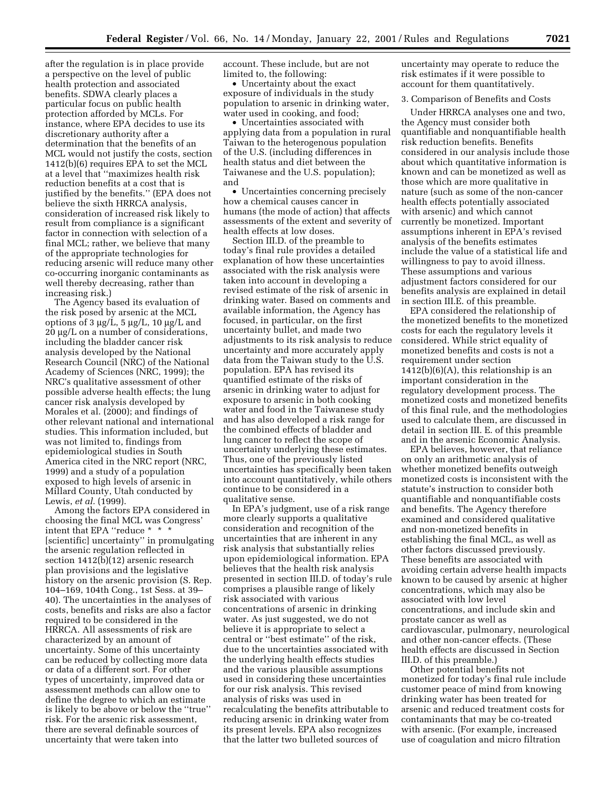after the regulation is in place provide a perspective on the level of public health protection and associated benefits. SDWA clearly places a particular focus on public health protection afforded by MCLs. For instance, where EPA decides to use its discretionary authority after a determination that the benefits of an MCL would not justify the costs, section 1412(b)(6) requires EPA to set the MCL at a level that ''maximizes health risk reduction benefits at a cost that is justified by the benefits.'' (EPA does not believe the sixth HRRCA analysis, consideration of increased risk likely to result from compliance is a significant factor in connection with selection of a final MCL; rather, we believe that many of the appropriate technologies for reducing arsenic will reduce many other co-occurring inorganic contaminants as well thereby decreasing, rather than increasing risk.)

The Agency based its evaluation of the risk posed by arsenic at the MCL options of 3  $\mu$ g/L, 5  $\mu$ g/L, 10  $\mu$ g/L and 20 µg/L on a number of considerations, including the bladder cancer risk analysis developed by the National Research Council (NRC) of the National Academy of Sciences (NRC, 1999); the NRC's qualitative assessment of other possible adverse health effects; the lung cancer risk analysis developed by Morales et al. (2000); and findings of other relevant national and international studies. This information included, but was not limited to, findings from epidemiological studies in South America cited in the NRC report (NRC, 1999) and a study of a population exposed to high levels of arsenic in Millard County, Utah conducted by Lewis, *et al.* (1999).

Among the factors EPA considered in choosing the final MCL was Congress' intent that EPA "reduce \* \* \* [scientific] uncertainty'' in promulgating the arsenic regulation reflected in section  $1412(b)(12)$  arsenic research plan provisions and the legislative history on the arsenic provision (S. Rep. 104–169, 104th Cong., 1st Sess. at 39– 40). The uncertainties in the analyses of costs, benefits and risks are also a factor required to be considered in the HRRCA. All assessments of risk are characterized by an amount of uncertainty. Some of this uncertainty can be reduced by collecting more data or data of a different sort. For other types of uncertainty, improved data or assessment methods can allow one to define the degree to which an estimate is likely to be above or below the ''true'' risk. For the arsenic risk assessment, there are several definable sources of uncertainty that were taken into

account. These include, but are not limited to, the following:

• Uncertainty about the exact exposure of individuals in the study population to arsenic in drinking water, water used in cooking, and food;

• Uncertainties associated with applying data from a population in rural Taiwan to the heterogenous population of the U.S. (including differences in health status and diet between the Taiwanese and the U.S. population); and

• Uncertainties concerning precisely how a chemical causes cancer in humans (the mode of action) that affects assessments of the extent and severity of health effects at low doses.

Section III.D. of the preamble to today's final rule provides a detailed explanation of how these uncertainties associated with the risk analysis were taken into account in developing a revised estimate of the risk of arsenic in drinking water. Based on comments and available information, the Agency has focused, in particular, on the first uncertainty bullet, and made two adjustments to its risk analysis to reduce uncertainty and more accurately apply data from the Taiwan study to the U.S. population. EPA has revised its quantified estimate of the risks of arsenic in drinking water to adjust for exposure to arsenic in both cooking water and food in the Taiwanese study and has also developed a risk range for the combined effects of bladder and lung cancer to reflect the scope of uncertainty underlying these estimates. Thus, one of the previously listed uncertainties has specifically been taken into account quantitatively, while others continue to be considered in a qualitative sense.

In EPA's judgment, use of a risk range more clearly supports a qualitative consideration and recognition of the uncertainties that are inherent in any risk analysis that substantially relies upon epidemiological information. EPA believes that the health risk analysis presented in section III.D. of today's rule comprises a plausible range of likely risk associated with various concentrations of arsenic in drinking water. As just suggested, we do not believe it is appropriate to select a central or ''best estimate'' of the risk, due to the uncertainties associated with the underlying health effects studies and the various plausible assumptions used in considering these uncertainties for our risk analysis. This revised analysis of risks was used in recalculating the benefits attributable to reducing arsenic in drinking water from its present levels. EPA also recognizes that the latter two bulleted sources of

uncertainty may operate to reduce the risk estimates if it were possible to account for them quantitatively.

#### 3. Comparison of Benefits and Costs

Under HRRCA analyses one and two, the Agency must consider both quantifiable and nonquantifiable health risk reduction benefits. Benefits considered in our analysis include those about which quantitative information is known and can be monetized as well as those which are more qualitative in nature (such as some of the non-cancer health effects potentially associated with arsenic) and which cannot currently be monetized. Important assumptions inherent in EPA's revised analysis of the benefits estimates include the value of a statistical life and willingness to pay to avoid illness. These assumptions and various adjustment factors considered for our benefits analysis are explained in detail in section III.E. of this preamble.

EPA considered the relationship of the monetized benefits to the monetized costs for each the regulatory levels it considered. While strict equality of monetized benefits and costs is not a requirement under section  $1412(b)(6)(A)$ , this relationship is an important consideration in the regulatory development process. The monetized costs and monetized benefits of this final rule, and the methodologies used to calculate them, are discussed in detail in section III. E. of this preamble and in the arsenic Economic Analysis.

EPA believes, however, that reliance on only an arithmetic analysis of whether monetized benefits outweigh monetized costs is inconsistent with the statute's instruction to consider both quantifiable and nonquantifiable costs and benefits. The Agency therefore examined and considered qualitative and non-monetized benefits in establishing the final MCL, as well as other factors discussed previously. These benefits are associated with avoiding certain adverse health impacts known to be caused by arsenic at higher concentrations, which may also be associated with low level concentrations, and include skin and prostate cancer as well as cardiovascular, pulmonary, neurological and other non-cancer effects. (These health effects are discussed in Section III.D. of this preamble.)

Other potential benefits not monetized for today's final rule include customer peace of mind from knowing drinking water has been treated for arsenic and reduced treatment costs for contaminants that may be co-treated with arsenic. (For example, increased use of coagulation and micro filtration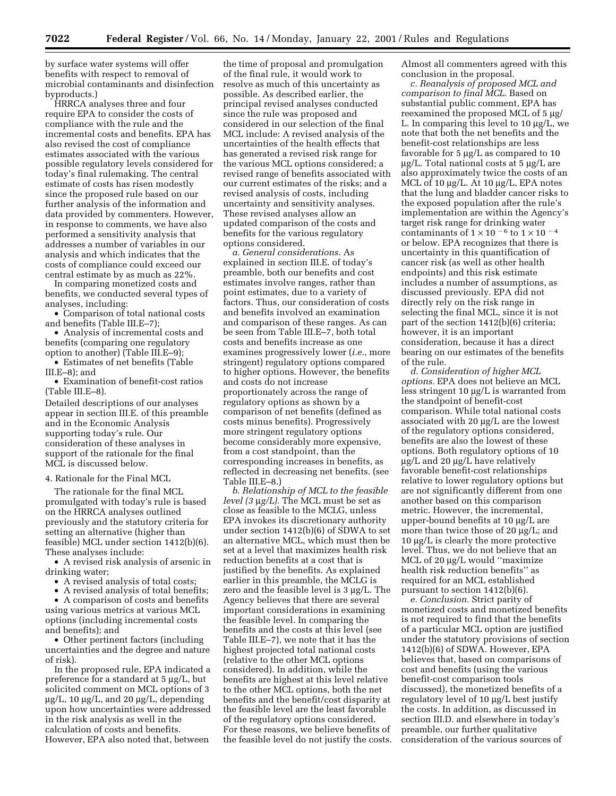by surface water systems will offer benefits with respect to removal of microbial contaminants and disinfection byproducts.)

HRRCA analyses three and four require EPA to consider the costs of compliance with the rule and the incremental costs and benefits. EPA has also revised the cost of compliance estimates associated with the various possible regulatory levels considered for today's final rulemaking. The central estimate of costs has risen modestly since the proposed rule based on our further analysis of the information and data provided by commenters. However, in response to comments, we have also performed a sensitivity analysis that addresses a number of variables in our analysis and which indicates that the costs of compliance could exceed our central estimate by as much as 22%.

In comparing monetized costs and benefits, we conducted several types of analyses, including:

• Comparison of total national costs and benefits (Table III.E–7);

• Analysis of incremental costs and benefits (comparing one regulatory option to another) (Table III.E–9);

• Estimates of net benefits (Table III.E–8); and

• Examination of benefit-cost ratios (Table III.E–8).

Detailed descriptions of our analyses appear in section III.E. of this preamble and in the Economic Analysis supporting today's rule. Our consideration of these analyses in support of the rationale for the final MCL is discussed below.

4. Rationale for the Final MCL

The rationale for the final MCL promulgated with today's rule is based on the HRRCA analyses outlined previously and the statutory criteria for setting an alternative (higher than feasible) MCL under section 1412(b)(6). These analyses include:

• A revised risk analysis of arsenic in drinking water;

• A revised analysis of total costs;

• A revised analysis of total benefits;

• A comparison of costs and benefits using various metrics at various MCL options (including incremental costs and benefits); and

• Other pertinent factors (including uncertainties and the degree and nature of risk).

In the proposed rule, EPA indicated a preference for a standard at 5 µg/L, but solicited comment on MCL options of 3 µg/L, 10 µg/L, and 20 µg/L, depending upon how uncertainties were addressed in the risk analysis as well in the calculation of costs and benefits. However, EPA also noted that, between

the time of proposal and promulgation of the final rule, it would work to resolve as much of this uncertainty as possible. As described earlier, the principal revised analyses conducted since the rule was proposed and considered in our selection of the final MCL include: A revised analysis of the uncertainties of the health effects that has generated a revised risk range for the various MCL options considered; a revised range of benefits associated with our current estimates of the risks; and a revised analysis of costs, including uncertainty and sensitivity analyses. These revised analyses allow an updated comparison of the costs and benefits for the various regulatory options considered.

*a. General considerations.* As explained in section III.E. of today's preamble, both our benefits and cost estimates involve ranges, rather than point estimates, due to a variety of factors. Thus, our consideration of costs and benefits involved an examination and comparison of these ranges. As can be seen from Table III.E–7, both total costs and benefits increase as one examines progressively lower (*i.e.,* more stringent) regulatory options compared to higher options. However, the benefits and costs do not increase proportionately across the range of regulatory options as shown by a comparison of net benefits (defined as costs minus benefits). Progressively more stringent regulatory options become considerably more expensive, from a cost standpoint, than the corresponding increases in benefits, as reflected in decreasing net benefits. (see Table III.E–8.)

*b. Relationship of MCL to the feasible level (3* µ*g/L).* The MCL must be set as close as feasible to the MCLG, unless EPA invokes its discretionary authority under section 1412(b)(6) of SDWA to set an alternative MCL, which must then be set at a level that maximizes health risk reduction benefits at a cost that is justified by the benefits. As explained earlier in this preamble, the MCLG is zero and the feasible level is 3 µg/L. The Agency believes that there are several important considerations in examining the feasible level. In comparing the benefits and the costs at this level (see Table III.E–7), we note that it has the highest projected total national costs (relative to the other MCL options considered). In addition, while the benefits are highest at this level relative to the other MCL options, both the net benefits and the benefit/cost disparity at the feasible level are the least favorable of the regulatory options considered. For these reasons, we believe benefits of the feasible level do not justify the costs. Almost all commenters agreed with this conclusion in the proposal.

*c. Reanalysis of proposed MCL and comparison to final MCL.* Based on substantial public comment, EPA has reexamined the proposed MCL of 5 µg/ L. In comparing this level to 10 µg/L, we note that both the net benefits and the benefit-cost relationships are less favorable for 5 µg/L as compared to 10 µg/L. Total national costs at 5 µg/L are also approximately twice the costs of an MCL of 10 μg/L. At 10 μg/L, EPA notes that the lung and bladder cancer risks to the exposed population after the rule's implementation are within the Agency's target risk range for drinking water contaminants of  $1 \times 10^{-6}$  to  $1 \times 10^{-4}$ or below. EPA recognizes that there is uncertainty in this quantification of cancer risk (as well as other health endpoints) and this risk estimate includes a number of assumptions, as discussed previously. EPA did not directly rely on the risk range in selecting the final MCL, since it is not part of the section 1412(b)(6) criteria; however, it is an important consideration, because it has a direct bearing on our estimates of the benefits of the rule.

*d. Consideration of higher MCL options.* EPA does not believe an MCL less stringent 10 µg/L is warranted from the standpoint of benefit-cost comparison. While total national costs associated with 20 µg/L are the lowest of the regulatory options considered, benefits are also the lowest of these options. Both regulatory options of 10 µg/L and 20 µg/L have relatively favorable benefit-cost relationships relative to lower regulatory options but are not significantly different from one another based on this comparison metric. However, the incremental, upper-bound benefits at 10 µg/L are more than twice those of 20 µg/L; and 10 µg/L is clearly the more protective level. Thus, we do not believe that an MCL of 20  $\mu$ g/L would "maximize health risk reduction benefits'' as required for an MCL established pursuant to section 1412(b)(6).

*e. Conclusion.* Strict parity of monetized costs and monetized benefits is not required to find that the benefits of a particular MCL option are justified under the statutory provisions of section 1412(b)(6) of SDWA. However, EPA believes that, based on comparisons of cost and benefits (using the various benefit-cost comparison tools discussed), the monetized benefits of a regulatory level of 10 µg/L best justify the costs. In addition, as discussed in section III.D. and elsewhere in today's preamble, our further qualitative consideration of the various sources of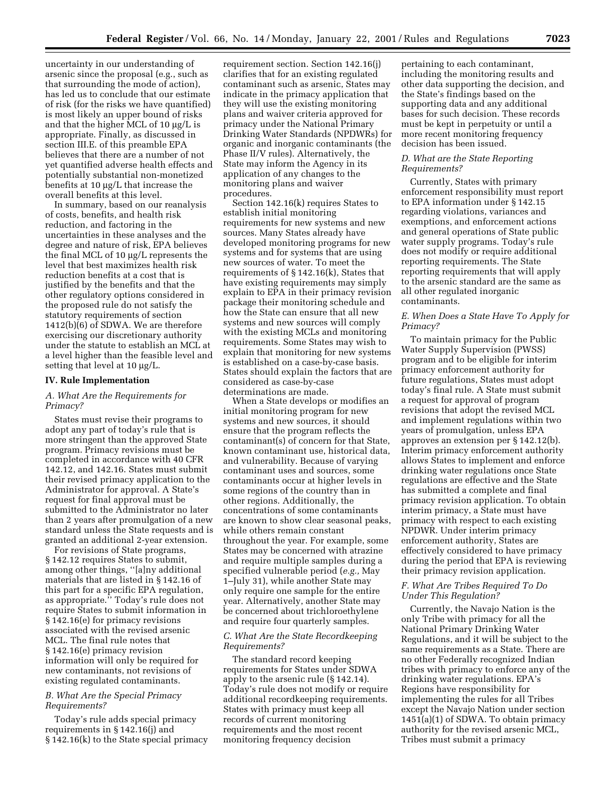uncertainty in our understanding of arsenic since the proposal (e.g., such as that surrounding the mode of action), has led us to conclude that our estimate of risk (for the risks we have quantified) is most likely an upper bound of risks and that the higher MCL of 10 µg/L is appropriate. Finally, as discussed in section III.E. of this preamble EPA believes that there are a number of not yet quantified adverse health effects and potentially substantial non-monetized benefits at 10 µg/L that increase the overall benefits at this level.

In summary, based on our reanalysis of costs, benefits, and health risk reduction, and factoring in the uncertainties in these analyses and the degree and nature of risk, EPA believes the final MCL of 10 µg/L represents the level that best maximizes health risk reduction benefits at a cost that is justified by the benefits and that the other regulatory options considered in the proposed rule do not satisfy the statutory requirements of section 1412(b)(6) of SDWA. We are therefore exercising our discretionary authority under the statute to establish an MCL at a level higher than the feasible level and setting that level at 10 µg/L.

#### **IV. Rule Implementation**

### *A. What Are the Requirements for Primacy?*

States must revise their programs to adopt any part of today's rule that is more stringent than the approved State program. Primacy revisions must be completed in accordance with 40 CFR 142.12, and 142.16. States must submit their revised primacy application to the Administrator for approval. A State's request for final approval must be submitted to the Administrator no later than 2 years after promulgation of a new standard unless the State requests and is granted an additional 2-year extension.

For revisions of State programs, § 142.12 requires States to submit, among other things, ''[a]ny additional materials that are listed in § 142.16 of this part for a specific EPA regulation, as appropriate.'' Today's rule does not require States to submit information in § 142.16(e) for primacy revisions associated with the revised arsenic MCL. The final rule notes that § 142.16(e) primacy revision information will only be required for new contaminants, not revisions of existing regulated contaminants.

### *B. What Are the Special Primacy Requirements?*

Today's rule adds special primacy requirements in § 142.16(j) and § 142.16(k) to the State special primacy requirement section. Section 142.16(j) clarifies that for an existing regulated contaminant such as arsenic, States may indicate in the primacy application that they will use the existing monitoring plans and waiver criteria approved for primacy under the National Primary Drinking Water Standards (NPDWRs) for organic and inorganic contaminants (the Phase II/V rules). Alternatively, the State may inform the Agency in its application of any changes to the monitoring plans and waiver procedures.

Section 142.16(k) requires States to establish initial monitoring requirements for new systems and new sources. Many States already have developed monitoring programs for new systems and for systems that are using new sources of water. To meet the requirements of § 142.16(k), States that have existing requirements may simply explain to EPA in their primacy revision package their monitoring schedule and how the State can ensure that all new systems and new sources will comply with the existing MCLs and monitoring requirements. Some States may wish to explain that monitoring for new systems is established on a case-by-case basis. States should explain the factors that are considered as case-by-case determinations are made.

When a State develops or modifies an initial monitoring program for new systems and new sources, it should ensure that the program reflects the contaminant(s) of concern for that State, known contaminant use, historical data, and vulnerability. Because of varying contaminant uses and sources, some contaminants occur at higher levels in some regions of the country than in other regions. Additionally, the concentrations of some contaminants are known to show clear seasonal peaks, while others remain constant throughout the year. For example, some States may be concerned with atrazine and require multiple samples during a specified vulnerable period (*e.g.,* May 1–July 31), while another State may only require one sample for the entire year. Alternatively, another State may be concerned about trichloroethylene and require four quarterly samples.

### *C. What Are the State Recordkeeping Requirements?*

The standard record keeping requirements for States under SDWA apply to the arsenic rule (§ 142.14). Today's rule does not modify or require additional recordkeeping requirements. States with primacy must keep all records of current monitoring requirements and the most recent monitoring frequency decision

pertaining to each contaminant, including the monitoring results and other data supporting the decision, and the State's findings based on the supporting data and any additional bases for such decision. These records must be kept in perpetuity or until a more recent monitoring frequency decision has been issued.

### *D. What are the State Reporting Requirements?*

Currently, States with primary enforcement responsibility must report to EPA information under § 142.15 regarding violations, variances and exemptions, and enforcement actions and general operations of State public water supply programs. Today's rule does not modify or require additional reporting requirements. The State reporting requirements that will apply to the arsenic standard are the same as all other regulated inorganic contaminants.

### *E. When Does a State Have To Apply for Primacy?*

To maintain primacy for the Public Water Supply Supervision (PWSS) program and to be eligible for interim primacy enforcement authority for future regulations, States must adopt today's final rule. A State must submit a request for approval of program revisions that adopt the revised MCL and implement regulations within two years of promulgation, unless EPA approves an extension per § 142.12(b). Interim primacy enforcement authority allows States to implement and enforce drinking water regulations once State regulations are effective and the State has submitted a complete and final primacy revision application. To obtain interim primacy, a State must have primacy with respect to each existing NPDWR. Under interim primacy enforcement authority, States are effectively considered to have primacy during the period that EPA is reviewing their primacy revision application.

### *F. What Are Tribes Required To Do Under This Regulation?*

Currently, the Navajo Nation is the only Tribe with primacy for all the National Primary Drinking Water Regulations, and it will be subject to the same requirements as a State. There are no other Federally recognized Indian tribes with primacy to enforce any of the drinking water regulations. EPA's Regions have responsibility for implementing the rules for all Tribes except the Navajo Nation under section 1451(a)(1) of SDWA. To obtain primacy authority for the revised arsenic MCL, Tribes must submit a primacy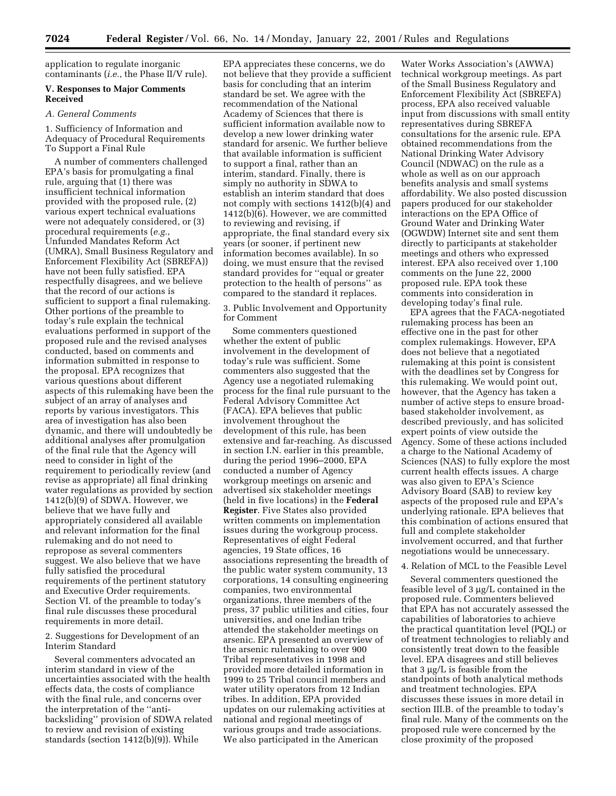application to regulate inorganic contaminants (*i.e.*, the Phase II/V rule).

### **V. Responses to Major Comments Received**

#### *A. General Comments*

1. Sufficiency of Information and Adequacy of Procedural Requirements To Support a Final Rule

A number of commenters challenged EPA's basis for promulgating a final rule, arguing that (1) there was insufficient technical information provided with the proposed rule, (2) various expert technical evaluations were not adequately considered, or (3) procedural requirements (*e.g.*, Unfunded Mandates Reform Act (UMRA), Small Business Regulatory and Enforcement Flexibility Act (SBREFA)) have not been fully satisfied. EPA respectfully disagrees, and we believe that the record of our actions is sufficient to support a final rulemaking. Other portions of the preamble to today's rule explain the technical evaluations performed in support of the proposed rule and the revised analyses conducted, based on comments and information submitted in response to the proposal. EPA recognizes that various questions about different aspects of this rulemaking have been the subject of an array of analyses and reports by various investigators. This area of investigation has also been dynamic, and there will undoubtedly be additional analyses after promulgation of the final rule that the Agency will need to consider in light of the requirement to periodically review (and revise as appropriate) all final drinking water regulations as provided by section 1412(b)(9) of SDWA. However, we believe that we have fully and appropriately considered all available and relevant information for the final rulemaking and do not need to repropose as several commenters suggest. We also believe that we have fully satisfied the procedural requirements of the pertinent statutory and Executive Order requirements. Section VI. of the preamble to today's final rule discusses these procedural requirements in more detail.

2. Suggestions for Development of an Interim Standard

Several commenters advocated an interim standard in view of the uncertainties associated with the health effects data, the costs of compliance with the final rule, and concerns over the interpretation of the ''antibacksliding'' provision of SDWA related to review and revision of existing standards (section 1412(b)(9)). While

EPA appreciates these concerns, we do not believe that they provide a sufficient basis for concluding that an interim standard be set. We agree with the recommendation of the National Academy of Sciences that there is sufficient information available now to develop a new lower drinking water standard for arsenic. We further believe that available information is sufficient to support a final, rather than an interim, standard. Finally, there is simply no authority in SDWA to establish an interim standard that does not comply with sections 1412(b)(4) and 1412(b)(6). However, we are committed to reviewing and revising, if appropriate, the final standard every six years (or sooner, if pertinent new information becomes available). In so doing, we must ensure that the revised standard provides for ''equal or greater protection to the health of persons'' as compared to the standard it replaces.

### 3. Public Involvement and Opportunity for Comment

Some commenters questioned whether the extent of public involvement in the development of today's rule was sufficient. Some commenters also suggested that the Agency use a negotiated rulemaking process for the final rule pursuant to the Federal Advisory Committee Act (FACA). EPA believes that public involvement throughout the development of this rule, has been extensive and far-reaching. As discussed in section I.N. earlier in this preamble, during the period 1996–2000, EPA conducted a number of Agency workgroup meetings on arsenic and advertised six stakeholder meetings (held in five locations) in the **Federal Register**. Five States also provided written comments on implementation issues during the workgroup process. Representatives of eight Federal agencies, 19 State offices, 16 associations representing the breadth of the public water system community, 13 corporations, 14 consulting engineering companies, two environmental organizations, three members of the press, 37 public utilities and cities, four universities, and one Indian tribe attended the stakeholder meetings on arsenic. EPA presented an overview of the arsenic rulemaking to over 900 Tribal representatives in 1998 and provided more detailed information in 1999 to 25 Tribal council members and water utility operators from 12 Indian tribes. In addition, EPA provided updates on our rulemaking activities at national and regional meetings of various groups and trade associations. We also participated in the American

Water Works Association's (AWWA) technical workgroup meetings. As part of the Small Business Regulatory and Enforcement Flexibility Act (SBREFA) process, EPA also received valuable input from discussions with small entity representatives during SBREFA consultations for the arsenic rule. EPA obtained recommendations from the National Drinking Water Advisory Council (NDWAC) on the rule as a whole as well as on our approach benefits analysis and small systems affordability. We also posted discussion papers produced for our stakeholder interactions on the EPA Office of Ground Water and Drinking Water (OGWDW) Internet site and sent them directly to participants at stakeholder meetings and others who expressed interest. EPA also received over 1,100 comments on the June 22, 2000 proposed rule. EPA took these comments into consideration in developing today's final rule.

EPA agrees that the FACA-negotiated rulemaking process has been an effective one in the past for other complex rulemakings. However, EPA does not believe that a negotiated rulemaking at this point is consistent with the deadlines set by Congress for this rulemaking. We would point out, however, that the Agency has taken a number of active steps to ensure broadbased stakeholder involvement, as described previously, and has solicited expert points of view outside the Agency. Some of these actions included a charge to the National Academy of Sciences (NAS) to fully explore the most current health effects issues. A charge was also given to EPA's Science Advisory Board (SAB) to review key aspects of the proposed rule and EPA's underlying rationale. EPA believes that this combination of actions ensured that full and complete stakeholder involvement occurred, and that further negotiations would be unnecessary.

#### 4. Relation of MCL to the Feasible Level

Several commenters questioned the feasible level of 3 µg/L contained in the proposed rule. Commenters believed that EPA has not accurately assessed the capabilities of laboratories to achieve the practical quantitation level (PQL) or of treatment technologies to reliably and consistently treat down to the feasible level. EPA disagrees and still believes that 3 µg/L is feasible from the standpoints of both analytical methods and treatment technologies. EPA discusses these issues in more detail in section III.B. of the preamble to today's final rule. Many of the comments on the proposed rule were concerned by the close proximity of the proposed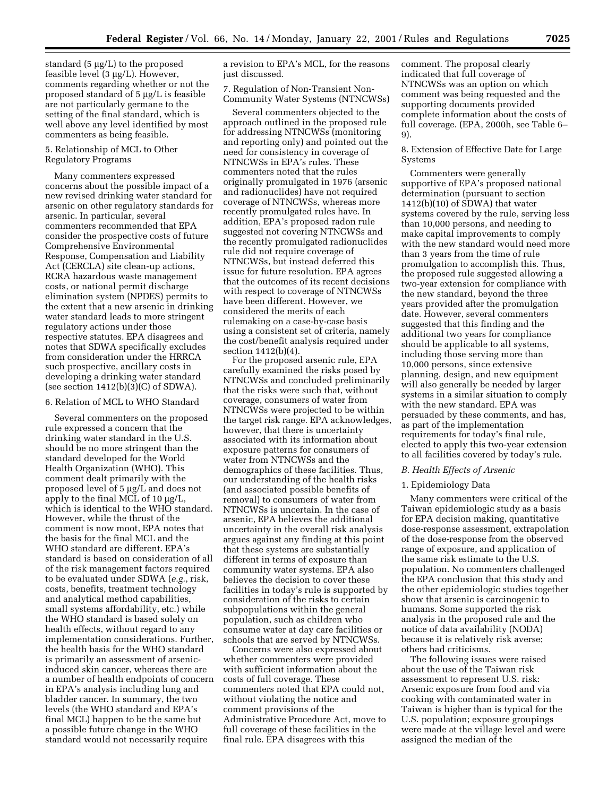standard (5 µg/L) to the proposed feasible level (3 µg/L). However, comments regarding whether or not the proposed standard of 5 µg/L is feasible are not particularly germane to the setting of the final standard, which is well above any level identified by most commenters as being feasible.

### 5. Relationship of MCL to Other Regulatory Programs

Many commenters expressed concerns about the possible impact of a new revised drinking water standard for arsenic on other regulatory standards for arsenic. In particular, several commenters recommended that EPA consider the prospective costs of future Comprehensive Environmental Response, Compensation and Liability Act (CERCLA) site clean-up actions, RCRA hazardous waste management costs, or national permit discharge elimination system (NPDES) permits to the extent that a new arsenic in drinking water standard leads to more stringent regulatory actions under those respective statutes. EPA disagrees and notes that SDWA specifically excludes from consideration under the HRRCA such prospective, ancillary costs in developing a drinking water standard (see section  $1412(b)(3)(C)$  of SDWA).

### 6. Relation of MCL to WHO Standard

Several commenters on the proposed rule expressed a concern that the drinking water standard in the U.S. should be no more stringent than the standard developed for the World Health Organization (WHO). This comment dealt primarily with the proposed level of 5 µg/L and does not apply to the final MCL of 10 µg/L, which is identical to the WHO standard. However, while the thrust of the comment is now moot, EPA notes that the basis for the final MCL and the WHO standard are different. EPA's standard is based on consideration of all of the risk management factors required to be evaluated under SDWA (*e.g.*, risk, costs, benefits, treatment technology and analytical method capabilities, small systems affordability, etc.) while the WHO standard is based solely on health effects, without regard to any implementation considerations. Further, the health basis for the WHO standard is primarily an assessment of arsenicinduced skin cancer, whereas there are a number of health endpoints of concern in EPA's analysis including lung and bladder cancer. In summary, the two levels (the WHO standard and EPA's final MCL) happen to be the same but a possible future change in the WHO standard would not necessarily require

a revision to EPA's MCL, for the reasons just discussed.

7. Regulation of Non-Transient Non-Community Water Systems (NTNCWSs)

Several commenters objected to the approach outlined in the proposed rule for addressing NTNCWSs (monitoring and reporting only) and pointed out the need for consistency in coverage of NTNCWSs in EPA's rules. These commenters noted that the rules originally promulgated in 1976 (arsenic and radionuclides) have not required coverage of NTNCWSs, whereas more recently promulgated rules have. In addition, EPA's proposed radon rule suggested not covering NTNCWSs and the recently promulgated radionuclides rule did not require coverage of NTNCWSs, but instead deferred this issue for future resolution. EPA agrees that the outcomes of its recent decisions with respect to coverage of NTNCWSs have been different. However, we considered the merits of each rulemaking on a case-by-case basis using a consistent set of criteria, namely the cost/benefit analysis required under section 1412(b)(4).

For the proposed arsenic rule, EPA carefully examined the risks posed by NTNCWSs and concluded preliminarily that the risks were such that, without coverage, consumers of water from NTNCWSs were projected to be within the target risk range. EPA acknowledges, however, that there is uncertainty associated with its information about exposure patterns for consumers of water from NTNCWSs and the demographics of these facilities. Thus, our understanding of the health risks (and associated possible benefits of removal) to consumers of water from NTNCWSs is uncertain. In the case of arsenic, EPA believes the additional uncertainty in the overall risk analysis argues against any finding at this point that these systems are substantially different in terms of exposure than community water systems. EPA also believes the decision to cover these facilities in today's rule is supported by consideration of the risks to certain subpopulations within the general population, such as children who consume water at day care facilities or schools that are served by NTNCWSs.

Concerns were also expressed about whether commenters were provided with sufficient information about the costs of full coverage. These commenters noted that EPA could not, without violating the notice and comment provisions of the Administrative Procedure Act, move to full coverage of these facilities in the final rule. EPA disagrees with this

comment. The proposal clearly indicated that full coverage of NTNCWSs was an option on which comment was being requested and the supporting documents provided complete information about the costs of full coverage. (EPA, 2000h, see Table 6– 9).

### 8. Extension of Effective Date for Large Systems

Commenters were generally supportive of EPA's proposed national determination (pursuant to section 1412(b)(10) of SDWA) that water systems covered by the rule, serving less than 10,000 persons, and needing to make capital improvements to comply with the new standard would need more than 3 years from the time of rule promulgation to accomplish this. Thus, the proposed rule suggested allowing a two-year extension for compliance with the new standard, beyond the three years provided after the promulgation date. However, several commenters suggested that this finding and the additional two years for compliance should be applicable to all systems, including those serving more than 10,000 persons, since extensive planning, design, and new equipment will also generally be needed by larger systems in a similar situation to comply with the new standard. EPA was persuaded by these comments, and has, as part of the implementation requirements for today's final rule, elected to apply this two-year extension to all facilities covered by today's rule.

#### *B. Health Effects of Arsenic*

#### 1. Epidemiology Data

Many commenters were critical of the Taiwan epidemiologic study as a basis for EPA decision making, quantitative dose-response assessment, extrapolation of the dose-response from the observed range of exposure, and application of the same risk estimate to the U.S. population. No commenters challenged the EPA conclusion that this study and the other epidemiologic studies together show that arsenic is carcinogenic to humans. Some supported the risk analysis in the proposed rule and the notice of data availability (NODA) because it is relatively risk averse; others had criticisms.

The following issues were raised about the use of the Taiwan risk assessment to represent U.S. risk: Arsenic exposure from food and via cooking with contaminated water in Taiwan is higher than is typical for the U.S. population; exposure groupings were made at the village level and were assigned the median of the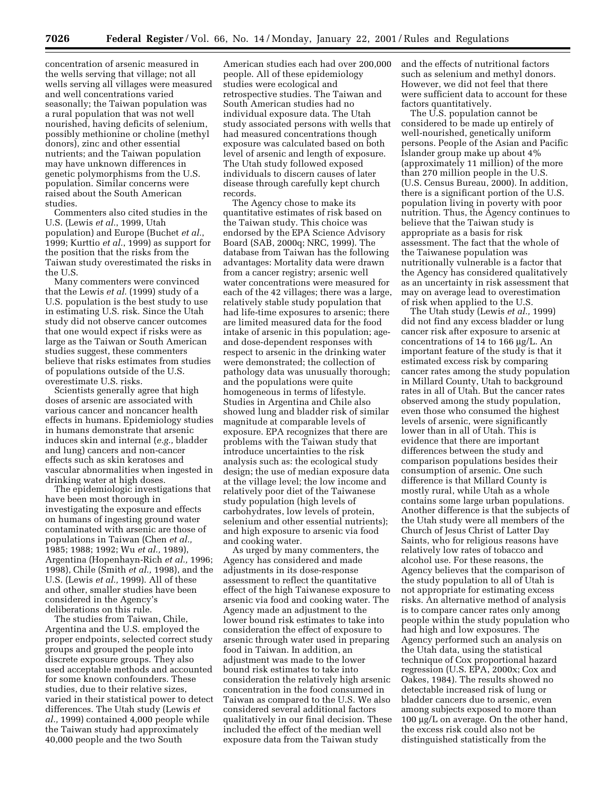concentration of arsenic measured in the wells serving that village; not all wells serving all villages were measured and well concentrations varied seasonally; the Taiwan population was a rural population that was not well nourished, having deficits of selenium, possibly methionine or choline (methyl donors), zinc and other essential nutrients; and the Taiwan population may have unknown differences in genetic polymorphisms from the U.S. population. Similar concerns were raised about the South American studies.

Commenters also cited studies in the U.S. (Lewis *et al.*, 1999, Utah population) and Europe (Buchet *et al.*, 1999; Kurttio *et al.*, 1999) as support for the position that the risks from the Taiwan study overestimated the risks in the U.S.

Many commenters were convinced that the Lewis *et al.* (1999) study of a U.S. population is the best study to use in estimating U.S. risk. Since the Utah study did not observe cancer outcomes that one would expect if risks were as large as the Taiwan or South American studies suggest, these commenters believe that risks estimates from studies of populations outside of the U.S. overestimate U.S. risks.

Scientists generally agree that high doses of arsenic are associated with various cancer and noncancer health effects in humans. Epidemiology studies in humans demonstrate that arsenic induces skin and internal (*e.g.,* bladder and lung) cancers and non-cancer effects such as skin keratoses and vascular abnormalities when ingested in drinking water at high doses.

The epidemiologic investigations that have been most thorough in investigating the exposure and effects on humans of ingesting ground water contaminated with arsenic are those of populations in Taiwan (Chen *et al.,* 1985; 1988; 1992; Wu *et al.,* 1989), Argentina (Hopenhayn-Rich *et al.,* 1996; 1998), Chile (Smith *et al.,* 1998), and the U.S. (Lewis *et al.,* 1999). All of these and other, smaller studies have been considered in the Agency's deliberations on this rule.

The studies from Taiwan, Chile, Argentina and the U.S. employed the proper endpoints, selected correct study groups and grouped the people into discrete exposure groups. They also used acceptable methods and accounted for some known confounders. These studies, due to their relative sizes, varied in their statistical power to detect differences. The Utah study (Lewis *et al.,* 1999) contained 4,000 people while the Taiwan study had approximately 40,000 people and the two South

American studies each had over 200,000 people. All of these epidemiology studies were ecological and retrospective studies. The Taiwan and South American studies had no individual exposure data. The Utah study associated persons with wells that had measured concentrations though exposure was calculated based on both level of arsenic and length of exposure. The Utah study followed exposed individuals to discern causes of later disease through carefully kept church records.

The Agency chose to make its quantitative estimates of risk based on the Taiwan study. This choice was endorsed by the EPA Science Advisory Board (SAB, 2000q; NRC, 1999). The database from Taiwan has the following advantages: Mortality data were drawn from a cancer registry; arsenic well water concentrations were measured for each of the 42 villages; there was a large, relatively stable study population that had life-time exposures to arsenic; there are limited measured data for the food intake of arsenic in this population; ageand dose-dependent responses with respect to arsenic in the drinking water were demonstrated; the collection of pathology data was unusually thorough; and the populations were quite homogeneous in terms of lifestyle. Studies in Argentina and Chile also showed lung and bladder risk of similar magnitude at comparable levels of exposure. EPA recognizes that there are problems with the Taiwan study that introduce uncertainties to the risk analysis such as: the ecological study design; the use of median exposure data at the village level; the low income and relatively poor diet of the Taiwanese study population (high levels of carbohydrates, low levels of protein, selenium and other essential nutrients); and high exposure to arsenic via food and cooking water.

As urged by many commenters, the Agency has considered and made adjustments in its dose-response assessment to reflect the quantitative effect of the high Taiwanese exposure to arsenic via food and cooking water. The Agency made an adjustment to the lower bound risk estimates to take into consideration the effect of exposure to arsenic through water used in preparing food in Taiwan. In addition, an adjustment was made to the lower bound risk estimates to take into consideration the relatively high arsenic concentration in the food consumed in Taiwan as compared to the U.S. We also considered several additional factors qualitatively in our final decision. These included the effect of the median well exposure data from the Taiwan study

and the effects of nutritional factors such as selenium and methyl donors. However, we did not feel that there were sufficient data to account for these factors quantitatively.

The U.S. population cannot be considered to be made up entirely of well-nourished, genetically uniform persons. People of the Asian and Pacific Islander group make up about 4% (approximately 11 million) of the more than 270 million people in the U.S. (U.S. Census Bureau, 2000). In addition, there is a significant portion of the U.S. population living in poverty with poor nutrition. Thus, the Agency continues to believe that the Taiwan study is appropriate as a basis for risk assessment. The fact that the whole of the Taiwanese population was nutritionally vulnerable is a factor that the Agency has considered qualitatively as an uncertainty in risk assessment that may on average lead to overestimation of risk when applied to the U.S.

The Utah study (Lewis *et al.,* 1999) did not find any excess bladder or lung cancer risk after exposure to arsenic at concentrations of 14 to 166 µg/L. An important feature of the study is that it estimated excess risk by comparing cancer rates among the study population in Millard County, Utah to background rates in all of Utah. But the cancer rates observed among the study population, even those who consumed the highest levels of arsenic, were significantly lower than in all of Utah. This is evidence that there are important differences between the study and comparison populations besides their consumption of arsenic. One such difference is that Millard County is mostly rural, while Utah as a whole contains some large urban populations. Another difference is that the subjects of the Utah study were all members of the Church of Jesus Christ of Latter Day Saints, who for religious reasons have relatively low rates of tobacco and alcohol use. For these reasons, the Agency believes that the comparison of the study population to all of Utah is not appropriate for estimating excess risks. An alternative method of analysis is to compare cancer rates only among people within the study population who had high and low exposures. The Agency performed such an analysis on the Utah data, using the statistical technique of Cox proportional hazard regression (U.S. EPA, 2000x; Cox and Oakes, 1984). The results showed no detectable increased risk of lung or bladder cancers due to arsenic, even among subjects exposed to more than 100 µg/L on average. On the other hand, the excess risk could also not be distinguished statistically from the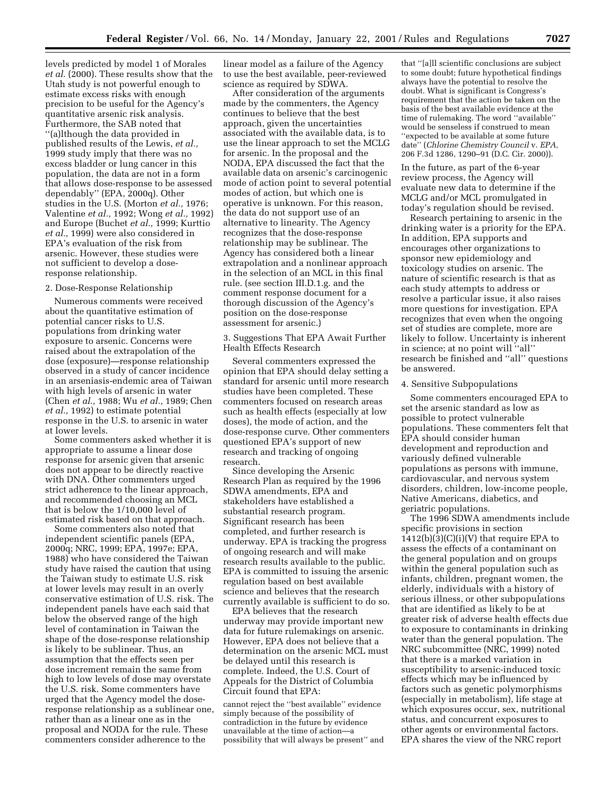levels predicted by model 1 of Morales *et al.* (2000). These results show that the Utah study is not powerful enough to estimate excess risks with enough precision to be useful for the Agency's quantitative arsenic risk analysis. Furthermore, the SAB noted that ''(a)lthough the data provided in published results of the Lewis, *et al.,* 1999 study imply that there was no excess bladder or lung cancer in this population, the data are not in a form that allows dose-response to be assessed dependably'' (EPA, 2000q). Other studies in the U.S. (Morton *et al.,* 1976; Valentine *et al.,* 1992; Wong *et al.,* 1992) and Europe (Buchet *et al.,* 1999; Kurttio *et al.,* 1999) were also considered in EPA's evaluation of the risk from arsenic. However, these studies were not sufficient to develop a doseresponse relationship.

#### 2. Dose-Response Relationship

Numerous comments were received about the quantitative estimation of potential cancer risks to U.S. populations from drinking water exposure to arsenic. Concerns were raised about the extrapolation of the dose (exposure)—response relationship observed in a study of cancer incidence in an arseniasis-endemic area of Taiwan with high levels of arsenic in water (Chen *et al.,* 1988; Wu *et al.,* 1989; Chen *et al.,* 1992) to estimate potential response in the U.S. to arsenic in water at lower levels.

Some commenters asked whether it is appropriate to assume a linear dose response for arsenic given that arsenic does not appear to be directly reactive with DNA. Other commenters urged strict adherence to the linear approach, and recommended choosing an MCL that is below the 1/10,000 level of estimated risk based on that approach.

Some commenters also noted that independent scientific panels (EPA, 2000q; NRC, 1999; EPA, 1997e; EPA, 1988) who have considered the Taiwan study have raised the caution that using the Taiwan study to estimate U.S. risk at lower levels may result in an overly conservative estimation of U.S. risk. The independent panels have each said that below the observed range of the high level of contamination in Taiwan the shape of the dose-response relationship is likely to be sublinear. Thus, an assumption that the effects seen per dose increment remain the same from high to low levels of dose may overstate the U.S. risk. Some commenters have urged that the Agency model the doseresponse relationship as a sublinear one, rather than as a linear one as in the proposal and NODA for the rule. These commenters consider adherence to the

linear model as a failure of the Agency to use the best available, peer-reviewed science as required by SDWA.

After consideration of the arguments made by the commenters, the Agency continues to believe that the best approach, given the uncertainties associated with the available data, is to use the linear approach to set the MCLG for arsenic. In the proposal and the NODA, EPA discussed the fact that the available data on arsenic's carcinogenic mode of action point to several potential modes of action, but which one is operative is unknown. For this reason, the data do not support use of an alternative to linearity. The Agency recognizes that the dose-response relationship may be sublinear. The Agency has considered both a linear extrapolation and a nonlinear approach in the selection of an MCL in this final rule. (see section III.D.1.g. and the comment response document for a thorough discussion of the Agency's position on the dose-response assessment for arsenic.)

### 3. Suggestions That EPA Await Further Health Effects Research

Several commenters expressed the opinion that EPA should delay setting a standard for arsenic until more research studies have been completed. These commenters focused on research areas such as health effects (especially at low doses), the mode of action, and the dose-response curve. Other commenters questioned EPA's support of new research and tracking of ongoing research.

Since developing the Arsenic Research Plan as required by the 1996 SDWA amendments, EPA and stakeholders have established a substantial research program. Significant research has been completed, and further research is underway. EPA is tracking the progress of ongoing research and will make research results available to the public. EPA is committed to issuing the arsenic regulation based on best available science and believes that the research currently available is sufficient to do so.

EPA believes that the research underway may provide important new data for future rulemakings on arsenic. However, EPA does not believe that a determination on the arsenic MCL must be delayed until this research is complete. Indeed, the U.S. Court of Appeals for the District of Columbia Circuit found that EPA:

cannot reject the ''best available'' evidence simply because of the possibility of contradiction in the future by evidence unavailable at the time of action—a possibility that will always be present'' and

that ''[a]ll scientific conclusions are subject to some doubt; future hypothetical findings always have the potential to resolve the doubt. What is significant is Congress's requirement that the action be taken on the basis of the best available evidence at the time of rulemaking. The word ''available'' would be senseless if construed to mean ''expected to be available at some future date'' (*Chlorine Chemistry Council* v. *EPA,* 206 F.3d 1286, 1290–91 (D.C. Cir. 2000)).

In the future, as part of the 6-year review process, the Agency will evaluate new data to determine if the MCLG and/or MCL promulgated in today's regulation should be revised.

Research pertaining to arsenic in the drinking water is a priority for the EPA. In addition, EPA supports and encourages other organizations to sponsor new epidemiology and toxicology studies on arsenic. The nature of scientific research is that as each study attempts to address or resolve a particular issue, it also raises more questions for investigation. EPA recognizes that even when the ongoing set of studies are complete, more are likely to follow. Uncertainty is inherent in science; at no point will ''all'' research be finished and ''all'' questions be answered.

#### 4. Sensitive Subpopulations

Some commenters encouraged EPA to set the arsenic standard as low as possible to protect vulnerable populations. These commenters felt that EPA should consider human development and reproduction and variously defined vulnerable populations as persons with immune, cardiovascular, and nervous system disorders, children, low-income people, Native Americans, diabetics, and geriatric populations.

The 1996 SDWA amendments include specific provisions in section  $1412(b)(3)(C)(i)(V)$  that require EPA to assess the effects of a contaminant on the general population and on groups within the general population such as infants, children, pregnant women, the elderly, individuals with a history of serious illness, or other subpopulations that are identified as likely to be at greater risk of adverse health effects due to exposure to contaminants in drinking water than the general population. The NRC subcommittee (NRC, 1999) noted that there is a marked variation in susceptibility to arsenic-induced toxic effects which may be influenced by factors such as genetic polymorphisms (especially in metabolism), life stage at which exposures occur, sex, nutritional status, and concurrent exposures to other agents or environmental factors. EPA shares the view of the NRC report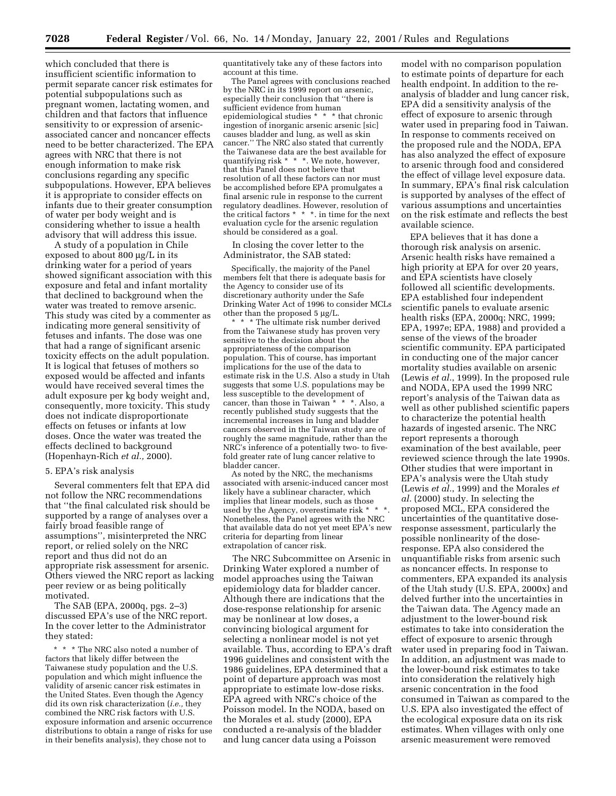which concluded that there is insufficient scientific information to permit separate cancer risk estimates for potential subpopulations such as pregnant women, lactating women, and children and that factors that influence sensitivity to or expression of arsenicassociated cancer and noncancer effects need to be better characterized. The EPA agrees with NRC that there is not enough information to make risk conclusions regarding any specific subpopulations. However, EPA believes it is appropriate to consider effects on infants due to their greater consumption of water per body weight and is considering whether to issue a health advisory that will address this issue.

A study of a population in Chile exposed to about 800 µg/L in its drinking water for a period of years showed significant association with this exposure and fetal and infant mortality that declined to background when the water was treated to remove arsenic. This study was cited by a commenter as indicating more general sensitivity of fetuses and infants. The dose was one that had a range of significant arsenic toxicity effects on the adult population. It is logical that fetuses of mothers so exposed would be affected and infants would have received several times the adult exposure per kg body weight and, consequently, more toxicity. This study does not indicate disproportionate effects on fetuses or infants at low doses. Once the water was treated the effects declined to background (Hopenhayn-Rich *et al.,* 2000).

#### 5. EPA's risk analysis

Several commenters felt that EPA did not follow the NRC recommendations that ''the final calculated risk should be supported by a range of analyses over a fairly broad feasible range of assumptions'', misinterpreted the NRC report, or relied solely on the NRC report and thus did not do an appropriate risk assessment for arsenic. Others viewed the NRC report as lacking peer review or as being politically motivated.

The SAB (EPA, 2000q, pgs. 2–3) discussed EPA's use of the NRC report. In the cover letter to the Administrator they stated:

\* \* \* The NRC also noted a number of factors that likely differ between the Taiwanese study population and the U.S. population and which might influence the validity of arsenic cancer risk estimates in the United States. Even though the Agency did its own risk characterization (*i.e.,* they combined the NRC risk factors with U.S. exposure information and arsenic occurrence distributions to obtain a range of risks for use in their benefits analysis), they chose not to

quantitatively take any of these factors into account at this time.

The Panel agrees with conclusions reached by the NRC in its 1999 report on arsenic, especially their conclusion that ''there is sufficient evidence from human epidemiological studies \* \* \* that chronic ingestion of inorganic arsenic arsenic [sic] causes bladder and lung, as well as skin cancer.'' The NRC also stated that currently the Taiwanese data are the best available for quantifying risk \* \* \*. We note, however, that this Panel does not believe that resolution of all these factors can nor must be accomplished before EPA promulgates a final arsenic rule in response to the current regulatory deadlines. However, resolution of the critical factors \* \* \*. in time for the next evaluation cycle for the arsenic regulation should be considered as a goal.

In closing the cover letter to the Administrator, the SAB stated:

Specifically, the majority of the Panel members felt that there is adequate basis for the Agency to consider use of its discretionary authority under the Safe Drinking Water Act of 1996 to consider MCLs other than the proposed 5 µg/L.

\* \* \* The ultimate risk number derived from the Taiwanese study has proven very sensitive to the decision about the appropriateness of the comparison population. This of course, has important implications for the use of the data to estimate risk in the U.S. Also a study in Utah suggests that some U.S. populations may be less susceptible to the development of cancer, than those in Taiwan \* \* \*. Also, a recently published study suggests that the incremental increases in lung and bladder cancers observed in the Taiwan study are of roughly the same magnitude, rather than the NRC's inference of a potentially two- to fivefold greater rate of lung cancer relative to bladder cancer.

As noted by the NRC, the mechanisms associated with arsenic-induced cancer most likely have a sublinear character, which implies that linear models, such as those used by the Agency, overestimate risk \* Nonetheless, the Panel agrees with the NRC that available data do not yet meet EPA's new criteria for departing from linear extrapolation of cancer risk.

The NRC Subcommittee on Arsenic in Drinking Water explored a number of model approaches using the Taiwan epidemiology data for bladder cancer. Although there are indications that the dose-response relationship for arsenic may be nonlinear at low doses, a convincing biological argument for selecting a nonlinear model is not yet available. Thus, according to EPA's draft 1996 guidelines and consistent with the 1986 guidelines, EPA determined that a point of departure approach was most appropriate to estimate low-dose risks. EPA agreed with NRC's choice of the Poisson model. In the NODA, based on the Morales et al. study (2000), EPA conducted a re-analysis of the bladder and lung cancer data using a Poisson

model with no comparison population to estimate points of departure for each health endpoint. In addition to the reanalysis of bladder and lung cancer risk, EPA did a sensitivity analysis of the effect of exposure to arsenic through water used in preparing food in Taiwan. In response to comments received on the proposed rule and the NODA, EPA has also analyzed the effect of exposure to arsenic through food and considered the effect of village level exposure data. In summary, EPA's final risk calculation is supported by analyses of the effect of various assumptions and uncertainties on the risk estimate and reflects the best available science.

EPA believes that it has done a thorough risk analysis on arsenic. Arsenic health risks have remained a high priority at EPA for over 20 years, and EPA scientists have closely followed all scientific developments. EPA established four independent scientific panels to evaluate arsenic health risks (EPA, 2000q; NRC, 1999; EPA, 1997e; EPA, 1988) and provided a sense of the views of the broader scientific community. EPA participated in conducting one of the major cancer mortality studies available on arsenic (Lewis *et al.*, 1999). In the proposed rule and NODA, EPA used the 1999 NRC report's analysis of the Taiwan data as well as other published scientific papers to characterize the potential health hazards of ingested arsenic. The NRC report represents a thorough examination of the best available, peer reviewed science through the late 1990s. Other studies that were important in EPA's analysis were the Utah study (Lewis *et al.*, 1999) and the Morales *et al.* (2000) study. In selecting the proposed MCL, EPA considered the uncertainties of the quantitative doseresponse assessment, particularly the possible nonlinearity of the doseresponse. EPA also considered the unquantifiable risks from arsenic such as noncancer effects. In response to commenters, EPA expanded its analysis of the Utah study (U.S. EPA, 2000x) and delved further into the uncertainties in the Taiwan data. The Agency made an adjustment to the lower-bound risk estimates to take into consideration the effect of exposure to arsenic through water used in preparing food in Taiwan. In addition, an adjustment was made to the lower-bound risk estimates to take into consideration the relatively high arsenic concentration in the food consumed in Taiwan as compared to the U.S. EPA also investigated the effect of the ecological exposure data on its risk estimates. When villages with only one arsenic measurement were removed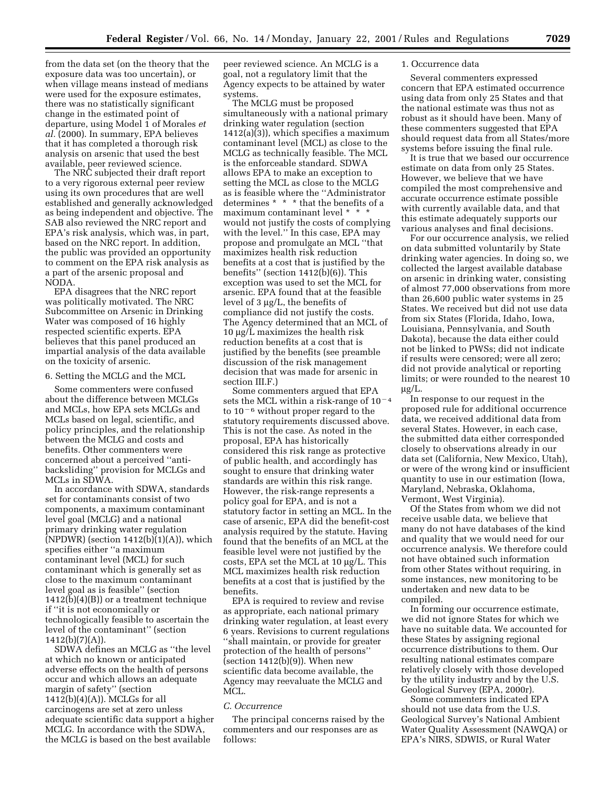from the data set (on the theory that the exposure data was too uncertain), or when village means instead of medians were used for the exposure estimates, there was no statistically significant change in the estimated point of departure, using Model 1 of Morales *et al.* (2000). In summary, EPA believes that it has completed a thorough risk analysis on arsenic that used the best available, peer reviewed science.

The NRC subjected their draft report to a very rigorous external peer review using its own procedures that are well established and generally acknowledged as being independent and objective. The SAB also reviewed the NRC report and EPA's risk analysis, which was, in part, based on the NRC report. In addition, the public was provided an opportunity to comment on the EPA risk analysis as a part of the arsenic proposal and NODA.

EPA disagrees that the NRC report was politically motivated. The NRC Subcommittee on Arsenic in Drinking Water was composed of 16 highly respected scientific experts. EPA believes that this panel produced an impartial analysis of the data available on the toxicity of arsenic.

#### 6. Setting the MCLG and the MCL

Some commenters were confused about the difference between MCLGs and MCLs, how EPA sets MCLGs and MCLs based on legal, scientific, and policy principles, and the relationship between the MCLG and costs and benefits. Other commenters were concerned about a perceived ''antibacksliding'' provision for MCLGs and MCLs in SDWA.

In accordance with SDWA, standards set for contaminants consist of two components, a maximum contaminant level goal (MCLG) and a national primary drinking water regulation  $(NPDWR)$  (section  $1412(b)(1)(A)$ ), which specifies either ''a maximum contaminant level (MCL) for such contaminant which is generally set as close to the maximum contaminant level goal as is feasible'' (section 1412(b)(4)(B)) or a treatment technique if ''it is not economically or technologically feasible to ascertain the level of the contaminant'' (section 1412(b)(7)(A)).

SDWA defines an MCLG as ''the level at which no known or anticipated adverse effects on the health of persons occur and which allows an adequate margin of safety'' (section 1412(b)(4)(A)). MCLGs for all carcinogens are set at zero unless adequate scientific data support a higher MCLG. In accordance with the SDWA, the MCLG is based on the best available

peer reviewed science. An MCLG is a goal, not a regulatory limit that the Agency expects to be attained by water systems.

The MCLG must be proposed simultaneously with a national primary drinking water regulation (section 1412(a)(3)), which specifies a maximum contaminant level (MCL) as close to the MCLG as technically feasible. The MCL is the enforceable standard. SDWA allows EPA to make an exception to setting the MCL as close to the MCLG as is feasible where the ''Administrator determines \* \* \* that the benefits of a maximum contaminant level \* \* \* would not justify the costs of complying with the level.'' In this case, EPA may propose and promulgate an MCL ''that maximizes health risk reduction benefits at a cost that is justified by the benefits'' (section 1412(b)(6)). This exception was used to set the MCL for arsenic. EPA found that at the feasible level of 3 µg/L, the benefits of compliance did not justify the costs. The Agency determined that an MCL of 10 µg/L maximizes the health risk reduction benefits at a cost that is justified by the benefits (see preamble discussion of the risk management decision that was made for arsenic in section III.F.)

Some commenters argued that EPA sets the MCL within a risk-range of  $10^{-4}$ to  $10^{-6}$  without proper regard to the statutory requirements discussed above. This is not the case. As noted in the proposal, EPA has historically considered this risk range as protective of public health, and accordingly has sought to ensure that drinking water standards are within this risk range. However, the risk-range represents a policy goal for EPA, and is not a statutory factor in setting an MCL. In the case of arsenic, EPA did the benefit-cost analysis required by the statute. Having found that the benefits of an MCL at the feasible level were not justified by the costs, EPA set the MCL at 10 µg/L. This MCL maximizes health risk reduction benefits at a cost that is justified by the benefits.

EPA is required to review and revise as appropriate, each national primary drinking water regulation, at least every 6 years. Revisions to current regulations ''shall maintain, or provide for greater protection of the health of persons'' (section  $1412(b)(9)$ ). When new scientific data become available, the Agency may reevaluate the MCLG and MCL.

#### *C. Occurrence*

The principal concerns raised by the commenters and our responses are as follows:

### 1. Occurrence data

Several commenters expressed concern that EPA estimated occurrence using data from only 25 States and that the national estimate was thus not as robust as it should have been. Many of these commenters suggested that EPA should request data from all States/more systems before issuing the final rule.

It is true that we based our occurrence estimate on data from only 25 States. However, we believe that we have compiled the most comprehensive and accurate occurrence estimate possible with currently available data, and that this estimate adequately supports our various analyses and final decisions.

For our occurrence analysis, we relied on data submitted voluntarily by State drinking water agencies. In doing so, we collected the largest available database on arsenic in drinking water, consisting of almost 77,000 observations from more than 26,600 public water systems in 25 States. We received but did not use data from six States (Florida, Idaho, Iowa, Louisiana, Pennsylvania, and South Dakota), because the data either could not be linked to PWSs; did not indicate if results were censored; were all zero; did not provide analytical or reporting limits; or were rounded to the nearest 10 µg/L.

In response to our request in the proposed rule for additional occurrence data, we received additional data from several States. However, in each case, the submitted data either corresponded closely to observations already in our data set (California, New Mexico, Utah), or were of the wrong kind or insufficient quantity to use in our estimation (Iowa, Maryland, Nebraska, Oklahoma, Vermont, West Virginia).

Of the States from whom we did not receive usable data, we believe that many do not have databases of the kind and quality that we would need for our occurrence analysis. We therefore could not have obtained such information from other States without requiring, in some instances, new monitoring to be undertaken and new data to be compiled.

In forming our occurrence estimate, we did not ignore States for which we have no suitable data. We accounted for these States by assigning regional occurrence distributions to them. Our resulting national estimates compare relatively closely with those developed by the utility industry and by the U.S. Geological Survey (EPA, 2000r).

Some commenters indicated EPA should not use data from the U.S. Geological Survey's National Ambient Water Quality Assessment (NAWQA) or EPA's NIRS, SDWIS, or Rural Water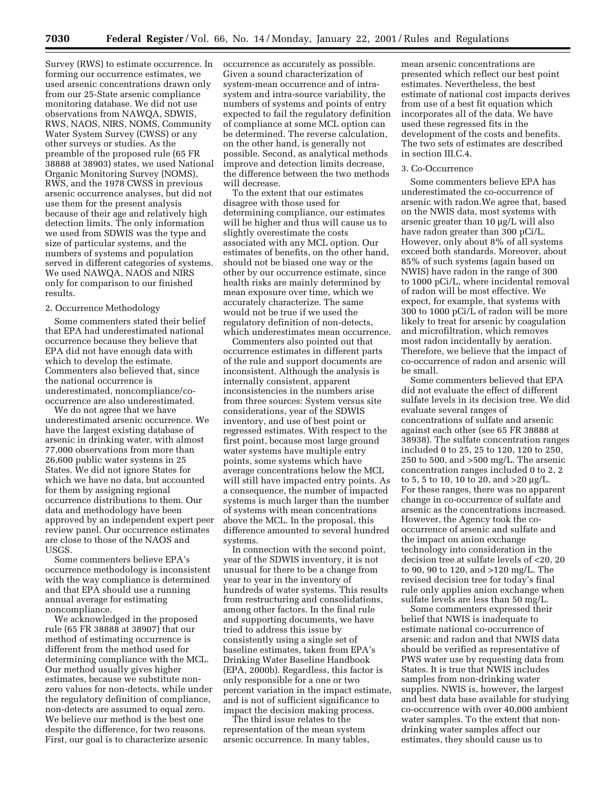Survey (RWS) to estimate occurrence. In forming our occurrence estimates, we used arsenic concentrations drawn only from our 25-State arsenic compliance monitoring database. We did not use observations from NAWQA, SDWIS, RWS, NAOS, NIRS, NOMS, Community Water System Survey (CWSS) or any other surveys or studies. As the preamble of the proposed rule (65 FR 38888 at 38903) states, we used National Organic Monitoring Survey (NOMS), RWS, and the 1978 CWSS in previous arsenic occurrence analyses, but did not use them for the present analysis because of their age and relatively high detection limits. The only information we used from SDWIS was the type and size of particular systems, and the numbers of systems and population served in different categories of systems. We used NAWQA, NAOS and NIRS only for comparison to our finished results.

### 2. Occurrence Methodology

Some commenters stated their belief that EPA had underestimated national occurrence because they believe that EPA did not have enough data with which to develop the estimate. Commenters also believed that, since the national occurrence is underestimated, noncompliance/cooccurrence are also underestimated.

We do not agree that we have underestimated arsenic occurrence. We have the largest existing database of arsenic in drinking water, with almost 77,000 observations from more than 26,600 public water systems in 25 States. We did not ignore States for which we have no data, but accounted for them by assigning regional occurrence distributions to them. Our data and methodology have been approved by an independent expert peer review panel. Our occurrence estimates are close to those of the NAOS and USGS.

Some commenters believe EPA's occurrence methodology is inconsistent with the way compliance is determined and that EPA should use a running annual average for estimating noncompliance.

We acknowledged in the proposed rule (65 FR 38888 at 38907) that our method of estimating occurrence is different from the method used for determining compliance with the MCL. Our method usually gives higher estimates, because we substitute nonzero values for non-detects, while under the regulatory definition of compliance, non-detects are assumed to equal zero. We believe our method is the best one despite the difference, for two reasons. First, our goal is to characterize arsenic

occurrence as accurately as possible. Given a sound characterization of system-mean occurrence and of intrasystem and intra-source variability, the numbers of systems and points of entry expected to fail the regulatory definition of compliance at some MCL option can be determined. The reverse calculation, on the other hand, is generally not possible. Second, as analytical methods improve and detection limits decrease, the difference between the two methods will decrease.

To the extent that our estimates disagree with those used for determining compliance, our estimates will be higher and thus will cause us to slightly overestimate the costs associated with any MCL option. Our estimates of benefits, on the other hand, should not be biased one way or the other by our occurrence estimate, since health risks are mainly determined by mean exposure over time, which we accurately characterize. The same would not be true if we used the regulatory definition of non-detects, which underestimates mean occurrence.

Commenters also pointed out that occurrence estimates in different parts of the rule and support documents are inconsistent. Although the analysis is internally consistent, apparent inconsistencies in the numbers arise from three sources: System versus site considerations, year of the SDWIS inventory, and use of best point or regressed estimates. With respect to the first point, because most large ground water systems have multiple entry points, some systems which have average concentrations below the MCL will still have impacted entry points. As a consequence, the number of impacted systems is much larger than the number of systems with mean concentrations above the MCL. In the proposal, this difference amounted to several hundred systems.

In connection with the second point, year of the SDWIS inventory, it is not unusual for there to be a change from year to year in the inventory of hundreds of water systems. This results from restructuring and consolidations, among other factors. In the final rule and supporting documents, we have tried to address this issue by consistently using a single set of baseline estimates, taken from EPA's Drinking Water Baseline Handbook (EPA, 2000b). Regardless, this factor is only responsible for a one or two percent variation in the impact estimate, and is not of sufficient significance to impact the decision making process.

The third issue relates to the representation of the mean system arsenic occurrence. In many tables, mean arsenic concentrations are presented which reflect our best point estimates. Nevertheless, the best estimate of national cost impacts derives from use of a best fit equation which incorporates all of the data. We have used these regressed fits in the development of the costs and benefits. The two sets of estimates are described in section III.C.4.

#### 3. Co-Occurrence

Some commenters believe EPA has underestimated the co-occurrence of arsenic with radon.We agree that, based on the NWIS data, most systems with arsenic greater than 10 µg/L will also have radon greater than 300 pCi/L. However, only about 8% of all systems exceed both standards. Moreover, about 85% of such systems (again based on NWIS) have radon in the range of 300 to 1000 pCi/L, where incidental removal of radon will be most effective. We expect, for example, that systems with 300 to 1000 pCi/L of radon will be more likely to treat for arsenic by coagulation and microfiltration, which removes most radon incidentally by aeration. Therefore, we believe that the impact of co-occurrence of radon and arsenic will be small.

Some commenters believed that EPA did not evaluate the effect of different sulfate levels in its decision tree. We did evaluate several ranges of concentrations of sulfate and arsenic against each other (see 65 FR 38888 at 38938). The sulfate concentration ranges included 0 to 25, 25 to 120, 120 to 250, 250 to 500, and  $>500$  mg/L. The arsenic concentration ranges included 0 to 2, 2 to 5, 5 to 10, 10 to 20, and >20 µg/L. For these ranges, there was no apparent change in co-occurrence of sulfate and arsenic as the concentrations increased. However, the Agency took the cooccurrence of arsenic and sulfate and the impact on anion exchange technology into consideration in the decision tree at sulfate levels of <20, 20 to 90, 90 to 120, and >120 mg/L. The revised decision tree for today's final rule only applies anion exchange when sulfate levels are less than 50 mg/L.

Some commenters expressed their belief that NWIS is inadequate to estimate national co-occurrence of arsenic and radon and that NWIS data should be verified as representative of PWS water use by requesting data from States. It is true that NWIS includes samples from non-drinking water supplies. NWIS is, however, the largest and best data base available for studying co-occurrence with over 40,000 ambient water samples. To the extent that nondrinking water samples affect our estimates, they should cause us to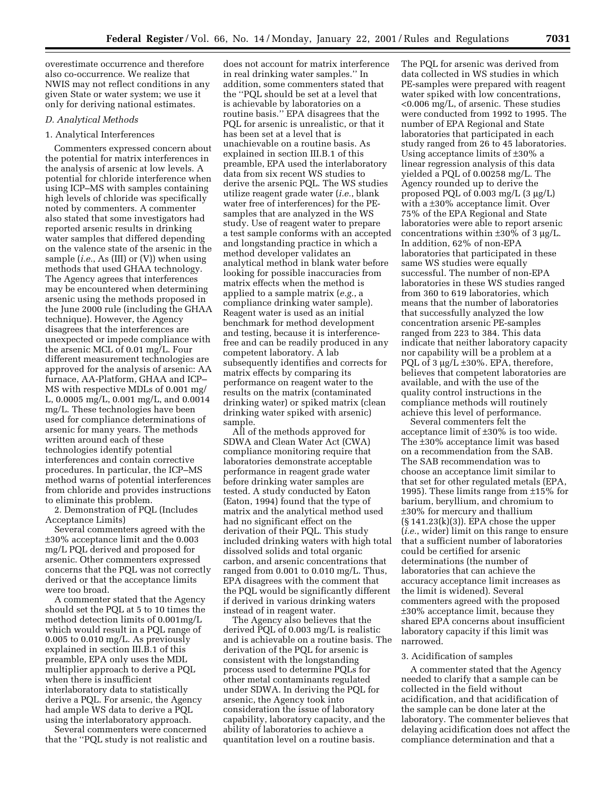overestimate occurrence and therefore also co-occurrence. We realize that NWIS may not reflect conditions in any given State or water system; we use it only for deriving national estimates.

### *D. Analytical Methods*

#### 1. Analytical Interferences

Commenters expressed concern about the potential for matrix interferences in the analysis of arsenic at low levels. A potential for chloride interference when using ICP–MS with samples containing high levels of chloride was specifically noted by commenters. A commenter also stated that some investigators had reported arsenic results in drinking water samples that differed depending on the valence state of the arsenic in the sample (*i.e.*, As (III) or (V)) when using methods that used GHAA technology. The Agency agrees that interferences may be encountered when determining arsenic using the methods proposed in the June 2000 rule (including the GHAA technique). However, the Agency disagrees that the interferences are unexpected or impede compliance with the arsenic MCL of 0.01 mg/L. Four different measurement technologies are approved for the analysis of arsenic: AA furnace, AA-Platform, GHAA and ICP– MS with respective MDLs of 0.001 mg/ L, 0.0005 mg/L, 0.001 mg/L, and 0.0014 mg/L. These technologies have been used for compliance determinations of arsenic for many years. The methods written around each of these technologies identify potential interferences and contain corrective procedures. In particular, the ICP–MS method warns of potential interferences from chloride and provides instructions to eliminate this problem.

2. Demonstration of PQL (Includes Acceptance Limits)

Several commenters agreed with the ±30% acceptance limit and the 0.003 mg/L PQL derived and proposed for arsenic. Other commenters expressed concerns that the PQL was not correctly derived or that the acceptance limits were too broad.

A commenter stated that the Agency should set the PQL at 5 to 10 times the method detection limits of 0.001mg/L which would result in a PQL range of 0.005 to 0.010 mg/L. As previously explained in section III.B.1 of this preamble, EPA only uses the MDL multiplier approach to derive a PQL when there is insufficient interlaboratory data to statistically derive a PQL. For arsenic, the Agency had ample WS data to derive a PQL using the interlaboratory approach.

Several commenters were concerned that the ''PQL study is not realistic and

does not account for matrix interference in real drinking water samples.'' In addition, some commenters stated that the ''PQL should be set at a level that is achievable by laboratories on a routine basis.'' EPA disagrees that the PQL for arsenic is unrealistic, or that it has been set at a level that is unachievable on a routine basis. As explained in section III.B.1 of this preamble, EPA used the interlaboratory data from six recent WS studies to derive the arsenic PQL. The WS studies utilize reagent grade water (*i.e.*, blank water free of interferences) for the PEsamples that are analyzed in the WS study. Use of reagent water to prepare a test sample conforms with an accepted and longstanding practice in which a method developer validates an analytical method in blank water before looking for possible inaccuracies from matrix effects when the method is applied to a sample matrix (*e.g.*, a compliance drinking water sample). Reagent water is used as an initial benchmark for method development and testing, because it is interferencefree and can be readily produced in any competent laboratory. A lab subsequently identifies and corrects for matrix effects by comparing its performance on reagent water to the results on the matrix (contaminated drinking water) or spiked matrix (clean drinking water spiked with arsenic) sample.

All of the methods approved for SDWA and Clean Water Act (CWA) compliance monitoring require that laboratories demonstrate acceptable performance in reagent grade water before drinking water samples are tested. A study conducted by Eaton (Eaton, 1994) found that the type of matrix and the analytical method used had no significant effect on the derivation of their PQL. This study included drinking waters with high total dissolved solids and total organic carbon, and arsenic concentrations that ranged from 0.001 to 0.010 mg/L. Thus, EPA disagrees with the comment that the PQL would be significantly different if derived in various drinking waters instead of in reagent water.

The Agency also believes that the derived PQL of 0.003 mg/L is realistic and is achievable on a routine basis. The derivation of the PQL for arsenic is consistent with the longstanding process used to determine PQLs for other metal contaminants regulated under SDWA. In deriving the PQL for arsenic, the Agency took into consideration the issue of laboratory capability, laboratory capacity, and the ability of laboratories to achieve a quantitation level on a routine basis.

The PQL for arsenic was derived from data collected in WS studies in which PE-samples were prepared with reagent water spiked with low concentrations, <0.006 mg/L, of arsenic. These studies were conducted from 1992 to 1995. The number of EPA Regional and State laboratories that participated in each study ranged from 26 to 45 laboratories. Using acceptance limits of ±30% a linear regression analysis of this data yielded a PQL of 0.00258 mg/L. The Agency rounded up to derive the proposed PQL of 0.003 mg/L (3 µg/L) with a ±30% acceptance limit. Over 75% of the EPA Regional and State laboratories were able to report arsenic concentrations within  $\pm 30\%$  of 3 µg/L. In addition, 62% of non-EPA laboratories that participated in these same WS studies were equally successful. The number of non-EPA laboratories in these WS studies ranged from 360 to 619 laboratories, which means that the number of laboratories that successfully analyzed the low concentration arsenic PE-samples ranged from 223 to 384. This data indicate that neither laboratory capacity nor capability will be a problem at a PQL of 3  $\mu$ g/L ±30%. EPA, therefore, believes that competent laboratories are available, and with the use of the quality control instructions in the compliance methods will routinely achieve this level of performance.

Several commenters felt the acceptance limit of ±30% is too wide. The ±30% acceptance limit was based on a recommendation from the SAB. The SAB recommendation was to choose an acceptance limit similar to that set for other regulated metals (EPA, 1995). These limits range from ±15% for barium, beryllium, and chromium to ±30% for mercury and thallium (§ 141.23(k)(3)). EPA chose the upper (*i.e.*, wider) limit on this range to ensure that a sufficient number of laboratories could be certified for arsenic determinations (the number of laboratories that can achieve the accuracy acceptance limit increases as the limit is widened). Several commenters agreed with the proposed ±30% acceptance limit, because they shared EPA concerns about insufficient laboratory capacity if this limit was narrowed.

#### 3. Acidification of samples

A commenter stated that the Agency needed to clarify that a sample can be collected in the field without acidification, and that acidification of the sample can be done later at the laboratory. The commenter believes that delaying acidification does not affect the compliance determination and that a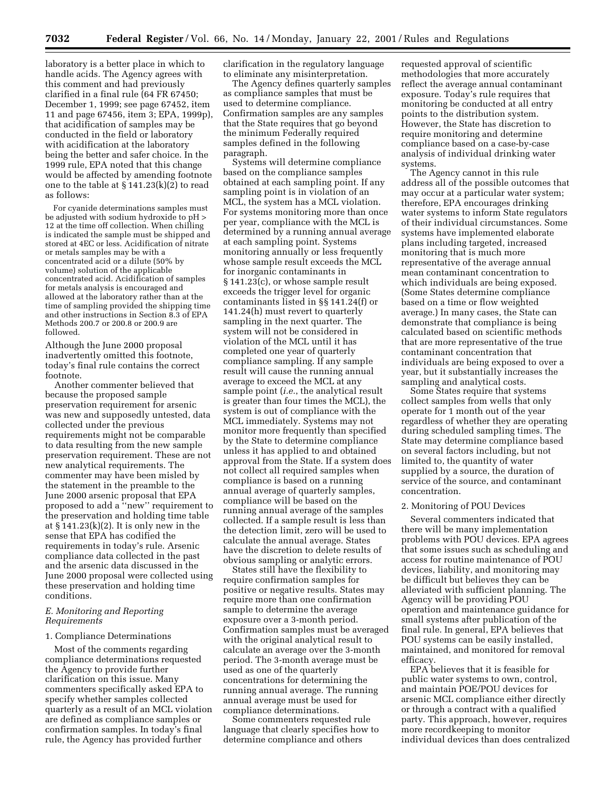**7032 Federal Register** / Vol. 66, No. 14 / Monday, January 22, 2001 / Rules and Regulations

laboratory is a better place in which to handle acids. The Agency agrees with this comment and had previously clarified in a final rule (64 FR 67450; December 1, 1999; see page 67452, item 11 and page 67456, item 3; EPA, 1999p), that acidification of samples may be conducted in the field or laboratory with acidification at the laboratory being the better and safer choice. In the 1999 rule, EPA noted that this change would be affected by amending footnote one to the table at  $\S 141.23(k)(2)$  to read as follows:

For cyanide determinations samples must be adjusted with sodium hydroxide to pH > 12 at the time off collection. When chilling is indicated the sample must be shipped and stored at 4EC or less. Acidification of nitrate or metals samples may be with a concentrated acid or a dilute (50% by volume) solution of the applicable concentrated acid. Acidification of samples for metals analysis is encouraged and allowed at the laboratory rather than at the time of sampling provided the shipping time and other instructions in Section 8.3 of EPA Methods 200.7 or 200.8 or 200.9 are followed.

Although the June 2000 proposal inadvertently omitted this footnote, today's final rule contains the correct footnote.

Another commenter believed that because the proposed sample preservation requirement for arsenic was new and supposedly untested, data collected under the previous requirements might not be comparable to data resulting from the new sample preservation requirement. These are not new analytical requirements. The commenter may have been misled by the statement in the preamble to the June 2000 arsenic proposal that EPA proposed to add a ''new'' requirement to the preservation and holding time table at  $\S 141.23(k)(2)$ . It is only new in the sense that EPA has codified the requirements in today's rule. Arsenic compliance data collected in the past and the arsenic data discussed in the June 2000 proposal were collected using these preservation and holding time conditions.

### *E. Monitoring and Reporting Requirements*

### 1. Compliance Determinations

Most of the comments regarding compliance determinations requested the Agency to provide further clarification on this issue. Many commenters specifically asked EPA to specify whether samples collected quarterly as a result of an MCL violation are defined as compliance samples or confirmation samples. In today's final rule, the Agency has provided further

clarification in the regulatory language to eliminate any misinterpretation.

The Agency defines quarterly samples as compliance samples that must be used to determine compliance. Confirmation samples are any samples that the State requires that go beyond the minimum Federally required samples defined in the following paragraph.

Systems will determine compliance based on the compliance samples obtained at each sampling point. If any sampling point is in violation of an MCL, the system has a MCL violation. For systems monitoring more than once per year, compliance with the MCL is determined by a running annual average at each sampling point. Systems monitoring annually or less frequently whose sample result exceeds the MCL for inorganic contaminants in § 141.23(c), or whose sample result exceeds the trigger level for organic contaminants listed in §§ 141.24(f) or 141.24(h) must revert to quarterly sampling in the next quarter. The system will not be considered in violation of the MCL until it has completed one year of quarterly compliance sampling. If any sample result will cause the running annual average to exceed the MCL at any sample point (*i.e.*, the analytical result is greater than four times the MCL), the system is out of compliance with the MCL immediately. Systems may not monitor more frequently than specified by the State to determine compliance unless it has applied to and obtained approval from the State. If a system does not collect all required samples when compliance is based on a running annual average of quarterly samples, compliance will be based on the running annual average of the samples collected. If a sample result is less than the detection limit, zero will be used to calculate the annual average. States have the discretion to delete results of obvious sampling or analytic errors.

States still have the flexibility to require confirmation samples for positive or negative results. States may require more than one confirmation sample to determine the average exposure over a 3-month period. Confirmation samples must be averaged with the original analytical result to calculate an average over the 3-month period. The 3-month average must be used as one of the quarterly concentrations for determining the running annual average. The running annual average must be used for compliance determinations.

Some commenters requested rule language that clearly specifies how to determine compliance and others

requested approval of scientific methodologies that more accurately reflect the average annual contaminant exposure. Today's rule requires that monitoring be conducted at all entry points to the distribution system. However, the State has discretion to require monitoring and determine compliance based on a case-by-case analysis of individual drinking water systems.

The Agency cannot in this rule address all of the possible outcomes that may occur at a particular water system; therefore, EPA encourages drinking water systems to inform State regulators of their individual circumstances. Some systems have implemented elaborate plans including targeted, increased monitoring that is much more representative of the average annual mean contaminant concentration to which individuals are being exposed. (Some States determine compliance based on a time or flow weighted average.) In many cases, the State can demonstrate that compliance is being calculated based on scientific methods that are more representative of the true contaminant concentration that individuals are being exposed to over a year, but it substantially increases the sampling and analytical costs.

Some States require that systems collect samples from wells that only operate for 1 month out of the year regardless of whether they are operating during scheduled sampling times. The State may determine compliance based on several factors including, but not limited to, the quantity of water supplied by a source, the duration of service of the source, and contaminant concentration.

#### 2. Monitoring of POU Devices

Several commenters indicated that there will be many implementation problems with POU devices. EPA agrees that some issues such as scheduling and access for routine maintenance of POU devices, liability, and monitoring may be difficult but believes they can be alleviated with sufficient planning. The Agency will be providing POU operation and maintenance guidance for small systems after publication of the final rule. In general, EPA believes that POU systems can be easily installed, maintained, and monitored for removal efficacy.

EPA believes that it is feasible for public water systems to own, control, and maintain POE/POU devices for arsenic MCL compliance either directly or through a contract with a qualified party. This approach, however, requires more recordkeeping to monitor individual devices than does centralized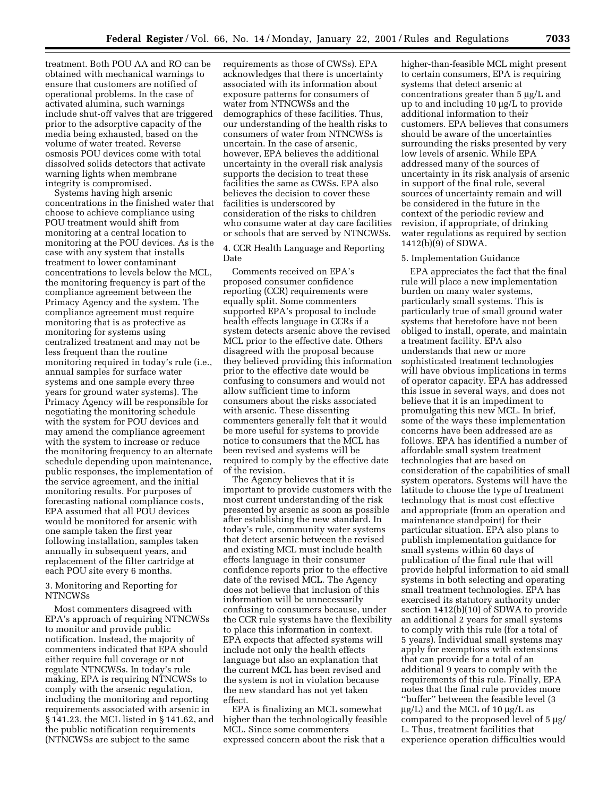treatment. Both POU AA and RO can be obtained with mechanical warnings to ensure that customers are notified of operational problems. In the case of activated alumina, such warnings include shut-off valves that are triggered prior to the adsorptive capacity of the media being exhausted, based on the volume of water treated. Reverse osmosis POU devices come with total dissolved solids detectors that activate warning lights when membrane integrity is compromised.

Systems having high arsenic concentrations in the finished water that choose to achieve compliance using POU treatment would shift from monitoring at a central location to monitoring at the POU devices. As is the case with any system that installs treatment to lower contaminant concentrations to levels below the MCL, the monitoring frequency is part of the compliance agreement between the Primacy Agency and the system. The compliance agreement must require monitoring that is as protective as monitoring for systems using centralized treatment and may not be less frequent than the routine monitoring required in today's rule (i.e., annual samples for surface water systems and one sample every three years for ground water systems). The Primacy Agency will be responsible for negotiating the monitoring schedule with the system for POU devices and may amend the compliance agreement with the system to increase or reduce the monitoring frequency to an alternate schedule depending upon maintenance, public responses, the implementation of the service agreement, and the initial monitoring results. For purposes of forecasting national compliance costs, EPA assumed that all POU devices would be monitored for arsenic with one sample taken the first year following installation, samples taken annually in subsequent years, and replacement of the filter cartridge at each POU site every 6 months.

### 3. Monitoring and Reporting for NTNCWSs

Most commenters disagreed with EPA's approach of requiring NTNCWSs to monitor and provide public notification. Instead, the majority of commenters indicated that EPA should either require full coverage or not regulate NTNCWSs. In today's rule making, EPA is requiring NTNCWSs to comply with the arsenic regulation, including the monitoring and reporting requirements associated with arsenic in § 141.23, the MCL listed in § 141.62, and the public notification requirements (NTNCWSs are subject to the same

requirements as those of CWSs). EPA acknowledges that there is uncertainty associated with its information about exposure patterns for consumers of water from NTNCWSs and the demographics of these facilities. Thus, our understanding of the health risks to consumers of water from NTNCWSs is uncertain. In the case of arsenic, however, EPA believes the additional uncertainty in the overall risk analysis supports the decision to treat these facilities the same as CWSs. EPA also believes the decision to cover these facilities is underscored by consideration of the risks to children who consume water at day care facilities or schools that are served by NTNCWSs.

4. CCR Health Language and Reporting Date

Comments received on EPA's proposed consumer confidence reporting (CCR) requirements were equally split. Some commenters supported EPA's proposal to include health effects language in CCRs if a system detects arsenic above the revised MCL prior to the effective date. Others disagreed with the proposal because they believed providing this information prior to the effective date would be confusing to consumers and would not allow sufficient time to inform consumers about the risks associated with arsenic. These dissenting commenters generally felt that it would be more useful for systems to provide notice to consumers that the MCL has been revised and systems will be required to comply by the effective date of the revision.

The Agency believes that it is important to provide customers with the most current understanding of the risk presented by arsenic as soon as possible after establishing the new standard. In today's rule, community water systems that detect arsenic between the revised and existing MCL must include health effects language in their consumer confidence reports prior to the effective date of the revised MCL. The Agency does not believe that inclusion of this information will be unnecessarily confusing to consumers because, under the CCR rule systems have the flexibility to place this information in context. EPA expects that affected systems will include not only the health effects language but also an explanation that the current MCL has been revised and the system is not in violation because the new standard has not yet taken effect.

EPA is finalizing an MCL somewhat higher than the technologically feasible MCL. Since some commenters expressed concern about the risk that a

higher-than-feasible MCL might present to certain consumers, EPA is requiring systems that detect arsenic at concentrations greater than 5 µg/L and up to and including 10 µg/L to provide additional information to their customers. EPA believes that consumers should be aware of the uncertainties surrounding the risks presented by very low levels of arsenic. While EPA addressed many of the sources of uncertainty in its risk analysis of arsenic in support of the final rule, several sources of uncertainty remain and will be considered in the future in the context of the periodic review and revision, if appropriate, of drinking water regulations as required by section 1412(b)(9) of SDWA.

#### 5. Implementation Guidance

EPA appreciates the fact that the final rule will place a new implementation burden on many water systems, particularly small systems. This is particularly true of small ground water systems that heretofore have not been obliged to install, operate, and maintain a treatment facility. EPA also understands that new or more sophisticated treatment technologies will have obvious implications in terms of operator capacity. EPA has addressed this issue in several ways, and does not believe that it is an impediment to promulgating this new MCL. In brief, some of the ways these implementation concerns have been addressed are as follows. EPA has identified a number of affordable small system treatment technologies that are based on consideration of the capabilities of small system operators. Systems will have the latitude to choose the type of treatment technology that is most cost effective and appropriate (from an operation and maintenance standpoint) for their particular situation. EPA also plans to publish implementation guidance for small systems within 60 days of publication of the final rule that will provide helpful information to aid small systems in both selecting and operating small treatment technologies. EPA has exercised its statutory authority under section 1412(b)(10) of SDWA to provide an additional 2 years for small systems to comply with this rule (for a total of 5 years). Individual small systems may apply for exemptions with extensions that can provide for a total of an additional 9 years to comply with the requirements of this rule. Finally, EPA notes that the final rule provides more ''buffer'' between the feasible level (3 µg/L) and the MCL of 10 µg/L as compared to the proposed level of 5 µg/ L. Thus, treatment facilities that experience operation difficulties would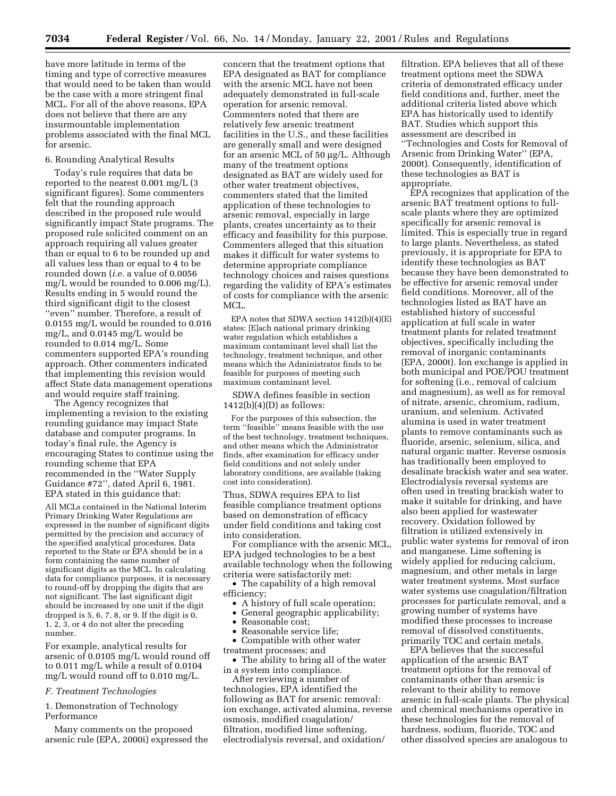have more latitude in terms of the timing and type of corrective measures that would need to be taken than would be the case with a more stringent final MCL. For all of the above reasons, EPA does not believe that there are any insurmountable implementation problems associated with the final MCL for arsenic.

### 6. Rounding Analytical Results

Today's rule requires that data be reported to the nearest 0.001 mg/L (3 significant figures). Some commenters felt that the rounding approach described in the proposed rule would significantly impact State programs. The proposed rule solicited comment on an approach requiring all values greater than or equal to 6 to be rounded up and all values less than or equal to 4 to be rounded down (*i.e.* a value of 0.0056 mg/L would be rounded to 0.006 mg/L). Results ending in 5 would round the third significant digit to the closest "even" number. Therefore, a result of 0.0155 mg/L would be rounded to 0.016 mg/L, and 0.0145 mg/L would be rounded to 0.014 mg/L. Some commenters supported EPA's rounding approach. Other commenters indicated that implementing this revision would affect State data management operations and would require staff training.

The Agency recognizes that implementing a revision to the existing rounding guidance may impact State database and computer programs. In today's final rule, the Agency is encouraging States to continue using the rounding scheme that EPA recommended in the ''Water Supply Guidance #72'', dated April 6, 1981. EPA stated in this guidance that:

All MCLs contained in the National Interim Primary Drinking Water Regulations are expressed in the number of significant digits permitted by the precision and accuracy of the specified analytical procedures. Data reported to the State or EPA should be in a form containing the same number of significant digits as the MCL. In calculating data for compliance purposes, it is necessary to round-off by dropping the digits that are not significant. The last significant digit should be increased by one unit if the digit dropped is 5, 6, 7, 8, or 9. If the digit is 0, 1, 2, 3, or 4 do not alter the preceding number.

For example, analytical results for arsenic of 0.0105 mg/L would round off to 0.011 mg/L while a result of 0.0104 mg/L would round off to 0.010 mg/L.

#### *F. Treatment Technologies*

1. Demonstration of Technology Performance

Many comments on the proposed arsenic rule (EPA, 2000i) expressed the

concern that the treatment options that EPA designated as BAT for compliance with the arsenic MCL have not been adequately demonstrated in full-scale operation for arsenic removal. Commenters noted that there are relatively few arsenic treatment facilities in the U.S., and these facilities are generally small and were designed for an arsenic MCL of 50 µg/L. Although many of the treatment options designated as BAT are widely used for other water treatment objectives, commenters stated that the limited application of these technologies to arsenic removal, especially in large plants, creates uncertainty as to their efficacy and feasibility for this purpose. Commenters alleged that this situation makes it difficult for water systems to determine appropriate compliance technology choices and raises questions regarding the validity of EPA's estimates of costs for compliance with the arsenic MCL.

EPA notes that SDWA section 1412(b)(4)(E) states: [E]ach national primary drinking water regulation which establishes a maximum contaminant level shall list the technology, treatment technique, and other means which the Administrator finds to be feasible for purposes of meeting such maximum contaminant level.

SDWA defines feasible in section  $1412(b)(4)(D)$  as follows:

For the purposes of this subsection, the term ''feasible'' means feasible with the use of the best technology, treatment techniques, and other means which the Administrator finds, after examination for efficacy under field conditions and not solely under laboratory conditions, are available (taking cost into consideration).

Thus, SDWA requires EPA to list feasible compliance treatment options based on demonstration of efficacy under field conditions and taking cost into consideration.

For compliance with the arsenic MCL, EPA judged technologies to be a best available technology when the following criteria were satisfactorily met:

• The capability of a high removal efficiency;

- A history of full scale operation;
- General geographic applicability;
- Reasonable cost;
- Reasonable service life;

• Compatible with other water treatment processes; and

• The ability to bring all of the water in a system into compliance.

After reviewing a number of technologies, EPA identified the following as BAT for arsenic removal: ion exchange, activated alumina, reverse osmosis, modified coagulation/ filtration, modified lime softening, electrodialysis reversal, and oxidation/

filtration. EPA believes that all of these treatment options meet the SDWA criteria of demonstrated efficacy under field conditions and, further, meet the additional criteria listed above which EPA has historically used to identify BAT. Studies which support this assessment are described in ''Technologies and Costs for Removal of Arsenic from Drinking Water'' (EPA, 2000t). Consequently, identification of these technologies as BAT is appropriate.

EPA recognizes that application of the arsenic BAT treatment options to fullscale plants where they are optimized specifically for arsenic removal is limited. This is especially true in regard to large plants. Nevertheless, as stated previously, it is appropriate for EPA to identify these technologies as BAT because they have been demonstrated to be effective for arsenic removal under field conditions. Moreover, all of the technologies listed as BAT have an established history of successful application at full scale in water treatment plants for related treatment objectives, specifically including the removal of inorganic contaminants (EPA, 2000t). Ion exchange is applied in both municipal and POE/POU treatment for softening (i.e., removal of calcium and magnesium), as well as for removal of nitrate, arsenic, chromium, radium, uranium, and selenium. Activated alumina is used in water treatment plants to remove contaminants such as fluoride, arsenic, selenium, silica, and natural organic matter. Reverse osmosis has traditionally been employed to desalinate brackish water and sea water. Electrodialysis reversal systems are often used in treating brackish water to make it suitable for drinking, and have also been applied for wastewater recovery. Oxidation followed by filtration is utilized extensively in public water systems for removal of iron and manganese. Lime softening is widely applied for reducing calcium, magnesium, and other metals in large water treatment systems. Most surface water systems use coagulation/filtration processes for particulate removal, and a growing number of systems have modified these processes to increase removal of dissolved constituents, primarily TOC and certain metals.

EPA believes that the successful application of the arsenic BAT treatment options for the removal of contaminants other than arsenic is relevant to their ability to remove arsenic in full-scale plants. The physical and chemical mechanisms operative in these technologies for the removal of hardness, sodium, fluoride, TOC and other dissolved species are analogous to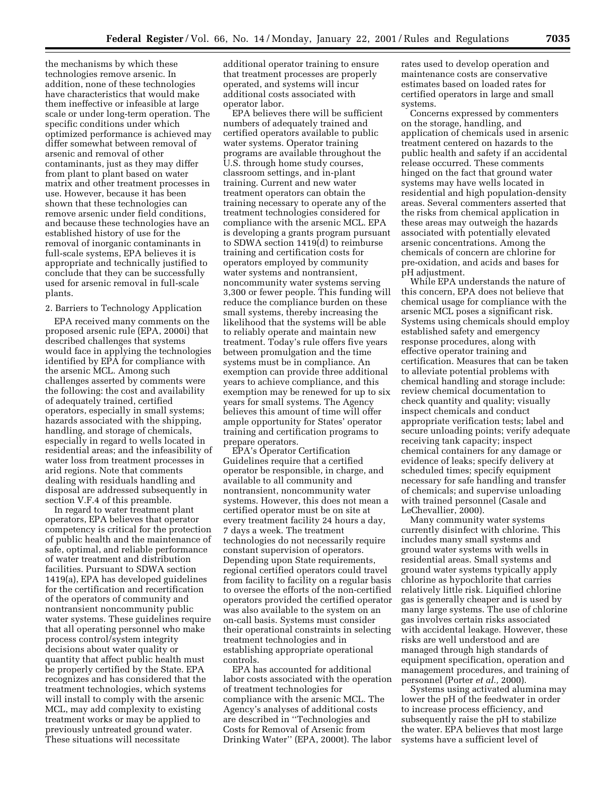the mechanisms by which these technologies remove arsenic. In addition, none of these technologies have characteristics that would make them ineffective or infeasible at large scale or under long-term operation. The specific conditions under which optimized performance is achieved may differ somewhat between removal of arsenic and removal of other contaminants, just as they may differ from plant to plant based on water matrix and other treatment processes in use. However, because it has been shown that these technologies can remove arsenic under field conditions, and because these technologies have an established history of use for the removal of inorganic contaminants in full-scale systems, EPA believes it is appropriate and technically justified to conclude that they can be successfully used for arsenic removal in full-scale plants.

### 2. Barriers to Technology Application

EPA received many comments on the proposed arsenic rule (EPA, 2000i) that described challenges that systems would face in applying the technologies identified by EPA for compliance with the arsenic MCL. Among such challenges asserted by comments were the following: the cost and availability of adequately trained, certified operators, especially in small systems; hazards associated with the shipping, handling, and storage of chemicals, especially in regard to wells located in residential areas; and the infeasibility of water loss from treatment processes in arid regions. Note that comments dealing with residuals handling and disposal are addressed subsequently in section V.F.4 of this preamble.

In regard to water treatment plant operators, EPA believes that operator competency is critical for the protection of public health and the maintenance of safe, optimal, and reliable performance of water treatment and distribution facilities. Pursuant to SDWA section 1419(a), EPA has developed guidelines for the certification and recertification of the operators of community and nontransient noncommunity public water systems. These guidelines require that all operating personnel who make process control/system integrity decisions about water quality or quantity that affect public health must be properly certified by the State. EPA recognizes and has considered that the treatment technologies, which systems will install to comply with the arsenic MCL, may add complexity to existing treatment works or may be applied to previously untreated ground water. These situations will necessitate

additional operator training to ensure that treatment processes are properly operated, and systems will incur additional costs associated with operator labor.

EPA believes there will be sufficient numbers of adequately trained and certified operators available to public water systems. Operator training programs are available throughout the U.S. through home study courses, classroom settings, and in-plant training. Current and new water treatment operators can obtain the training necessary to operate any of the treatment technologies considered for compliance with the arsenic MCL. EPA is developing a grants program pursuant to SDWA section 1419(d) to reimburse training and certification costs for operators employed by community water systems and nontransient, noncommunity water systems serving 3,300 or fewer people. This funding will reduce the compliance burden on these small systems, thereby increasing the likelihood that the systems will be able to reliably operate and maintain new treatment. Today's rule offers five years between promulgation and the time systems must be in compliance. An exemption can provide three additional years to achieve compliance, and this exemption may be renewed for up to six years for small systems. The Agency believes this amount of time will offer ample opportunity for States' operator training and certification programs to prepare operators.

EPA's Operator Certification Guidelines require that a certified operator be responsible, in charge, and available to all community and nontransient, noncommunity water systems. However, this does not mean a certified operator must be on site at every treatment facility 24 hours a day, 7 days a week. The treatment technologies do not necessarily require constant supervision of operators. Depending upon State requirements, regional certified operators could travel from facility to facility on a regular basis to oversee the efforts of the non-certified operators provided the certified operator was also available to the system on an on-call basis. Systems must consider their operational constraints in selecting treatment technologies and in establishing appropriate operational controls.

EPA has accounted for additional labor costs associated with the operation of treatment technologies for compliance with the arsenic MCL. The Agency's analyses of additional costs are described in ''Technologies and Costs for Removal of Arsenic from Drinking Water'' (EPA, 2000t). The labor rates used to develop operation and maintenance costs are conservative estimates based on loaded rates for certified operators in large and small systems.

Concerns expressed by commenters on the storage, handling, and application of chemicals used in arsenic treatment centered on hazards to the public health and safety if an accidental release occurred. These comments hinged on the fact that ground water systems may have wells located in residential and high population-density areas. Several commenters asserted that the risks from chemical application in these areas may outweigh the hazards associated with potentially elevated arsenic concentrations. Among the chemicals of concern are chlorine for pre-oxidation, and acids and bases for pH adjustment.

While EPA understands the nature of this concern, EPA does not believe that chemical usage for compliance with the arsenic MCL poses a significant risk. Systems using chemicals should employ established safety and emergency response procedures, along with effective operator training and certification. Measures that can be taken to alleviate potential problems with chemical handling and storage include: review chemical documentation to check quantity and quality; visually inspect chemicals and conduct appropriate verification tests; label and secure unloading points; verify adequate receiving tank capacity; inspect chemical containers for any damage or evidence of leaks; specify delivery at scheduled times; specify equipment necessary for safe handling and transfer of chemicals; and supervise unloading with trained personnel (Casale and LeChevallier, 2000).

Many community water systems currently disinfect with chlorine. This includes many small systems and ground water systems with wells in residential areas. Small systems and ground water systems typically apply chlorine as hypochlorite that carries relatively little risk. Liquified chlorine gas is generally cheaper and is used by many large systems. The use of chlorine gas involves certain risks associated with accidental leakage. However, these risks are well understood and are managed through high standards of equipment specification, operation and management procedures, and training of personnel (Porter *et al.,* 2000).

Systems using activated alumina may lower the pH of the feedwater in order to increase process efficiency, and subsequently raise the pH to stabilize the water. EPA believes that most large systems have a sufficient level of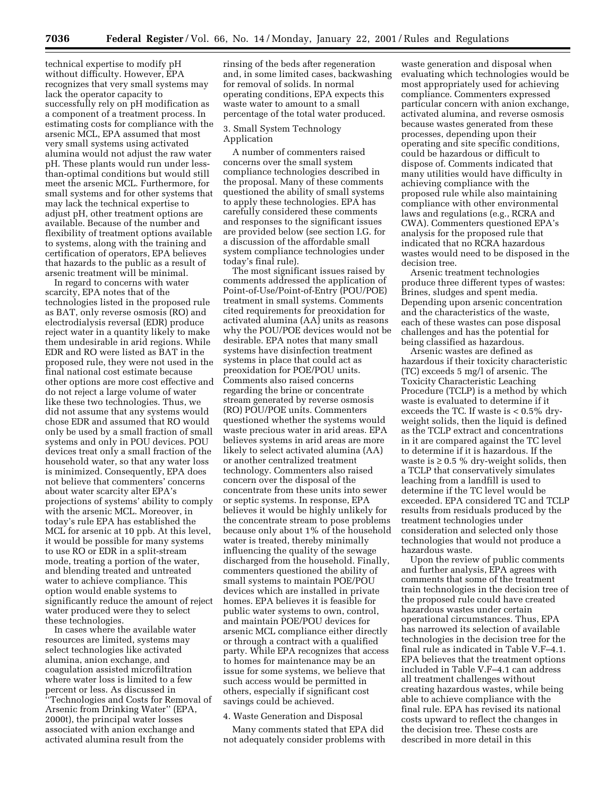technical expertise to modify pH without difficulty. However, EPA recognizes that very small systems may lack the operator capacity to successfully rely on pH modification as a component of a treatment process. In estimating costs for compliance with the arsenic MCL, EPA assumed that most very small systems using activated alumina would not adjust the raw water pH. These plants would run under lessthan-optimal conditions but would still meet the arsenic MCL. Furthermore, for small systems and for other systems that may lack the technical expertise to adjust pH, other treatment options are available. Because of the number and flexibility of treatment options available to systems, along with the training and certification of operators, EPA believes that hazards to the public as a result of arsenic treatment will be minimal.

In regard to concerns with water scarcity, EPA notes that of the technologies listed in the proposed rule as BAT, only reverse osmosis (RO) and electrodialysis reversal (EDR) produce reject water in a quantity likely to make them undesirable in arid regions. While EDR and RO were listed as BAT in the proposed rule, they were not used in the final national cost estimate because other options are more cost effective and do not reject a large volume of water like these two technologies. Thus, we did not assume that any systems would chose EDR and assumed that RO would only be used by a small fraction of small systems and only in POU devices. POU devices treat only a small fraction of the household water, so that any water loss is minimized. Consequently, EPA does not believe that commenters' concerns about water scarcity alter EPA's projections of systems' ability to comply with the arsenic MCL. Moreover, in today's rule EPA has established the MCL for arsenic at 10 ppb. At this level, it would be possible for many systems to use RO or EDR in a split-stream mode, treating a portion of the water, and blending treated and untreated water to achieve compliance. This option would enable systems to significantly reduce the amount of reject water produced were they to select these technologies.

In cases where the available water resources are limited, systems may select technologies like activated alumina, anion exchange, and coagulation assisted microfiltration where water loss is limited to a few percent or less. As discussed in ''Technologies and Costs for Removal of Arsenic from Drinking Water'' (EPA, 2000t), the principal water losses associated with anion exchange and activated alumina result from the

rinsing of the beds after regeneration and, in some limited cases, backwashing for removal of solids. In normal operating conditions, EPA expects this waste water to amount to a small percentage of the total water produced.

### 3. Small System Technology Application

A number of commenters raised concerns over the small system compliance technologies described in the proposal. Many of these comments questioned the ability of small systems to apply these technologies. EPA has carefully considered these comments and responses to the significant issues are provided below (see section I.G. for a discussion of the affordable small system compliance technologies under today's final rule).

The most significant issues raised by comments addressed the application of Point-of-Use/Point-of-Entry (POU/POE) treatment in small systems. Comments cited requirements for preoxidation for activated alumina (AA) units as reasons why the POU/POE devices would not be desirable. EPA notes that many small systems have disinfection treatment systems in place that could act as preoxidation for POE/POU units. Comments also raised concerns regarding the brine or concentrate stream generated by reverse osmosis (RO) POU/POE units. Commenters questioned whether the systems would waste precious water in arid areas. EPA believes systems in arid areas are more likely to select activated alumina (AA) or another centralized treatment technology. Commenters also raised concern over the disposal of the concentrate from these units into sewer or septic systems. In response, EPA believes it would be highly unlikely for the concentrate stream to pose problems because only about 1% of the household water is treated, thereby minimally influencing the quality of the sewage discharged from the household. Finally, commenters questioned the ability of small systems to maintain POE/POU devices which are installed in private homes. EPA believes it is feasible for public water systems to own, control, and maintain POE/POU devices for arsenic MCL compliance either directly or through a contract with a qualified party. While EPA recognizes that access to homes for maintenance may be an issue for some systems, we believe that such access would be permitted in others, especially if significant cost savings could be achieved.

#### 4. Waste Generation and Disposal

Many comments stated that EPA did not adequately consider problems with

waste generation and disposal when evaluating which technologies would be most appropriately used for achieving compliance. Commenters expressed particular concern with anion exchange, activated alumina, and reverse osmosis because wastes generated from these processes, depending upon their operating and site specific conditions, could be hazardous or difficult to dispose of. Comments indicated that many utilities would have difficulty in achieving compliance with the proposed rule while also maintaining compliance with other environmental laws and regulations (e.g., RCRA and CWA). Commenters questioned EPA's analysis for the proposed rule that indicated that no RCRA hazardous wastes would need to be disposed in the decision tree.

Arsenic treatment technologies produce three different types of wastes: Brines, sludges and spent media. Depending upon arsenic concentration and the characteristics of the waste, each of these wastes can pose disposal challenges and has the potential for being classified as hazardous.

Arsenic wastes are defined as hazardous if their toxicity characteristic (TC) exceeds 5 mg/l of arsenic. The Toxicity Characteristic Leaching Procedure (TCLP) is a method by which waste is evaluated to determine if it exceeds the TC. If waste is  $< 0.5\%$  dryweight solids, then the liquid is defined as the TCLP extract and concentrations in it are compared against the TC level to determine if it is hazardous. If the waste is  $\geq 0.5$  % dry-weight solids, then a TCLP that conservatively simulates leaching from a landfill is used to determine if the TC level would be exceeded. EPA considered TC and TCLP results from residuals produced by the treatment technologies under consideration and selected only those technologies that would not produce a hazardous waste.

Upon the review of public comments and further analysis, EPA agrees with comments that some of the treatment train technologies in the decision tree of the proposed rule could have created hazardous wastes under certain operational circumstances. Thus, EPA has narrowed its selection of available technologies in the decision tree for the final rule as indicated in Table V.F–4.1. EPA believes that the treatment options included in Table V.F–4.1 can address all treatment challenges without creating hazardous wastes, while being able to achieve compliance with the final rule. EPA has revised its national costs upward to reflect the changes in the decision tree. These costs are described in more detail in this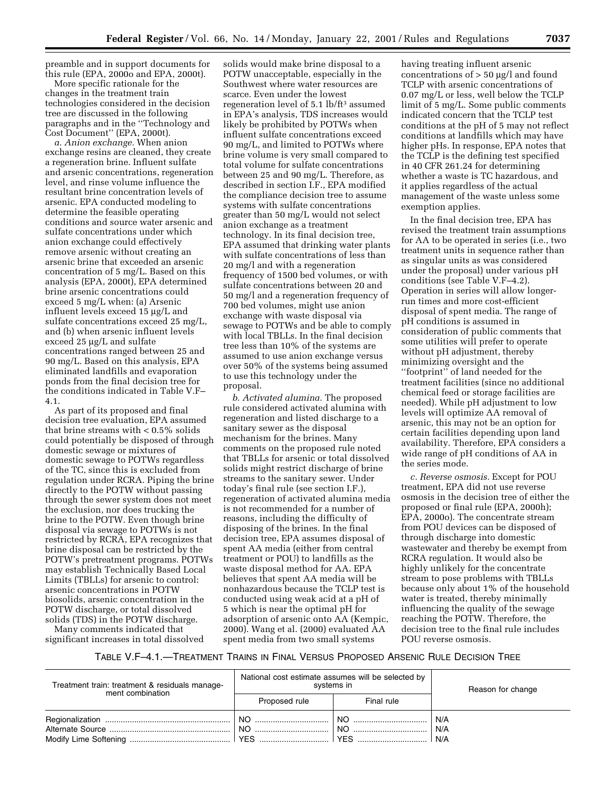preamble and in support documents for this rule (EPA, 2000o and EPA, 2000t).

More specific rationale for the changes in the treatment train technologies considered in the decision tree are discussed in the following paragraphs and in the ''Technology and Cost Document'' (EPA, 2000t).

*a. Anion exchange.* When anion exchange resins are cleaned, they create a regeneration brine. Influent sulfate and arsenic concentrations, regeneration level, and rinse volume influence the resultant brine concentration levels of arsenic. EPA conducted modeling to determine the feasible operating conditions and source water arsenic and sulfate concentrations under which anion exchange could effectively remove arsenic without creating an arsenic brine that exceeded an arsenic concentration of 5 mg/L. Based on this analysis (EPA, 2000t), EPA determined brine arsenic concentrations could exceed 5 mg/L when: (a) Arsenic influent levels exceed 15 µg/L and sulfate concentrations exceed 25 mg/L, and (b) when arsenic influent levels exceed 25 µg/L and sulfate concentrations ranged between 25 and 90 mg/L. Based on this analysis, EPA eliminated landfills and evaporation ponds from the final decision tree for the conditions indicated in Table V.F– 4.1.

As part of its proposed and final decision tree evaluation, EPA assumed that brine streams with  $< 0.5\%$  solids could potentially be disposed of through domestic sewage or mixtures of domestic sewage to POTWs regardless of the TC, since this is excluded from regulation under RCRA. Piping the brine directly to the POTW without passing through the sewer system does not meet the exclusion, nor does trucking the brine to the POTW. Even though brine disposal via sewage to POTWs is not restricted by RCRA, EPA recognizes that brine disposal can be restricted by the POTW's pretreatment programs. POTWs may establish Technically Based Local Limits (TBLLs) for arsenic to control: arsenic concentrations in POTW biosolids, arsenic concentration in the POTW discharge, or total dissolved solids (TDS) in the POTW discharge.

Many comments indicated that significant increases in total dissolved

solids would make brine disposal to a POTW unacceptable, especially in the Southwest where water resources are scarce. Even under the lowest regeneration level of 5.1 lb/ft3 assumed in EPA's analysis, TDS increases would likely be prohibited by POTWs when influent sulfate concentrations exceed 90 mg/L, and limited to POTWs where brine volume is very small compared to total volume for sulfate concentrations between 25 and 90 mg/L. Therefore, as described in section I.F., EPA modified the compliance decision tree to assume systems with sulfate concentrations greater than 50 mg/L would not select anion exchange as a treatment technology. In its final decision tree, EPA assumed that drinking water plants with sulfate concentrations of less than 20 mg/l and with a regeneration frequency of 1500 bed volumes, or with sulfate concentrations between 20 and 50 mg/l and a regeneration frequency of 700 bed volumes, might use anion exchange with waste disposal via sewage to POTWs and be able to comply with local TBLLs. In the final decision tree less than 10% of the systems are assumed to use anion exchange versus over 50% of the systems being assumed to use this technology under the proposal.

*b. Activated alumina.* The proposed rule considered activated alumina with regeneration and listed discharge to a sanitary sewer as the disposal mechanism for the brines. Many comments on the proposed rule noted that TBLLs for arsenic or total dissolved solids might restrict discharge of brine streams to the sanitary sewer. Under today's final rule (see section I.F.), regeneration of activated alumina media is not recommended for a number of reasons, including the difficulty of disposing of the brines. In the final decision tree, EPA assumes disposal of spent AA media (either from central treatment or POU) to landfills as the waste disposal method for AA. EPA believes that spent AA media will be nonhazardous because the TCLP test is conducted using weak acid at a pH of 5 which is near the optimal pH for adsorption of arsenic onto AA (Kempic, 2000). Wang et al. (2000) evaluated AA spent media from two small systems

having treating influent arsenic concentrations of  $> 50 \mu g/l$  and found TCLP with arsenic concentrations of 0.07 mg/L or less, well below the TCLP limit of 5 mg/L. Some public comments indicated concern that the TCLP test conditions at the pH of 5 may not reflect conditions at landfills which may have higher pHs. In response, EPA notes that the TCLP is the defining test specified in 40 CFR 261.24 for determining whether a waste is TC hazardous, and it applies regardless of the actual management of the waste unless some exemption applies.

In the final decision tree, EPA has revised the treatment train assumptions for AA to be operated in series (i.e., two treatment units in sequence rather than as singular units as was considered under the proposal) under various pH conditions (see Table V.F–4.2). Operation in series will allow longerrun times and more cost-efficient disposal of spent media. The range of pH conditions is assumed in consideration of public comments that some utilities will prefer to operate without pH adjustment, thereby minimizing oversight and the ''footprint'' of land needed for the treatment facilities (since no additional chemical feed or storage facilities are needed). While pH adjustment to low levels will optimize AA removal of arsenic, this may not be an option for certain facilities depending upon land availability. Therefore, EPA considers a wide range of pH conditions of AA in the series mode.

*c. Reverse osmosis.* Except for POU treatment, EPA did not use reverse osmosis in the decision tree of either the proposed or final rule (EPA, 2000h); EPA, 2000o). The concentrate stream from POU devices can be disposed of through discharge into domestic wastewater and thereby be exempt from RCRA regulation. It would also be highly unlikely for the concentrate stream to pose problems with TBLLs because only about 1% of the household water is treated, thereby minimally influencing the quality of the sewage reaching the POTW. Therefore, the decision tree to the final rule includes POU reverse osmosis.

### TABLE V.F–4.1.—TREATMENT TRAINS IN FINAL VERSUS PROPOSED ARSENIC RULE DECISION TREE

| Treatment train: treatment & residuals manage-<br>ment combination | National cost estimate assumes will be selected by<br>systems in |            | Reason for change |  |
|--------------------------------------------------------------------|------------------------------------------------------------------|------------|-------------------|--|
|                                                                    | Proposed rule                                                    | Final rule |                   |  |
|                                                                    | NO                                                               | NO         | N/A<br>N/A        |  |
|                                                                    |                                                                  |            | N/A               |  |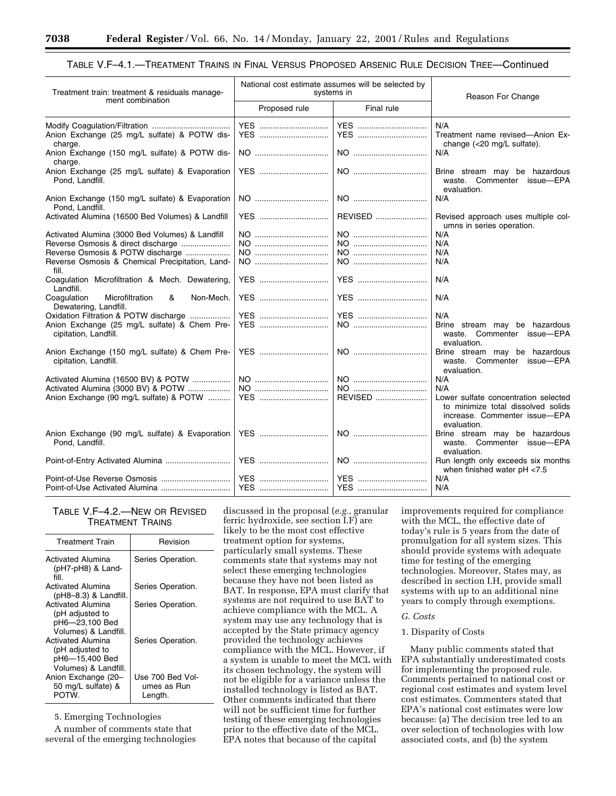| Treatment train: treatment & residuals manage-<br>ment combination                                                                                                                    | National cost estimate assumes will be selected by<br>systems in |                          | Reason For Change                                                                  |
|---------------------------------------------------------------------------------------------------------------------------------------------------------------------------------------|------------------------------------------------------------------|--------------------------|------------------------------------------------------------------------------------|
|                                                                                                                                                                                       | Proposed rule                                                    | Final rule               |                                                                                    |
| Anion Exchange (25 mg/L sulfate) & POTW dis-<br>charge.                                                                                                                               | <b>YES</b><br><b>YES</b>                                         | <b>YES</b><br><b>YES</b> | N/A<br>Treatment name revised-Anion Ex-<br>change $(<20$ mg/L sulfate).            |
| Anion Exchange (150 mg/L sulfate) & POTW dis-<br>charge.                                                                                                                              | NO                                                               | NO                       | N/A                                                                                |
| Anion Exchange (25 mg/L sulfate) & Evaporation<br>Pond, Landfill.                                                                                                                     | YES                                                              | NO                       | Brine stream may be hazardous<br>waste. Commenter issue-EPA<br>evaluation.         |
| Anion Exchange (150 mg/L sulfate) & Evaporation<br>Pond, Landfill.                                                                                                                    | NO                                                               | NO                       | N/A                                                                                |
| Activated Alumina (16500 Bed Volumes) & Landfill                                                                                                                                      | YES                                                              | REVISED                  | Revised approach uses multiple col-<br>umns in series operation.                   |
| Activated Alumina (3000 Bed Volumes) & Landfill<br>Reverse Osmosis & direct discharge<br>Reverse Osmosis & POTW discharge<br>Reverse Osmosis & Chemical Precipitation, Land-<br>fill. | NO<br>NO<br>NO<br>NO                                             | NO<br>NO<br>NO<br>NO     | N/A<br>N/A<br>N/A<br>N/A                                                           |
| Coagulation Microfiltration & Mech. Dewatering,<br>Landfill.                                                                                                                          | <b>YES</b>                                                       | <b>YES</b>               | N/A                                                                                |
| Microfiltration<br>Non-Mech.<br>Coagulation<br>&<br>Dewatering, Landfill.                                                                                                             | <b>YES</b>                                                       | <b>YES</b>               | N/A                                                                                |
| Oxidation Filtration & POTW discharge<br>Anion Exchange (25 mg/L sulfate) & Chem Pre-<br>cipitation, Landfill.                                                                        | <b>YES</b><br><b>YES</b>                                         | <b>YES</b><br>NO         | N/A<br>Brine stream may be hazardous<br>waste. Commenter issue-EPA<br>evaluation.  |
| Anion Exchange (150 mg/L sulfate) & Chem Pre-<br>cipitation, Landfill.                                                                                                                | <b>YES</b>                                                       | NO                       | Brine stream may be hazardous<br>waste. Commenter issue-EPA<br>evaluation.         |
| Activated Alumina (16500 BV) & POTW<br>Activated Alumina (3000 BV) & POTW<br>Anion Exchange (90 mg/L sulfate) & POTW                                                                  | NO<br>NO<br><b>YES</b>                                           | NO<br>NO<br>REVISED      | N/A<br>N/A<br>Lower sulfate concentration selected                                 |
|                                                                                                                                                                                       |                                                                  |                          | to minimize total dissolved solids<br>increase. Commenter issue-EPA<br>evaluation. |
| Anion Exchange (90 mg/L sulfate) & Evaporation<br>Pond, Landfill.                                                                                                                     |                                                                  | NO                       | Brine stream may be hazardous<br>waste. Commenter issue-EPA<br>evaluation.         |
| Point-of-Entry Activated Alumina                                                                                                                                                      | <b>YES</b>                                                       | NO                       | Run length only exceeds six months<br>when finished water $pH < 7.5$               |
|                                                                                                                                                                                       |                                                                  | <b>YES</b><br><b>YES</b> | N/A<br>N/A                                                                         |

### TABLE V.F–4.1.—TREATMENT TRAINS IN FINAL VERSUS PROPOSED ARSENIC RULE DECISION TREE—Continued

# TABLE V.F–4.2.—NEW OR REVISED TREATMENT TRAINS

| <b>Treatment Train</b>                                                                | Revision                                   |  |
|---------------------------------------------------------------------------------------|--------------------------------------------|--|
| Activated Alumina<br>(pH7-pH8) & Land-<br>fill                                        | Series Operation.                          |  |
| Activated Alumina<br>$(pH8-8.3)$ & Landfill.                                          | Series Operation.                          |  |
| <b>Activated Alumina</b><br>(pH adjusted to<br>pH6-23,100 Bed<br>Volumes) & Landfill. | Series Operation.                          |  |
| <b>Activated Alumina</b><br>(pH adjusted to<br>pH6-15,400 Bed<br>Volumes) & Landfill. | Series Operation.                          |  |
| Anion Exchange (20-<br>50 mg/L sulfate) &<br>POTW.                                    | Use 700 Bed Vol-<br>umes as Run<br>Length. |  |

5. Emerging Technologies

A number of comments state that several of the emerging technologies

discussed in the proposal (*e.g.,* granular ferric hydroxide, see section I.F) are likely to be the most cost effective treatment option for systems, particularly small systems. These comments state that systems may not select these emerging technologies because they have not been listed as BAT. In response, EPA must clarify that systems are not required to use BAT to achieve compliance with the MCL. A system may use any technology that is accepted by the State primacy agency provided the technology achieves compliance with the MCL. However, if a system is unable to meet the MCL with its chosen technology, the system will not be eligible for a variance unless the installed technology is listed as BAT. Other comments indicated that there will not be sufficient time for further testing of these emerging technologies prior to the effective date of the MCL. EPA notes that because of the capital

improvements required for compliance with the MCL, the effective date of today's rule is 5 years from the date of promulgation for all system sizes. This should provide systems with adequate time for testing of the emerging technologies. Moreover, States may, as described in section I.H, provide small systems with up to an additional nine years to comply through exemptions.

### *G. Costs*

### 1. Disparity of Costs

Many public comments stated that EPA substantially underestimated costs for implementing the proposed rule. Comments pertained to national cost or regional cost estimates and system level cost estimates. Commenters stated that EPA's national cost estimates were low because: (a) The decision tree led to an over selection of technologies with low associated costs, and (b) the system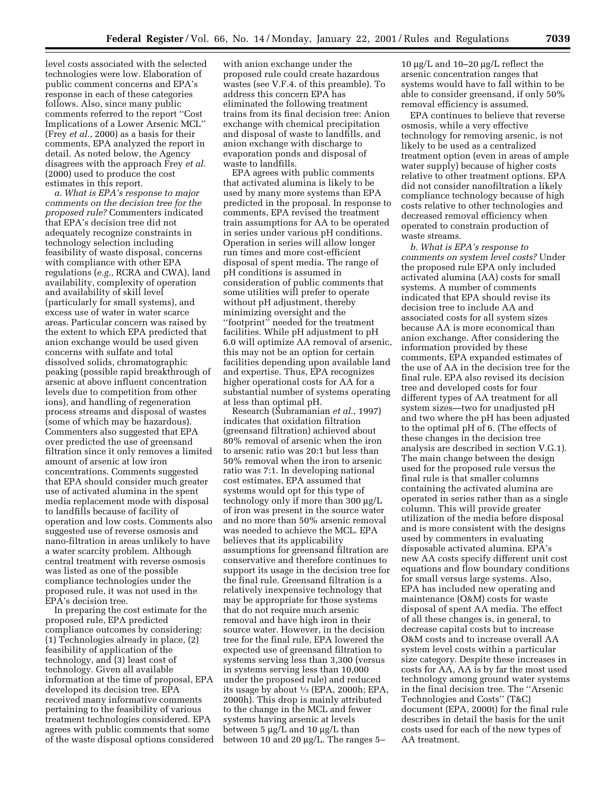level costs associated with the selected technologies were low. Elaboration of public comment concerns and EPA's response in each of these categories follows. Also, since many public comments referred to the report ''Cost Implications of a Lower Arsenic MCL'' (Frey *et al.*, 2000) as a basis for their comments, EPA analyzed the report in detail. As noted below, the Agency disagrees with the approach Frey *et al.* (2000) used to produce the cost estimates in this report.

*a. What is EPA's response to major comments on the decision tree for the proposed rule?* Commenters indicated that EPA's decision tree did not adequately recognize constraints in technology selection including feasibility of waste disposal, concerns with compliance with other EPA regulations (*e.g.*, RCRA and CWA), land availability, complexity of operation and availability of skill level (particularly for small systems), and excess use of water in water scarce areas. Particular concern was raised by the extent to which EPA predicted that anion exchange would be used given concerns with sulfate and total dissolved solids, chromatographic peaking (possible rapid breakthrough of arsenic at above influent concentration levels due to competition from other ions), and handling of regeneration process streams and disposal of wastes (some of which may be hazardous). Commenters also suggested that EPA over predicted the use of greensand filtration since it only removes a limited amount of arsenic at low iron concentrations. Comments suggested that EPA should consider much greater use of activated alumina in the spent media replacement mode with disposal to landfills because of facility of operation and low costs. Comments also suggested use of reverse osmosis and nano-filtration in areas unlikely to have a water scarcity problem. Although central treatment with reverse osmosis was listed as one of the possible compliance technologies under the proposed rule, it was not used in the EPA's decision tree.

In preparing the cost estimate for the proposed rule, EPA predicted compliance outcomes by considering: (1) Technologies already in place, (2) feasibility of application of the technology, and (3) least cost of technology. Given all available information at the time of proposal, EPA developed its decision tree. EPA received many informative comments pertaining to the feasibility of various treatment technologies considered. EPA agrees with public comments that some of the waste disposal options considered with anion exchange under the proposed rule could create hazardous wastes (see V.F.4. of this preamble). To address this concern EPA has eliminated the following treatment trains from its final decision tree: Anion exchange with chemical precipitation and disposal of waste to landfills, and anion exchange with discharge to evaporation ponds and disposal of waste to landfills.

EPA agrees with public comments that activated alumina is likely to be used by many more systems than EPA predicted in the proposal. In response to comments, EPA revised the treatment train assumptions for AA to be operated in series under various pH conditions. Operation in series will allow longer run times and more cost-efficient disposal of spent media. The range of pH conditions is assumed in consideration of public comments that some utilities will prefer to operate without pH adjustment, thereby minimizing oversight and the ''footprint'' needed for the treatment facilities. While pH adjustment to pH 6.0 will optimize AA removal of arsenic, this may not be an option for certain facilities depending upon available land and expertise. Thus, EPA recognizes higher operational costs for AA for a substantial number of systems operating at less than optimal pH.

Research (Subramanian *et al.*, 1997) indicates that oxidation filtration (greensand filtration) achieved about 80% removal of arsenic when the iron to arsenic ratio was 20:1 but less than 50% removal when the iron to arsenic ratio was 7:1. In developing national cost estimates, EPA assumed that systems would opt for this type of technology only if more than 300 µg/L of iron was present in the source water and no more than 50% arsenic removal was needed to achieve the MCL. EPA believes that its applicability assumptions for greensand filtration are conservative and therefore continues to support its usage in the decision tree for the final rule. Greensand filtration is a relatively inexpensive technology that may be appropriate for those systems that do not require much arsenic removal and have high iron in their source water. However, in the decision tree for the final rule, EPA lowered the expected use of greensand filtration to systems serving less than 3,300 (versus in systems serving less than 10,000 under the proposed rule) and reduced its usage by about 1⁄3 (EPA, 2000h; EPA, 2000h). This drop is mainly attributed to the change in the MCL and fewer systems having arsenic at levels between 5 µg/L and 10 µg/L than between 10 and 20  $\mu$ g/L. The ranges 5–

10 µg/L and 10–20 µg/L reflect the arsenic concentration ranges that systems would have to fall within to be able to consider greensand, if only 50% removal efficiency is assumed.

EPA continues to believe that reverse osmosis, while a very effective technology for removing arsenic, is not likely to be used as a centralized treatment option (even in areas of ample water supply) because of higher costs relative to other treatment options. EPA did not consider nanofiltration a likely compliance technology because of high costs relative to other technologies and decreased removal efficiency when operated to constrain production of waste streams.

*b. What is EPA's response to comments on system level costs?* Under the proposed rule EPA only included activated alumina (AA) costs for small systems. A number of comments indicated that EPA should revise its decision tree to include AA and associated costs for all system sizes because AA is more economical than anion exchange. After considering the information provided by these comments, EPA expanded estimates of the use of AA in the decision tree for the final rule. EPA also revised its decision tree and developed costs for four different types of AA treatment for all system sizes—two for unadjusted pH and two where the pH has been adjusted to the optimal pH of 6. (The effects of these changes in the decision tree analysis are described in section V.G.1). The main change between the design used for the proposed rule versus the final rule is that smaller columns containing the activated alumina are operated in series rather than as a single column. This will provide greater utilization of the media before disposal and is more consistent with the designs used by commenters in evaluating disposable activated alumina. EPA's new AA costs specify different unit cost equations and flow boundary conditions for small versus large systems. Also, EPA has included new operating and maintenance (O&M) costs for waste disposal of spent AA media. The effect of all these changes is, in general, to decrease capital costs but to increase O&M costs and to increase overall AA system level costs within a particular size category. Despite these increases in costs for AA, AA is by far the most used technology among ground water systems in the final decision tree. The ''Arsenic Technologies and Costs'' (T&C) document (EPA, 2000t) for the final rule describes in detail the basis for the unit costs used for each of the new types of AA treatment.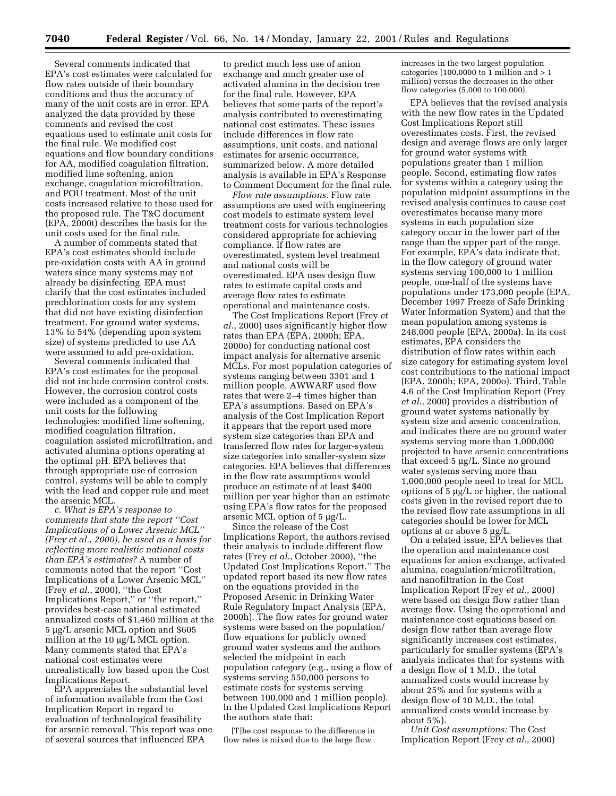Several comments indicated that EPA's cost estimates were calculated for flow rates outside of their boundary conditions and thus the accuracy of many of the unit costs are in error. EPA analyzed the data provided by these comments and revised the cost equations used to estimate unit costs for the final rule. We modified cost equations and flow boundary conditions for AA, modified coagulation filtration, modified lime softening, anion exchange, coagulation microfiltration, and POU treatment. Most of the unit costs increased relative to those used for the proposed rule. The T&C document (EPA, 2000t) describes the basis for the unit costs used for the final rule.

A number of comments stated that EPA's cost estimates should include pre-oxidation costs with AA in ground waters since many systems may not already be disinfecting. EPA must clarify that the cost estimates included prechlorination costs for any system that did not have existing disinfection treatment. For ground water systems, 13% to 54% (depending upon system size) of systems predicted to use AA were assumed to add pre-oxidation.

Several comments indicated that EPA's cost estimates for the proposal did not include corrosion control costs. However, the corrosion control costs were included as a component of the unit costs for the following technologies: modified lime softening, modified coagulation filtration, coagulation assisted microfiltration, and activated alumina options operating at the optimal pH. EPA believes that through appropriate use of corrosion control, systems will be able to comply with the lead and copper rule and meet the arsenic MCL.

*c. What is EPA's response to comments that state the report ''Cost Implications of a Lower Arsenic MCL'' (Frey et al., 2000), be used as a basis for reflecting more realistic national costs than EPA's estimates?* A number of comments noted that the report ''Cost Implications of a Lower Arsenic MCL'' (Frey *et al.*, 2000), ''the Cost Implications Report,'' or ''the report,'' provides best-case national estimated annualized costs of \$1,460 million at the 5 µg/L arsenic MCL option and \$605 million at the 10  $\mu$ g/L MCL option. Many comments stated that EPA's national cost estimates were unrealistically low based upon the Cost Implications Report.

EPA appreciates the substantial level of information available from the Cost Implication Report in regard to evaluation of technological feasibility for arsenic removal. This report was one of several sources that influenced EPA

to predict much less use of anion exchange and much greater use of activated alumina in the decision tree for the final rule. However, EPA believes that some parts of the report's analysis contributed to overestimating national cost estimates. These issues include differences in flow rate assumptions, unit costs, and national estimates for arsenic occurrence, summarized below. A more detailed analysis is available in EPA's Response to Comment Document for the final rule.

*Flow rate assumptions.* Flow rate assumptions are used with engineering cost models to estimate system level treatment costs for various technologies considered appropriate for achieving compliance. If flow rates are overestimated, system level treatment and national costs will be overestimated. EPA uses design flow rates to estimate capital costs and average flow rates to estimate operational and maintenance costs.

The Cost Implications Report (Frey *et al.*, 2000) uses significantly higher flow rates than EPA (EPA, 2000h; EPA, 2000o) for conducting national cost impact analysis for alternative arsenic MCLs. For most population categories of systems ranging between 3301 and 1 million people, AWWARF used flow rates that were 2–4 times higher than EPA's assumptions. Based on EPA's analysis of the Cost Implication Report it appears that the report used more system size categories than EPA and transferred flow rates for larger-system size categories into smaller-system size categories. EPA believes that differences in the flow rate assumptions would produce an estimate of at least \$400 million per year higher than an estimate using EPA's flow rates for the proposed arsenic MCL option of 5 µg/L.

Since the release of the Cost Implications Report, the authors revised their analysis to include different flow rates (Frey *et al.*, October 2000), ''the Updated Cost Implications Report.'' The updated report based its new flow rates on the equations provided in the Proposed Arsenic in Drinking Water Rule Regulatory Impact Analysis (EPA, 2000h). The flow rates for ground water systems were based on the population/ flow equations for publicly owned ground water systems and the authors selected the midpoint in each population category (e.g., using a flow of systems serving 550,000 persons to estimate costs for systems serving between 100,000 and 1 million people). In the Updated Cost Implications Report the authors state that:

[T]he cost response to the difference in flow rates is mixed due to the large flow

increases in the two largest population categories (100,0000 to 1 million and  $>1$ million) versus the decreases in the other flow categories (5,000 to 100,000).

EPA believes that the revised analysis with the new flow rates in the Updated Cost Implications Report still overestimates costs. First, the revised design and average flows are only larger for ground water systems with populations greater than 1 million people. Second, estimating flow rates for systems within a category using the population midpoint assumptions in the revised analysis continues to cause cost overestimates because many more systems in each population size category occur in the lower part of the range than the upper part of the range. For example, EPA's data indicate that, in the flow category of ground water systems serving 100,000 to 1 million people, one-half of the systems have populations under 173,000 people (EPA, December 1997 Freeze of Safe Drinking Water Information System) and that the mean population among systems is 248,000 people (EPA, 2000a). In its cost estimates, EPA considers the distribution of flow rates within each size category for estimating system level cost contributions to the national impact (EPA, 2000h; EPA, 2000o). Third, Table 4.6 of the Cost Implication Report (Frey *et al.*, 2000) provides a distribution of ground water systems nationally by system size and arsenic concentration, and indicates there are no ground water systems serving more than 1,000,000 projected to have arsenic concentrations that exceed 5 µg/L. Since no ground water systems serving more than 1,000,000 people need to treat for MCL options of 5 µg/L or higher, the national costs given in the revised report due to the revised flow rate assumptions in all categories should be lower for MCL options at or above 5 µg/L.

On a related issue, EPA believes that the operation and maintenance cost equations for anion exchange, activated alumina, coagulation/microfiltration, and nanofiltration in the Cost Implication Report (Frey *et al.*, 2000) were based on design flow rather than average flow. Using the operational and maintenance cost equations based on design flow rather than average flow significantly increases cost estimates, particularly for smaller systems (EPA's analysis indicates that for systems with a design flow of 1 M.D., the total annualized costs would increase by about 25% and for systems with a design flow of 10 M.D., the total annualized costs would increase by about 5%).

*Unit Cost assumptions:* The Cost Implication Report (Frey *et al.*, 2000)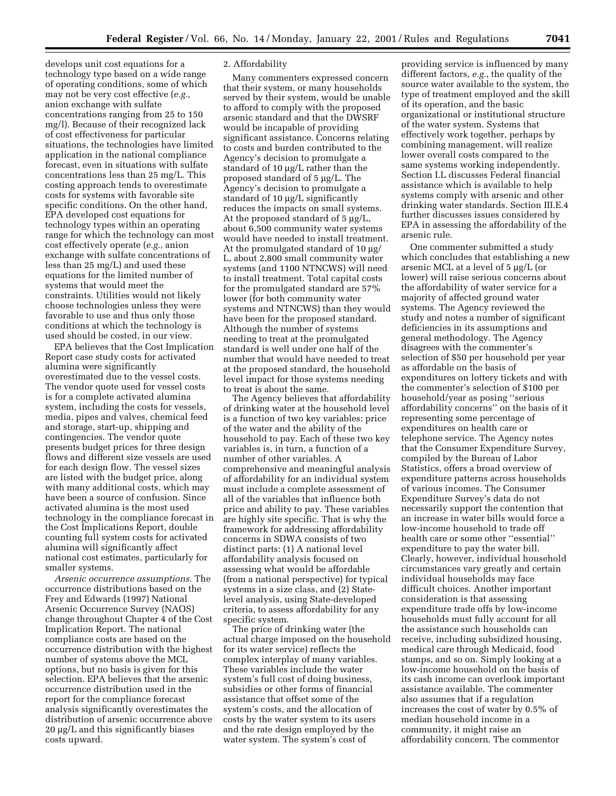develops unit cost equations for a technology type based on a wide range of operating conditions, some of which may not be very cost effective (*e.g.,* anion exchange with sulfate concentrations ranging from 25 to 150 mg/l). Because of their recognized lack of cost effectiveness for particular situations, the technologies have limited application in the national compliance forecast, even in situations with sulfate concentrations less than 25 mg/L. This costing approach tends to overestimate costs for systems with favorable site specific conditions. On the other hand, EPA developed cost equations for technology types within an operating range for which the technology can most cost effectively operate (*e.g.*, anion exchange with sulfate concentrations of less than 25 mg/L) and used these equations for the limited number of systems that would meet the constraints. Utilities would not likely choose technologies unless they were favorable to use and thus only those conditions at which the technology is used should be costed, in our view.

EPA believes that the Cost Implication Report case study costs for activated alumina were significantly overestimated due to the vessel costs. The vendor quote used for vessel costs is for a complete activated alumina system, including the costs for vessels, media, pipes and valves, chemical feed and storage, start-up, shipping and contingencies. The vendor quote presents budget prices for three design flows and different size vessels are used for each design flow. The vessel sizes are listed with the budget price, along with many additional costs, which may have been a source of confusion. Since activated alumina is the most used technology in the compliance forecast in the Cost Implications Report, double counting full system costs for activated alumina will significantly affect national cost estimates, particularly for smaller systems.

*Arsenic occurrence assumptions.* The occurrence distributions based on the Frey and Edwards (1997) National Arsenic Occurrence Survey (NAOS) change throughout Chapter 4 of the Cost Implication Report. The national compliance costs are based on the occurrence distribution with the highest number of systems above the MCL options, but no basis is given for this selection. EPA believes that the arsenic occurrence distribution used in the report for the compliance forecast analysis significantly overestimates the distribution of arsenic occurrence above 20 µg/L and this significantly biases costs upward.

### 2. Affordability

Many commenters expressed concern that their system, or many households served by their system, would be unable to afford to comply with the proposed arsenic standard and that the DWSRF would be incapable of providing significant assistance. Concerns relating to costs and burden contributed to the Agency's decision to promulgate a standard of 10 µg/L rather than the proposed standard of 5 µg/L. The Agency's decision to promulgate a standard of 10 µg/L significantly reduces the impacts on small systems. At the proposed standard of 5 µg/L, about 6,500 community water systems would have needed to install treatment. At the promulgated standard of 10 µg/ L, about 2,800 small community water systems (and 1100 NTNCWS) will need to install treatment. Total capital costs for the promulgated standard are 57% lower (for both community water systems and NTNCWS) than they would have been for the proposed standard. Although the number of systems needing to treat at the promulgated standard is well under one half of the number that would have needed to treat at the proposed standard, the household level impact for those systems needing to treat is about the same.

The Agency believes that affordability of drinking water at the household level is a function of two key variables: price of the water and the ability of the household to pay. Each of these two key variables is, in turn, a function of a number of other variables. A comprehensive and meaningful analysis of affordability for an individual system must include a complete assessment of all of the variables that influence both price and ability to pay. These variables are highly site specific. That is why the framework for addressing affordability concerns in SDWA consists of two distinct parts: (1) A national level affordability analysis focused on assessing what would be affordable (from a national perspective) for typical systems in a size class, and (2) Statelevel analysis, using State-developed criteria, to assess affordability for any specific system.

The price of drinking water (the actual charge imposed on the household for its water service) reflects the complex interplay of many variables. These variables include the water system's full cost of doing business, subsidies or other forms of financial assistance that offset some of the system's costs, and the allocation of costs by the water system to its users and the rate design employed by the water system. The system's cost of

providing service is influenced by many different factors, *e.g.*, the quality of the source water available to the system, the type of treatment employed and the skill of its operation, and the basic organizational or institutional structure of the water system. Systems that effectively work together, perhaps by combining management, will realize lower overall costs compared to the same systems working independently. Section I.L discusses Federal financial assistance which is available to help systems comply with arsenic and other drinking water standards. Section III.E.4 further discusses issues considered by EPA in assessing the affordability of the arsenic rule.

One commenter submitted a study which concludes that establishing a new arsenic MCL at a level of 5 µg/L (or lower) will raise serious concerns about the affordability of water service for a majority of affected ground water systems. The Agency reviewed the study and notes a number of significant deficiencies in its assumptions and general methodology. The Agency disagrees with the commenter's selection of \$50 per household per year as affordable on the basis of expenditures on lottery tickets and with the commenter's selection of \$100 per household/year as posing ''serious affordability concerns'' on the basis of it representing some percentage of expenditures on health care or telephone service. The Agency notes that the Consumer Expenditure Survey, compiled by the Bureau of Labor Statistics, offers a broad overview of expenditure patterns across households of various incomes. The Consumer Expenditure Survey's data do not necessarily support the contention that an increase in water bills would force a low-income household to trade off health care or some other ''essential'' expenditure to pay the water bill. Clearly, however, individual household circumstances vary greatly and certain individual households may face difficult choices. Another important consideration is that assessing expenditure trade offs by low-income households must fully account for all the assistance such households can receive, including subsidized housing, medical care through Medicaid, food stamps, and so on. Simply looking at a low-income household on the basis of its cash income can overlook important assistance available. The commenter also assumes that if a regulation increases the cost of water by 0.5% of median household income in a community, it might raise an affordability concern. The commentor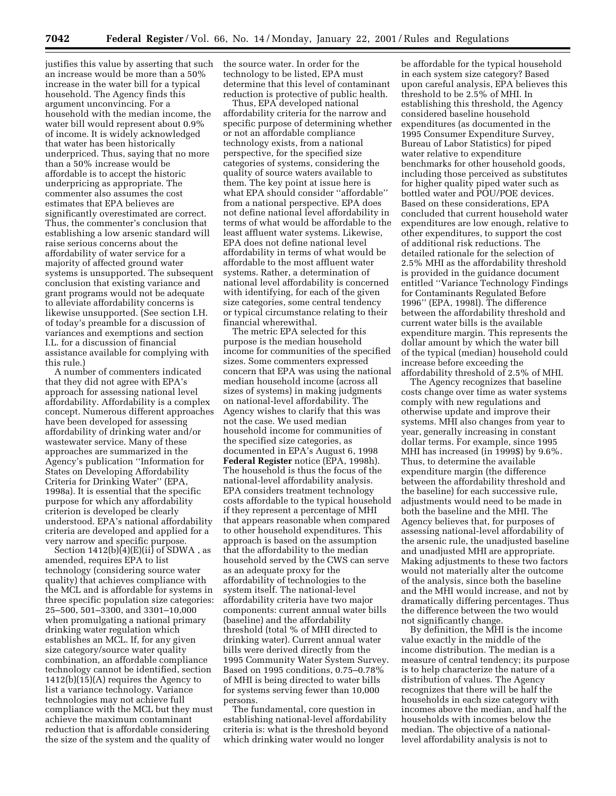justifies this value by asserting that such an increase would be more than a 50% increase in the water bill for a typical household. The Agency finds this argument unconvincing. For a household with the median income, the water bill would represent about 0.9% of income. It is widely acknowledged that water has been historically underpriced. Thus, saying that no more than a 50% increase would be affordable is to accept the historic underpricing as appropriate. The commenter also assumes the cost estimates that EPA believes are significantly overestimated are correct. Thus, the commenter's conclusion that establishing a low arsenic standard will raise serious concerns about the affordability of water service for a majority of affected ground water systems is unsupported. The subsequent conclusion that existing variance and grant programs would not be adequate to alleviate affordability concerns is likewise unsupported. (See section I.H. of today's preamble for a discussion of variances and exemptions and section I.L. for a discussion of financial assistance available for complying with this rule.)

A number of commenters indicated that they did not agree with EPA's approach for assessing national level affordability. Affordability is a complex concept. Numerous different approaches have been developed for assessing affordability of drinking water and/or wastewater service. Many of these approaches are summarized in the Agency's publication ''Information for States on Developing Affordability Criteria for Drinking Water'' (EPA, 1998a). It is essential that the specific purpose for which any affordability criterion is developed be clearly understood. EPA's national affordability criteria are developed and applied for a very narrow and specific purpose.

Section  $1412(b)(4)(E)(ii)$  of SDWA, as amended, requires EPA to list technology (considering source water quality) that achieves compliance with the MCL and is affordable for systems in three specific population size categories: 25–500, 501–3300, and 3301–10,000 when promulgating a national primary drinking water regulation which establishes an MCL. If, for any given size category/source water quality combination, an affordable compliance technology cannot be identified, section 1412(b)(15)(A) requires the Agency to list a variance technology. Variance technologies may not achieve full compliance with the MCL but they must achieve the maximum contaminant reduction that is affordable considering the size of the system and the quality of

the source water. In order for the technology to be listed, EPA must determine that this level of contaminant reduction is protective of public health.

Thus, EPA developed national affordability criteria for the narrow and specific purpose of determining whether or not an affordable compliance technology exists, from a national perspective, for the specified size categories of systems, considering the quality of source waters available to them. The key point at issue here is what EPA should consider ''affordable'' from a national perspective. EPA does not define national level affordability in terms of what would be affordable to the least affluent water systems. Likewise, EPA does not define national level affordability in terms of what would be affordable to the most affluent water systems. Rather, a determination of national level affordability is concerned with identifying, for each of the given size categories, some central tendency or typical circumstance relating to their financial wherewithal.

The metric EPA selected for this purpose is the median household income for communities of the specified sizes. Some commenters expressed concern that EPA was using the national median household income (across all sizes of systems) in making judgments on national-level affordability. The Agency wishes to clarify that this was not the case. We used median household income for communities of the specified size categories, as documented in EPA's August 6, 1998 **Federal Register** notice (EPA, 1998h). The household is thus the focus of the national-level affordability analysis. EPA considers treatment technology costs affordable to the typical household if they represent a percentage of MHI that appears reasonable when compared to other household expenditures. This approach is based on the assumption that the affordability to the median household served by the CWS can serve as an adequate proxy for the affordability of technologies to the system itself. The national-level affordability criteria have two major components: current annual water bills (baseline) and the affordability threshold (total % of MHI directed to drinking water). Current annual water bills were derived directly from the 1995 Community Water System Survey. Based on 1995 conditions, 0.75–0.78% of MHI is being directed to water bills for systems serving fewer than 10,000 persons.

The fundamental, core question in establishing national-level affordability criteria is: what is the threshold beyond which drinking water would no longer

be affordable for the typical household in each system size category? Based upon careful analysis, EPA believes this threshold to be 2.5% of MHI. In establishing this threshold, the Agency considered baseline household expenditures (as documented in the 1995 Consumer Expenditure Survey, Bureau of Labor Statistics) for piped water relative to expenditure benchmarks for other household goods, including those perceived as substitutes for higher quality piped water such as bottled water and POU/POE devices. Based on these considerations, EPA concluded that current household water expenditures are low enough, relative to other expenditures, to support the cost of additional risk reductions. The detailed rationale for the selection of 2.5% MHI as the affordability threshold is provided in the guidance document entitled ''Variance Technology Findings for Contaminants Regulated Before 1996'' (EPA, 1998l). The difference between the affordability threshold and current water bills is the available expenditure margin. This represents the dollar amount by which the water bill of the typical (median) household could increase before exceeding the affordability threshold of 2.5% of MHI.

The Agency recognizes that baseline costs change over time as water systems comply with new regulations and otherwise update and improve their systems. MHI also changes from year to year, generally increasing in constant dollar terms. For example, since 1995 MHI has increased (in 1999\$) by 9.6%. Thus, to determine the available expenditure margin (the difference between the affordability threshold and the baseline) for each successive rule, adjustments would need to be made in both the baseline and the MHI. The Agency believes that, for purposes of assessing national-level affordability of the arsenic rule, the unadjusted baseline and unadjusted MHI are appropriate. Making adjustments to these two factors would not materially alter the outcome of the analysis, since both the baseline and the MHI would increase, and not by dramatically differing percentages. Thus the difference between the two would not significantly change.

By definition, the MHI is the income value exactly in the middle of the income distribution. The median is a measure of central tendency; its purpose is to help characterize the nature of a distribution of values. The Agency recognizes that there will be half the households in each size category with incomes above the median, and half the households with incomes below the median. The objective of a nationallevel affordability analysis is not to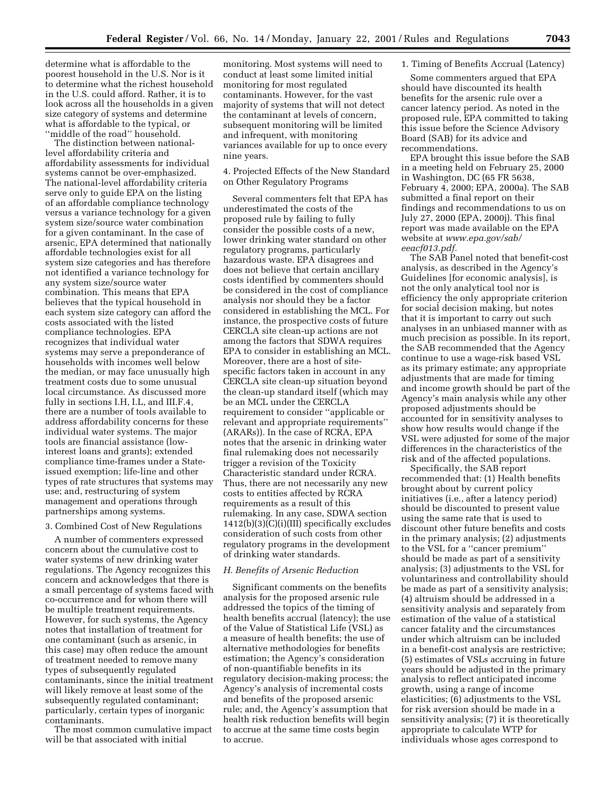determine what is affordable to the poorest household in the U.S. Nor is it to determine what the richest household in the U.S. could afford. Rather, it is to look across all the households in a given size category of systems and determine what is affordable to the typical, or ''middle of the road'' household.

The distinction between nationallevel affordability criteria and affordability assessments for individual systems cannot be over-emphasized. The national-level affordability criteria serve only to guide EPA on the listing of an affordable compliance technology versus a variance technology for a given system size/source water combination for a given contaminant. In the case of arsenic, EPA determined that nationally affordable technologies exist for all system size categories and has therefore not identified a variance technology for any system size/source water combination. This means that EPA believes that the typical household in each system size category can afford the costs associated with the listed compliance technologies. EPA recognizes that individual water systems may serve a preponderance of households with incomes well below the median, or may face unusually high treatment costs due to some unusual local circumstance. As discussed more fully in sections I.H, I.L, and III.F.4, there are a number of tools available to address affordability concerns for these individual water systems. The major tools are financial assistance (lowinterest loans and grants); extended compliance time-frames under a Stateissued exemption; life-line and other types of rate structures that systems may use; and, restructuring of system management and operations through partnerships among systems.

#### 3. Combined Cost of New Regulations

A number of commenters expressed concern about the cumulative cost to water systems of new drinking water regulations. The Agency recognizes this concern and acknowledges that there is a small percentage of systems faced with co-occurrence and for whom there will be multiple treatment requirements. However, for such systems, the Agency notes that installation of treatment for one contaminant (such as arsenic, in this case) may often reduce the amount of treatment needed to remove many types of subsequently regulated contaminants, since the initial treatment will likely remove at least some of the subsequently regulated contaminant; particularly, certain types of inorganic contaminants.

The most common cumulative impact will be that associated with initial

monitoring. Most systems will need to conduct at least some limited initial monitoring for most regulated contaminants. However, for the vast majority of systems that will not detect the contaminant at levels of concern, subsequent monitoring will be limited and infrequent, with monitoring variances available for up to once every nine years.

4. Projected Effects of the New Standard on Other Regulatory Programs

Several commenters felt that EPA has underestimated the costs of the proposed rule by failing to fully consider the possible costs of a new, lower drinking water standard on other regulatory programs, particularly hazardous waste. EPA disagrees and does not believe that certain ancillary costs identified by commenters should be considered in the cost of compliance analysis nor should they be a factor considered in establishing the MCL. For instance, the prospective costs of future CERCLA site clean-up actions are not among the factors that SDWA requires EPA to consider in establishing an MCL. Moreover, there are a host of sitespecific factors taken in account in any CERCLA site clean-up situation beyond the clean-up standard itself (which may be an MCL under the CERCLA requirement to consider ''applicable or relevant and appropriate requirements'' (ARARs)). In the case of RCRA, EPA notes that the arsenic in drinking water final rulemaking does not necessarily trigger a revision of the Toxicity Characteristic standard under RCRA. Thus, there are not necessarily any new costs to entities affected by RCRA requirements as a result of this rulemaking. In any case, SDWA section 1412(b)(3)(C)(i)(III) specifically excludes consideration of such costs from other regulatory programs in the development of drinking water standards.

### *H. Benefits of Arsenic Reduction*

Significant comments on the benefits analysis for the proposed arsenic rule addressed the topics of the timing of health benefits accrual (latency); the use of the Value of Statistical Life (VSL) as a measure of health benefits; the use of alternative methodologies for benefits estimation; the Agency's consideration of non-quantifiable benefits in its regulatory decision-making process; the Agency's analysis of incremental costs and benefits of the proposed arsenic rule; and, the Agency's assumption that health risk reduction benefits will begin to accrue at the same time costs begin to accrue.

### 1. Timing of Benefits Accrual (Latency)

Some commenters argued that EPA should have discounted its health benefits for the arsenic rule over a cancer latency period. As noted in the proposed rule, EPA committed to taking this issue before the Science Advisory Board (SAB) for its advice and recommendations.

EPA brought this issue before the SAB in a meeting held on February 25, 2000 in Washington, DC (65 FR 5638, February 4, 2000; EPA, 2000a). The SAB submitted a final report on their findings and recommendations to us on July 27, 2000 (EPA, 2000j). This final report was made available on the EPA website at *www.epa.gov/sab/ eeacf013.pdf.*

The SAB Panel noted that benefit-cost analysis, as described in the Agency's Guidelines [for economic analysis], is not the only analytical tool nor is efficiency the only appropriate criterion for social decision making, but notes that it is important to carry out such analyses in an unbiased manner with as much precision as possible. In its report, the SAB recommended that the Agency continue to use a wage-risk based VSL as its primary estimate; any appropriate adjustments that are made for timing and income growth should be part of the Agency's main analysis while any other proposed adjustments should be accounted for in sensitivity analyses to show how results would change if the VSL were adjusted for some of the major differences in the characteristics of the risk and of the affected populations.

Specifically, the SAB report recommended that: (1) Health benefits brought about by current policy initiatives (i.e., after a latency period) should be discounted to present value using the same rate that is used to discount other future benefits and costs in the primary analysis; (2) adjustments to the VSL for a ''cancer premium'' should be made as part of a sensitivity analysis; (3) adjustments to the VSL for voluntariness and controllability should be made as part of a sensitivity analysis; (4) altruism should be addressed in a sensitivity analysis and separately from estimation of the value of a statistical cancer fatality and the circumstances under which altruism can be included in a benefit-cost analysis are restrictive; (5) estimates of VSLs accruing in future years should be adjusted in the primary analysis to reflect anticipated income growth, using a range of income elasticities; (6) adjustments to the VSL for risk aversion should be made in a sensitivity analysis; (7) it is theoretically appropriate to calculate WTP for individuals whose ages correspond to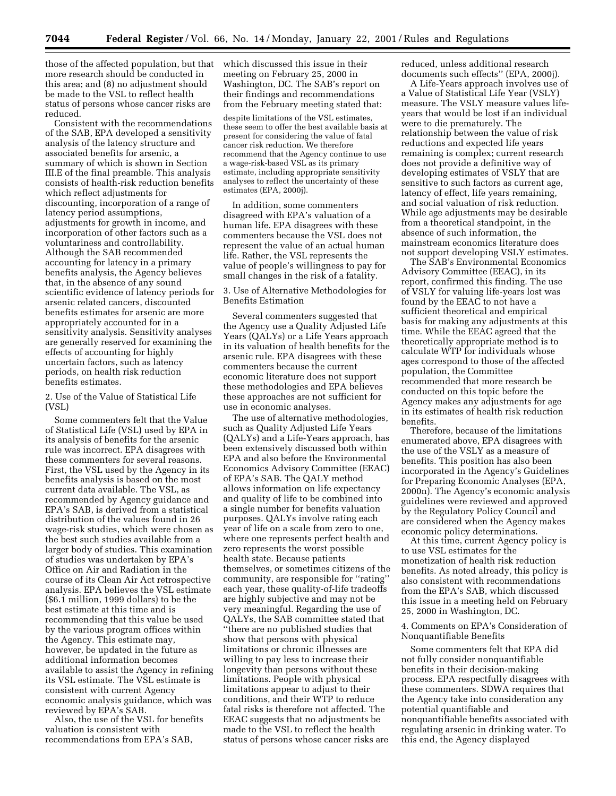those of the affected population, but that more research should be conducted in this area; and (8) no adjustment should be made to the VSL to reflect health status of persons whose cancer risks are reduced.

Consistent with the recommendations of the SAB, EPA developed a sensitivity analysis of the latency structure and associated benefits for arsenic, a summary of which is shown in Section III.E of the final preamble. This analysis consists of health-risk reduction benefits which reflect adjustments for discounting, incorporation of a range of latency period assumptions, adjustments for growth in income, and incorporation of other factors such as a voluntariness and controllability. Although the SAB recommended accounting for latency in a primary benefits analysis, the Agency believes that, in the absence of any sound scientific evidence of latency periods for arsenic related cancers, discounted benefits estimates for arsenic are more appropriately accounted for in a sensitivity analysis. Sensitivity analyses are generally reserved for examining the effects of accounting for highly uncertain factors, such as latency periods, on health risk reduction benefits estimates.

2. Use of the Value of Statistical Life (VSL)

Some commenters felt that the Value of Statistical Life (VSL) used by EPA in its analysis of benefits for the arsenic rule was incorrect. EPA disagrees with these commenters for several reasons. First, the VSL used by the Agency in its benefits analysis is based on the most current data available. The VSL, as recommended by Agency guidance and EPA's SAB, is derived from a statistical distribution of the values found in 26 wage-risk studies, which were chosen as the best such studies available from a larger body of studies. This examination of studies was undertaken by EPA's Office on Air and Radiation in the course of its Clean Air Act retrospective analysis. EPA believes the VSL estimate (\$6.1 million, 1999 dollars) to be the best estimate at this time and is recommending that this value be used by the various program offices within the Agency. This estimate may, however, be updated in the future as additional information becomes available to assist the Agency in refining its VSL estimate. The VSL estimate is consistent with current Agency economic analysis guidance, which was reviewed by EPA's SAB.

Also, the use of the VSL for benefits valuation is consistent with recommendations from EPA's SAB,

which discussed this issue in their meeting on February 25, 2000 in Washington, DC. The SAB's report on their findings and recommendations from the February meeting stated that:

despite limitations of the VSL estimates, these seem to offer the best available basis at present for considering the value of fatal cancer risk reduction. We therefore recommend that the Agency continue to use a wage-risk-based VSL as its primary estimate, including appropriate sensitivity analyses to reflect the uncertainty of these estimates (EPA, 2000j).

In addition, some commenters disagreed with EPA's valuation of a human life. EPA disagrees with these commenters because the VSL does not represent the value of an actual human life. Rather, the VSL represents the value of people's willingness to pay for small changes in the risk of a fatality.

3. Use of Alternative Methodologies for Benefits Estimation

Several commenters suggested that the Agency use a Quality Adjusted Life Years (QALYs) or a Life Years approach in its valuation of health benefits for the arsenic rule. EPA disagrees with these commenters because the current economic literature does not support these methodologies and EPA believes these approaches are not sufficient for use in economic analyses.

The use of alternative methodologies, such as Quality Adjusted Life Years (QALYs) and a Life-Years approach, has been extensively discussed both within EPA and also before the Environmental Economics Advisory Committee (EEAC) of EPA's SAB. The QALY method allows information on life expectancy and quality of life to be combined into a single number for benefits valuation purposes. QALYs involve rating each year of life on a scale from zero to one, where one represents perfect health and zero represents the worst possible health state. Because patients themselves, or sometimes citizens of the community, are responsible for ''rating'' each year, these quality-of-life tradeoffs are highly subjective and may not be very meaningful. Regarding the use of QALYs, the SAB committee stated that ''there are no published studies that show that persons with physical limitations or chronic illnesses are willing to pay less to increase their longevity than persons without these limitations. People with physical limitations appear to adjust to their conditions, and their WTP to reduce fatal risks is therefore not affected. The EEAC suggests that no adjustments be made to the VSL to reflect the health status of persons whose cancer risks are

reduced, unless additional research documents such effects'' (EPA, 2000j).

A Life-Years approach involves use of a Value of Statistical Life Year (VSLY) measure. The VSLY measure values lifeyears that would be lost if an individual were to die prematurely. The relationship between the value of risk reductions and expected life years remaining is complex; current research does not provide a definitive way of developing estimates of VSLY that are sensitive to such factors as current age, latency of effect, life years remaining, and social valuation of risk reduction. While age adjustments may be desirable from a theoretical standpoint, in the absence of such information, the mainstream economics literature does not support developing VSLY estimates.

The SAB's Environmental Economics Advisory Committee (EEAC), in its report, confirmed this finding. The use of VSLY for valuing life-years lost was found by the EEAC to not have a sufficient theoretical and empirical basis for making any adjustments at this time. While the EEAC agreed that the theoretically appropriate method is to calculate WTP for individuals whose ages correspond to those of the affected population, the Committee recommended that more research be conducted on this topic before the Agency makes any adjustments for age in its estimates of health risk reduction benefits.

Therefore, because of the limitations enumerated above, EPA disagrees with the use of the VSLY as a measure of benefits. This position has also been incorporated in the Agency's Guidelines for Preparing Economic Analyses (EPA, 2000n). The Agency's economic analysis guidelines were reviewed and approved by the Regulatory Policy Council and are considered when the Agency makes economic policy determinations.

At this time, current Agency policy is to use VSL estimates for the monetization of health risk reduction benefits. As noted already, this policy is also consistent with recommendations from the EPA's SAB, which discussed this issue in a meeting held on February 25, 2000 in Washington, DC.

4. Comments on EPA's Consideration of Nonquantifiable Benefits

Some commenters felt that EPA did not fully consider nonquantifiable benefits in their decision-making process. EPA respectfully disagrees with these commenters. SDWA requires that the Agency take into consideration any potential quantifiable and nonquantifiable benefits associated with regulating arsenic in drinking water. To this end, the Agency displayed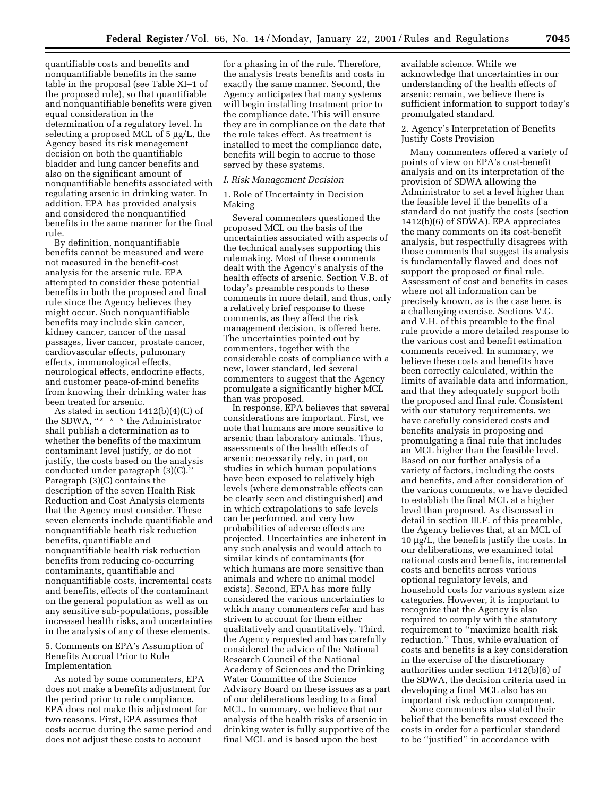quantifiable costs and benefits and nonquantifiable benefits in the same table in the proposal (see Table XI–1 of the proposed rule), so that quantifiable and nonquantifiable benefits were given equal consideration in the determination of a regulatory level. In selecting a proposed MCL of 5 µg/L, the Agency based its risk management decision on both the quantifiable bladder and lung cancer benefits and also on the significant amount of nonquantifiable benefits associated with regulating arsenic in drinking water. In addition, EPA has provided analysis and considered the nonquantified benefits in the same manner for the final rule.

By definition, nonquantifiable benefits cannot be measured and were not measured in the benefit-cost analysis for the arsenic rule. EPA attempted to consider these potential benefits in both the proposed and final rule since the Agency believes they might occur. Such nonquantifiable benefits may include skin cancer, kidney cancer, cancer of the nasal passages, liver cancer, prostate cancer, cardiovascular effects, pulmonary effects, immunological effects, neurological effects, endocrine effects, and customer peace-of-mind benefits from knowing their drinking water has been treated for arsenic.

As stated in section 1412(b)(4)(C) of the SDWA, ''\* \* \* the Administrator shall publish a determination as to whether the benefits of the maximum contaminant level justify, or do not justify, the costs based on the analysis conducted under paragraph (3)(C).'' Paragraph (3)(C) contains the description of the seven Health Risk Reduction and Cost Analysis elements that the Agency must consider. These seven elements include quantifiable and nonquantifiable heath risk reduction benefits, quantifiable and nonquantifiable health risk reduction benefits from reducing co-occurring contaminants, quantifiable and nonquantifiable costs, incremental costs and benefits, effects of the contaminant on the general population as well as on any sensitive sub-populations, possible increased health risks, and uncertainties in the analysis of any of these elements.

### 5. Comments on EPA's Assumption of Benefits Accrual Prior to Rule Implementation

As noted by some commenters, EPA does not make a benefits adjustment for the period prior to rule compliance. EPA does not make this adjustment for two reasons. First, EPA assumes that costs accrue during the same period and does not adjust these costs to account

for a phasing in of the rule. Therefore, the analysis treats benefits and costs in exactly the same manner. Second, the Agency anticipates that many systems will begin installing treatment prior to the compliance date. This will ensure they are in compliance on the date that the rule takes effect. As treatment is installed to meet the compliance date, benefits will begin to accrue to those served by these systems.

#### *I. Risk Management Decision*

1. Role of Uncertainty in Decision Making

Several commenters questioned the proposed MCL on the basis of the uncertainties associated with aspects of the technical analyses supporting this rulemaking. Most of these comments dealt with the Agency's analysis of the health effects of arsenic. Section V.B. of today's preamble responds to these comments in more detail, and thus, only a relatively brief response to these comments, as they affect the risk management decision, is offered here. The uncertainties pointed out by commenters, together with the considerable costs of compliance with a new, lower standard, led several commenters to suggest that the Agency promulgate a significantly higher MCL than was proposed.

In response, EPA believes that several considerations are important. First, we note that humans are more sensitive to arsenic than laboratory animals. Thus, assessments of the health effects of arsenic necessarily rely, in part, on studies in which human populations have been exposed to relatively high levels (where demonstrable effects can be clearly seen and distinguished) and in which extrapolations to safe levels can be performed, and very low probabilities of adverse effects are projected. Uncertainties are inherent in any such analysis and would attach to similar kinds of contaminants (for which humans are more sensitive than animals and where no animal model exists). Second, EPA has more fully considered the various uncertainties to which many commenters refer and has striven to account for them either qualitatively and quantitatively. Third, the Agency requested and has carefully considered the advice of the National Research Council of the National Academy of Sciences and the Drinking Water Committee of the Science Advisory Board on these issues as a part of our deliberations leading to a final MCL. In summary, we believe that our analysis of the health risks of arsenic in drinking water is fully supportive of the final MCL and is based upon the best

available science. While we acknowledge that uncertainties in our understanding of the health effects of arsenic remain, we believe there is sufficient information to support today's promulgated standard.

2. Agency's Interpretation of Benefits Justify Costs Provision

Many commenters offered a variety of points of view on EPA's cost-benefit analysis and on its interpretation of the provision of SDWA allowing the Administrator to set a level higher than the feasible level if the benefits of a standard do not justify the costs (section 1412(b)(6) of SDWA). EPA appreciates the many comments on its cost-benefit analysis, but respectfully disagrees with those comments that suggest its analysis is fundamentally flawed and does not support the proposed or final rule. Assessment of cost and benefits in cases where not all information can be precisely known, as is the case here, is a challenging exercise. Sections V.G. and V.H. of this preamble to the final rule provide a more detailed response to the various cost and benefit estimation comments received. In summary, we believe these costs and benefits have been correctly calculated, within the limits of available data and information, and that they adequately support both the proposed and final rule. Consistent with our statutory requirements, we have carefully considered costs and benefits analysis in proposing and promulgating a final rule that includes an MCL higher than the feasible level. Based on our further analysis of a variety of factors, including the costs and benefits, and after consideration of the various comments, we have decided to establish the final MCL at a higher level than proposed. As discussed in detail in section III.F. of this preamble, the Agency believes that, at an MCL of 10 µg/L, the benefits justify the costs. In our deliberations, we examined total national costs and benefits, incremental costs and benefits across various optional regulatory levels, and household costs for various system size categories. However, it is important to recognize that the Agency is also required to comply with the statutory requirement to ''maximize health risk reduction.'' Thus, while evaluation of costs and benefits is a key consideration in the exercise of the discretionary authorities under section 1412(b)(6) of the SDWA, the decision criteria used in developing a final MCL also has an important risk reduction component.

Some commenters also stated their belief that the benefits must exceed the costs in order for a particular standard to be ''justified'' in accordance with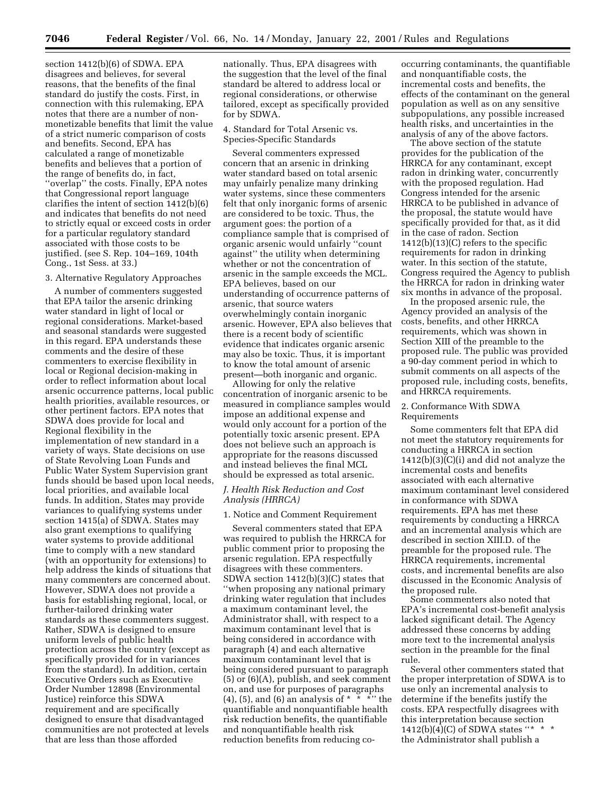section 1412(b)(6) of SDWA. EPA disagrees and believes, for several reasons, that the benefits of the final standard do justify the costs. First, in connection with this rulemaking, EPA notes that there are a number of nonmonetizable benefits that limit the value of a strict numeric comparison of costs and benefits. Second, EPA has calculated a range of monetizable benefits and believes that a portion of the range of benefits do, in fact, "overlap" the costs. Finally, EPA notes that Congressional report language clarifies the intent of section 1412(b)(6) and indicates that benefits do not need to strictly equal or exceed costs in order for a particular regulatory standard associated with those costs to be justified. (see S. Rep. 104–169, 104th Cong., 1st Sess. at 33.)

#### 3. Alternative Regulatory Approaches

A number of commenters suggested that EPA tailor the arsenic drinking water standard in light of local or regional considerations. Market-based and seasonal standards were suggested in this regard. EPA understands these comments and the desire of these commenters to exercise flexibility in local or Regional decision-making in order to reflect information about local arsenic occurrence patterns, local public health priorities, available resources, or other pertinent factors. EPA notes that SDWA does provide for local and Regional flexibility in the implementation of new standard in a variety of ways. State decisions on use of State Revolving Loan Funds and Public Water System Supervision grant funds should be based upon local needs, local priorities, and available local funds. In addition, States may provide variances to qualifying systems under section 1415(a) of SDWA. States may also grant exemptions to qualifying water systems to provide additional time to comply with a new standard (with an opportunity for extensions) to help address the kinds of situations that many commenters are concerned about. However, SDWA does not provide a basis for establishing regional, local, or further-tailored drinking water standards as these commenters suggest. Rather, SDWA is designed to ensure uniform levels of public health protection across the country (except as specifically provided for in variances from the standard). In addition, certain Executive Orders such as Executive Order Number 12898 (Environmental Justice) reinforce this SDWA requirement and are specifically designed to ensure that disadvantaged communities are not protected at levels that are less than those afforded

nationally. Thus, EPA disagrees with the suggestion that the level of the final standard be altered to address local or regional considerations, or otherwise tailored, except as specifically provided for by SDWA.

### 4. Standard for Total Arsenic vs. Species-Specific Standards

Several commenters expressed concern that an arsenic in drinking water standard based on total arsenic may unfairly penalize many drinking water systems, since these commenters felt that only inorganic forms of arsenic are considered to be toxic. Thus, the argument goes: the portion of a compliance sample that is comprised of organic arsenic would unfairly ''count against'' the utility when determining whether or not the concentration of arsenic in the sample exceeds the MCL. EPA believes, based on our understanding of occurrence patterns of arsenic, that source waters overwhelmingly contain inorganic arsenic. However, EPA also believes that there is a recent body of scientific evidence that indicates organic arsenic may also be toxic. Thus, it is important to know the total amount of arsenic present—both inorganic and organic.

Allowing for only the relative concentration of inorganic arsenic to be measured in compliance samples would impose an additional expense and would only account for a portion of the potentially toxic arsenic present. EPA does not believe such an approach is appropriate for the reasons discussed and instead believes the final MCL should be expressed as total arsenic.

### *J. Health Risk Reduction and Cost Analysis (HRRCA)*

### 1. Notice and Comment Requirement

Several commenters stated that EPA was required to publish the HRRCA for public comment prior to proposing the arsenic regulation. EPA respectfully disagrees with these commenters. SDWA section 1412(b)(3)(C) states that ''when proposing any national primary drinking water regulation that includes a maximum contaminant level, the Administrator shall, with respect to a maximum contaminant level that is being considered in accordance with paragraph (4) and each alternative maximum contaminant level that is being considered pursuant to paragraph (5) or (6)(A), publish, and seek comment on, and use for purposes of paragraphs (4), (5), and (6) an analysis of  $* * * "$  the quantifiable and nonquantifiable health risk reduction benefits, the quantifiable and nonquantifiable health risk reduction benefits from reducing co-

occurring contaminants, the quantifiable and nonquantifiable costs, the incremental costs and benefits, the effects of the contaminant on the general population as well as on any sensitive subpopulations, any possible increased health risks, and uncertainties in the analysis of any of the above factors.

The above section of the statute provides for the publication of the HRRCA for any contaminant, except radon in drinking water, concurrently with the proposed regulation. Had Congress intended for the arsenic HRRCA to be published in advance of the proposal, the statute would have specifically provided for that, as it did in the case of radon. Section 1412(b)(13)(C) refers to the specific requirements for radon in drinking water. In this section of the statute, Congress required the Agency to publish the HRRCA for radon in drinking water six months in advance of the proposal.

In the proposed arsenic rule, the Agency provided an analysis of the costs, benefits, and other HRRCA requirements, which was shown in Section XIII of the preamble to the proposed rule. The public was provided a 90-day comment period in which to submit comments on all aspects of the proposed rule, including costs, benefits, and HRRCA requirements.

### 2. Conformance With SDWA Requirements

Some commenters felt that EPA did not meet the statutory requirements for conducting a HRRCA in section 1412(b)(3)(C)(i) and did not analyze the incremental costs and benefits associated with each alternative maximum contaminant level considered in conformance with SDWA requirements. EPA has met these requirements by conducting a HRRCA and an incremental analysis which are described in section XIII.D. of the preamble for the proposed rule. The HRRCA requirements, incremental costs, and incremental benefits are also discussed in the Economic Analysis of the proposed rule.

Some commenters also noted that EPA's incremental cost-benefit analysis lacked significant detail. The Agency addressed these concerns by adding more text to the incremental analysis section in the preamble for the final rule.

Several other commenters stated that the proper interpretation of SDWA is to use only an incremental analysis to determine if the benefits justify the costs. EPA respectfully disagrees with this interpretation because section 1412(b)(4)(C) of SDWA states "\*  $*$ the Administrator shall publish a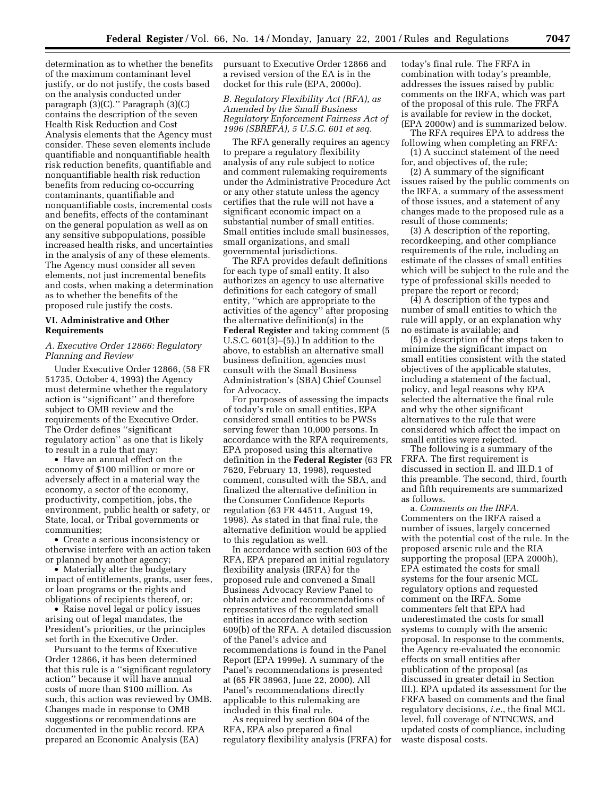determination as to whether the benefits of the maximum contaminant level justify, or do not justify, the costs based on the analysis conducted under paragraph (3)(C).'' Paragraph (3)(C) contains the description of the seven Health Risk Reduction and Cost Analysis elements that the Agency must consider. These seven elements include quantifiable and nonquantifiable health risk reduction benefits, quantifiable and nonquantifiable health risk reduction benefits from reducing co-occurring contaminants, quantifiable and nonquantifiable costs, incremental costs and benefits, effects of the contaminant on the general population as well as on any sensitive subpopulations, possible increased health risks, and uncertainties in the analysis of any of these elements. The Agency must consider all seven elements, not just incremental benefits and costs, when making a determination as to whether the benefits of the proposed rule justify the costs.

### **VI. Administrative and Other Requirements**

### *A. Executive Order 12866: Regulatory Planning and Review*

Under Executive Order 12866, (58 FR 51735, October 4, 1993) the Agency must determine whether the regulatory action is ''significant'' and therefore subject to OMB review and the requirements of the Executive Order. The Order defines ''significant regulatory action'' as one that is likely to result in a rule that may:

• Have an annual effect on the economy of \$100 million or more or adversely affect in a material way the economy, a sector of the economy, productivity, competition, jobs, the environment, public health or safety, or State, local, or Tribal governments or communities;

• Create a serious inconsistency or otherwise interfere with an action taken or planned by another agency;

• Materially alter the budgetary impact of entitlements, grants, user fees, or loan programs or the rights and obligations of recipients thereof, or;

• Raise novel legal or policy issues arising out of legal mandates, the President's priorities, or the principles set forth in the Executive Order.

Pursuant to the terms of Executive Order 12866, it has been determined that this rule is a ''significant regulatory action'' because it will have annual costs of more than \$100 million. As such, this action was reviewed by OMB. Changes made in response to OMB suggestions or recommendations are documented in the public record. EPA prepared an Economic Analysis (EA)

pursuant to Executive Order 12866 and a revised version of the EA is in the docket for this rule (EPA, 2000o).

### *B. Regulatory Flexibility Act (RFA), as Amended by the Small Business Regulatory Enforcement Fairness Act of 1996 (SBREFA), 5 U.S.C. 601 et seq.*

The RFA generally requires an agency to prepare a regulatory flexibility analysis of any rule subject to notice and comment rulemaking requirements under the Administrative Procedure Act or any other statute unless the agency certifies that the rule will not have a significant economic impact on a substantial number of small entities. Small entities include small businesses, small organizations, and small governmental jurisdictions.

The RFA provides default definitions for each type of small entity. It also authorizes an agency to use alternative definitions for each category of small entity, ''which are appropriate to the activities of the agency'' after proposing the alternative definition(s) in the **Federal Register** and taking comment (5 U.S.C. 601(3)–(5).) In addition to the above, to establish an alternative small business definition, agencies must consult with the Small Business Administration's (SBA) Chief Counsel for Advocacy.

For purposes of assessing the impacts of today's rule on small entities, EPA considered small entities to be PWSs serving fewer than 10,000 persons. In accordance with the RFA requirements, EPA proposed using this alternative definition in the **Federal Register** (63 FR 7620, February 13, 1998), requested comment, consulted with the SBA, and finalized the alternative definition in the Consumer Confidence Reports regulation (63 FR 44511, August 19, 1998). As stated in that final rule, the alternative definition would be applied to this regulation as well.

In accordance with section 603 of the RFA, EPA prepared an initial regulatory flexibility analysis (IRFA) for the proposed rule and convened a Small Business Advocacy Review Panel to obtain advice and recommendations of representatives of the regulated small entities in accordance with section 609(b) of the RFA. A detailed discussion of the Panel's advice and recommendations is found in the Panel Report (EPA 1999e). A summary of the Panel's recommendations is presented at (65 FR 38963, June 22, 2000). All Panel's recommendations directly applicable to this rulemaking are included in this final rule.

As required by section 604 of the RFA, EPA also prepared a final regulatory flexibility analysis (FRFA) for today's final rule. The FRFA in combination with today's preamble, addresses the issues raised by public comments on the IRFA, which was part of the proposal of this rule. The FRFA is available for review in the docket, (EPA 2000w) and is summarized below. The RFA requires EPA to address the

following when completing an FRFA: (1) A succinct statement of the need

for, and objectives of, the rule;

(2) A summary of the significant issues raised by the public comments on the IRFA, a summary of the assessment of those issues, and a statement of any changes made to the proposed rule as a result of those comments;

(3) A description of the reporting, recordkeeping, and other compliance requirements of the rule, including an estimate of the classes of small entities which will be subject to the rule and the type of professional skills needed to prepare the report or record;

(4) A description of the types and number of small entities to which the rule will apply, or an explanation why no estimate is available; and

(5) a description of the steps taken to minimize the significant impact on small entities consistent with the stated objectives of the applicable statutes, including a statement of the factual, policy, and legal reasons why EPA selected the alternative the final rule and why the other significant alternatives to the rule that were considered which affect the impact on small entities were rejected.

The following is a summary of the FRFA. The first requirement is discussed in section II. and III.D.1 of this preamble. The second, third, fourth and fifth requirements are summarized as follows.

a. *Comments on the IRFA.* Commenters on the IRFA raised a number of issues, largely concerned with the potential cost of the rule. In the proposed arsenic rule and the RIA supporting the proposal (EPA 2000h), EPA estimated the costs for small systems for the four arsenic MCL regulatory options and requested comment on the IRFA. Some commenters felt that EPA had underestimated the costs for small systems to comply with the arsenic proposal. In response to the comments, the Agency re-evaluated the economic effects on small entities after publication of the proposal (as discussed in greater detail in Section III.). EPA updated its assessment for the FRFA based on comments and the final regulatory decisions, *i.e.*, the final MCL level, full coverage of NTNCWS, and updated costs of compliance, including waste disposal costs.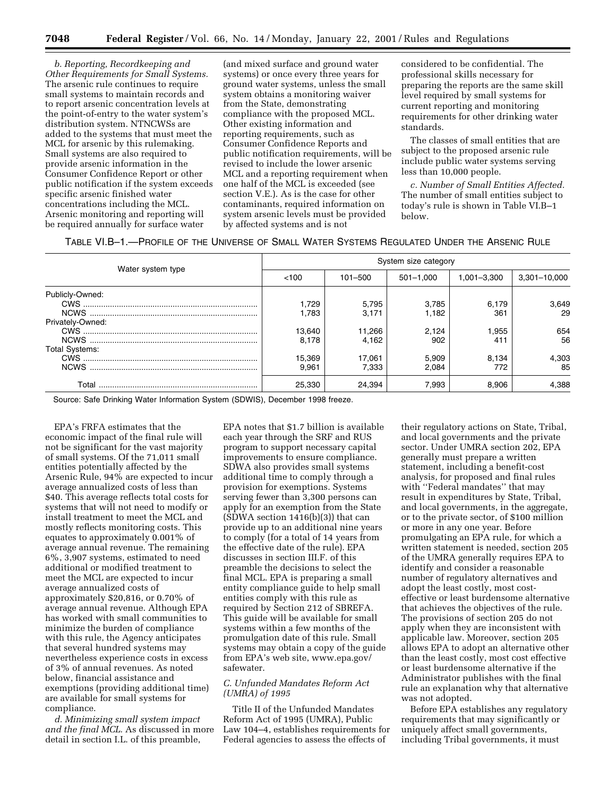*b. Reporting, Recordkeeping and Other Requirements for Small Systems.* The arsenic rule continues to require small systems to maintain records and to report arsenic concentration levels at the point-of-entry to the water system's distribution system. NTNCWSs are added to the systems that must meet the MCL for arsenic by this rulemaking. Small systems are also required to provide arsenic information in the Consumer Confidence Report or other public notification if the system exceeds specific arsenic finished water concentrations including the MCL. Arsenic monitoring and reporting will be required annually for surface water

(and mixed surface and ground water systems) or once every three years for ground water systems, unless the small system obtains a monitoring waiver from the State, demonstrating compliance with the proposed MCL. Other existing information and reporting requirements, such as Consumer Confidence Reports and public notification requirements, will be revised to include the lower arsenic MCL and a reporting requirement when one half of the MCL is exceeded (see section V.E.). As is the case for other contaminants, required information on system arsenic levels must be provided by affected systems and is not

considered to be confidential. The professional skills necessary for preparing the reports are the same skill level required by small systems for current reporting and monitoring requirements for other drinking water standards.

The classes of small entities that are subject to the proposed arsenic rule include public water systems serving less than 10,000 people.

*c. Number of Small Entities Affected.* The number of small entities subject to today's rule is shown in Table VI.B–1 below.

|                       | System size category |             |               |             |              |  |
|-----------------------|----------------------|-------------|---------------|-------------|--------------|--|
| Water system type     | <100                 | $101 - 500$ | $501 - 1.000$ | 1,001-3,300 | 3,301-10,000 |  |
| Publicly-Owned:       |                      |             |               |             |              |  |
|                       | 1.729                | 5.795       | 3,785         | 6,179       | 3,649        |  |
|                       | 1.783                | 3.171       | 1.182         | 361         | 29           |  |
| Privately-Owned:      |                      |             |               |             |              |  |
|                       | 13,640               | 11,266      | 2,124         | 1,955       | 654          |  |
|                       | 8.178                | 4.162       | 902           | 411         | 56           |  |
| <b>Total Systems:</b> |                      |             |               |             |              |  |
|                       | 15,369               | 17.061      | 5,909         | 8.134       | 4,303        |  |
| NCWS.                 | 9.961                | 7.333       | 2.084         | 772         | 85           |  |
| Total                 | 25.330               | 24,394      | 7.993         | 8.906       | 4.388        |  |

Source: Safe Drinking Water Information System (SDWIS), December 1998 freeze.

EPA's FRFA estimates that the economic impact of the final rule will not be significant for the vast majority of small systems. Of the 71,011 small entities potentially affected by the Arsenic Rule, 94% are expected to incur average annualized costs of less than \$40. This average reflects total costs for systems that will not need to modify or install treatment to meet the MCL and mostly reflects monitoring costs. This equates to approximately 0.001% of average annual revenue. The remaining 6%, 3,907 systems, estimated to need additional or modified treatment to meet the MCL are expected to incur average annualized costs of approximately \$20,816, or 0.70% of average annual revenue. Although EPA has worked with small communities to minimize the burden of compliance with this rule, the Agency anticipates that several hundred systems may nevertheless experience costs in excess of 3% of annual revenues. As noted below, financial assistance and exemptions (providing additional time) are available for small systems for compliance.

*d. Minimizing small system impact and the final MCL.* As discussed in more detail in section I.L. of this preamble,

EPA notes that \$1.7 billion is available each year through the SRF and RUS program to support necessary capital improvements to ensure compliance. SDWA also provides small systems additional time to comply through a provision for exemptions. Systems serving fewer than 3,300 persons can apply for an exemption from the State (SDWA section 1416(b)(3)) that can provide up to an additional nine years to comply (for a total of 14 years from the effective date of the rule). EPA discusses in section III.F. of this preamble the decisions to select the final MCL. EPA is preparing a small entity compliance guide to help small entities comply with this rule as required by Section 212 of SBREFA. This guide will be available for small systems within a few months of the promulgation date of this rule. Small systems may obtain a copy of the guide from EPA's web site, www.epa.gov/ safewater.

## *C. Unfunded Mandates Reform Act (UMRA) of 1995*

Title II of the Unfunded Mandates Reform Act of 1995 (UMRA), Public Law 104–4, establishes requirements for Federal agencies to assess the effects of

their regulatory actions on State, Tribal, and local governments and the private sector. Under UMRA section 202, EPA generally must prepare a written statement, including a benefit-cost analysis, for proposed and final rules with ''Federal mandates'' that may result in expenditures by State, Tribal, and local governments, in the aggregate, or to the private sector, of \$100 million or more in any one year. Before promulgating an EPA rule, for which a written statement is needed, section 205 of the UMRA generally requires EPA to identify and consider a reasonable number of regulatory alternatives and adopt the least costly, most costeffective or least burdensome alternative that achieves the objectives of the rule. The provisions of section 205 do not apply when they are inconsistent with applicable law. Moreover, section 205 allows EPA to adopt an alternative other than the least costly, most cost effective or least burdensome alternative if the Administrator publishes with the final rule an explanation why that alternative was not adopted.

Before EPA establishes any regulatory requirements that may significantly or uniquely affect small governments, including Tribal governments, it must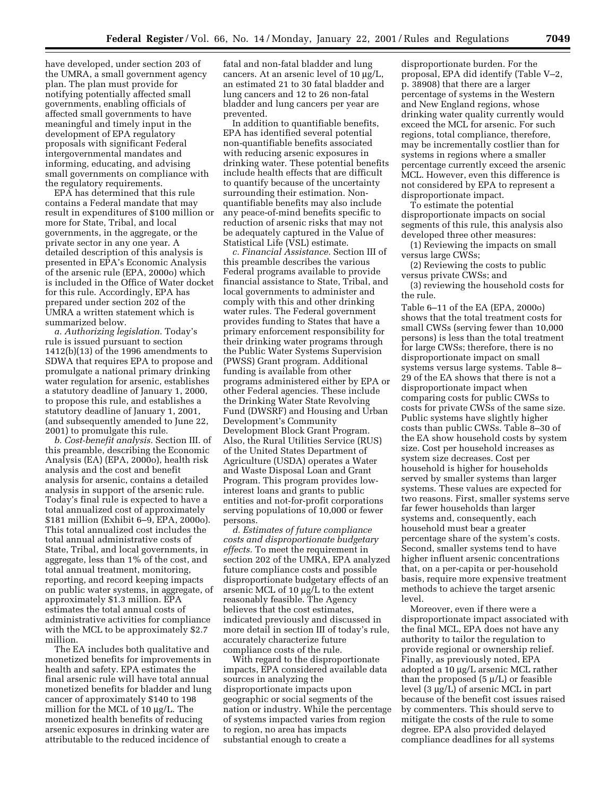have developed, under section 203 of the UMRA, a small government agency plan. The plan must provide for notifying potentially affected small governments, enabling officials of affected small governments to have meaningful and timely input in the development of EPA regulatory proposals with significant Federal intergovernmental mandates and informing, educating, and advising small governments on compliance with the regulatory requirements.

EPA has determined that this rule contains a Federal mandate that may result in expenditures of \$100 million or more for State, Tribal, and local governments, in the aggregate, or the private sector in any one year. A detailed description of this analysis is presented in EPA's Economic Analysis of the arsenic rule (EPA, 2000o) which is included in the Office of Water docket for this rule. Accordingly, EPA has prepared under section 202 of the UMRA a written statement which is summarized below.

*a. Authorizing legislation.* Today's rule is issued pursuant to section 1412(b)(13) of the 1996 amendments to SDWA that requires EPA to propose and promulgate a national primary drinking water regulation for arsenic, establishes a statutory deadline of January 1, 2000, to propose this rule, and establishes a statutory deadline of January 1, 2001, (and subsequently amended to June 22, 2001) to promulgate this rule.

*b. Cost-benefit analysis.* Section III. of this preamble, describing the Economic Analysis (EA) (EPA, 2000o), health risk analysis and the cost and benefit analysis for arsenic, contains a detailed analysis in support of the arsenic rule. Today's final rule is expected to have a total annualized cost of approximately \$181 million (Exhibit 6–9, EPA, 2000o). This total annualized cost includes the total annual administrative costs of State, Tribal, and local governments, in aggregate, less than 1% of the cost, and total annual treatment, monitoring, reporting, and record keeping impacts on public water systems, in aggregate, of approximately \$1.3 million. EPA estimates the total annual costs of administrative activities for compliance with the MCL to be approximately \$2.7 million.

The EA includes both qualitative and monetized benefits for improvements in health and safety. EPA estimates the final arsenic rule will have total annual monetized benefits for bladder and lung cancer of approximately \$140 to 198 million for the MCL of 10 µg/L. The monetized health benefits of reducing arsenic exposures in drinking water are attributable to the reduced incidence of

fatal and non-fatal bladder and lung cancers. At an arsenic level of 10 µg/L, an estimated 21 to 30 fatal bladder and lung cancers and 12 to 26 non-fatal bladder and lung cancers per year are prevented.

In addition to quantifiable benefits, EPA has identified several potential non-quantifiable benefits associated with reducing arsenic exposures in drinking water. These potential benefits include health effects that are difficult to quantify because of the uncertainty surrounding their estimation. Nonquantifiable benefits may also include any peace-of-mind benefits specific to reduction of arsenic risks that may not be adequately captured in the Value of Statistical Life (VSL) estimate.

*c. Financial Assistance.* Section III of this preamble describes the various Federal programs available to provide financial assistance to State, Tribal, and local governments to administer and comply with this and other drinking water rules. The Federal government provides funding to States that have a primary enforcement responsibility for their drinking water programs through the Public Water Systems Supervision (PWSS) Grant program. Additional funding is available from other programs administered either by EPA or other Federal agencies. These include the Drinking Water State Revolving Fund (DWSRF) and Housing and Urban Development's Community Development Block Grant Program. Also, the Rural Utilities Service (RUS) of the United States Department of Agriculture (USDA) operates a Water and Waste Disposal Loan and Grant Program. This program provides lowinterest loans and grants to public entities and not-for-profit corporations serving populations of 10,000 or fewer persons.

*d. Estimates of future compliance costs and disproportionate budgetary effects.* To meet the requirement in section 202 of the UMRA, EPA analyzed future compliance costs and possible disproportionate budgetary effects of an arsenic MCL of 10 µg/L to the extent reasonably feasible. The Agency believes that the cost estimates, indicated previously and discussed in more detail in section III of today's rule, accurately characterize future compliance costs of the rule.

With regard to the disproportionate impacts, EPA considered available data sources in analyzing the disproportionate impacts upon geographic or social segments of the nation or industry. While the percentage of systems impacted varies from region to region, no area has impacts substantial enough to create a

disproportionate burden. For the proposal, EPA did identify (Table V–2, p. 38908) that there are a larger percentage of systems in the Western and New England regions, whose drinking water quality currently would exceed the MCL for arsenic. For such regions, total compliance, therefore, may be incrementally costlier than for systems in regions where a smaller percentage currently exceed the arsenic MCL. However, even this difference is not considered by EPA to represent a disproportionate impact.

To estimate the potential disproportionate impacts on social segments of this rule, this analysis also developed three other measures:

(1) Reviewing the impacts on small versus large CWSs;

(2) Reviewing the costs to public versus private CWSs; and

(3) reviewing the household costs for the rule.

Table 6–11 of the EA (EPA, 2000o) shows that the total treatment costs for small CWSs (serving fewer than 10,000 persons) is less than the total treatment for large CWSs; therefore, there is no disproportionate impact on small systems versus large systems. Table 8– 29 of the EA shows that there is not a disproportionate impact when comparing costs for public CWSs to costs for private CWSs of the same size. Public systems have slightly higher costs than public CWSs. Table 8–30 of the EA show household costs by system size. Cost per household increases as system size decreases. Cost per household is higher for households served by smaller systems than larger systems. These values are expected for two reasons. First, smaller systems serve far fewer households than larger systems and, consequently, each household must bear a greater percentage share of the system's costs. Second, smaller systems tend to have higher influent arsenic concentrations that, on a per-capita or per-household basis, require more expensive treatment methods to achieve the target arsenic level.

Moreover, even if there were a disproportionate impact associated with the final MCL, EPA does not have any authority to tailor the regulation to provide regional or ownership relief. Finally, as previously noted, EPA adopted a 10 µg/L arsenic MCL rather than the proposed  $(5 \mu/L)$  or feasible level (3 µg/L) of arsenic MCL in part because of the benefit cost issues raised by commenters. This should serve to mitigate the costs of the rule to some degree. EPA also provided delayed compliance deadlines for all systems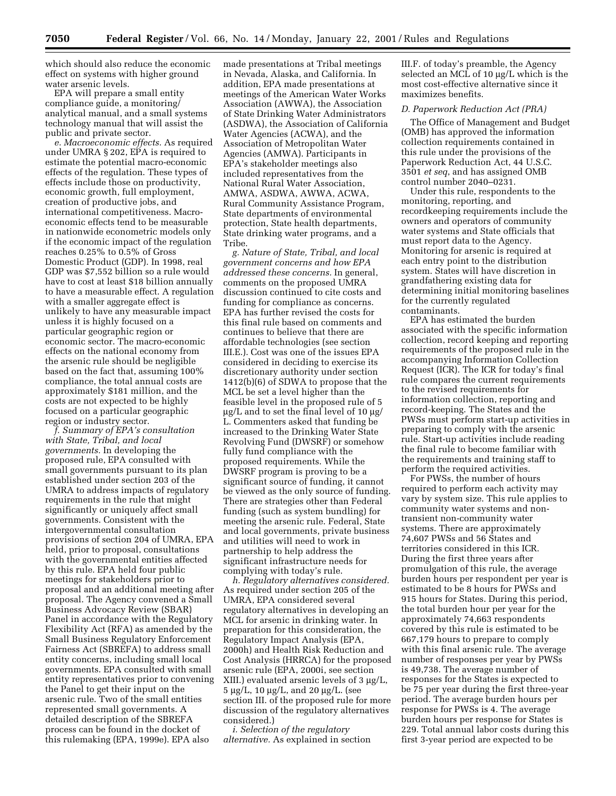which should also reduce the economic effect on systems with higher ground water arsenic levels.

EPA will prepare a small entity compliance guide, a monitoring/ analytical manual, and a small systems technology manual that will assist the public and private sector.

*e. Macroeconomic effects.* As required under UMRA § 202, EPA is required to estimate the potential macro-economic effects of the regulation. These types of effects include those on productivity, economic growth, full employment, creation of productive jobs, and international competitiveness. Macroeconomic effects tend to be measurable in nationwide econometric models only if the economic impact of the regulation reaches 0.25% to 0.5% of Gross Domestic Product (GDP). In 1998, real GDP was \$7,552 billion so a rule would have to cost at least \$18 billion annually to have a measurable effect. A regulation with a smaller aggregate effect is unlikely to have any measurable impact unless it is highly focused on a particular geographic region or economic sector. The macro-economic effects on the national economy from the arsenic rule should be negligible based on the fact that, assuming 100% compliance, the total annual costs are approximately \$181 million, and the costs are not expected to be highly focused on a particular geographic region or industry sector.

*f. Summary of EPA's consultation with State, Tribal, and local governments.* In developing the proposed rule, EPA consulted with small governments pursuant to its plan established under section 203 of the UMRA to address impacts of regulatory requirements in the rule that might significantly or uniquely affect small governments. Consistent with the intergovernmental consultation provisions of section 204 of UMRA, EPA held, prior to proposal, consultations with the governmental entities affected by this rule. EPA held four public meetings for stakeholders prior to proposal and an additional meeting after proposal. The Agency convened a Small Business Advocacy Review (SBAR) Panel in accordance with the Regulatory Flexibility Act (RFA) as amended by the Small Business Regulatory Enforcement Fairness Act (SBREFA) to address small entity concerns, including small local governments. EPA consulted with small entity representatives prior to convening the Panel to get their input on the arsenic rule. Two of the small entities represented small governments. A detailed description of the SBREFA process can be found in the docket of this rulemaking (EPA, 1999e). EPA also

made presentations at Tribal meetings in Nevada, Alaska, and California. In addition, EPA made presentations at meetings of the American Water Works Association (AWWA), the Association of State Drinking Water Administrators (ASDWA), the Association of California Water Agencies (ACWA), and the Association of Metropolitan Water Agencies (AMWA). Participants in EPA's stakeholder meetings also included representatives from the National Rural Water Association, AMWA, ASDWA, AWWA, ACWA, Rural Community Assistance Program, State departments of environmental protection, State health departments, State drinking water programs, and a Tribe.

*g. Nature of State, Tribal, and local government concerns and how EPA addressed these concerns.* In general, comments on the proposed UMRA discussion continued to cite costs and funding for compliance as concerns. EPA has further revised the costs for this final rule based on comments and continues to believe that there are affordable technologies (see section III.E.). Cost was one of the issues EPA considered in deciding to exercise its discretionary authority under section 1412(b)(6) of SDWA to propose that the MCL be set a level higher than the feasible level in the proposed rule of 5 µg/L and to set the final level of 10 µg/ L. Commenters asked that funding be increased to the Drinking Water State Revolving Fund (DWSRF) or somehow fully fund compliance with the proposed requirements. While the DWSRF program is proving to be a significant source of funding, it cannot be viewed as the only source of funding. There are strategies other than Federal funding (such as system bundling) for meeting the arsenic rule. Federal, State and local governments, private business and utilities will need to work in partnership to help address the significant infrastructure needs for complying with today's rule.

*h. Regulatory alternatives considered.* As required under section 205 of the UMRA, EPA considered several regulatory alternatives in developing an MCL for arsenic in drinking water. In preparation for this consideration, the Regulatory Impact Analysis (EPA, 2000h) and Health Risk Reduction and Cost Analysis (HRRCA) for the proposed arsenic rule (EPA, 2000i, see section XIII.) evaluated arsenic levels of 3 µg/L, 5 µg/L, 10 µg/L, and 20 µg/L. (see section III. of the proposed rule for more discussion of the regulatory alternatives considered.)

*i. Selection of the regulatory alternative.* As explained in section III.F. of today's preamble, the Agency selected an MCL of 10 µg/L which is the most cost-effective alternative since it maximizes benefits.

# *D. Paperwork Reduction Act (PRA)*

The Office of Management and Budget (OMB) has approved the information collection requirements contained in this rule under the provisions of the Paperwork Reduction Act, 44 U.S.C. 3501 *et seq*, and has assigned OMB control number 2040–0231.

Under this rule, respondents to the monitoring, reporting, and recordkeeping requirements include the owners and operators of community water systems and State officials that must report data to the Agency. Monitoring for arsenic is required at each entry point to the distribution system. States will have discretion in grandfathering existing data for determining initial monitoring baselines for the currently regulated contaminants.

EPA has estimated the burden associated with the specific information collection, record keeping and reporting requirements of the proposed rule in the accompanying Information Collection Request (ICR). The ICR for today's final rule compares the current requirements to the revised requirements for information collection, reporting and record-keeping. The States and the PWSs must perform start-up activities in preparing to comply with the arsenic rule. Start-up activities include reading the final rule to become familiar with the requirements and training staff to perform the required activities.

For PWSs, the number of hours required to perform each activity may vary by system size. This rule applies to community water systems and nontransient non-community water systems. There are approximately 74,607 PWSs and 56 States and territories considered in this ICR. During the first three years after promulgation of this rule, the average burden hours per respondent per year is estimated to be 8 hours for PWSs and 915 hours for States. During this period, the total burden hour per year for the approximately 74,663 respondents covered by this rule is estimated to be 667,179 hours to prepare to comply with this final arsenic rule. The average number of responses per year by PWSs is 49,738. The average number of responses for the States is expected to be 75 per year during the first three-year period. The average burden hours per response for PWSs is 4. The average burden hours per response for States is 229. Total annual labor costs during this first 3-year period are expected to be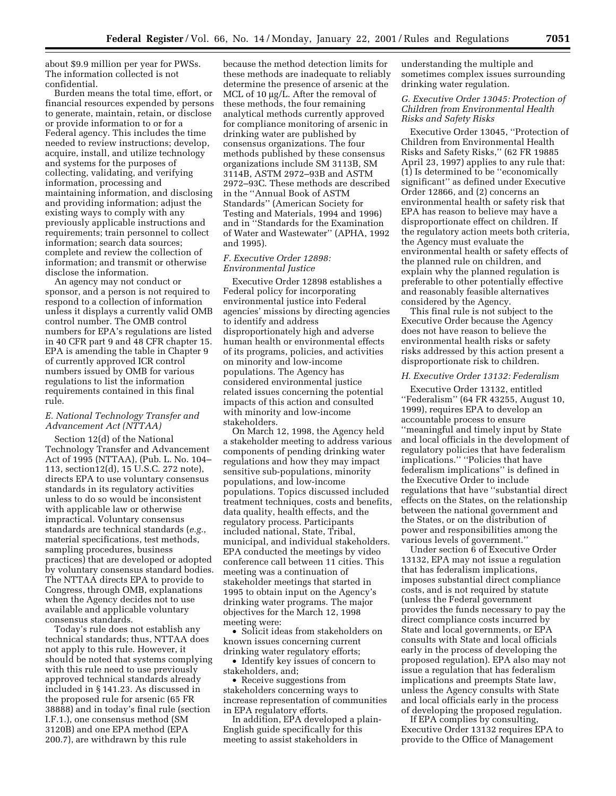about \$9.9 million per year for PWSs. The information collected is not confidential.

Burden means the total time, effort, or financial resources expended by persons to generate, maintain, retain, or disclose or provide information to or for a Federal agency. This includes the time needed to review instructions; develop, acquire, install, and utilize technology and systems for the purposes of collecting, validating, and verifying information, processing and maintaining information, and disclosing and providing information; adjust the existing ways to comply with any previously applicable instructions and requirements; train personnel to collect information; search data sources; complete and review the collection of information; and transmit or otherwise disclose the information.

An agency may not conduct or sponsor, and a person is not required to respond to a collection of information unless it displays a currently valid OMB control number. The OMB control numbers for EPA's regulations are listed in 40 CFR part 9 and 48 CFR chapter 15. EPA is amending the table in Chapter 9 of currently approved ICR control numbers issued by OMB for various regulations to list the information requirements contained in this final rule.

## *E. National Technology Transfer and Advancement Act (NTTAA)*

Section 12(d) of the National Technology Transfer and Advancement Act of 1995 (NTTAA), (Pub. L. No. 104– 113, section12(d), 15 U.S.C. 272 note), directs EPA to use voluntary consensus standards in its regulatory activities unless to do so would be inconsistent with applicable law or otherwise impractical. Voluntary consensus standards are technical standards (*e.g.*, material specifications, test methods, sampling procedures, business practices) that are developed or adopted by voluntary consensus standard bodies. The NTTAA directs EPA to provide to Congress, through OMB, explanations when the Agency decides not to use available and applicable voluntary consensus standards.

Today's rule does not establish any technical standards; thus, NTTAA does not apply to this rule. However, it should be noted that systems complying with this rule need to use previously approved technical standards already included in § 141.23. As discussed in the proposed rule for arsenic (65 FR 38888) and in today's final rule (section I.F.1.), one consensus method (SM 3120B) and one EPA method (EPA 200.7), are withdrawn by this rule

because the method detection limits for these methods are inadequate to reliably determine the presence of arsenic at the MCL of 10 μg/L. After the removal of these methods, the four remaining analytical methods currently approved for compliance monitoring of arsenic in drinking water are published by consensus organizations. The four methods published by these consensus organizations include SM 3113B, SM 3114B, ASTM 2972–93B and ASTM 2972–93C. These methods are described in the ''Annual Book of ASTM Standards'' (American Society for Testing and Materials, 1994 and 1996) and in ''Standards for the Examination of Water and Wastewater'' (APHA, 1992 and 1995).

## *F. Executive Order 12898: Environmental Justice*

Executive Order 12898 establishes a Federal policy for incorporating environmental justice into Federal agencies' missions by directing agencies to identify and address disproportionately high and adverse human health or environmental effects of its programs, policies, and activities on minority and low-income populations. The Agency has considered environmental justice related issues concerning the potential impacts of this action and consulted with minority and low-income stakeholders.

On March 12, 1998, the Agency held a stakeholder meeting to address various components of pending drinking water regulations and how they may impact sensitive sub-populations, minority populations, and low-income populations. Topics discussed included treatment techniques, costs and benefits, data quality, health effects, and the regulatory process. Participants included national, State, Tribal, municipal, and individual stakeholders. EPA conducted the meetings by video conference call between 11 cities. This meeting was a continuation of stakeholder meetings that started in 1995 to obtain input on the Agency's drinking water programs. The major objectives for the March 12, 1998 meeting were:

• Solicit ideas from stakeholders on known issues concerning current drinking water regulatory efforts;

• Identify key issues of concern to stakeholders, and;

• Receive suggestions from stakeholders concerning ways to increase representation of communities in EPA regulatory efforts.

In addition, EPA developed a plain-English guide specifically for this meeting to assist stakeholders in

understanding the multiple and sometimes complex issues surrounding drinking water regulation.

## *G. Executive Order 13045: Protection of Children from Environmental Health Risks and Safety Risks*

Executive Order 13045, ''Protection of Children from Environmental Health Risks and Safety Risks,'' (62 FR 19885 April 23, 1997) applies to any rule that: (1) Is determined to be ''economically significant'' as defined under Executive Order 12866, and (2) concerns an environmental health or safety risk that EPA has reason to believe may have a disproportionate effect on children. If the regulatory action meets both criteria, the Agency must evaluate the environmental health or safety effects of the planned rule on children, and explain why the planned regulation is preferable to other potentially effective and reasonably feasible alternatives considered by the Agency.

This final rule is not subject to the Executive Order because the Agency does not have reason to believe the environmental health risks or safety risks addressed by this action present a disproportionate risk to children.

## *H. Executive Order 13132: Federalism*

Executive Order 13132, entitled ''Federalism'' (64 FR 43255, August 10, 1999), requires EPA to develop an accountable process to ensure ''meaningful and timely input by State and local officials in the development of regulatory policies that have federalism implications.'' ''Policies that have federalism implications'' is defined in the Executive Order to include regulations that have ''substantial direct effects on the States, on the relationship between the national government and the States, or on the distribution of power and responsibilities among the various levels of government.''

Under section 6 of Executive Order 13132, EPA may not issue a regulation that has federalism implications, imposes substantial direct compliance costs, and is not required by statute (unless the Federal government provides the funds necessary to pay the direct compliance costs incurred by State and local governments, or EPA consults with State and local officials early in the process of developing the proposed regulation). EPA also may not issue a regulation that has federalism implications and preempts State law, unless the Agency consults with State and local officials early in the process of developing the proposed regulation.

If EPA complies by consulting, Executive Order 13132 requires EPA to provide to the Office of Management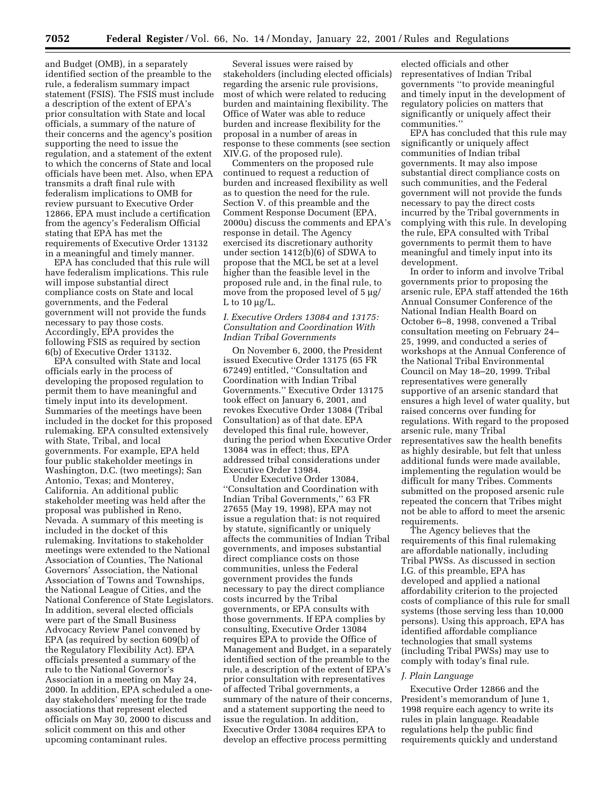and Budget (OMB), in a separately identified section of the preamble to the rule, a federalism summary impact statement (FSIS). The FSIS must include a description of the extent of EPA's prior consultation with State and local officials, a summary of the nature of their concerns and the agency's position supporting the need to issue the regulation, and a statement of the extent to which the concerns of State and local officials have been met. Also, when EPA transmits a draft final rule with federalism implications to OMB for review pursuant to Executive Order 12866, EPA must include a certification from the agency's Federalism Official stating that EPA has met the requirements of Executive Order 13132 in a meaningful and timely manner.

EPA has concluded that this rule will have federalism implications. This rule will impose substantial direct compliance costs on State and local governments, and the Federal government will not provide the funds necessary to pay those costs. Accordingly, EPA provides the following FSIS as required by section 6(b) of Executive Order 13132.

EPA consulted with State and local officials early in the process of developing the proposed regulation to permit them to have meaningful and timely input into its development. Summaries of the meetings have been included in the docket for this proposed rulemaking. EPA consulted extensively with State, Tribal, and local governments. For example, EPA held four public stakeholder meetings in Washington, D.C. (two meetings); San Antonio, Texas; and Monterey, California. An additional public stakeholder meeting was held after the proposal was published in Reno, Nevada. A summary of this meeting is included in the docket of this rulemaking. Invitations to stakeholder meetings were extended to the National Association of Counties, The National Governors' Association, the National Association of Towns and Townships, the National League of Cities, and the National Conference of State Legislators. In addition, several elected officials were part of the Small Business Advocacy Review Panel convened by EPA (as required by section 609(b) of the Regulatory Flexibility Act). EPA officials presented a summary of the rule to the National Governor's Association in a meeting on May 24, 2000. In addition, EPA scheduled a oneday stakeholders' meeting for the trade associations that represent elected officials on May 30, 2000 to discuss and solicit comment on this and other upcoming contaminant rules.

Several issues were raised by stakeholders (including elected officials) regarding the arsenic rule provisions, most of which were related to reducing burden and maintaining flexibility. The Office of Water was able to reduce burden and increase flexibility for the proposal in a number of areas in response to these comments (see section XIV.G. of the proposed rule).

Commenters on the proposed rule continued to request a reduction of burden and increased flexibility as well as to question the need for the rule. Section V. of this preamble and the Comment Response Document (EPA, 2000u) discuss the comments and EPA's response in detail. The Agency exercised its discretionary authority under section 1412(b)(6) of SDWA to propose that the MCL be set at a level higher than the feasible level in the proposed rule and, in the final rule, to move from the proposed level of 5 µg/ L to  $10 \mu g/L$ .

### *I. Executive Orders 13084 and 13175: Consultation and Coordination With Indian Tribal Governments*

On November 6, 2000, the President issued Executive Order 13175 (65 FR 67249) entitled, ''Consultation and Coordination with Indian Tribal Governments.'' Executive Order 13175 took effect on January 6, 2001, and revokes Executive Order 13084 (Tribal Consultation) as of that date. EPA developed this final rule, however, during the period when Executive Order 13084 was in effect; thus, EPA addressed tribal considerations under Executive Order 13984.

Under Executive Order 13084, ''Consultation and Coordination with Indian Tribal Governments,'' 63 FR 27655 (May 19, 1998), EPA may not issue a regulation that: is not required by statute, significantly or uniquely affects the communities of Indian Tribal governments, and imposes substantial direct compliance costs on those communities, unless the Federal government provides the funds necessary to pay the direct compliance costs incurred by the Tribal governments, or EPA consults with those governments. If EPA complies by consulting, Executive Order 13084 requires EPA to provide the Office of Management and Budget, in a separately identified section of the preamble to the rule, a description of the extent of EPA's prior consultation with representatives of affected Tribal governments, a summary of the nature of their concerns, and a statement supporting the need to issue the regulation. In addition, Executive Order 13084 requires EPA to develop an effective process permitting

elected officials and other representatives of Indian Tribal governments ''to provide meaningful and timely input in the development of regulatory policies on matters that significantly or uniquely affect their communities.''

EPA has concluded that this rule may significantly or uniquely affect communities of Indian tribal governments. It may also impose substantial direct compliance costs on such communities, and the Federal government will not provide the funds necessary to pay the direct costs incurred by the Tribal governments in complying with this rule. In developing the rule, EPA consulted with Tribal governments to permit them to have meaningful and timely input into its development.

In order to inform and involve Tribal governments prior to proposing the arsenic rule, EPA staff attended the 16th Annual Consumer Conference of the National Indian Health Board on October 6–8, 1998, convened a Tribal consultation meeting on February 24– 25, 1999, and conducted a series of workshops at the Annual Conference of the National Tribal Environmental Council on May 18–20, 1999. Tribal representatives were generally supportive of an arsenic standard that ensures a high level of water quality, but raised concerns over funding for regulations. With regard to the proposed arsenic rule, many Tribal representatives saw the health benefits as highly desirable, but felt that unless additional funds were made available, implementing the regulation would be difficult for many Tribes. Comments submitted on the proposed arsenic rule repeated the concern that Tribes might not be able to afford to meet the arsenic requirements.

The Agency believes that the requirements of this final rulemaking are affordable nationally, including Tribal PWSs. As discussed in section I.G. of this preamble, EPA has developed and applied a national affordability criterion to the projected costs of compliance of this rule for small systems (those serving less than 10,000 persons). Using this approach, EPA has identified affordable compliance technologies that small systems (including Tribal PWSs) may use to comply with today's final rule.

## *J. Plain Language*

Executive Order 12866 and the President's memorandum of June 1, 1998 require each agency to write its rules in plain language. Readable regulations help the public find requirements quickly and understand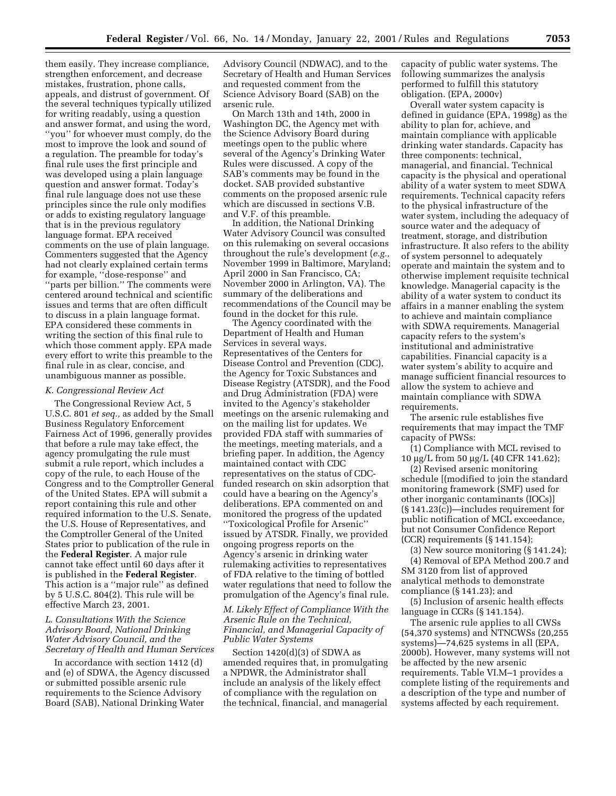them easily. They increase compliance, strengthen enforcement, and decrease mistakes, frustration, phone calls, appeals, and distrust of government. Of the several techniques typically utilized for writing readably, using a question and answer format, and using the word, ''you'' for whoever must comply, do the most to improve the look and sound of a regulation. The preamble for today's final rule uses the first principle and was developed using a plain language question and answer format. Today's final rule language does not use these principles since the rule only modifies or adds to existing regulatory language that is in the previous regulatory language format. EPA received comments on the use of plain language. Commenters suggested that the Agency had not clearly explained certain terms for example, ''dose-response'' and ''parts per billion.'' The comments were centered around technical and scientific issues and terms that are often difficult to discuss in a plain language format. EPA considered these comments in writing the section of this final rule to which those comment apply. EPA made every effort to write this preamble to the final rule in as clear, concise, and unambiguous manner as possible.

### *K. Congressional Review Act*

The Congressional Review Act, 5 U.S.C. 801 *et seq.,* as added by the Small Business Regulatory Enforcement Fairness Act of 1996, generally provides that before a rule may take effect, the agency promulgating the rule must submit a rule report, which includes a copy of the rule, to each House of the Congress and to the Comptroller General of the United States. EPA will submit a report containing this rule and other required information to the U.S. Senate, the U.S. House of Representatives, and the Comptroller General of the United States prior to publication of the rule in the **Federal Register**. A major rule cannot take effect until 60 days after it is published in the **Federal Register**. This action is a ''major rule'' as defined by 5 U.S.C. 804(2). This rule will be effective March 23, 2001.

## *L. Consultations With the Science Advisory Board, National Drinking Water Advisory Council, and the Secretary of Health and Human Services*

In accordance with section 1412 (d) and (e) of SDWA, the Agency discussed or submitted possible arsenic rule requirements to the Science Advisory Board (SAB), National Drinking Water

Advisory Council (NDWAC), and to the Secretary of Health and Human Services and requested comment from the Science Advisory Board (SAB) on the arsenic rule.

On March 13th and 14th, 2000 in Washington DC, the Agency met with the Science Advisory Board during meetings open to the public where several of the Agency's Drinking Water Rules were discussed. A copy of the SAB's comments may be found in the docket. SAB provided substantive comments on the proposed arsenic rule which are discussed in sections V.B. and V.F. of this preamble.

In addition, the National Drinking Water Advisory Council was consulted on this rulemaking on several occasions throughout the rule's development (*e.g.,* November 1999 in Baltimore, Maryland; April 2000 in San Francisco, CA; November 2000 in Arlington, VA). The summary of the deliberations and recommendations of the Council may be found in the docket for this rule.

The Agency coordinated with the Department of Health and Human Services in several ways. Representatives of the Centers for Disease Control and Prevention (CDC), the Agency for Toxic Substances and Disease Registry (ATSDR), and the Food and Drug Administration (FDA) were invited to the Agency's stakeholder meetings on the arsenic rulemaking and on the mailing list for updates. We provided FDA staff with summaries of the meetings, meeting materials, and a briefing paper. In addition, the Agency maintained contact with CDC representatives on the status of CDCfunded research on skin adsorption that could have a bearing on the Agency's deliberations. EPA commented on and monitored the progress of the updated ''Toxicological Profile for Arsenic'' issued by ATSDR. Finally, we provided ongoing progress reports on the Agency's arsenic in drinking water rulemaking activities to representatives of FDA relative to the timing of bottled water regulations that need to follow the promulgation of the Agency's final rule.

## *M. Likely Effect of Compliance With the Arsenic Rule on the Technical, Financial, and Managerial Capacity of Public Water Systems*

Section 1420(d)(3) of SDWA as amended requires that, in promulgating a NPDWR, the Administrator shall include an analysis of the likely effect of compliance with the regulation on the technical, financial, and managerial

capacity of public water systems. The following summarizes the analysis performed to fulfill this statutory obligation. (EPA, 2000v)

Overall water system capacity is defined in guidance (EPA, 1998g) as the ability to plan for, achieve, and maintain compliance with applicable drinking water standards. Capacity has three components: technical, managerial, and financial. Technical capacity is the physical and operational ability of a water system to meet SDWA requirements. Technical capacity refers to the physical infrastructure of the water system, including the adequacy of source water and the adequacy of treatment, storage, and distribution infrastructure. It also refers to the ability of system personnel to adequately operate and maintain the system and to otherwise implement requisite technical knowledge. Managerial capacity is the ability of a water system to conduct its affairs in a manner enabling the system to achieve and maintain compliance with SDWA requirements. Managerial capacity refers to the system's institutional and administrative capabilities. Financial capacity is a water system's ability to acquire and manage sufficient financial resources to allow the system to achieve and maintain compliance with SDWA requirements.

The arsenic rule establishes five requirements that may impact the TMF capacity of PWSs:

(1) Compliance with MCL revised to 10 µg/L from 50 µg/L (40 CFR 141.62);

(2) Revised arsenic monitoring schedule [(modified to join the standard monitoring framework (SMF) used for other inorganic contaminants (IOCs)] (§ 141.23(c))—includes requirement for public notification of MCL exceedance, but not Consumer Confidence Report (CCR) requirements (§ 141.154);

(3) New source monitoring (§ 141.24);

(4) Removal of EPA Method 200.7 and SM 3120 from list of approved analytical methods to demonstrate compliance (§ 141.23); and

(5) Inclusion of arsenic health effects language in CCRs (§ 141.154).

The arsenic rule applies to all CWSs (54,370 systems) and NTNCWSs (20,255 systems)—74,625 systems in all (EPA, 2000b). However, many systems will not be affected by the new arsenic requirements. Table VI.M–1 provides a complete listing of the requirements and a description of the type and number of systems affected by each requirement.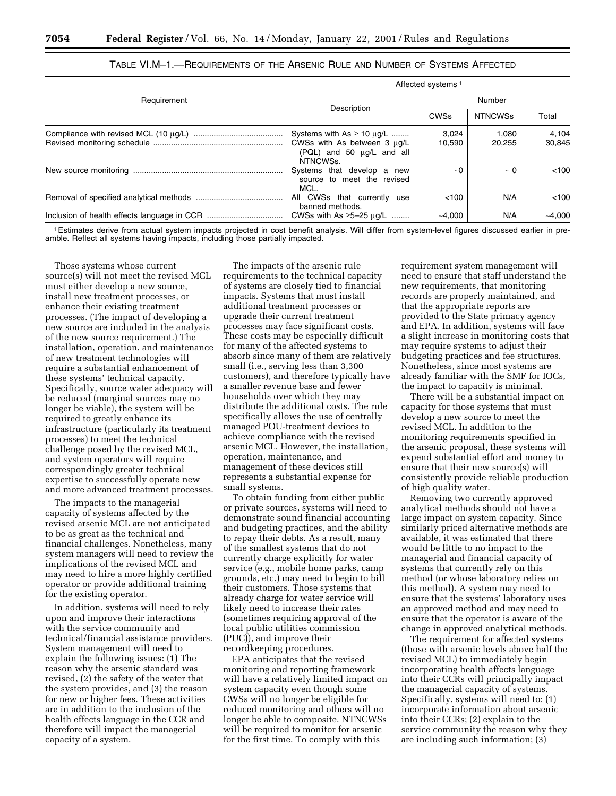|             | Affected systems <sup>1</sup>                                                                            |                 |                 |                 |  |  |  |
|-------------|----------------------------------------------------------------------------------------------------------|-----------------|-----------------|-----------------|--|--|--|
| Requirement | Description                                                                                              | Number          |                 |                 |  |  |  |
|             |                                                                                                          | <b>CWSs</b>     | <b>NTNCWSs</b>  | Total           |  |  |  |
|             | Systems with $As \ge 10 \mu g/L$<br>CWSs with As between 3 µq/L<br>(PQL) and 50 µg/L and all<br>NTNCWSs. | 3,024<br>10.590 | 1,080<br>20.255 | 4.104<br>30,845 |  |  |  |
|             | Systems that develop a new                                                                               | $-0$            | $\sim$ 0        | < 100           |  |  |  |

source to meet the revised

## TABLE VI.M–1.—REQUIREMENTS OF THE ARSENIC RULE AND NUMBER OF SYSTEMS AFFECTED

Inclusion of health effects language in CCR .................................. CWSs with As ≥5–25 µg/L ........ ∼4,000 N/A ∼4,000 1Estimates derive from actual system impacts projected in cost benefit analysis. Will differ from system-level figures discussed earlier in preamble. Reflect all systems having impacts, including those partially impacted.

MCL.

banned methods.

Removal of specified analytical methods ....................................... All CWSs that currently use

Those systems whose current source(s) will not meet the revised MCL must either develop a new source, install new treatment processes, or enhance their existing treatment processes. (The impact of developing a new source are included in the analysis of the new source requirement.) The installation, operation, and maintenance of new treatment technologies will require a substantial enhancement of these systems' technical capacity. Specifically, source water adequacy will be reduced (marginal sources may no longer be viable), the system will be required to greatly enhance its infrastructure (particularly its treatment processes) to meet the technical challenge posed by the revised MCL, and system operators will require correspondingly greater technical expertise to successfully operate new and more advanced treatment processes.

The impacts to the managerial capacity of systems affected by the revised arsenic MCL are not anticipated to be as great as the technical and financial challenges. Nonetheless, many system managers will need to review the implications of the revised MCL and may need to hire a more highly certified operator or provide additional training for the existing operator.

In addition, systems will need to rely upon and improve their interactions with the service community and technical/financial assistance providers. System management will need to explain the following issues: (1) The reason why the arsenic standard was revised, (2) the safety of the water that the system provides, and (3) the reason for new or higher fees. These activities are in addition to the inclusion of the health effects language in the CCR and therefore will impact the managerial capacity of a system.

The impacts of the arsenic rule requirements to the technical capacity of systems are closely tied to financial impacts. Systems that must install additional treatment processes or upgrade their current treatment processes may face significant costs. These costs may be especially difficult for many of the affected systems to absorb since many of them are relatively small (i.e., serving less than 3,300 customers), and therefore typically have a smaller revenue base and fewer households over which they may distribute the additional costs. The rule specifically allows the use of centrally managed POU-treatment devices to achieve compliance with the revised arsenic MCL. However, the installation, operation, maintenance, and management of these devices still represents a substantial expense for small systems.

To obtain funding from either public or private sources, systems will need to demonstrate sound financial accounting and budgeting practices, and the ability to repay their debts. As a result, many of the smallest systems that do not currently charge explicitly for water service (e.g., mobile home parks, camp grounds, etc.) may need to begin to bill their customers. Those systems that already charge for water service will likely need to increase their rates (sometimes requiring approval of the local public utilities commission (PUC)), and improve their recordkeeping procedures.

EPA anticipates that the revised monitoring and reporting framework will have a relatively limited impact on system capacity even though some CWSs will no longer be eligible for reduced monitoring and others will no longer be able to composite. NTNCWSs will be required to monitor for arsenic for the first time. To comply with this

requirement system management will need to ensure that staff understand the new requirements, that monitoring records are properly maintained, and that the appropriate reports are provided to the State primacy agency and EPA. In addition, systems will face a slight increase in monitoring costs that may require systems to adjust their budgeting practices and fee structures. Nonetheless, since most systems are already familiar with the SMF for IOCs, the impact to capacity is minimal.

 $\lt$ 100 | N/A |  $\lt$ 100

There will be a substantial impact on capacity for those systems that must develop a new source to meet the revised MCL. In addition to the monitoring requirements specified in the arsenic proposal, these systems will expend substantial effort and money to ensure that their new source(s) will consistently provide reliable production of high quality water.

Removing two currently approved analytical methods should not have a large impact on system capacity. Since similarly priced alternative methods are available, it was estimated that there would be little to no impact to the managerial and financial capacity of systems that currently rely on this method (or whose laboratory relies on this method). A system may need to ensure that the systems' laboratory uses an approved method and may need to ensure that the operator is aware of the change in approved analytical methods.

The requirement for affected systems (those with arsenic levels above half the revised MCL) to immediately begin incorporating health affects language into their CCRs will principally impact the managerial capacity of systems. Specifically, systems will need to: (1) incorporate information about arsenic into their CCRs; (2) explain to the service community the reason why they are including such information; (3)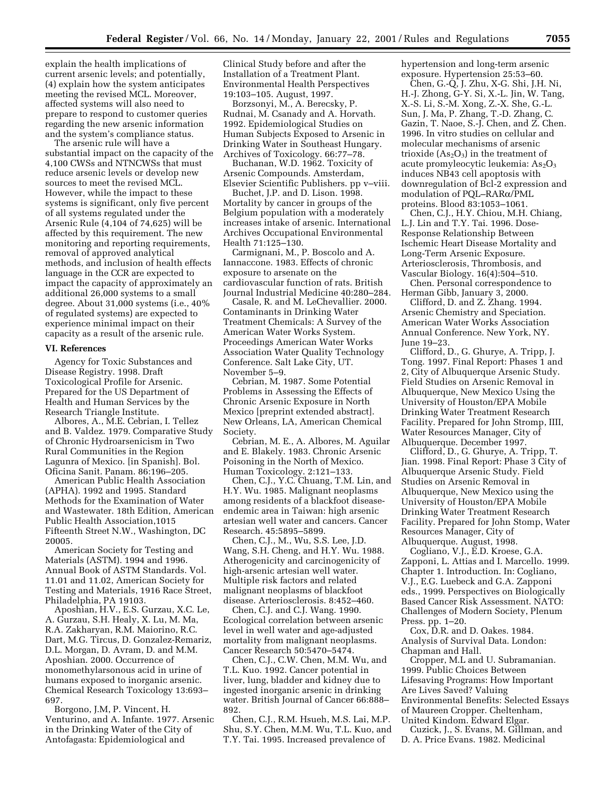explain the health implications of current arsenic levels; and potentially, (4) explain how the system anticipates meeting the revised MCL. Moreover, affected systems will also need to prepare to respond to customer queries regarding the new arsenic information and the system's compliance status.

The arsenic rule will have a substantial impact on the capacity of the 4,100 CWSs and NTNCWSs that must reduce arsenic levels or develop new sources to meet the revised MCL. However, while the impact to these systems is significant, only five percent of all systems regulated under the Arsenic Rule (4,104 of 74,625) will be affected by this requirement. The new monitoring and reporting requirements, removal of approved analytical methods, and inclusion of health effects language in the CCR are expected to impact the capacity of approximately an additional 26,000 systems to a small degree. About 31,000 systems (i.e., 40% of regulated systems) are expected to experience minimal impact on their capacity as a result of the arsenic rule.

## **VI. References**

Agency for Toxic Substances and Disease Registry. 1998. Draft Toxicological Profile for Arsenic. Prepared for the US Department of Health and Human Services by the Research Triangle Institute.

Albores, A., M.E. Cebrian, I. Tellez and B. Valdez. 1979. Comparative Study of Chronic Hydroarsenicism in Two Rural Communities in the Region Lagunra of Mexico. [in Spanish]. Bol. Oficina Sanit. Panam. 86:196–205.

American Public Health Association (APHA). 1992 and 1995. Standard Methods for the Examination of Water and Wastewater. 18th Edition, American Public Health Association,1015 Fifteenth Street N.W., Washington, DC 20005.

American Society for Testing and Materials (ASTM). 1994 and 1996. Annual Book of ASTM Standards. Vol. 11.01 and 11.02, American Society for Testing and Materials, 1916 Race Street, Philadelphia, PA 19103.

Aposhian, H.V., E.S. Gurzau, X.C. Le, A. Gurzau, S.H. Healy, X. Lu, M. Ma, R.A. Zakharyan, R.M. Maiorino, R.C. Dart, M.G. Tircus, D. Gonzalez-Remariz, D.L. Morgan, D. Avram, D. and M.M. Aposhian. 2000. Occurrence of monomethylarsonous acid in urine of humans exposed to inorganic arsenic. Chemical Research Toxicology 13:693– 697.

Borgono, J.M, P. Vincent, H. Venturino, and A. Infante. 1977. Arsenic in the Drinking Water of the City of Antofagasta: Epidemiological and

Clinical Study before and after the Installation of a Treatment Plant. Environmental Health Perspectives 19:103–105. August, 1997.

Borzsonyi, M., A. Berecsky, P. Rudnai, M. Csanady and A. Horvath. 1992. Epidemiological Studies on Human Subjects Exposed to Arsenic in Drinking Water in Southeast Hungary. Archives of Toxicology. 66:77–78.

Buchanan, W.D. 1962. Toxicity of Arsenic Compounds. Amsterdam, Elsevier Scientific Publishers. pp v–viii.

Buchet, J.P. and D. Lison. 1998. Mortality by cancer in groups of the Belgium population with a moderately increases intake of arsenic. International Archives Occupational Environmental Health 71:125–130.

Carmignani, M., P. Boscolo and A. Iannaccone. 1983. Effects of chronic exposure to arsenate on the cardiovascular function of rats. British Journal Industrial Medicine 40:280–284.

Casale, R. and M. LeChevallier. 2000. Contaminants in Drinking Water Treatment Chemicals: A Survey of the American Water Works System. Proceedings American Water Works Association Water Quality Technology Conference. Salt Lake City, UT. November 5–9.

Cebrian, M. 1987. Some Potential Problems in Assessing the Effects of Chronic Arsenic Exposure in North Mexico [preprint extended abstract]. New Orleans, LA, American Chemical Society.

Cebrian, M. E., A. Albores, M. Aguilar and E. Blakely. 1983. Chronic Arsenic Poisoning in the North of Mexico. Human Toxicology. 2:121–133.

Chen, C.J., Y.C. Chuang, T.M. Lin, and H.Y. Wu. 1985. Malignant neoplasms among residents of a blackfoot diseaseendemic area in Taiwan: high arsenic artesian well water and cancers. Cancer Research. 45:5895–5899.

Chen, C.J., M., Wu, S.S. Lee, J.D. Wang, S.H. Cheng, and H.Y. Wu. 1988. Atherogenicity and carcinogenicity of high-arsenic artesian well water. Multiple risk factors and related malignant neoplasms of blackfoot disease. Arteriosclerosis. 8:452–460.

Chen, C.J. and C.J. Wang. 1990. Ecological correlation between arsenic level in well water and age-adjusted mortality from malignant neoplasms. Cancer Research 50:5470–5474.

Chen, C.J., C.W. Chen, M.M. Wu, and T.L. Kuo. 1992. Cancer potential in liver, lung, bladder and kidney due to ingested inorganic arsenic in drinking water. British Journal of Cancer 66:888– 892.

Chen, C.J., R.M. Hsueh, M.S. Lai, M.P. Shu, S.Y. Chen, M.M. Wu, T.L. Kuo, and T.Y. Tai. 1995. Increased prevalence of

hypertension and long-term arsenic exposure. Hypertension 25:53–60.

Chen, G.-Q, J. Zhu, X-G. Shi, J.H. Ni, H.-J. Zhong, G-Y. Si, X.-L. Jin, W. Tang, X.-S. Li, S.-M. Xong, Z.-X. She, G.-L. Sun, J. Ma, P. Zhang, T.-D. Zhang, C. Gazin, T. Naoe, S.-J. Chen, and Z. Chen. 1996. In vitro studies on cellular and molecular mechanisms of arsenic trioxide  $(As<sub>2</sub>O<sub>3</sub>)$  in the treatment of acute promyleocytic leukemia:  $As<sub>2</sub>O<sub>3</sub>$ induces NB43 cell apoptosis with downregulation of Bcl-2 expression and modulation of PQL–RARα/PML proteins. Blood 83:1053–1061.

Chen, C.J., H.Y. Chiou, M.H. Chiang, L.J. Lin and T.Y. Tai. 1996. Dose-Response Relationship Between Ischemic Heart Disease Mortality and Long-Term Arsenic Exposure. Arteriosclerosis, Thrombosis, and Vascular Biology. 16(4):504–510.

Chen. Personal correspondence to Herman Gibb, January 3, 2000.

Clifford, D. and Z. Zhang. 1994. Arsenic Chemistry and Speciation. American Water Works Association Annual Conference. New York, NY. June 19–23.

Clifford, D., G. Ghurye, A. Tripp, J. Tong. 1997. Final Report: Phases 1 and 2, City of Albuquerque Arsenic Study. Field Studies on Arsenic Removal in Albuquerque, New Mexico Using the University of Houston/EPA Mobile Drinking Water Treatment Research Facility. Prepared for John Stromp, IIII, Water Resources Manager, City of Albuquerque. December 1997.

Clifford, D., G. Ghurye, A. Tripp, T. Jian. 1998. Final Report: Phase 3 City of Albuquerque Arsenic Study. Field Studies on Arsenic Removal in Albuquerque, New Mexico using the University of Houston/EPA Mobile Drinking Water Treatment Research Facility. Prepared for John Stomp, Water Resources Manager, City of Albuquerque. August, 1998.

Cogliano, V.J., E.D. Kroese, G.A. Zapponi, L. Attias and I. Marcello. 1999. Chapter 1. Introduction. In: Cogliano, V.J., E.G. Luebeck and G.A. Zapponi eds., 1999. Perspectives on Biologically Based Cancer Risk Assessment. NATO: Challenges of Modern Society, Plenum Press. pp. 1–20.

Cox, D.R. and D. Oakes. 1984. Analysis of Survival Data. London: Chapman and Hall.

Cropper, M.L and U. Subramanian. 1999. Public Choices Between Lifesaving Programs: How Important Are Lives Saved? Valuing Environmental Benefits: Selected Essays of Maureen Cropper. Cheltenham, United Kindom. Edward Elgar.

Cuzick, J., S. Evans, M. Gillman, and D. A. Price Evans. 1982. Medicinal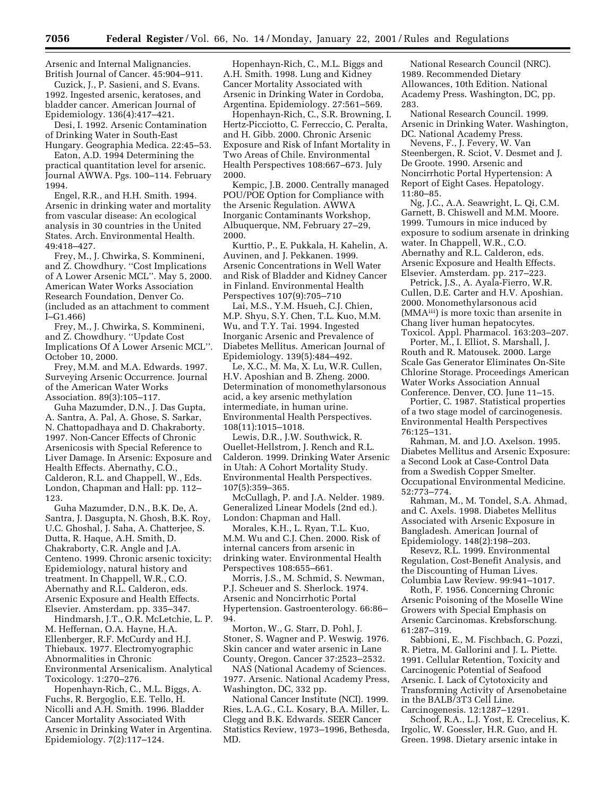Arsenic and Internal Malignancies. British Journal of Cancer. 45:904–911.

Cuzick, J., P. Sasieni, and S. Evans. 1992. Ingested arsenic, keratoses, and bladder cancer. American Journal of Epidemiology. 136(4):417–421.

Desi, I. 1992. Arsenic Contamination of Drinking Water in South-East Hungary. Geographia Medica. 22:45–53.

Eaton, A.D. 1994 Determining the practical quantitation level for arsenic. Journal AWWA. Pgs. 100–114. February 1994.

Engel, R.R., and H.H. Smith. 1994. Arsenic in drinking water and mortality from vascular disease: An ecological analysis in 30 countries in the United States. Arch. Environmental Health. 49:418–427.

Frey, M., J. Chwirka, S. Kommineni, and Z. Chowdhury. ''Cost Implications of A Lower Arsenic MCL''. May 5, 2000. American Water Works Association Research Foundation, Denver Co. (included as an attachment to comment I–G1.466)

Frey, M., J. Chwirka, S. Kommineni, and Z. Chowdhury. ''Update Cost Implications Of A Lower Arsenic MCL''. October 10, 2000.

Frey, M.M. and M.A. Edwards. 1997. Surveying Arsenic Occurrence. Journal of the American Water Works Association. 89(3):105–117.

Guha Mazumder, D.N., J. Das Gupta, A. Santra, A. Pal, A. Ghose, S. Sarkar, N. Chattopadhaya and D. Chakraborty. 1997. Non-Cancer Effects of Chronic Arsenicosis with Special Reference to Liver Damage. In Arsenic: Exposure and Health Effects. Abernathy, C.O., Calderon, R.L. and Chappell, W., Eds. London, Chapman and Hall: pp. 112– 123.

Guha Mazumder, D.N., B.K. De, A. Santra, J. Dasgupta, N. Ghosh, B.K. Roy, U.C. Ghoshal, J. Saha, A. Chatterjee, S. Dutta, R. Haque, A.H. Smith, D. Chakraborty, C.R. Angle and J.A. Centeno. 1999. Chronic arsenic toxicity: Epidemiology, natural history and treatment. In Chappell, W.R., C.O. Abernathy and R.L. Calderon, eds. Arsenic Exposure and Health Effects. Elsevier. Amsterdam. pp. 335–347.

Hindmarsh, J.T., O.R. McLetchie, L. P. M. Heffernan, O.A. Hayne, H.A. Ellenberger, R.F. McCurdy and H.J. Thiebaux. 1977. Electromyographic Abnormalities in Chronic Environmental Arsenicalism. Analytical Toxicology. 1:270–276.

Hopenhayn-Rich, C., M.L. Biggs, A. Fuchs, R. Bergoglio, E.E. Tello, H. Nicolli and A.H. Smith. 1996. Bladder Cancer Mortality Associated With Arsenic in Drinking Water in Argentina. Epidemiology. 7(2):117–124.

Hopenhayn-Rich, C., M.L. Biggs and A.H. Smith. 1998. Lung and Kidney Cancer Mortality Associated with Arsenic in Drinking Water in Cordoba, Argentina. Epidemiology. 27:561–569.

Hopenhayn-Rich, C., S.R. Browning, I. Hertz-Picciotto, C. Ferreccio, C. Peralta, and H. Gibb. 2000. Chronic Arsenic Exposure and Risk of Infant Mortality in Two Areas of Chile. Environmental Health Perspectives 108:667–673. July 2000.

Kempic, J.B. 2000. Centrally managed POU/POE Option for Compliance with the Arsenic Regulation. AWWA Inorganic Contaminants Workshop, Albuquerque, NM, February 27–29, 2000.

Kurttio, P., E. Pukkala, H. Kahelin, A. Auvinen, and J. Pekkanen. 1999. Arsenic Concentrations in Well Water and Risk of Bladder and Kidney Cancer in Finland. Environmental Health Perspectives 107(9):705–710

Lai, M.S., Y.M. Hsueh, C.J. Chien, M.P. Shyu, S.Y. Chen, T.L. Kuo, M.M. Wu, and T.Y. Tai. 1994. Ingested Inorganic Arsenic and Prevalence of Diabetes Mellitus. American Journal of Epidemiology. 139(5):484–492.

Le, X.C., M. Ma, X. Lu, W.R. Cullen, H.V. Aposhian and B. Zheng. 2000. Determination of monomethylarsonous acid, a key arsenic methylation intermediate, in human urine. Environmental Health Perspectives. 108(11):1015–1018.

Lewis, D.R., J.W. Southwick, R. Ouellet-Hellstrom, J. Rench and R.L. Calderon. 1999. Drinking Water Arsenic in Utah: A Cohort Mortality Study. Environmental Health Perspectives. 107(5):359–365.

McCullagh, P. and J.A. Nelder. 1989. Generalized Linear Models (2nd ed.). London: Chapman and Hall.

Morales, K.H., L. Ryan, T.L. Kuo, M.M. Wu and C.J. Chen. 2000. Risk of internal cancers from arsenic in drinking water. Environmental Health Perspectives 108:655–661.

Morris, J.S., M. Schmid, S. Newman, P.J. Scheuer and S. Sherlock. 1974. Arsenic and Noncirrhotic Portal Hypertension. Gastroenterology. 66:86– 94.

Morton, W., G. Starr, D. Pohl, J. Stoner, S. Wagner and P. Weswig. 1976. Skin cancer and water arsenic in Lane County, Oregon. Cancer 37:2523–2532.

NAS (National Academy of Sciences. 1977. Arsenic. National Academy Press, Washington, DC, 332 pp.

National Cancer Institute (NCI). 1999. Ries, L.A.G., C.L. Kosary, B.A. Miller, L. Clegg and B.K. Edwards. SEER Cancer Statistics Review, 1973–1996, Bethesda, MD.

National Research Council (NRC). 1989. Recommended Dietary Allowances, 10th Edition. National Academy Press. Washington, DC, pp. 283.

National Research Council. 1999. Arsenic in Drinking Water. Washington, DC. National Academy Press.

Nevens, F., J. Fevery, W. Van Steenbergen, R. Sciot, V. Desmet and J. De Groote. 1990. Arsenic and Noncirrhotic Portal Hypertension: A Report of Eight Cases. Hepatology. 11:80–85.

Ng, J.C., A.A. Seawright, L. Qi, C.M. Garnett, B. Chiswell and M.M. Moore. 1999. Tumours in mice induced by exposure to sodium arsenate in drinking water. In Chappell, W.R., C.O. Abernathy and R.L. Calderon, eds. Arsenic Exposure and Health Effects. Elsevier. Amsterdam. pp. 217–223.

Petrick, J.S., A. Ayala-Fierro, W.R. Cullen, D.E. Carter and H.V. Aposhian. 2000. Monomethylarsonous acid (MMAiii) is more toxic than arsenite in Chang liver human hepatocytes. Toxicol. Appl. Pharmacol. 163:203–207.

Porter, M., I. Elliot, S. Marshall, J. Routh and R. Matousek. 2000. Large Scale Gas Generator Eliminates On-Site Chlorine Storage. Proceedings American Water Works Association Annual Conference. Denver, CO. June 11–15.

Portier, C. 1987. Statistical properties of a two stage model of carcinogenesis. Environmental Health Perspectives 76:125–131.

Rahman, M. and J.O. Axelson. 1995. Diabetes Mellitus and Arsenic Exposure: a Second Look at Case-Control Data from a Swedish Copper Smelter. Occupational Environmental Medicine. 52:773–774.

Rahman, M., M. Tondel, S.A. Ahmad, and C. Axels. 1998. Diabetes Mellitus Associated with Arsenic Exposure in Bangladesh. American Journal of Epidemiology. 148(2):198–203.

Resevz, R.L. 1999. Environmental Regulation, Cost-Benefit Analysis, and the Discounting of Human Lives. Columbia Law Review. 99:941–1017.

Roth, F. 1956. Concerning Chronic Arsenic Poisoning of the Moselle Wine Growers with Special Emphasis on Arsenic Carcinomas. Krebsforschung. 61:287–319.

Sabbioni, E., M. Fischbach, G. Pozzi, R. Pietra, M. Gallorini and J. L. Piette. 1991. Cellular Retention, Toxicity and Carcinogenic Potential of Seafood Arsenic. I. Lack of Cytotoxicity and Transforming Activity of Arsenobetaine in the BALB/3T3 Cell Line. Carcinogenesis. 12:1287–1291.

Schoof, R.A., L.J. Yost, E. Crecelius, K. Irgolic, W. Goessler, H.R. Guo, and H. Green. 1998. Dietary arsenic intake in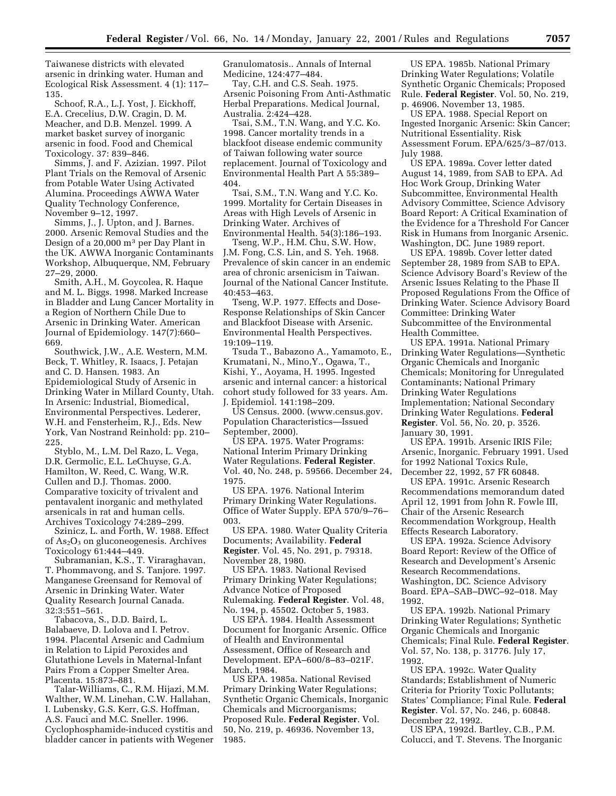Taiwanese districts with elevated arsenic in drinking water. Human and Ecological Risk Assessment. 4 (1): 117– 135.

Schoof, R.A., L.J. Yost, J. Eickhoff, E.A. Crecelius, D.W. Cragin, D. M. Meacher, and D.B. Menzel. 1999. A market basket survey of inorganic arsenic in food. Food and Chemical Toxicology. 37: 839–846.

Simms, J. and F. Azizian. 1997. Pilot Plant Trials on the Removal of Arsenic from Potable Water Using Activated Alumina. Proceedings AWWA Water Quality Technology Conference, November 9–12, 1997.

Simms, J., J. Upton, and J. Barnes. 2000. Arsenic Removal Studies and the Design of a 20,000 m3 per Day Plant in the UK. AWWA Inorganic Contaminants Workshop, Albuquerque, NM, February 27–29, 2000.

Smith, A.H., M. Goycolea, R. Haque and M. L. Biggs. 1998. Marked Increase in Bladder and Lung Cancer Mortality in a Region of Northern Chile Due to Arsenic in Drinking Water. American Journal of Epidemiology. 147(7):660– 669.

Southwick, J.W., A.E. Western, M.M. Beck, T. Whitley, R. Isaacs, J. Petajan and C. D. Hansen. 1983. An Epidemiological Study of Arsenic in Drinking Water in Millard County, Utah. In Arsenic: Industrial, Biomedical, Environmental Perspectives. Lederer, W.H. and Fensterheim, R.J., Eds. New York, Van Nostrand Reinhold: pp. 210– 225.

Styblo, M., L.M. Del Razo, L. Vega, D.R. Germolic, E.L. LeChuyse, G.A. Hamilton, W. Reed, C. Wang, W.R. Cullen and D.J. Thomas. 2000. Comparative toxicity of trivalent and pentavalent inorganic and methylated arsenicals in rat and human cells. Archives Toxicology 74:289–299.

Szinicz, L. and Forth, W. 1988. Effect of  $As<sub>2</sub>O<sub>3</sub>$  on gluconeogenesis. Archives Toxicology 61:444–449.

Subramanian, K.S., T. Viraraghavan, T. Phommavong, and S. Tanjore. 1997. Manganese Greensand for Removal of Arsenic in Drinking Water. Water Quality Research Journal Canada. 32:3:551–561.

Tabacova, S., D.D. Baird, L. Balabaeve, D. Lolova and I. Petrov. 1994. Placental Arsenic and Cadmium in Relation to Lipid Peroxides and Glutathione Levels in Maternal-Infant Pairs From a Copper Smelter Area. Placenta. 15:873–881.

Talar-Williams, C., R.M. Hijazi, M.M. Walther, W.M. Linehan, C.W. Hallahan, I. Lubensky, G.S. Kerr, G.S. Hoffman, A.S. Fauci and M.C. Sneller. 1996. Cyclophosphamide-induced cystitis and bladder cancer in patients with Wegener Granulomatosis.. Annals of Internal Medicine, 124:477–484.

Tay, C.H. and C.S. Seah. 1975. Arsenic Poisoning From Anti-Asthmatic Herbal Preparations. Medical Journal, Australia. 2:424–428.

Tsai, S.M., T.N. Wang, and Y.C. Ko. 1998. Cancer mortality trends in a blackfoot disease endemic community of Taiwan following water source replacement. Journal of Toxicology and Environmental Health Part A 55:389– 404.

Tsai, S.M., T.N. Wang and Y.C. Ko. 1999. Mortality for Certain Diseases in Areas with High Levels of Arsenic in Drinking Water. Archives of Environmental Health. 54(3):186–193.

Tseng, W.P., H.M. Chu, S.W. How, J.M. Fong, C.S. Lin, and S. Yeh. 1968. Prevalence of skin cancer in an endemic area of chronic arsenicism in Taiwan. Journal of the National Cancer Institute. 40:453–463.

Tseng, W.P. 1977. Effects and Dose-Response Relationships of Skin Cancer and Blackfoot Disease with Arsenic. Environmental Health Perspectives. 19:109–119.

Tsuda T., Babazono A., Yamamoto, E., Krumatani, N., Mino,Y., Ogawa, T., Kishi, Y., Aoyama, H. 1995. Ingested arsenic and internal cancer: a historical cohort study followed for 33 years. Am. J. Epidemiol. 141:198–209.

US Census. 2000. (www.census.gov. Population Characteristics—Issued September, 2000).

US EPA. 1975. Water Programs: National Interim Primary Drinking Water Regulations. **Federal Register**. Vol. 40, No. 248, p. 59566. December 24, 1975.

US EPA. 1976. National Interim Primary Drinking Water Regulations. Office of Water Supply. EPA 570/9–76– 003.

US EPA. 1980. Water Quality Criteria Documents; Availability. **Federal Register**. Vol. 45, No. 291, p. 79318. November 28, 1980.

US EPA. 1983. National Revised Primary Drinking Water Regulations; Advance Notice of Proposed Rulemaking. **Federal Register**. Vol. 48, No. 194, p. 45502. October 5, 1983.

US EPA. 1984. Health Assessment Document for Inorganic Arsenic. Office of Health and Environmental Assessment, Office of Research and Development. EPA–600/8–83–021F. March, 1984.

US EPA. 1985a. National Revised Primary Drinking Water Regulations; Synthetic Organic Chemicals, Inorganic Chemicals and Microorganisms; Proposed Rule. **Federal Register**. Vol. 50, No. 219, p. 46936. November 13, 1985.

US EPA. 1985b. National Primary Drinking Water Regulations; Volatile Synthetic Organic Chemicals; Proposed Rule. **Federal Register**. Vol. 50, No. 219, p. 46906. November 13, 1985.

US EPA. 1988. Special Report on Ingested Inorganic Arsenic: Skin Cancer; Nutritional Essentiality. Risk Assessment Forum. EPA/625/3–87/013. July 1988.

US EPA. 1989a. Cover letter dated August 14, 1989, from SAB to EPA. Ad Hoc Work Group, Drinking Water Subcommittee, Environmental Health Advisory Committee, Science Advisory Board Report: A Critical Examination of the Evidence for a Threshold For Cancer Risk in Humans from Inorganic Arsenic. Washington, DC. June 1989 report.

US EPA. 1989b. Cover letter dated September 28, 1989 from SAB to EPA. Science Advisory Board's Review of the Arsenic Issues Relating to the Phase II Proposed Regulations From the Office of Drinking Water. Science Advisory Board Committee: Drinking Water Subcommittee of the Environmental Health Committee.

US EPA. 1991a. National Primary Drinking Water Regulations—Synthetic Organic Chemicals and Inorganic Chemicals; Monitoring for Unregulated Contaminants; National Primary Drinking Water Regulations Implementation; National Secondary Drinking Water Regulations. **Federal Register**. Vol. 56, No. 20, p. 3526. January 30, 1991.

US EPA. 1991b. Arsenic IRIS File; Arsenic, Inorganic. February 1991. Used for 1992 National Toxics Rule, December 22, 1992, 57 FR 60848.

US EPA. 1991c. Arsenic Research Recommendations memorandum dated April 12, 1991 from John R. Fowle III, Chair of the Arsenic Research Recommendation Workgroup, Health Effects Research Laboratory.

US EPA. 1992a. Science Advisory Board Report: Review of the Office of Research and Development's Arsenic Research Recommendations. Washington, DC. Science Advisory Board. EPA–SAB–DWC–92–018. May 1992.

US EPA. 1992b. National Primary Drinking Water Regulations; Synthetic Organic Chemicals and Inorganic Chemicals; Final Rule. **Federal Register**. Vol. 57, No. 138, p. 31776. July 17, 1992.

US EPA. 1992c. Water Quality Standards; Establishment of Numeric Criteria for Priority Toxic Pollutants; States' Compliance; Final Rule. **Federal Register**. Vol. 57, No. 246, p. 60848. December 22, 1992.

US EPA, 1992d. Bartley, C.B., P.M. Colucci, and T. Stevens. The Inorganic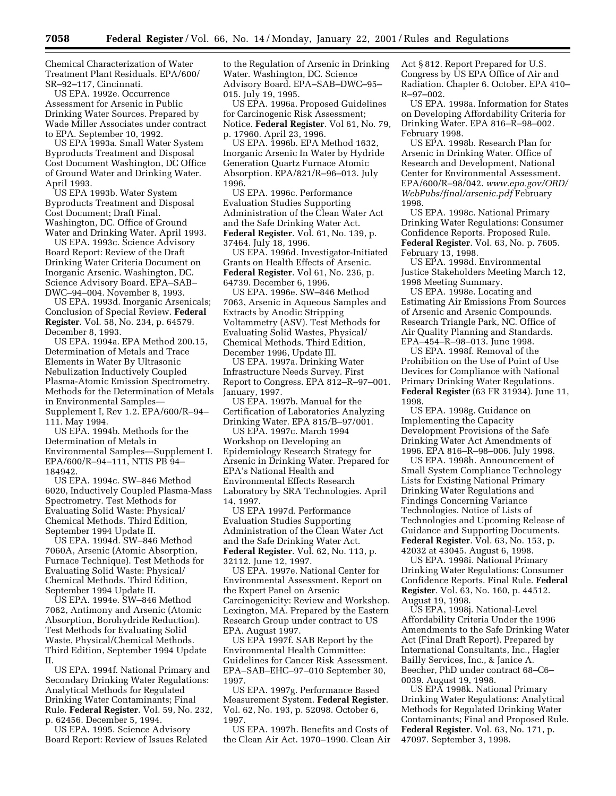Chemical Characterization of Water Treatment Plant Residuals. EPA/600/ SR–92–117, Cincinnati.

US EPA. 1992e. Occurrence Assessment for Arsenic in Public Drinking Water Sources. Prepared by Wade Miller Associates under contract to EPA. September 10, 1992.

US EPA 1993a. Small Water System Byproducts Treatment and Disposal Cost Document Washington, DC Office of Ground Water and Drinking Water. April 1993.

US EPA 1993b. Water System Byproducts Treatment and Disposal Cost Document; Draft Final. Washington, DC. Office of Ground Water and Drinking Water. April 1993.

US EPA. 1993c. Science Advisory Board Report: Review of the Draft Drinking Water Criteria Document on Inorganic Arsenic. Washington, DC. Science Advisory Board. EPA–SAB– DWC–94–004. November 8, 1993.

US EPA. 1993d. Inorganic Arsenicals; Conclusion of Special Review. **Federal Register**. Vol. 58, No. 234, p. 64579. December 8, 1993.

US EPA. 1994a. EPA Method 200.15, Determination of Metals and Trace Elements in Water By Ultrasonic Nebulization Inductively Coupled Plasma-Atomic Emission Spectrometry. Methods for the Determination of Metals in Environmental Samples— Supplement I, Rev 1.2. EPA/600/R–94– 111. May 1994.

US EPA. 1994b. Methods for the Determination of Metals in Environmental Samples—Supplement I. EPA/600/R–94–111, NTIS PB 94– 184942.

US EPA. 1994c. SW–846 Method 6020, Inductively Coupled Plasma-Mass Spectrometry. Test Methods for Evaluating Solid Waste: Physical/ Chemical Methods. Third Edition, September 1994 Update II.

US EPA. 1994d. SW–846 Method 7060A, Arsenic (Atomic Absorption, Furnace Technique). Test Methods for Evaluating Solid Waste: Physical/ Chemical Methods. Third Edition, September 1994 Update II.

US EPA. 1994e. SW–846 Method 7062, Antimony and Arsenic (Atomic Absorption, Borohydride Reduction). Test Methods for Evaluating Solid Waste, Physical/Chemical Methods. Third Edition, September 1994 Update II.

US EPA. 1994f. National Primary and Secondary Drinking Water Regulations: Analytical Methods for Regulated Drinking Water Contaminants; Final Rule. **Federal Register**. Vol. 59, No. 232, p. 62456. December 5, 1994.

US EPA. 1995. Science Advisory Board Report: Review of Issues Related to the Regulation of Arsenic in Drinking Water. Washington, DC. Science Advisory Board. EPA–SAB–DWC–95– 015. July 19, 1995.

US EPA. 1996a. Proposed Guidelines for Carcinogenic Risk Assessment; Notice. **Federal Register**. Vol 61, No. 79, p. 17960. April 23, 1996.

US EPA. 1996b. EPA Method 1632, Inorganic Arsenic In Water by Hydride Generation Quartz Furnace Atomic Absorption. EPA/821/R–96–013. July 1996.

US EPA. 1996c. Performance Evaluation Studies Supporting Administration of the Clean Water Act and the Safe Drinking Water Act. **Federal Register**. Vol. 61, No. 139, p. 37464. July 18, 1996.

US EPA. 1996d. Investigator-Initiated Grants on Health Effects of Arsenic. **Federal Register**. Vol 61, No. 236, p. 64739. December 6, 1996.

US EPA. 1996e. SW–846 Method 7063, Arsenic in Aqueous Samples and Extracts by Anodic Stripping Voltammetry (ASV). Test Methods for Evaluating Solid Wastes, Physical/ Chemical Methods. Third Edition, December 1996, Update III.

US EPA. 1997a. Drinking Water Infrastructure Needs Survey. First Report to Congress. EPA 812–R–97–001. January, 1997.

US EPA. 1997b. Manual for the Certification of Laboratories Analyzing Drinking Water. EPA 815/B–97/001.

US EPA. 1997c. March 1994 Workshop on Developing an Epidemiology Research Strategy for Arsenic in Drinking Water. Prepared for EPA's National Health and Environmental Effects Research Laboratory by SRA Technologies. April 14, 1997.

US EPA 1997d. Performance Evaluation Studies Supporting Administration of the Clean Water Act and the Safe Drinking Water Act. **Federal Register**. Vol. 62, No. 113, p. 32112. June 12, 1997.

US EPA. 1997e. National Center for Environmental Assessment. Report on the Expert Panel on Arsenic Carcinogenicity: Review and Workshop. Lexington, MA. Prepared by the Eastern Research Group under contract to US EPA. August 1997.

US EPA 1997f. SAB Report by the Environmental Health Committee: Guidelines for Cancer Risk Assessment. EPA–SAB–EHC–97–010 September 30, 1997.

US EPA. 1997g. Performance Based Measurement System. **Federal Register**. Vol. 62, No. 193, p. 52098. October 6, 1997.

US EPA. 1997h. Benefits and Costs of the Clean Air Act. 1970–1990. Clean Air Act § 812. Report Prepared for U.S. Congress by US EPA Office of Air and Radiation. Chapter 6. October. EPA 410– R–97–002.

US EPA. 1998a. Information for States on Developing Affordability Criteria for Drinking Water. EPA 816–R–98–002. February 1998.

US EPA. 1998b. Research Plan for Arsenic in Drinking Water. Office of Research and Development, National Center for Environmental Assessment. EPA/600/R–98/042. *www.epa.gov/ORD/ WebPubs/final/arsenic.pdf* February 1998.

US EPA. 1998c. National Primary Drinking Water Regulations: Consumer Confidence Reports. Proposed Rule. **Federal Register**. Vol. 63, No. p. 7605. February 13, 1998.

US EPA. 1998d. Environmental Justice Stakeholders Meeting March 12, 1998 Meeting Summary.

US EPA. 1998e. Locating and Estimating Air Emissions From Sources of Arsenic and Arsenic Compounds. Research Triangle Park, NC. Office of Air Quality Planning and Standards. EPA–454–R–98–013. June 1998.

US EPA. 1998f. Removal of the Prohibition on the Use of Point of Use Devices for Compliance with National Primary Drinking Water Regulations. **Federal Register** (63 FR 31934). June 11, 1998.

US EPA. 1998g. Guidance on Implementing the Capacity Development Provisions of the Safe Drinking Water Act Amendments of 1996. EPA 816–R–98–006. July 1998.

US EPA. 1998h. Announcement of Small System Compliance Technology Lists for Existing National Primary Drinking Water Regulations and Findings Concerning Variance Technologies. Notice of Lists of Technologies and Upcoming Release of Guidance and Supporting Documents. **Federal Register**. Vol. 63, No. 153, p. 42032 at 43045. August 6, 1998.

US EPA. 1998i. National Primary Drinking Water Regulations: Consumer Confidence Reports. Final Rule. **Federal Register**. Vol. 63, No. 160, p. 44512. August 19, 1998.

US EPA, 1998j. National-Level Affordability Criteria Under the 1996 Amendments to the Safe Drinking Water Act (Final Draft Report). Prepared by International Consultants, Inc., Hagler Bailly Services, Inc., & Janice A. Beecher, PhD under contract 68–C6– 0039. August 19, 1998.

US EPA 1998k. National Primary Drinking Water Regulations: Analytical Methods for Regulated Drinking Water Contaminants; Final and Proposed Rule. **Federal Register**. Vol. 63, No. 171, p. 47097. September 3, 1998.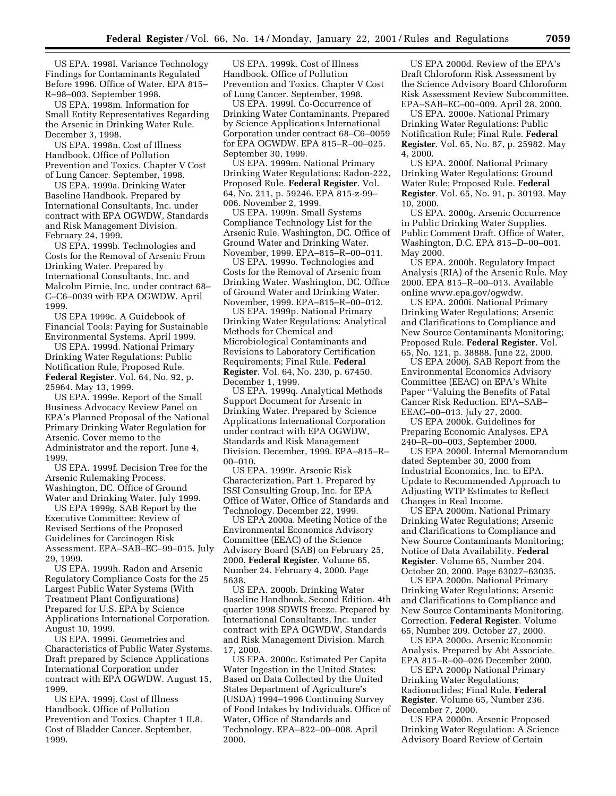US EPA. 1998l. Variance Technology Findings for Contaminants Regulated Before 1996. Office of Water. EPA 815– R–98–003. September 1998.

US EPA. 1998m. Information for Small Entity Representatives Regarding the Arsenic in Drinking Water Rule. December 3, 1998.

US EPA. 1998n. Cost of Illness Handbook. Office of Pollution Prevention and Toxics. Chapter V Cost of Lung Cancer. September, 1998.

US EPA. 1999a. Drinking Water Baseline Handbook. Prepared by International Consultants, Inc. under contract with EPA OGWDW, Standards and Risk Management Division. February 24, 1999.

US EPA. 1999b. Technologies and Costs for the Removal of Arsenic From Drinking Water. Prepared by International Consultants, Inc. and Malcolm Pirnie, Inc. under contract 68– C–C6–0039 with EPA OGWDW. April 1999.

US EPA 1999c. A Guidebook of Financial Tools: Paying for Sustainable Environmental Systems. April 1999.

US EPA. 1999d. National Primary Drinking Water Regulations: Public Notification Rule, Proposed Rule. **Federal Register**. Vol. 64, No. 92, p. 25964. May 13, 1999.

US EPA. 1999e. Report of the Small Business Advocacy Review Panel on EPA's Planned Proposal of the National Primary Drinking Water Regulation for Arsenic. Cover memo to the Administrator and the report. June 4, 1999.

US EPA. 1999f. Decision Tree for the Arsenic Rulemaking Process. Washington, DC. Office of Ground Water and Drinking Water. July 1999.

US EPA 1999g. SAB Report by the Executive Committee: Review of Revised Sections of the Proposed Guidelines for Carcinogen Risk Assessment. EPA–SAB–EC–99–015. July 29, 1999.

US EPA. 1999h. Radon and Arsenic Regulatory Compliance Costs for the 25 Largest Public Water Systems (With Treatment Plant Configurations) Prepared for U.S. EPA by Science Applications International Corporation. August 10, 1999.

US EPA. 1999i. Geometries and Characteristics of Public Water Systems. Draft prepared by Science Applications International Corporation under contract with EPA OGWDW. August 15, 1999.

US EPA. 1999j. Cost of Illness Handbook. Office of Pollution Prevention and Toxics. Chapter 1 II.8. Cost of Bladder Cancer. September, 1999.

US EPA. 1999k. Cost of Illness Handbook. Office of Pollution Prevention and Toxics. Chapter V Cost of Lung Cancer. September, 1998.

US EPA. 1999l. Co-Occurrence of Drinking Water Contaminants. Prepared by Science Applications International Corporation under contract 68–C6–0059 for EPA OGWDW. EPA 815–R–00–025. September 30, 1999.

US EPA. 1999m. National Primary Drinking Water Regulations: Radon-222, Proposed Rule. **Federal Register**. Vol. 64, No. 211, p. 59246. EPA 815-z-99– 006. November 2, 1999.

US EPA. 1999n. Small Systems Compliance Technology List for the Arsenic Rule. Washington, DC. Office of Ground Water and Drinking Water. November, 1999. EPA–815–R–00–011.

US EPA. 1999o. Technologies and Costs for the Removal of Arsenic from Drinking Water. Washington, DC. Office of Ground Water and Drinking Water. November, 1999. EPA–815–R–00–012.

US EPA. 1999p. National Primary Drinking Water Regulations: Analytical Methods for Chemical and Microbiological Contaminants and Revisions to Laboratory Certification Requirements; Final Rule. **Federal Register**. Vol. 64, No. 230, p. 67450. December 1, 1999.

US EPA. 1999q. Analytical Methods Support Document for Arsenic in Drinking Water. Prepared by Science Applications International Corporation under contract with EPA OGWDW, Standards and Risk Management Division. December, 1999. EPA–815–R– 00–010.

US EPA. 1999r. Arsenic Risk Characterization, Part 1. Prepared by ISSI Consulting Group, Inc. for EPA Office of Water, Office of Standards and Technology. December 22, 1999.

US EPA 2000a. Meeting Notice of the Environmental Economics Advisory Committee (EEAC) of the Science Advisory Board (SAB) on February 25, 2000. **Federal Register**. Volume 65, Number 24. February 4, 2000. Page 5638.

US EPA. 2000b. Drinking Water Baseline Handbook, Second Edition. 4th quarter 1998 SDWIS freeze. Prepared by International Consultants, Inc. under contract with EPA OGWDW, Standards and Risk Management Division. March 17, 2000.

US EPA. 2000c. Estimated Per Capita Water Ingestion in the United States: Based on Data Collected by the United States Department of Agriculture's (USDA) 1994–1996 Continuing Survey of Food Intakes by Individuals. Office of Water, Office of Standards and Technology. EPA–822–00–008. April 2000.

US EPA 2000d. Review of the EPA's Draft Chloroform Risk Assessment by the Science Advisory Board Chloroform Risk Assessment Review Subcommittee. EPA–SAB–EC–00–009. April 28, 2000.

US EPA. 2000e. National Primary Drinking Water Regulations: Public Notification Rule; Final Rule. **Federal Register**. Vol. 65, No. 87, p. 25982. May 4, 2000.

US EPA. 2000f. National Primary Drinking Water Regulations: Ground Water Rule; Proposed Rule. **Federal Register**. Vol. 65, No. 91, p. 30193. May 10, 2000.

US EPA. 2000g. Arsenic Occurrence in Public Drinking Water Supplies. Public Comment Draft. Office of Water, Washington, D.C. EPA 815–D–00–001. May 2000.

US EPA. 2000h. Regulatory Impact Analysis (RIA) of the Arsenic Rule. May 2000. EPA 815–R–00–013. Available online www.epa.gov/ogwdw.

US EPA. 2000i. National Primary Drinking Water Regulations; Arsenic and Clarifications to Compliance and New Source Contaminants Monitoring; Proposed Rule. **Federal Register**. Vol. 65, No. 121, p. 38888. June 22, 2000.

US EPA 2000j. SAB Report from the Environmental Economics Advisory Committee (EEAC) on EPA's White Paper ''Valuing the Benefits of Fatal Cancer Risk Reduction. EPA–SAB– EEAC–00–013. July 27, 2000.

US EPA 2000k. Guidelines for Preparing Economic Analyses. EPA 240–R–00–003, September 2000.

US EPA 2000l. Internal Memorandum dated September 30, 2000 from Industrial Economics, Inc. to EPA. Update to Recommended Approach to Adjusting WTP Estimates to Reflect Changes in Real Income.

US EPA 2000m. National Primary Drinking Water Regulations; Arsenic and Clarifications to Compliance and New Source Contaminants Monitoring; Notice of Data Availability. **Federal Register**. Volume 65, Number 204. October 20, 2000. Page 63027–63035.

US EPA 2000n. National Primary Drinking Water Regulations; Arsenic and Clarifications to Compliance and New Source Contaminants Monitoring. Correction. **Federal Register**. Volume 65, Number 209. October 27, 2000.

US EPA 2000o. Arsenic Economic Analysis. Prepared by Abt Associate. EPA 815–R–00–026 December 2000.

US EPA 2000p National Primary Drinking Water Regulations; Radionuclides; Final Rule. **Federal Register**. Volume 65, Number 236. December 7, 2000.

US EPA 2000n. Arsenic Proposed Drinking Water Regulation: A Science Advisory Board Review of Certain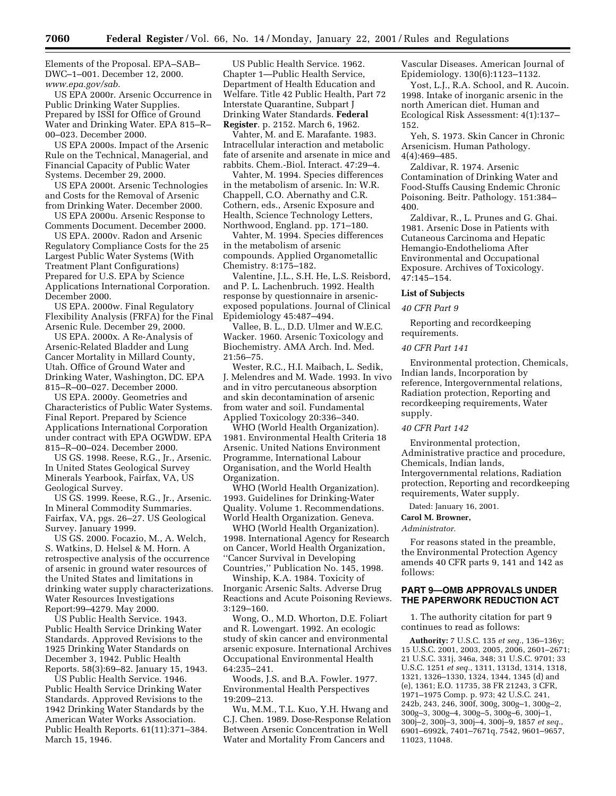Elements of the Proposal. EPA–SAB– DWC–1–001. December 12, 2000. *www.epa.gov/sab.*

US EPA 2000r. Arsenic Occurrence in Public Drinking Water Supplies. Prepared by ISSI for Office of Ground Water and Drinking Water. EPA 815–R– 00–023. December 2000.

US EPA 2000s. Impact of the Arsenic Rule on the Technical, Managerial, and Financial Capacity of Public Water Systems. December 29, 2000.

US EPA 2000t. Arsenic Technologies and Costs for the Removal of Arsenic from Drinking Water. December 2000.

US EPA 2000u. Arsenic Response to Comments Document. December 2000.

US EPA. 2000v. Radon and Arsenic Regulatory Compliance Costs for the 25 Largest Public Water Systems (With Treatment Plant Configurations) Prepared for U.S. EPA by Science Applications International Corporation. December 2000.

US EPA. 2000w. Final Regulatory Flexibility Analysis (FRFA) for the Final Arsenic Rule. December 29, 2000.

US EPA. 2000x. A Re-Analysis of Arsenic-Related Bladder and Lung Cancer Mortality in Millard County, Utah. Office of Ground Water and Drinking Water, Washington, DC. EPA 815–R–00–027. December 2000.

US EPA. 2000y. Geometries and Characteristics of Public Water Systems. Final Report. Prepared by Science Applications International Corporation under contract with EPA OGWDW. EPA 815–R–00–024. December 2000.

US GS. 1998. Reese, R.G., Jr., Arsenic. In United States Geological Survey Minerals Yearbook, Fairfax, VA, US Geological Survey.

US GS. 1999. Reese, R.G., Jr., Arsenic. In Mineral Commodity Summaries. Fairfax, VA, pgs. 26–27. US Geological Survey. January 1999.

US GS. 2000. Focazio, M., A. Welch, S. Watkins, D. Helsel & M. Horn. A retrospective analysis of the occurrence of arsenic in ground water resources of the United States and limitations in drinking water supply characterizations. Water Resources Investigations Report:99–4279. May 2000.

US Public Health Service. 1943. Public Health Service Drinking Water Standards. Approved Revisions to the 1925 Drinking Water Standards on December 3, 1942. Public Health Reports. 58(3):69–82. January 15, 1943.

US Public Health Service. 1946. Public Health Service Drinking Water Standards. Approved Revisions to the 1942 Drinking Water Standards by the American Water Works Association. Public Health Reports. 61(11):371–384. March 15, 1946.

US Public Health Service. 1962. Chapter 1—Public Health Service, Department of Health Education and Welfare. Title 42 Public Health, Part 72 Interstate Quarantine, Subpart J Drinking Water Standards. **Federal Register**. p. 2152. March 6, 1962.

Vahter, M. and E. Marafante. 1983. Intracellular interaction and metabolic fate of arsenite and arsenate in mice and rabbits. Chem.-Biol. Interact. 47:29–4.

Vahter, M. 1994. Species differences in the metabolism of arsenic. In: W.R. Chappell, C.O. Abernathy and C.R. Cothern, eds., Arsenic Exposure and Health, Science Technology Letters, Northwood, England. pp. 171–180.

Vahter, M. 1994. Species differences in the metabolism of arsenic compounds. Applied Organometallic Chemistry. 8:175–182.

Valentine, J.L., S.H. He, L.S. Reisbord, and P. L. Lachenbruch. 1992. Health response by questionnaire in arsenicexposed populations. Journal of Clinical Epidemiology 45:487–494.

Vallee, B. L., D.D. Ulmer and W.E.C. Wacker. 1960. Arsenic Toxicology and Biochemistry. AMA Arch. Ind. Med. 21:56–75.

Wester, R.C., H.I. Maibach, L. Sedik, J. Melendres and M. Wade. 1993. In vivo and in vitro percutaneous absorption and skin decontamination of arsenic from water and soil. Fundamental Applied Toxicology 20:336–340.

WHO (World Health Organization). 1981. Environmental Health Criteria 18 Arsenic. United Nations Environment Programme, International Labour Organisation, and the World Health Organization.

WHO (World Health Organization). 1993. Guidelines for Drinking-Water Quality. Volume 1. Recommendations. World Health Organization. Geneva.

WHO (World Health Organization). 1998. International Agency for Research on Cancer, World Health Organization, ''Cancer Survival in Developing Countries,'' Publication No. 145, 1998.

Winship, K.A. 1984. Toxicity of Inorganic Arsenic Salts. Adverse Drug Reactions and Acute Poisoning Reviews. 3:129–160.

Wong, O., M.D. Whorton, D.E. Foliart and R. Lowengart. 1992. An ecologic study of skin cancer and environmental arsenic exposure. International Archives Occupational Environmental Health 64:235–241.

Woods, J.S. and B.A. Fowler. 1977. Environmental Health Perspectives 19:209–213.

Wu, M.M., T.L. Kuo, Y.H. Hwang and C.J. Chen. 1989. Dose-Response Relation Between Arsenic Concentration in Well Water and Mortality From Cancers and

Vascular Diseases. American Journal of Epidemiology. 130(6):1123–1132.

Yost, L.J., R.A. School, and R. Aucoin. 1998. Intake of inorganic arsenic in the north American diet. Human and Ecological Risk Assessment: 4(1):137– 152.

Yeh, S. 1973. Skin Cancer in Chronic Arsenicism. Human Pathology. 4(4):469–485.

Zaldivar, R. 1974. Arsenic Contamination of Drinking Water and Food-Stuffs Causing Endemic Chronic Poisoning. Beitr. Pathology. 151:384– 400.

Zaldivar, R., L. Prunes and G. Ghai. 1981. Arsenic Dose in Patients with Cutaneous Carcinoma and Hepatic Hemangio-Endothelioma After Environmental and Occupational Exposure. Archives of Toxicology. 47:145–154.

### **List of Subjects**

*40 CFR Part 9*

Reporting and recordkeeping requirements.

## *40 CFR Part 141*

Environmental protection, Chemicals, Indian lands, Incorporation by reference, Intergovernmental relations, Radiation protection, Reporting and recordkeeping requirements, Water supply.

### *40 CFR Part 142*

Environmental protection, Administrative practice and procedure, Chemicals, Indian lands, Intergovernmental relations, Radiation protection, Reporting and recordkeeping requirements, Water supply.

Dated: January 16, 2001.

### **Carol M. Browner,**

*Administrator.*

For reasons stated in the preamble, the Environmental Protection Agency amends 40 CFR parts 9, 141 and 142 as follows:

## **PART 9—OMB APPROVALS UNDER THE PAPERWORK REDUCTION ACT**

1. The authority citation for part 9 continues to read as follows:

**Authority:** 7 U.S.C. 135 *et seq.*, 136–136y; 15 U.S.C. 2001, 2003, 2005, 2006, 2601–2671; 21 U.S.C. 331j, 346a, 348; 31 U.S.C. 9701; 33 U.S.C. 1251 *et seq.*, 1311, 1313d, 1314, 1318, 1321, 1326–1330, 1324, 1344, 1345 (d) and (e), 1361; E.O. 11735, 38 FR 21243, 3 CFR, 1971–1975 Comp. p. 973; 42 U.S.C. 241,  $242b, 243, 246, 300f, 300g, 300g-1, 300g-2,$ 300g–3, 300g–4, 300g–5, 300g–6, 300j–1, 300j–2, 300j–3, 300j–4, 300j–9, 1857 *et seq.*, 6901–6992k, 7401–7671q, 7542, 9601–9657, 11023, 11048.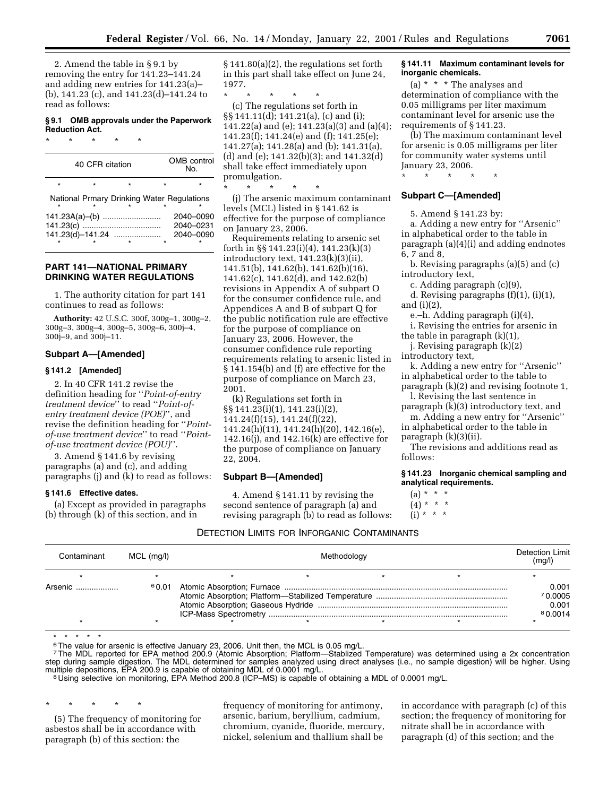2. Amend the table in § 9.1 by removing the entry for 141.23–141.24 and adding new entries for 141.23(a)– (b), 141.23 (c), and 141.23(d)–141.24 to read as follows:

## **§ 9.1 OMB approvals under the Paperwork Reduction Act.**

\* \* \* \* \*

| 40 CFR citation   |   |                                            |         | OMB control<br>No. |
|-------------------|---|--------------------------------------------|---------|--------------------|
| $\star$           | ÷ | ÷                                          | $\star$ | $\star$            |
| ÷                 | ÷ | National Prmary Drinking Water Regulations |         |                    |
| $141.934(a)$ -(h) |   |                                            |         | 2040–0090          |

|  |                  | 2040-0090 |
|--|------------------|-----------|
|  |                  | 2040-0231 |
|  | 141.23(d)-141.24 | 2040-0090 |
|  |                  |           |
|  |                  |           |

# **PART 141—NATIONAL PRIMARY DRINKING WATER REGULATIONS**

1. The authority citation for part 141 continues to read as follows:

**Authority:** 42 U.S.C. 300f, 300g–1, 300g–2, 300g–3, 300g–4, 300g–5, 300g–6, 300j–4, 300j–9, and 300j–11.

## **Subpart A—[Amended]**

### **§ 141.2 [Amended]**

2. In 40 CFR 141.2 revise the definition heading for ''*Point-of-entry treatment device*'' to read ''*Point-ofentry treatment device (POE)*'', and revise the definition heading for ''*Pointof-use treatment device*'' to read ''*Pointof-use treatment device (POU)*''.

3. Amend § 141.6 by revising paragraphs (a) and (c), and adding paragraphs (j) and (k) to read as follows:

#### **§ 141.6 Effective dates.**

(a) Except as provided in paragraphs (b) through (k) of this section, and in

§ 141.80(a)(2), the regulations set forth in this part shall take effect on June 24, 1977.

\* \* \* \* \* (c) The regulations set forth in §§ 141.11(d); 141.21(a), (c) and (i); 141.22(a) and (e); 141.23(a)(3) and (a)(4); 141.23(f); 141.24(e) and (f); 141.25(e); 141.27(a); 141.28(a) and (b); 141.31(a), (d) and (e); 141.32(b)(3); and 141.32(d) shall take effect immediately upon promulgation.

\* \* \* \* \* (j) The arsenic maximum contaminant levels (MCL) listed in § 141.62 is effective for the purpose of compliance on January 23, 2006.

Requirements relating to arsenic set forth in §§ 141.23(i)(4), 141.23(k)(3) introductory text, 141.23(k)(3)(ii), 141.51(b), 141.62(b), 141.62(b)(16), 141.62(c), 141.62(d), and 142.62(b) revisions in Appendix A of subpart O for the consumer confidence rule, and Appendices A and B of subpart Q for the public notification rule are effective for the purpose of compliance on January 23, 2006. However, the consumer confidence rule reporting requirements relating to arsenic listed in § 141.154(b) and (f) are effective for the purpose of compliance on March 23, 2001.

(k) Regulations set forth in §§ 141.23(i)(1), 141.23(i)(2), 141.24(f)(15), 141.24(f)(22), 141.24(h)(11), 141.24(h)(20), 142.16(e), 142.16(j), and 142.16(k) are effective for the purpose of compliance on January 22, 2004.

## **Subpart B—[Amended]**

4. Amend § 141.11 by revising the second sentence of paragraph (a) and revising paragraph (b) to read as follows:

## **§ 141.11 Maximum contaminant levels for inorganic chemicals.**

(a) \* \* \* The analyses and determination of compliance with the 0.05 milligrams per liter maximum contaminant level for arsenic use the requirements of § 141.23.

(b) The maximum contaminant level for arsenic is 0.05 milligrams per liter for community water systems until January 23, 2006.

# \* \* \* \* \* **Subpart C—[Amended]**

5. Amend § 141.23 by:

a. Adding a new entry for ''Arsenic'' in alphabetical order to the table in paragraph (a)(4)(i) and adding endnotes 6, 7 and 8,

b. Revising paragraphs (a)(5) and (c) introductory text,

c. Adding paragraph (c)(9),

d. Revising paragraphs (f)(1), (i)(1),

and (i)(2),

e.–h. Adding paragraph (i)(4),

i. Revising the entries for arsenic in the table in paragraph (k)(1),

j. Revising paragraph (k)(2)

introductory text,

k. Adding a new entry for ''Arsenic'' in alphabetical order to the table to paragraph (k)(2) and revising footnote 1,

l. Revising the last sentence in paragraph (k)(3) introductory text, and

m. Adding a new entry for ''Arsenic'' in alphabetical order to the table in paragraph (k)(3)(ii).

The revisions and additions read as follows:

**§ 141.23 Inorganic chemical sampling and analytical requirements.**

- $(a) * * * *$
- $(4) * * * *$

 $(i) * * * *$ 

## DETECTION LIMITS FOR INFORGANIC CONTAMINANTS

| Contaminant | MCL (ma/l) |  | Methodology | Detection Limit<br>(mq/l) |
|-------------|------------|--|-------------|---------------------------|
|             |            |  |             |                           |
| Arsenic     |            |  |             | 0.001<br>0.0005<br>0.001  |
|             |            |  |             | 80.0014                   |

\*\*\*\*\* 6The value for arsenic is effective January 23, 2006. Unit then, the MCL is 0.05 mg/L.

7The MDL reported for EPA method 200.9 (Atomic Absorption; Platform—Stablized Temperature) was determined using a 2x concentration step during sample digestion. The MDL determined for samples analyzed using direct analyses (i.e., no sample digestion) will be higher. Using multiple depositions, EPA 200.9 is capable of obtaining MDL of 0.0001 mg/L.<br><sup>8</sup> Using selective ion monitoring, EPA Method 200.8 (ICP–MS) is capable of obtaining a MDL of 0.0001 mg/L.

\* \* \* \* \*

(5) The frequency of monitoring for asbestos shall be in accordance with paragraph (b) of this section: the

frequency of monitoring for antimony, arsenic, barium, beryllium, cadmium, chromium, cyanide, fluoride, mercury, nickel, selenium and thallium shall be

in accordance with paragraph (c) of this section; the frequency of monitoring for nitrate shall be in accordance with paragraph (d) of this section; and the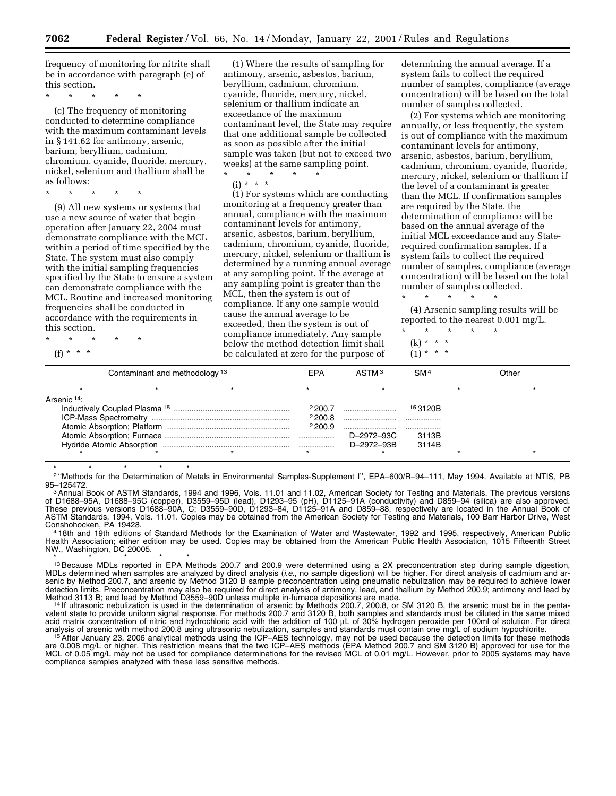frequency of monitoring for nitrite shall be in accordance with paragraph (e) of this section.

\* \* \* \* \*

(c) The frequency of monitoring conducted to determine compliance with the maximum contaminant levels in § 141.62 for antimony, arsenic, barium, beryllium, cadmium, chromium, cyanide, fluoride, mercury, nickel, selenium and thallium shall be as follows:

\* \* \* \* \*

(9) All new systems or systems that use a new source of water that begin operation after January 22, 2004 must demonstrate compliance with the MCL within a period of time specified by the State. The system must also comply with the initial sampling frequencies specified by the State to ensure a system can demonstrate compliance with the MCL. Routine and increased monitoring frequencies shall be conducted in accordance with the requirements in this section.

\* \* \* \* \*

```
(f) * * * *
```
(1) Where the results of sampling for antimony, arsenic, asbestos, barium, beryllium, cadmium, chromium, cyanide, fluoride, mercury, nickel, selenium or thallium indicate an exceedance of the maximum contaminant level, the State may require that one additional sample be collected as soon as possible after the initial sample was taken (but not to exceed two weeks) at the same sampling point.

\* \* \* \* \*  $(i) * * * *$ 

(1) For systems which are conducting monitoring at a frequency greater than annual, compliance with the maximum contaminant levels for antimony, arsenic, asbestos, barium, beryllium, cadmium, chromium, cyanide, fluoride, mercury, nickel, selenium or thallium is determined by a running annual average at any sampling point. If the average at any sampling point is greater than the MCL, then the system is out of compliance. If any one sample would cause the annual average to be exceeded, then the system is out of compliance immediately. Any sample below the method detection limit shall be calculated at zero for the purpose of

determining the annual average. If a system fails to collect the required number of samples, compliance (average concentration) will be based on the total number of samples collected.

(2) For systems which are monitoring annually, or less frequently, the system is out of compliance with the maximum contaminant levels for antimony, arsenic, asbestos, barium, beryllium, cadmium, chromium, cyanide, fluoride, mercury, nickel, selenium or thallium if the level of a contaminant is greater than the MCL. If confirmation samples are required by the State, the determination of compliance will be based on the annual average of the initial MCL exceedance and any Staterequired confirmation samples. If a system fails to collect the required number of samples, compliance (average concentration) will be based on the total number of samples collected.

\* \* \* \* \*

(4) Arsenic sampling results will be reported to the nearest 0.001 mg/L.

\* \* \* \* \* (k) \* \* \*

 $(1) * * * *$ 

|             | Contaminant and methodology <sup>13</sup> | FPA                | ASTM <sub>3</sub> | SM <sup>4</sup>     | Other |
|-------------|-------------------------------------------|--------------------|-------------------|---------------------|-------|
|             |                                           |                    |                   |                     |       |
| Arsenic 14: |                                           |                    |                   |                     |       |
|             |                                           | <sup>2</sup> 200.7 |                   | <sup>15</sup> 3120B |       |
|             |                                           | <sup>2</sup> 200.8 |                   |                     |       |
|             |                                           | 2 200.9            |                   |                     |       |
|             |                                           |                    | D-2972-93C        | 3113B               |       |
|             |                                           |                    |                   | 3114B               |       |
|             |                                           |                    |                   |                     |       |

\* \* \* \*\* 2 ''Methods for the Determination of Metals in Environmental Samples-Supplement I'', EPA–600/R–94–111, May 1994. Available at NTIS, PB 95–125472.

3Annual Book of ASTM Standards, 1994 and 1996, Vols. 11.01 and 11.02, American Society for Testing and Materials. The previous versions of D1688–95A, D1688–95C (copper), D3559–95D (lead), D1293–95 (pH), D1125–91A (conductivity) and D859–94 (silica) are also approved. These previous versions D1688–90A, C; D3559–90D, D1293–84, D1125–91A and D859–88, respectively are located in the Annual Book of ASTM Standards, 1994, Vols. 11.01. Copies may be obtained from the American Society for Testing and Materials, 100 Barr Harbor Drive, West<br>Conshohocken, PA 19428.

<sup>4</sup>18th and 19th editions of Standard Methods for the Examination of Water and Wastewater, 1992 and 1995, respectively, American Public Health Association; either edition may be used. Copies may be obtained from the American Public Health Association, 1015 Fifteenth Street NW., Washington, DC 20005.

\* \* \* \*\* 13Because MDLs reported in EPA Methods 200.7 and 200.9 were determined using a 2X preconcentration step during sample digestion, MDLs determined when samples are analyzed by direct analysis (*i.e.*, no sample digestion) will be higher. For direct analysis of cadmium and arsenic by Method 200.7, and arsenic by Method 3120 B sample preconcentration using pneumatic nebulization may be required to achieve lower detection limits. Preconcentration may also be required for direct analysis of antimony, lead, and thallium by Method 200.9; antimony and lead by Method 3113 B; and lead by Method D3559–90D unless multiple in-furnace depos

Method 3113 B; and lead by Method D3559–90D unless multiple in-furnace depositions are made.<br><sup>14</sup> If ultrasonic nebulization is used in the determination of arsenic by Methods 200.7, 200.8, or SM 3120 B, the arsenic must b valent state to provide uniform signal response. For methods 200.7 and 3120 B, both samples and standards must be diluted in the same mixed acid matrix concentration of nitric and hydrochloric acid with the addition of 100 µL of 30% hydrogen peroxide per 100ml of solution. For direct

analysis of arsenic with method 200.8 using ultrasonic nebulization, samples and standards must contain one mg/L of sodium hypochlorite.<br><sup>15</sup> After January 23, 2006 analytical methods using the ICP–AES technology, may not are 0.008 mg/L or higher. This restriction means that the two ICP–AES technology, may not be used because the detection limits for these methods are 0.008 mg/L or higher. This restriction means that the two ICP–AES methods MCL of 0.05 mg/L may not be used for compliance determinations for the revised MCL of 0.01 mg/L. However, prior to 2005 systems may have compliance samples analyzed with these less sensitive methods.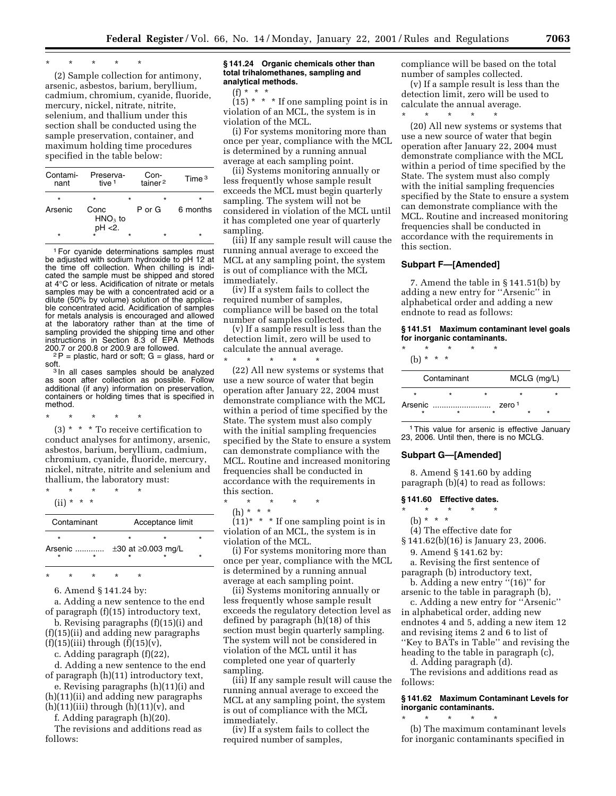\* \* \* \* \*

(2) Sample collection for antimony, arsenic, asbestos, barium, beryllium, cadmium, chromium, cyanide, fluoride, mercury, nickel, nitrate, nitrite, selenium, and thallium under this section shall be conducted using the sample preservation, container, and maximum holding time procedures specified in the table below:

| Contami-<br>nant | Preserva-<br>tive 1             |         | Con-<br>tainer <sup>2</sup> | Time <sup>3</sup> |
|------------------|---------------------------------|---------|-----------------------------|-------------------|
| $\star$          | $\star$                         | $\star$ | ÷                           | $\star$           |
| Arsenic          | Conc<br>$HNO3$ to<br>$pH < 2$ . |         | P or G                      | 6 months          |
| $\star$          |                                 |         |                             | $\star$           |

1For cyanide determinations samples must be adjusted with sodium hydroxide to pH 12 at the time off collection. When chilling is indicated the sample must be shipped and stored at 4°C or less. Acidification of nitrate or metals samples may be with a concentrated acid or a dilute (50% by volume) solution of the applicable concentrated acid. Acidification of samples for metals analysis is encouraged and allowed at the laboratory rather than at the time of sampling provided the shipping time and other instructions in Section 8.3 of EPA Methods

200.7 or 200.8 or 200.9 are followed.<br>
<sup>2</sup>P = plastic, hard or soft; G = glass, hard or soft. soft.<br><sup>3</sup> In all cases samples should be analyzed

as soon after collection as possible. Follow additional (if any) information on preservation, containers or holding times that is specified in method.

\* \* \* \* \*

 $(3)$  \* \* \* To receive certification to conduct analyses for antimony, arsenic, asbestos, barium, beryllium, cadmium, chromium, cyanide, fluoride, mercury, nickel, nitrate, nitrite and selenium and thallium, the laboratory must:

\* \* \* \* \*  $(ii) * * * *$ 

| Contaminant |  | Acceptance limit              |  |
|-------------|--|-------------------------------|--|
| $\star$     |  |                               |  |
| Arsenic     |  | $\pm 30$ at $\geq 0.003$ mg/L |  |

\* \* \* \* \* 6. Amend § 141.24 by:

a. Adding a new sentence to the end of paragraph (f)(15) introductory text, b. Revising paragraphs (f)(15)(i) and (f)(15)(ii) and adding new paragraphs

 $(f)(15)(iii)$  through  $(f)(15)(v)$ ,

c. Adding paragraph (f)(22), d. Adding a new sentence to the end

of paragraph (h)(11) introductory text, e. Revising paragraphs (h)(11)(i) and

(h)(11)(ii) and adding new paragraphs  $(h)(11)(iii)$  through  $(h)(11)(v)$ , and

f. Adding paragraph (h)(20).

The revisions and additions read as follows:

### **§ 141.24 Organic chemicals other than total trihalomethanes, sampling and analytical methods.**

(f) \* \* \*

 $(15)$  \* \* \* If one sampling point is in violation of an MCL, the system is in violation of the MCL.

(i) For systems monitoring more than once per year, compliance with the MCL is determined by a running annual average at each sampling point.

(ii) Systems monitoring annually or less frequently whose sample result exceeds the MCL must begin quarterly sampling. The system will not be considered in violation of the MCL until it has completed one year of quarterly sampling.

(iii) If any sample result will cause the running annual average to exceed the MCL at any sampling point, the system is out of compliance with the MCL immediately.

(iv) If a system fails to collect the required number of samples, compliance will be based on the total number of samples collected.

(v) If a sample result is less than the detection limit, zero will be used to calculate the annual average.

\* \* \* \* \*

(22) All new systems or systems that use a new source of water that begin operation after January 22, 2004 must demonstrate compliance with the MCL within a period of time specified by the State. The system must also comply with the initial sampling frequencies specified by the State to ensure a system can demonstrate compliance with the MCL. Routine and increased monitoring frequencies shall be conducted in accordance with the requirements in this section.

\* \* \* \* \* (h) \* \* \*  $(11)*$  \* \* If one sampling point is in violation of an MCL, the system is in

violation of the MCL. (i) For systems monitoring more than once per year, compliance with the MCL is determined by a running annual average at each sampling point.

(ii) Systems monitoring annually or less frequently whose sample result exceeds the regulatory detection level as defined by paragraph (h)(18) of this section must begin quarterly sampling. The system will not be considered in violation of the MCL until it has completed one year of quarterly sampling.

(iii) If any sample result will cause the running annual average to exceed the MCL at any sampling point, the system is out of compliance with the MCL immediately.

(iv) If a system fails to collect the required number of samples,

compliance will be based on the total number of samples collected.

(v) If a sample result is less than the detection limit, zero will be used to calculate the annual average. \* \* \* \* \*

(20) All new systems or systems that use a new source of water that begin operation after January 22, 2004 must demonstrate compliance with the MCL within a period of time specified by the State. The system must also comply with the initial sampling frequencies specified by the State to ensure a system can demonstrate compliance with the MCL. Routine and increased monitoring frequencies shall be conducted in accordance with the requirements in this section.

## **Subpart F—[Amended]**

7. Amend the table in § 141.51(b) by adding a new entry for ''Arsenic'' in alphabetical order and adding a new endnote to read as follows:

## **§ 141.51 Maximum contaminant level goals for inorganic contaminants.**

| $\star$ | $^\star$ | ÷           | ÷ |                   |             |
|---------|----------|-------------|---|-------------------|-------------|
|         | (b)      | * * *       |   |                   |             |
|         |          | Contaminant |   |                   | MCLG (mg/L) |
|         | $\star$  | ÷           | ÷ | ÷                 | ÷           |
|         | Arsenic  |             |   | zero <sup>1</sup> |             |
|         | ÷        |             |   | ÷                 | ÷           |

<sup>1</sup>This value for arsenic is effective January 23, 2006. Until then, there is no MCLG.

### **Subpart G—[Amended]**

8. Amend § 141.60 by adding paragraph (b)(4) to read as follows:

## **§ 141.60 Effective dates.**

 $\star$   $\star$ 

# (b) \* \* \*

(4) The effective date for § 141.62(b)(16) is January 23, 2006.

9. Amend § 141.62 by:

a. Revising the first sentence of paragraph (b) introductory text,

b. Adding a new entry ''(16)'' for arsenic to the table in paragraph (b),

c. Adding a new entry for ''Arsenic'' in alphabetical order, adding new endnotes 4 and 5, adding a new item 12 and revising items 2 and 6 to list of ''Key to BATs in Table'' and revising the heading to the table in paragraph (c),

d. Adding paragraph (d).

The revisions and additions read as follows:

### **§ 141.62 Maximum Contaminant Levels for inorganic contaminants.** \* \* \* \* \*

(b) The maximum contaminant levels for inorganic contaminants specified in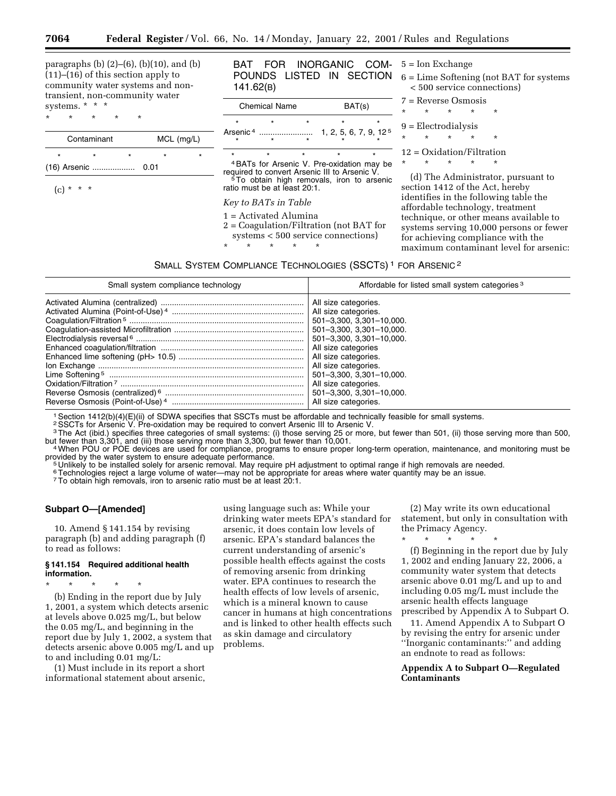**7064 Federal Register** / Vol. 66, No. 14 / Monday, January 22, 2001 / Rules and Regulations

paragraphs (b)  $(2)$ – $(6)$ ,  $(b)$  $(10)$ , and  $(b)$ (11)–(16) of this section apply to community water systems and nontransient, non-community water systems. \* \* \*

\* \* \* \* \*

| Contaminant  |  |  | $MCL$ (mg/L) |  |
|--------------|--|--|--------------|--|
|              |  |  |              |  |
| (16) Arsenic |  |  | 0.01         |  |

(c) \* \* \*

BAT FOR INORGANIC COM-POUNDS LISTED IN SECTION 141.62(B)

| Chemical Name                 |  |  | BAT(s)                                                                                                |  |  |
|-------------------------------|--|--|-------------------------------------------------------------------------------------------------------|--|--|
|                               |  |  |                                                                                                       |  |  |
| Arsenic <sup>4</sup> …………………… |  |  | 1, 2, 5, 6, 7, 9, 12 <sup>5</sup>                                                                     |  |  |
|                               |  |  | <sup>4</sup> BATs for Arsenic V. Pre-oxidation may be<br>required to convert Arsenic III to Arsenic V |  |  |

 $5$ To obtain high removals, iron to arsenic ratio must be at least 20:1.

*Key to BATs in Table*

- 1 = Activated Alumina
- 2 = Coagulation/Filtration (not BAT for systems < 500 service connections)

\* \* \* \* \*

5 = Ion Exchange

6 = Lime Softening (not BAT for systems < 500 service connections)

7 = Reverse Osmosis

\* \* \* \* \*

9 = Electrodialysis

\* \* \* \* \*

12 = Oxidation/Filtration

\* \* \* \* \*

(d) The Administrator, pursuant to section 1412 of the Act, hereby identifies in the following table the affordable technology, treatment technique, or other means available to systems serving 10,000 persons or fewer for achieving compliance with the maximum contaminant level for arsenic:

| SMALL SYSTEM COMPLIANCE TECHNOLOGIES (SSCTS) <sup>1</sup> FOR ARSENIC <sup>2</sup> |
|------------------------------------------------------------------------------------|
|------------------------------------------------------------------------------------|

| Small system compliance technology | Affordable for listed small system categories 3                                                                                                                                                                                                                                         |
|------------------------------------|-----------------------------------------------------------------------------------------------------------------------------------------------------------------------------------------------------------------------------------------------------------------------------------------|
|                                    | All size categories.<br>All size categories.<br>501-3,300, 3,301-10,000.<br>501-3,300, 3,301-10,000.<br>501-3.300, 3.301-10.000.<br>All size categories<br>All size categories.<br>All size categories.<br>501-3,300, 3,301-10,000.<br>All size categories.<br>501-3,300, 3,301-10,000. |

1 Section 1412(b)(4)(E)(ii) of SDWA specifies that SSCTs must be affordable and technically feasible for small systems.<br><sup>2</sup> SSCTs for Arsenic V. Pre-oxidation may be required to convert Arsenic III to Arsenic V.

<sup>3</sup>The Act (ibid.) specifies three categories of small systems: (i) those serving 25 or more, but fewer than 501, (ii) those serving more than 500, but fewer than 3,301, and (iii) those serving more than 3,300, but fewer than 10,001.<br>4When POU or POE devices are used for compliance, programs to ensure proper long-term operation, maintenance, and monitoring must be

provided by the water system to ensure adequate performance.<br><sup>5</sup> Unlikely to be installed solely for arsenic removal. May require pH adjustment to optimal range if high removals are needed.

<sup>6</sup>Technologies reject a large volume of water—may not be appropriate for areas where water quantity may be an issue.<br><sup>7</sup>To obtain high removals, iron to arsenic ratio must be at least 20:1.

## **Subpart O—[Amended]**

10. Amend § 141.154 by revising paragraph (b) and adding paragraph (f) to read as follows:

### **§ 141.154 Required additional health information.**

\* \* \* \* \*

(b) Ending in the report due by July 1, 2001, a system which detects arsenic at levels above 0.025 mg/L, but below the 0.05 mg/L, and beginning in the report due by July 1, 2002, a system that detects arsenic above 0.005 mg/L and up to and including 0.01 mg/L:

(1) Must include in its report a short informational statement about arsenic,

using language such as: While your drinking water meets EPA's standard for arsenic, it does contain low levels of arsenic. EPA's standard balances the current understanding of arsenic's possible health effects against the costs of removing arsenic from drinking water. EPA continues to research the health effects of low levels of arsenic, which is a mineral known to cause cancer in humans at high concentrations and is linked to other health effects such as skin damage and circulatory problems.

(2) May write its own educational statement, but only in consultation with the Primacy Agency.

\* \* \* \* \*

(f) Beginning in the report due by July 1, 2002 and ending January 22, 2006, a community water system that detects arsenic above 0.01 mg/L and up to and including 0.05 mg/L must include the arsenic health effects language prescribed by Appendix A to Subpart O.

11. Amend Appendix A to Subpart O by revising the entry for arsenic under ''Inorganic contaminants:'' and adding an endnote to read as follows:

## **Appendix A to Subpart O—Regulated Contaminants**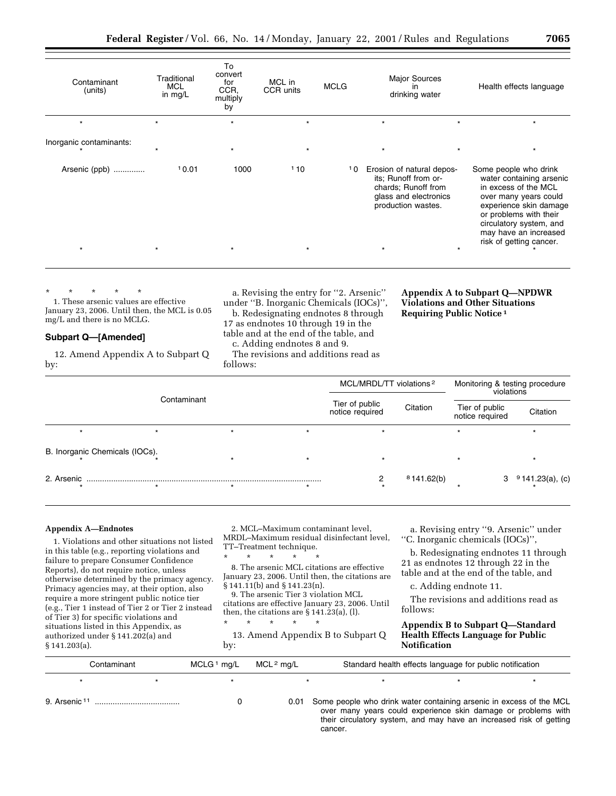| Contaminant<br>(units)  | Traditional<br><b>MCL</b><br>in mg/L | To<br>convert<br>for<br>CCR.<br>multiply<br>by | MCL in<br>CCR units | <b>MCLG</b> | <b>Major Sources</b><br>in<br>drinking water                                                                            |         | Health effects language                                                                                                                                                                                                               |
|-------------------------|--------------------------------------|------------------------------------------------|---------------------|-------------|-------------------------------------------------------------------------------------------------------------------------|---------|---------------------------------------------------------------------------------------------------------------------------------------------------------------------------------------------------------------------------------------|
| $\star$                 | $\star$                              | $\star$                                        | $\star$             |             | $\star$                                                                                                                 | $\star$ | $\star$                                                                                                                                                                                                                               |
| Inorganic contaminants: | $\star$                              | $\star$                                        | $\star$             |             | $\star$                                                                                                                 | $\star$ | $\star$                                                                                                                                                                                                                               |
| Arsenic (ppb)           | 10.01                                | 1000                                           | 110                 | $10^{-1}$   | Erosion of natural depos-<br>its; Runoff from or-<br>chards; Runoff from<br>glass and electronics<br>production wastes. |         | Some people who drink<br>water containing arsenic<br>in excess of the MCL<br>over many years could<br>experience skin damage<br>or problems with their<br>circulatory system, and<br>may have an increased<br>risk of getting cancer. |
|                         | $\star$                              | $\star$                                        | $\star$             |             | $\star$                                                                                                                 |         |                                                                                                                                                                                                                                       |

\* \* \* \* \*

1. These arsenic values are effective January 23, 2006. Until then, the MCL is 0.05 mg/L and there is no MCLG.

## **Subpart Q—[Amended]**

12. Amend Appendix A to Subpart Q by:

```
a. Revising the entry for ''2. Arsenic''
under ''B. Inorganic Chemicals (IOCs)'',
  b. Redesignating endnotes 8 through
17 as endnotes 10 through 19 in the
table and at the end of the table, and
```
c. Adding endnotes 8 and 9. The revisions and additions read as

follows:

# **Appendix A to Subpart Q—NPDWR Violations and Other Situations Requiring Public Notice 1**

|                                |  |  |  |                                   | MCL/MRDL/TT violations <sup>2</sup> | Monitoring & testing procedure<br>violations |                           |
|--------------------------------|--|--|--|-----------------------------------|-------------------------------------|----------------------------------------------|---------------------------|
| Contaminant                    |  |  |  | Tier of public<br>notice required | Citation                            | Tier of public<br>notice required            | Citation                  |
|                                |  |  |  |                                   |                                     |                                              |                           |
| B. Inorganic Chemicals (IOCs). |  |  |  |                                   |                                     |                                              |                           |
| 2. Arsenic                     |  |  |  |                                   | 8141.62(b)                          |                                              | $3 \quad 9141.23(a), (c)$ |

## **Appendix A—Endnotes**

1. Violations and other situations not listed in this table (e.g., reporting violations and failure to prepare Consumer Confidence Reports), do not require notice, unless otherwise determined by the primacy agency. Primacy agencies may, at their option, also require a more stringent public notice tier (e.g., Tier 1 instead of Tier 2 or Tier 2 instead of Tier 3) for specific violations and situations listed in this Appendix, as authorized under § 141.202(a) and § 141.203(a).

2. MCL–Maximum contaminant level MRDL–Maximum residual disinfectant level, TT–Treatment technique.

\* \* \* \* \* 8. The arsenic MCL citations are effective January 23, 2006. Until then, the citations are § 141.11(b) and § 141.23(n).

9. The arsenic Tier 3 violation MCL citations are effective January 23, 2006. Until then, the citations are § 141.23(a), (l).

\* \* \* \* \*

13. Amend Appendix B to Subpart Q by:

a. Revising entry ''9. Arsenic'' under ''C. Inorganic chemicals (IOCs)'',

b. Redesignating endnotes 11 through 21 as endnotes 12 through 22 in the table and at the end of the table, and

c. Adding endnote 11.

The revisions and additions read as follows:

## **Appendix B to Subpart Q—Standard Health Effects Language for Public Notification**

| Contaminant |  | $MCLG1$ mg/L $MCL2$ mg/L |  | Standard health effects language for public notification |  |  |  |
|-------------|--|--------------------------|--|----------------------------------------------------------|--|--|--|
|             |  |                          |  |                                                          |  |  |  |
| .           |  | $\sim$                   |  |                                                          |  |  |  |

9. Arsenic 11 ...................................... 0 0.01 Some people who drink water containing arsenic in excess of the MCL over many years could experience skin damage or problems with their circulatory system, and may have an increased risk of getting cancer.